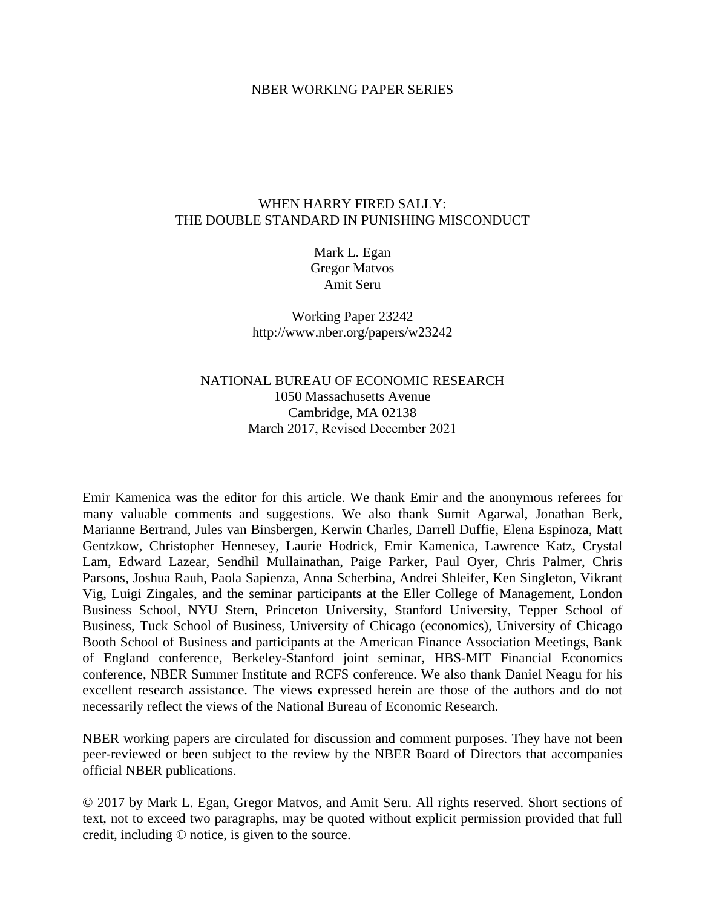# NBER WORKING PAPER SERIES

# WHEN HARRY FIRED SALLY: THE DOUBLE STANDARD IN PUNISHING MISCONDUCT

Mark L. Egan Gregor Matvos Amit Seru

Working Paper 23242 http://www.nber.org/papers/w23242

# NATIONAL BUREAU OF ECONOMIC RESEARCH 1050 Massachusetts Avenue Cambridge, MA 02138 March 2017, Revised December 2021

Emir Kamenica was the editor for this article. We thank Emir and the anonymous referees for many valuable comments and suggestions. We also thank Sumit Agarwal, Jonathan Berk, Marianne Bertrand, Jules van Binsbergen, Kerwin Charles, Darrell Duffie, Elena Espinoza, Matt Gentzkow, Christopher Hennesey, Laurie Hodrick, Emir Kamenica, Lawrence Katz, Crystal Lam, Edward Lazear, Sendhil Mullainathan, Paige Parker, Paul Oyer, Chris Palmer, Chris Parsons, Joshua Rauh, Paola Sapienza, Anna Scherbina, Andrei Shleifer, Ken Singleton, Vikrant Vig, Luigi Zingales, and the seminar participants at the Eller College of Management, London Business School, NYU Stern, Princeton University, Stanford University, Tepper School of Business, Tuck School of Business, University of Chicago (economics), University of Chicago Booth School of Business and participants at the American Finance Association Meetings, Bank of England conference, Berkeley-Stanford joint seminar, HBS-MIT Financial Economics conference, NBER Summer Institute and RCFS conference. We also thank Daniel Neagu for his excellent research assistance. The views expressed herein are those of the authors and do not necessarily reflect the views of the National Bureau of Economic Research.

NBER working papers are circulated for discussion and comment purposes. They have not been peer-reviewed or been subject to the review by the NBER Board of Directors that accompanies official NBER publications.

© 2017 by Mark L. Egan, Gregor Matvos, and Amit Seru. All rights reserved. Short sections of text, not to exceed two paragraphs, may be quoted without explicit permission provided that full credit, including © notice, is given to the source.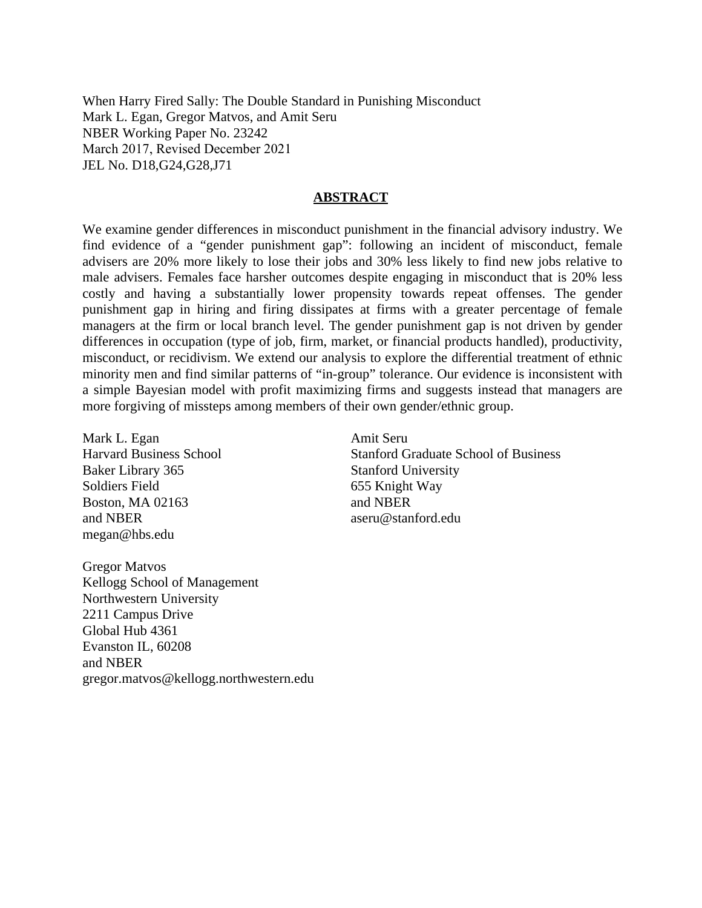When Harry Fired Sally: The Double Standard in Punishing Misconduct Mark L. Egan, Gregor Matvos, and Amit Seru NBER Working Paper No. 23242 March 2017, Revised December 2021 JEL No. D18,G24,G28,J71

# **ABSTRACT**

We examine gender differences in misconduct punishment in the financial advisory industry. We find evidence of a "gender punishment gap": following an incident of misconduct, female advisers are 20% more likely to lose their jobs and 30% less likely to find new jobs relative to male advisers. Females face harsher outcomes despite engaging in misconduct that is 20% less costly and having a substantially lower propensity towards repeat offenses. The gender punishment gap in hiring and firing dissipates at firms with a greater percentage of female managers at the firm or local branch level. The gender punishment gap is not driven by gender differences in occupation (type of job, firm, market, or financial products handled), productivity, misconduct, or recidivism. We extend our analysis to explore the differential treatment of ethnic minority men and find similar patterns of "in-group" tolerance. Our evidence is inconsistent with a simple Bayesian model with profit maximizing firms and suggests instead that managers are more forgiving of missteps among members of their own gender/ethnic group.

Mark L. Egan Harvard Business School Baker Library 365 Soldiers Field Boston, MA 02163 and NBER megan@hbs.edu

Gregor Matvos Kellogg School of Management Northwestern University 2211 Campus Drive Global Hub 4361 Evanston IL, 60208 and NBER gregor.matvos@kellogg.northwestern.edu Amit Seru Stanford Graduate School of Business Stanford University 655 Knight Way and NBER aseru@stanford.edu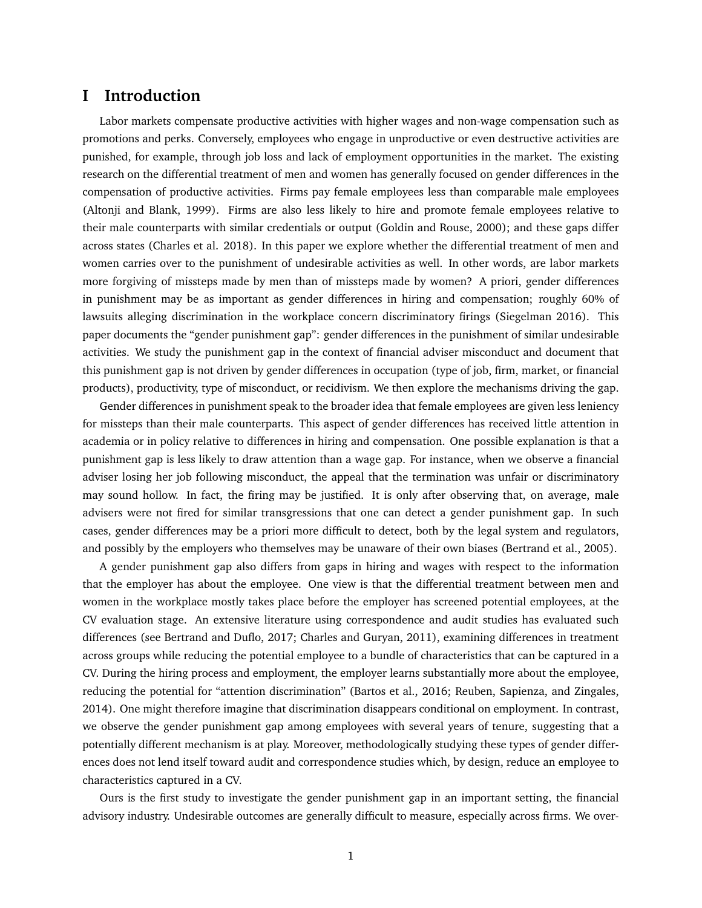# **I Introduction**

Labor markets compensate productive activities with higher wages and non-wage compensation such as promotions and perks. Conversely, employees who engage in unproductive or even destructive activities are punished, for example, through job loss and lack of employment opportunities in the market. The existing research on the differential treatment of men and women has generally focused on gender differences in the compensation of productive activities. Firms pay female employees less than comparable male employees (Altonji and Blank, 1999). Firms are also less likely to hire and promote female employees relative to their male counterparts with similar credentials or output (Goldin and Rouse, 2000); and these gaps differ across states (Charles et al. 2018). In this paper we explore whether the differential treatment of men and women carries over to the punishment of undesirable activities as well. In other words, are labor markets more forgiving of missteps made by men than of missteps made by women? A priori, gender differences in punishment may be as important as gender differences in hiring and compensation; roughly 60% of lawsuits alleging discrimination in the workplace concern discriminatory firings (Siegelman 2016). This paper documents the "gender punishment gap": gender differences in the punishment of similar undesirable activities. We study the punishment gap in the context of financial adviser misconduct and document that this punishment gap is not driven by gender differences in occupation (type of job, firm, market, or financial products), productivity, type of misconduct, or recidivism. We then explore the mechanisms driving the gap.

Gender differences in punishment speak to the broader idea that female employees are given less leniency for missteps than their male counterparts. This aspect of gender differences has received little attention in academia or in policy relative to differences in hiring and compensation. One possible explanation is that a punishment gap is less likely to draw attention than a wage gap. For instance, when we observe a financial adviser losing her job following misconduct, the appeal that the termination was unfair or discriminatory may sound hollow. In fact, the firing may be justified. It is only after observing that, on average, male advisers were not fired for similar transgressions that one can detect a gender punishment gap. In such cases, gender differences may be a priori more difficult to detect, both by the legal system and regulators, and possibly by the employers who themselves may be unaware of their own biases (Bertrand et al., 2005).

A gender punishment gap also differs from gaps in hiring and wages with respect to the information that the employer has about the employee. One view is that the differential treatment between men and women in the workplace mostly takes place before the employer has screened potential employees, at the CV evaluation stage. An extensive literature using correspondence and audit studies has evaluated such differences (see Bertrand and Duflo, 2017; Charles and Guryan, 2011), examining differences in treatment across groups while reducing the potential employee to a bundle of characteristics that can be captured in a CV. During the hiring process and employment, the employer learns substantially more about the employee, reducing the potential for "attention discrimination" (Bartos et al., 2016; Reuben, Sapienza, and Zingales, 2014). One might therefore imagine that discrimination disappears conditional on employment. In contrast, we observe the gender punishment gap among employees with several years of tenure, suggesting that a potentially different mechanism is at play. Moreover, methodologically studying these types of gender differences does not lend itself toward audit and correspondence studies which, by design, reduce an employee to characteristics captured in a CV.

Ours is the first study to investigate the gender punishment gap in an important setting, the financial advisory industry. Undesirable outcomes are generally difficult to measure, especially across firms. We over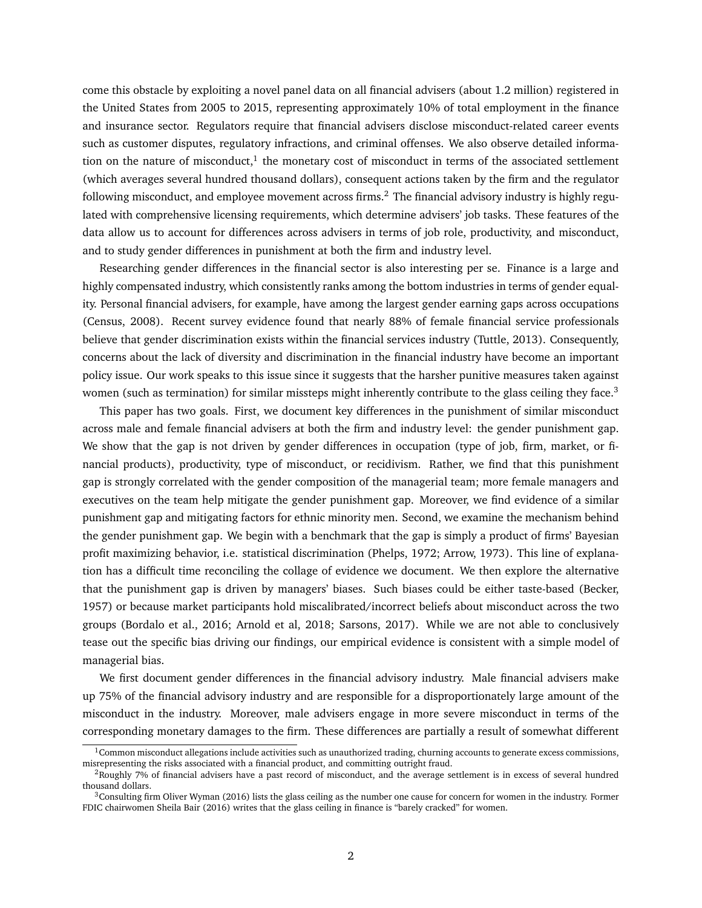come this obstacle by exploiting a novel panel data on all financial advisers (about 1.2 million) registered in the United States from 2005 to 2015, representing approximately 10% of total employment in the finance and insurance sector. Regulators require that financial advisers disclose misconduct-related career events such as customer disputes, regulatory infractions, and criminal offenses. We also observe detailed information on the nature of misconduct,<sup>1</sup> the monetary cost of misconduct in terms of the associated settlement (which averages several hundred thousand dollars), consequent actions taken by the firm and the regulator following misconduct, and employee movement across firms.<sup>2</sup> The financial advisory industry is highly regulated with comprehensive licensing requirements, which determine advisers' job tasks. These features of the data allow us to account for differences across advisers in terms of job role, productivity, and misconduct, and to study gender differences in punishment at both the firm and industry level.

Researching gender differences in the financial sector is also interesting per se. Finance is a large and highly compensated industry, which consistently ranks among the bottom industries in terms of gender equality. Personal financial advisers, for example, have among the largest gender earning gaps across occupations (Census, 2008). Recent survey evidence found that nearly 88% of female financial service professionals believe that gender discrimination exists within the financial services industry (Tuttle, 2013). Consequently, concerns about the lack of diversity and discrimination in the financial industry have become an important policy issue. Our work speaks to this issue since it suggests that the harsher punitive measures taken against women (such as termination) for similar missteps might inherently contribute to the glass ceiling they face.<sup>3</sup>

This paper has two goals. First, we document key differences in the punishment of similar misconduct across male and female financial advisers at both the firm and industry level: the gender punishment gap. We show that the gap is not driven by gender differences in occupation (type of job, firm, market, or financial products), productivity, type of misconduct, or recidivism. Rather, we find that this punishment gap is strongly correlated with the gender composition of the managerial team; more female managers and executives on the team help mitigate the gender punishment gap. Moreover, we find evidence of a similar punishment gap and mitigating factors for ethnic minority men. Second, we examine the mechanism behind the gender punishment gap. We begin with a benchmark that the gap is simply a product of firms' Bayesian profit maximizing behavior, i.e. statistical discrimination (Phelps, 1972; Arrow, 1973). This line of explanation has a difficult time reconciling the collage of evidence we document. We then explore the alternative that the punishment gap is driven by managers' biases. Such biases could be either taste-based (Becker, 1957) or because market participants hold miscalibrated/incorrect beliefs about misconduct across the two groups (Bordalo et al., 2016; Arnold et al, 2018; Sarsons, 2017). While we are not able to conclusively tease out the specific bias driving our findings, our empirical evidence is consistent with a simple model of managerial bias.

We first document gender differences in the financial advisory industry. Male financial advisers make up 75% of the financial advisory industry and are responsible for a disproportionately large amount of the misconduct in the industry. Moreover, male advisers engage in more severe misconduct in terms of the corresponding monetary damages to the firm. These differences are partially a result of somewhat different

 $1$ Common misconduct allegations include activities such as unauthorized trading, churning accounts to generate excess commissions, misrepresenting the risks associated with a financial product, and committing outright fraud.

 ${}^{2}$ Roughly 7% of financial advisers have a past record of misconduct, and the average settlement is in excess of several hundred thousand dollars.

 $3$ Consulting firm Oliver Wyman (2016) lists the glass ceiling as the number one cause for concern for women in the industry. Former FDIC chairwomen Sheila Bair (2016) writes that the glass ceiling in finance is "barely cracked" for women.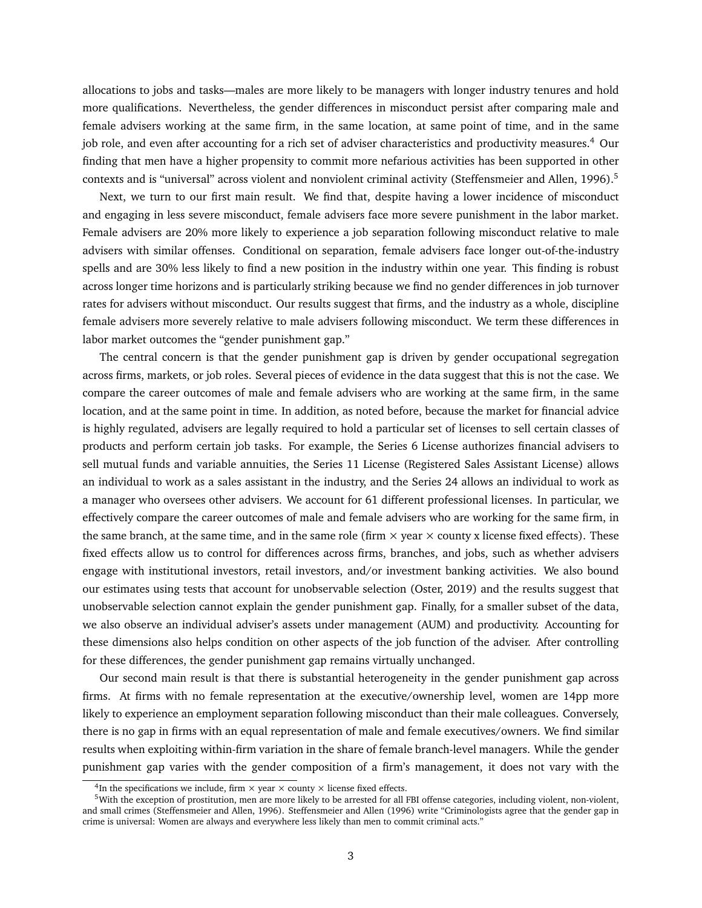allocations to jobs and tasks—males are more likely to be managers with longer industry tenures and hold more qualifications. Nevertheless, the gender differences in misconduct persist after comparing male and female advisers working at the same firm, in the same location, at same point of time, and in the same job role, and even after accounting for a rich set of adviser characteristics and productivity measures.<sup>4</sup> Our finding that men have a higher propensity to commit more nefarious activities has been supported in other contexts and is "universal" across violent and nonviolent criminal activity (Steffensmeier and Allen, 1996).<sup>5</sup>

Next, we turn to our first main result. We find that, despite having a lower incidence of misconduct and engaging in less severe misconduct, female advisers face more severe punishment in the labor market. Female advisers are 20% more likely to experience a job separation following misconduct relative to male advisers with similar offenses. Conditional on separation, female advisers face longer out-of-the-industry spells and are 30% less likely to find a new position in the industry within one year. This finding is robust across longer time horizons and is particularly striking because we find no gender differences in job turnover rates for advisers without misconduct. Our results suggest that firms, and the industry as a whole, discipline female advisers more severely relative to male advisers following misconduct. We term these differences in labor market outcomes the "gender punishment gap."

The central concern is that the gender punishment gap is driven by gender occupational segregation across firms, markets, or job roles. Several pieces of evidence in the data suggest that this is not the case. We compare the career outcomes of male and female advisers who are working at the same firm, in the same location, and at the same point in time. In addition, as noted before, because the market for financial advice is highly regulated, advisers are legally required to hold a particular set of licenses to sell certain classes of products and perform certain job tasks. For example, the Series 6 License authorizes financial advisers to sell mutual funds and variable annuities, the Series 11 License (Registered Sales Assistant License) allows an individual to work as a sales assistant in the industry, and the Series 24 allows an individual to work as a manager who oversees other advisers. We account for 61 different professional licenses. In particular, we effectively compare the career outcomes of male and female advisers who are working for the same firm, in the same branch, at the same time, and in the same role (firm  $\times$  year  $\times$  county x license fixed effects). These fixed effects allow us to control for differences across firms, branches, and jobs, such as whether advisers engage with institutional investors, retail investors, and/or investment banking activities. We also bound our estimates using tests that account for unobservable selection (Oster, 2019) and the results suggest that unobservable selection cannot explain the gender punishment gap. Finally, for a smaller subset of the data, we also observe an individual adviser's assets under management (AUM) and productivity. Accounting for these dimensions also helps condition on other aspects of the job function of the adviser. After controlling for these differences, the gender punishment gap remains virtually unchanged.

Our second main result is that there is substantial heterogeneity in the gender punishment gap across firms. At firms with no female representation at the executive/ownership level, women are 14pp more likely to experience an employment separation following misconduct than their male colleagues. Conversely, there is no gap in firms with an equal representation of male and female executives/owners. We find similar results when exploiting within-firm variation in the share of female branch-level managers. While the gender punishment gap varies with the gender composition of a firm's management, it does not vary with the

<sup>&</sup>lt;sup>4</sup>In the specifications we include, firm  $\times$  year  $\times$  county  $\times$  license fixed effects.

<sup>5</sup>With the exception of prostitution, men are more likely to be arrested for all FBI offense categories, including violent, non-violent, and small crimes (Steffensmeier and Allen, 1996). Steffensmeier and Allen (1996) write "Criminologists agree that the gender gap in crime is universal: Women are always and everywhere less likely than men to commit criminal acts."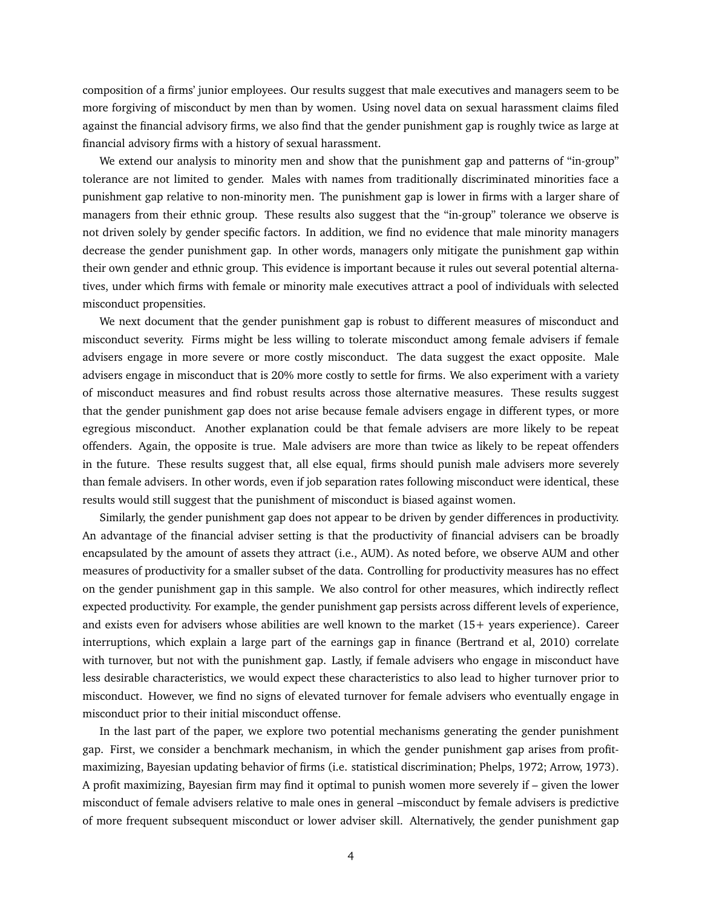composition of a firms' junior employees. Our results suggest that male executives and managers seem to be more forgiving of misconduct by men than by women. Using novel data on sexual harassment claims filed against the financial advisory firms, we also find that the gender punishment gap is roughly twice as large at financial advisory firms with a history of sexual harassment.

We extend our analysis to minority men and show that the punishment gap and patterns of "in-group" tolerance are not limited to gender. Males with names from traditionally discriminated minorities face a punishment gap relative to non-minority men. The punishment gap is lower in firms with a larger share of managers from their ethnic group. These results also suggest that the "in-group" tolerance we observe is not driven solely by gender specific factors. In addition, we find no evidence that male minority managers decrease the gender punishment gap. In other words, managers only mitigate the punishment gap within their own gender and ethnic group. This evidence is important because it rules out several potential alternatives, under which firms with female or minority male executives attract a pool of individuals with selected misconduct propensities.

We next document that the gender punishment gap is robust to different measures of misconduct and misconduct severity. Firms might be less willing to tolerate misconduct among female advisers if female advisers engage in more severe or more costly misconduct. The data suggest the exact opposite. Male advisers engage in misconduct that is 20% more costly to settle for firms. We also experiment with a variety of misconduct measures and find robust results across those alternative measures. These results suggest that the gender punishment gap does not arise because female advisers engage in different types, or more egregious misconduct. Another explanation could be that female advisers are more likely to be repeat offenders. Again, the opposite is true. Male advisers are more than twice as likely to be repeat offenders in the future. These results suggest that, all else equal, firms should punish male advisers more severely than female advisers. In other words, even if job separation rates following misconduct were identical, these results would still suggest that the punishment of misconduct is biased against women.

Similarly, the gender punishment gap does not appear to be driven by gender differences in productivity. An advantage of the financial adviser setting is that the productivity of financial advisers can be broadly encapsulated by the amount of assets they attract (i.e., AUM). As noted before, we observe AUM and other measures of productivity for a smaller subset of the data. Controlling for productivity measures has no effect on the gender punishment gap in this sample. We also control for other measures, which indirectly reflect expected productivity. For example, the gender punishment gap persists across different levels of experience, and exists even for advisers whose abilities are well known to the market (15+ years experience). Career interruptions, which explain a large part of the earnings gap in finance (Bertrand et al, 2010) correlate with turnover, but not with the punishment gap. Lastly, if female advisers who engage in misconduct have less desirable characteristics, we would expect these characteristics to also lead to higher turnover prior to misconduct. However, we find no signs of elevated turnover for female advisers who eventually engage in misconduct prior to their initial misconduct offense.

In the last part of the paper, we explore two potential mechanisms generating the gender punishment gap. First, we consider a benchmark mechanism, in which the gender punishment gap arises from profitmaximizing, Bayesian updating behavior of firms (i.e. statistical discrimination; Phelps, 1972; Arrow, 1973). A profit maximizing, Bayesian firm may find it optimal to punish women more severely if – given the lower misconduct of female advisers relative to male ones in general –misconduct by female advisers is predictive of more frequent subsequent misconduct or lower adviser skill. Alternatively, the gender punishment gap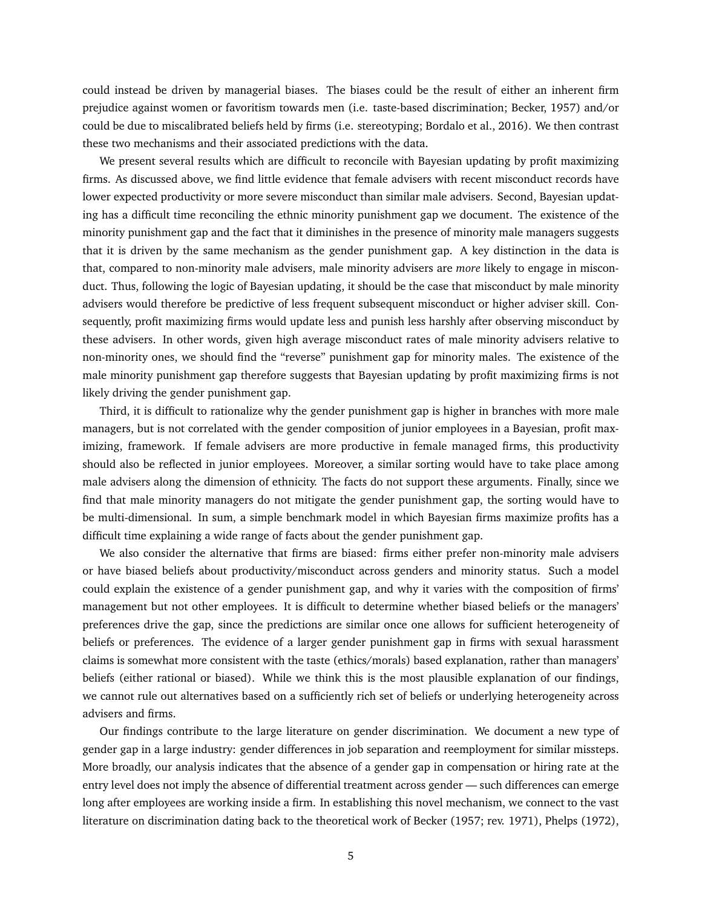could instead be driven by managerial biases. The biases could be the result of either an inherent firm prejudice against women or favoritism towards men (i.e. taste-based discrimination; Becker, 1957) and/or could be due to miscalibrated beliefs held by firms (i.e. stereotyping; Bordalo et al., 2016). We then contrast these two mechanisms and their associated predictions with the data.

We present several results which are difficult to reconcile with Bayesian updating by profit maximizing firms. As discussed above, we find little evidence that female advisers with recent misconduct records have lower expected productivity or more severe misconduct than similar male advisers. Second, Bayesian updating has a difficult time reconciling the ethnic minority punishment gap we document. The existence of the minority punishment gap and the fact that it diminishes in the presence of minority male managers suggests that it is driven by the same mechanism as the gender punishment gap. A key distinction in the data is that, compared to non-minority male advisers, male minority advisers are *more* likely to engage in misconduct. Thus, following the logic of Bayesian updating, it should be the case that misconduct by male minority advisers would therefore be predictive of less frequent subsequent misconduct or higher adviser skill. Consequently, profit maximizing firms would update less and punish less harshly after observing misconduct by these advisers. In other words, given high average misconduct rates of male minority advisers relative to non-minority ones, we should find the "reverse" punishment gap for minority males. The existence of the male minority punishment gap therefore suggests that Bayesian updating by profit maximizing firms is not likely driving the gender punishment gap.

Third, it is difficult to rationalize why the gender punishment gap is higher in branches with more male managers, but is not correlated with the gender composition of junior employees in a Bayesian, profit maximizing, framework. If female advisers are more productive in female managed firms, this productivity should also be reflected in junior employees. Moreover, a similar sorting would have to take place among male advisers along the dimension of ethnicity. The facts do not support these arguments. Finally, since we find that male minority managers do not mitigate the gender punishment gap, the sorting would have to be multi-dimensional. In sum, a simple benchmark model in which Bayesian firms maximize profits has a difficult time explaining a wide range of facts about the gender punishment gap.

We also consider the alternative that firms are biased: firms either prefer non-minority male advisers or have biased beliefs about productivity/misconduct across genders and minority status. Such a model could explain the existence of a gender punishment gap, and why it varies with the composition of firms' management but not other employees. It is difficult to determine whether biased beliefs or the managers' preferences drive the gap, since the predictions are similar once one allows for sufficient heterogeneity of beliefs or preferences. The evidence of a larger gender punishment gap in firms with sexual harassment claims is somewhat more consistent with the taste (ethics/morals) based explanation, rather than managers' beliefs (either rational or biased). While we think this is the most plausible explanation of our findings, we cannot rule out alternatives based on a sufficiently rich set of beliefs or underlying heterogeneity across advisers and firms.

Our findings contribute to the large literature on gender discrimination. We document a new type of gender gap in a large industry: gender differences in job separation and reemployment for similar missteps. More broadly, our analysis indicates that the absence of a gender gap in compensation or hiring rate at the entry level does not imply the absence of differential treatment across gender — such differences can emerge long after employees are working inside a firm. In establishing this novel mechanism, we connect to the vast literature on discrimination dating back to the theoretical work of Becker (1957; rev. 1971), Phelps (1972),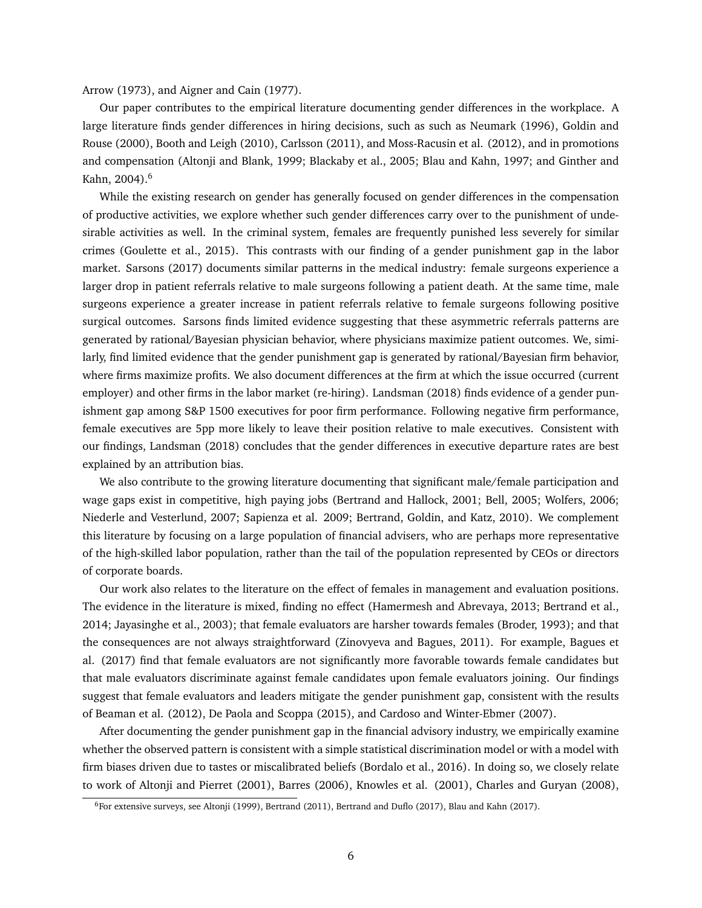Arrow (1973), and Aigner and Cain (1977).

Our paper contributes to the empirical literature documenting gender differences in the workplace. A large literature finds gender differences in hiring decisions, such as such as Neumark (1996), Goldin and Rouse (2000), Booth and Leigh (2010), Carlsson (2011), and Moss-Racusin et al. (2012), and in promotions and compensation (Altonji and Blank, 1999; Blackaby et al., 2005; Blau and Kahn, 1997; and Ginther and Kahn, 2004).<sup>6</sup>

While the existing research on gender has generally focused on gender differences in the compensation of productive activities, we explore whether such gender differences carry over to the punishment of undesirable activities as well. In the criminal system, females are frequently punished less severely for similar crimes (Goulette et al., 2015). This contrasts with our finding of a gender punishment gap in the labor market. Sarsons (2017) documents similar patterns in the medical industry: female surgeons experience a larger drop in patient referrals relative to male surgeons following a patient death. At the same time, male surgeons experience a greater increase in patient referrals relative to female surgeons following positive surgical outcomes. Sarsons finds limited evidence suggesting that these asymmetric referrals patterns are generated by rational/Bayesian physician behavior, where physicians maximize patient outcomes. We, similarly, find limited evidence that the gender punishment gap is generated by rational/Bayesian firm behavior, where firms maximize profits. We also document differences at the firm at which the issue occurred (current employer) and other firms in the labor market (re-hiring). Landsman (2018) finds evidence of a gender punishment gap among S&P 1500 executives for poor firm performance. Following negative firm performance, female executives are 5pp more likely to leave their position relative to male executives. Consistent with our findings, Landsman (2018) concludes that the gender differences in executive departure rates are best explained by an attribution bias.

We also contribute to the growing literature documenting that significant male/female participation and wage gaps exist in competitive, high paying jobs (Bertrand and Hallock, 2001; Bell, 2005; Wolfers, 2006; Niederle and Vesterlund, 2007; Sapienza et al. 2009; Bertrand, Goldin, and Katz, 2010). We complement this literature by focusing on a large population of financial advisers, who are perhaps more representative of the high-skilled labor population, rather than the tail of the population represented by CEOs or directors of corporate boards.

Our work also relates to the literature on the effect of females in management and evaluation positions. The evidence in the literature is mixed, finding no effect (Hamermesh and Abrevaya, 2013; Bertrand et al., 2014; Jayasinghe et al., 2003); that female evaluators are harsher towards females (Broder, 1993); and that the consequences are not always straightforward (Zinovyeva and Bagues, 2011). For example, Bagues et al. (2017) find that female evaluators are not significantly more favorable towards female candidates but that male evaluators discriminate against female candidates upon female evaluators joining. Our findings suggest that female evaluators and leaders mitigate the gender punishment gap, consistent with the results of Beaman et al. (2012), De Paola and Scoppa (2015), and Cardoso and Winter-Ebmer (2007).

After documenting the gender punishment gap in the financial advisory industry, we empirically examine whether the observed pattern is consistent with a simple statistical discrimination model or with a model with firm biases driven due to tastes or miscalibrated beliefs (Bordalo et al., 2016). In doing so, we closely relate to work of Altonji and Pierret (2001), Barres (2006), Knowles et al. (2001), Charles and Guryan (2008),

<sup>6</sup>For extensive surveys, see Altonji (1999), Bertrand (2011), Bertrand and Duflo (2017), Blau and Kahn (2017).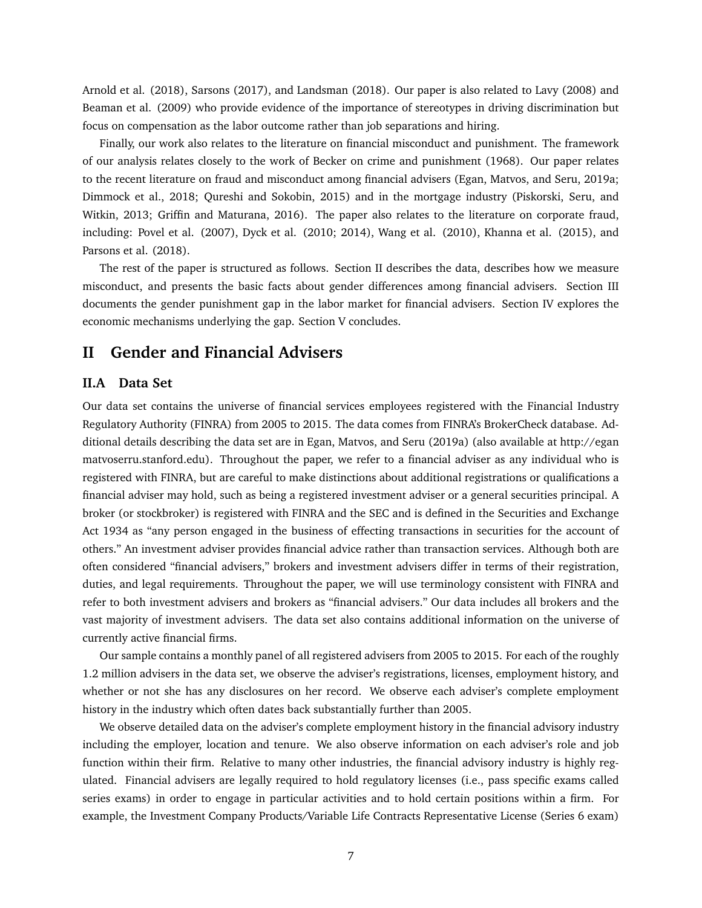Arnold et al. (2018), Sarsons (2017), and Landsman (2018). Our paper is also related to Lavy (2008) and Beaman et al. (2009) who provide evidence of the importance of stereotypes in driving discrimination but focus on compensation as the labor outcome rather than job separations and hiring.

Finally, our work also relates to the literature on financial misconduct and punishment. The framework of our analysis relates closely to the work of Becker on crime and punishment (1968). Our paper relates to the recent literature on fraud and misconduct among financial advisers (Egan, Matvos, and Seru, 2019a; Dimmock et al., 2018; Qureshi and Sokobin, 2015) and in the mortgage industry (Piskorski, Seru, and Witkin, 2013; Griffin and Maturana, 2016). The paper also relates to the literature on corporate fraud, including: Povel et al. (2007), Dyck et al. (2010; 2014), Wang et al. (2010), Khanna et al. (2015), and Parsons et al. (2018).

The rest of the paper is structured as follows. Section II describes the data, describes how we measure misconduct, and presents the basic facts about gender differences among financial advisers. Section III documents the gender punishment gap in the labor market for financial advisers. Section IV explores the economic mechanisms underlying the gap. Section V concludes.

# **II Gender and Financial Advisers**

## **II.A Data Set**

Our data set contains the universe of financial services employees registered with the Financial Industry Regulatory Authority (FINRA) from 2005 to 2015. The data comes from FINRA's BrokerCheck database. Additional details describing the data set are in Egan, Matvos, and Seru (2019a) (also available at http://egan matvoserru.stanford.edu). Throughout the paper, we refer to a financial adviser as any individual who is registered with FINRA, but are careful to make distinctions about additional registrations or qualifications a financial adviser may hold, such as being a registered investment adviser or a general securities principal. A broker (or stockbroker) is registered with FINRA and the SEC and is defined in the Securities and Exchange Act 1934 as "any person engaged in the business of effecting transactions in securities for the account of others." An investment adviser provides financial advice rather than transaction services. Although both are often considered "financial advisers," brokers and investment advisers differ in terms of their registration, duties, and legal requirements. Throughout the paper, we will use terminology consistent with FINRA and refer to both investment advisers and brokers as "financial advisers." Our data includes all brokers and the vast majority of investment advisers. The data set also contains additional information on the universe of currently active financial firms.

Our sample contains a monthly panel of all registered advisers from 2005 to 2015. For each of the roughly 1.2 million advisers in the data set, we observe the adviser's registrations, licenses, employment history, and whether or not she has any disclosures on her record. We observe each adviser's complete employment history in the industry which often dates back substantially further than 2005.

We observe detailed data on the adviser's complete employment history in the financial advisory industry including the employer, location and tenure. We also observe information on each adviser's role and job function within their firm. Relative to many other industries, the financial advisory industry is highly regulated. Financial advisers are legally required to hold regulatory licenses (i.e., pass specific exams called series exams) in order to engage in particular activities and to hold certain positions within a firm. For example, the Investment Company Products/Variable Life Contracts Representative License (Series 6 exam)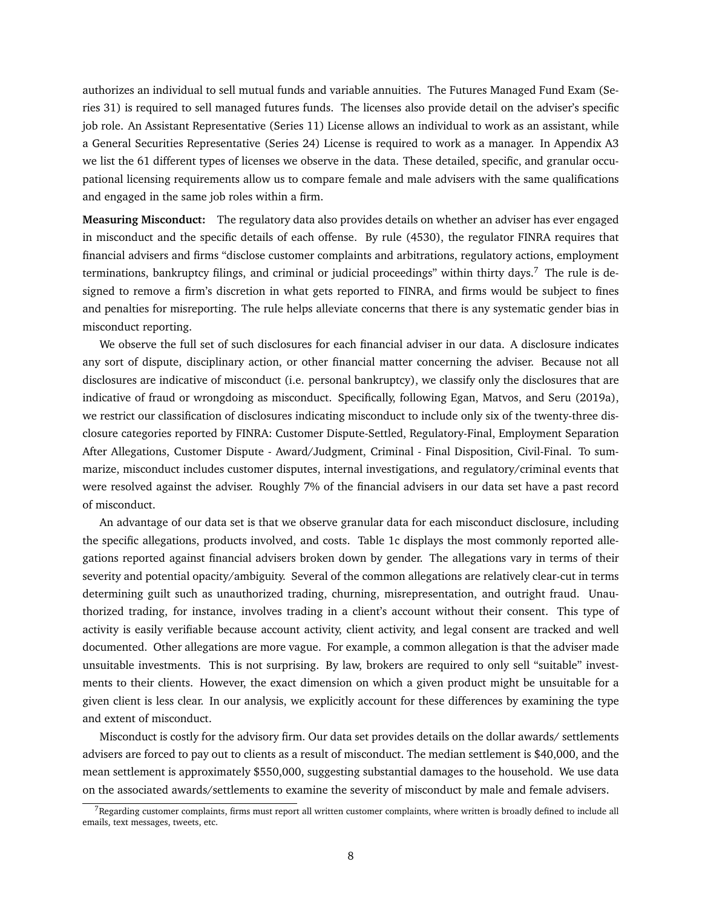authorizes an individual to sell mutual funds and variable annuities. The Futures Managed Fund Exam (Series 31) is required to sell managed futures funds. The licenses also provide detail on the adviser's specific job role. An Assistant Representative (Series 11) License allows an individual to work as an assistant, while a General Securities Representative (Series 24) License is required to work as a manager. In Appendix A3 we list the 61 different types of licenses we observe in the data. These detailed, specific, and granular occupational licensing requirements allow us to compare female and male advisers with the same qualifications and engaged in the same job roles within a firm.

**Measuring Misconduct:** The regulatory data also provides details on whether an adviser has ever engaged in misconduct and the specific details of each offense. By rule (4530), the regulator FINRA requires that financial advisers and firms "disclose customer complaints and arbitrations, regulatory actions, employment terminations, bankruptcy filings, and criminal or judicial proceedings" within thirty days.<sup>7</sup> The rule is designed to remove a firm's discretion in what gets reported to FINRA, and firms would be subject to fines and penalties for misreporting. The rule helps alleviate concerns that there is any systematic gender bias in misconduct reporting.

We observe the full set of such disclosures for each financial adviser in our data. A disclosure indicates any sort of dispute, disciplinary action, or other financial matter concerning the adviser. Because not all disclosures are indicative of misconduct (i.e. personal bankruptcy), we classify only the disclosures that are indicative of fraud or wrongdoing as misconduct. Specifically, following Egan, Matvos, and Seru (2019a), we restrict our classification of disclosures indicating misconduct to include only six of the twenty-three disclosure categories reported by FINRA: Customer Dispute-Settled, Regulatory-Final, Employment Separation After Allegations, Customer Dispute - Award/Judgment, Criminal - Final Disposition, Civil-Final. To summarize, misconduct includes customer disputes, internal investigations, and regulatory/criminal events that were resolved against the adviser. Roughly 7% of the financial advisers in our data set have a past record of misconduct.

An advantage of our data set is that we observe granular data for each misconduct disclosure, including the specific allegations, products involved, and costs. Table 1c displays the most commonly reported allegations reported against financial advisers broken down by gender. The allegations vary in terms of their severity and potential opacity/ambiguity. Several of the common allegations are relatively clear-cut in terms determining guilt such as unauthorized trading, churning, misrepresentation, and outright fraud. Unauthorized trading, for instance, involves trading in a client's account without their consent. This type of activity is easily verifiable because account activity, client activity, and legal consent are tracked and well documented. Other allegations are more vague. For example, a common allegation is that the adviser made unsuitable investments. This is not surprising. By law, brokers are required to only sell "suitable" investments to their clients. However, the exact dimension on which a given product might be unsuitable for a given client is less clear. In our analysis, we explicitly account for these differences by examining the type and extent of misconduct.

Misconduct is costly for the advisory firm. Our data set provides details on the dollar awards/ settlements advisers are forced to pay out to clients as a result of misconduct. The median settlement is \$40,000, and the mean settlement is approximately \$550,000, suggesting substantial damages to the household. We use data on the associated awards/settlements to examine the severity of misconduct by male and female advisers.

<sup>&</sup>lt;sup>7</sup>Regarding customer complaints, firms must report all written customer complaints, where written is broadly defined to include all emails, text messages, tweets, etc.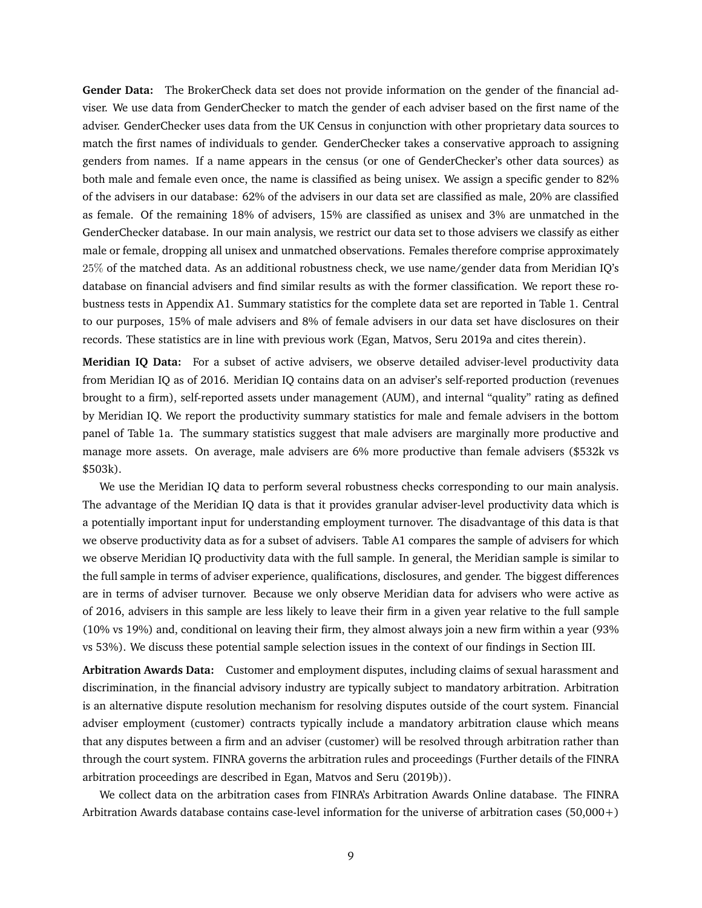**Gender Data:** The BrokerCheck data set does not provide information on the gender of the financial adviser. We use data from GenderChecker to match the gender of each adviser based on the first name of the adviser. GenderChecker uses data from the UK Census in conjunction with other proprietary data sources to match the first names of individuals to gender. GenderChecker takes a conservative approach to assigning genders from names. If a name appears in the census (or one of GenderChecker's other data sources) as both male and female even once, the name is classified as being unisex. We assign a specific gender to 82% of the advisers in our database: 62% of the advisers in our data set are classified as male, 20% are classified as female. Of the remaining 18% of advisers, 15% are classified as unisex and 3% are unmatched in the GenderChecker database. In our main analysis, we restrict our data set to those advisers we classify as either male or female, dropping all unisex and unmatched observations. Females therefore comprise approximately 25% of the matched data. As an additional robustness check, we use name/gender data from Meridian IQ's database on financial advisers and find similar results as with the former classification. We report these robustness tests in Appendix A1. Summary statistics for the complete data set are reported in Table 1. Central to our purposes, 15% of male advisers and 8% of female advisers in our data set have disclosures on their records. These statistics are in line with previous work (Egan, Matvos, Seru 2019a and cites therein).

**Meridian IQ Data:** For a subset of active advisers, we observe detailed adviser-level productivity data from Meridian IQ as of 2016. Meridian IQ contains data on an adviser's self-reported production (revenues brought to a firm), self-reported assets under management (AUM), and internal "quality" rating as defined by Meridian IQ. We report the productivity summary statistics for male and female advisers in the bottom panel of Table 1a. The summary statistics suggest that male advisers are marginally more productive and manage more assets. On average, male advisers are 6% more productive than female advisers (\$532k vs \$503k).

We use the Meridian IQ data to perform several robustness checks corresponding to our main analysis. The advantage of the Meridian IQ data is that it provides granular adviser-level productivity data which is a potentially important input for understanding employment turnover. The disadvantage of this data is that we observe productivity data as for a subset of advisers. Table A1 compares the sample of advisers for which we observe Meridian IQ productivity data with the full sample. In general, the Meridian sample is similar to the full sample in terms of adviser experience, qualifications, disclosures, and gender. The biggest differences are in terms of adviser turnover. Because we only observe Meridian data for advisers who were active as of 2016, advisers in this sample are less likely to leave their firm in a given year relative to the full sample (10% vs 19%) and, conditional on leaving their firm, they almost always join a new firm within a year (93% vs 53%). We discuss these potential sample selection issues in the context of our findings in Section III.

**Arbitration Awards Data:** Customer and employment disputes, including claims of sexual harassment and discrimination, in the financial advisory industry are typically subject to mandatory arbitration. Arbitration is an alternative dispute resolution mechanism for resolving disputes outside of the court system. Financial adviser employment (customer) contracts typically include a mandatory arbitration clause which means that any disputes between a firm and an adviser (customer) will be resolved through arbitration rather than through the court system. FINRA governs the arbitration rules and proceedings (Further details of the FINRA arbitration proceedings are described in Egan, Matvos and Seru (2019b)).

We collect data on the arbitration cases from FINRA's Arbitration Awards Online database. The FINRA Arbitration Awards database contains case-level information for the universe of arbitration cases (50,000+)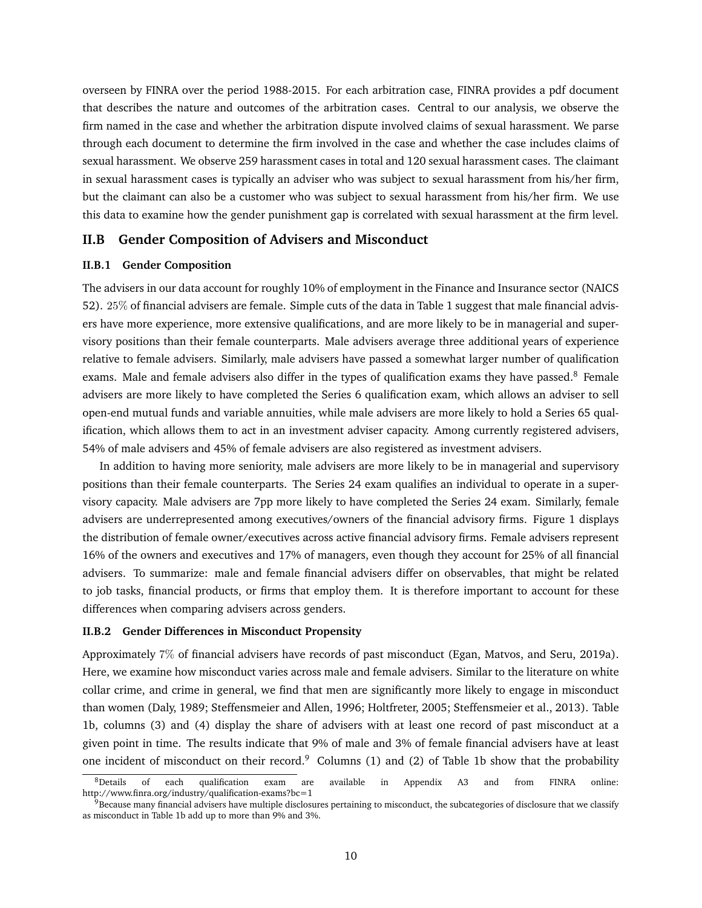overseen by FINRA over the period 1988-2015. For each arbitration case, FINRA provides a pdf document that describes the nature and outcomes of the arbitration cases. Central to our analysis, we observe the firm named in the case and whether the arbitration dispute involved claims of sexual harassment. We parse through each document to determine the firm involved in the case and whether the case includes claims of sexual harassment. We observe 259 harassment cases in total and 120 sexual harassment cases. The claimant in sexual harassment cases is typically an adviser who was subject to sexual harassment from his/her firm, but the claimant can also be a customer who was subject to sexual harassment from his/her firm. We use this data to examine how the gender punishment gap is correlated with sexual harassment at the firm level.

# **II.B Gender Composition of Advisers and Misconduct**

# **II.B.1 Gender Composition**

The advisers in our data account for roughly 10% of employment in the Finance and Insurance sector (NAICS 52). 25% of financial advisers are female. Simple cuts of the data in Table 1 suggest that male financial advisers have more experience, more extensive qualifications, and are more likely to be in managerial and supervisory positions than their female counterparts. Male advisers average three additional years of experience relative to female advisers. Similarly, male advisers have passed a somewhat larger number of qualification exams. Male and female advisers also differ in the types of qualification exams they have passed.<sup>8</sup> Female advisers are more likely to have completed the Series 6 qualification exam, which allows an adviser to sell open-end mutual funds and variable annuities, while male advisers are more likely to hold a Series 65 qualification, which allows them to act in an investment adviser capacity. Among currently registered advisers, 54% of male advisers and 45% of female advisers are also registered as investment advisers.

In addition to having more seniority, male advisers are more likely to be in managerial and supervisory positions than their female counterparts. The Series 24 exam qualifies an individual to operate in a supervisory capacity. Male advisers are 7pp more likely to have completed the Series 24 exam. Similarly, female advisers are underrepresented among executives/owners of the financial advisory firms. Figure 1 displays the distribution of female owner/executives across active financial advisory firms. Female advisers represent 16% of the owners and executives and 17% of managers, even though they account for 25% of all financial advisers. To summarize: male and female financial advisers differ on observables, that might be related to job tasks, financial products, or firms that employ them. It is therefore important to account for these differences when comparing advisers across genders.

#### **II.B.2 Gender Differences in Misconduct Propensity**

Approximately 7% of financial advisers have records of past misconduct (Egan, Matvos, and Seru, 2019a). Here, we examine how misconduct varies across male and female advisers. Similar to the literature on white collar crime, and crime in general, we find that men are significantly more likely to engage in misconduct than women (Daly, 1989; Steffensmeier and Allen, 1996; Holtfreter, 2005; Steffensmeier et al., 2013). Table 1b, columns (3) and (4) display the share of advisers with at least one record of past misconduct at a given point in time. The results indicate that 9% of male and 3% of female financial advisers have at least one incident of misconduct on their record.<sup>9</sup> Columns (1) and (2) of Table 1b show that the probability

<sup>8</sup>Details of each qualification exam are available in Appendix A3 and from FINRA online: http://www.finra.org/industry/qualification-exams?bc=1

 $^{9}$ Because many financial advisers have multiple disclosures pertaining to misconduct, the subcategories of disclosure that we classify as misconduct in Table 1b add up to more than 9% and 3%.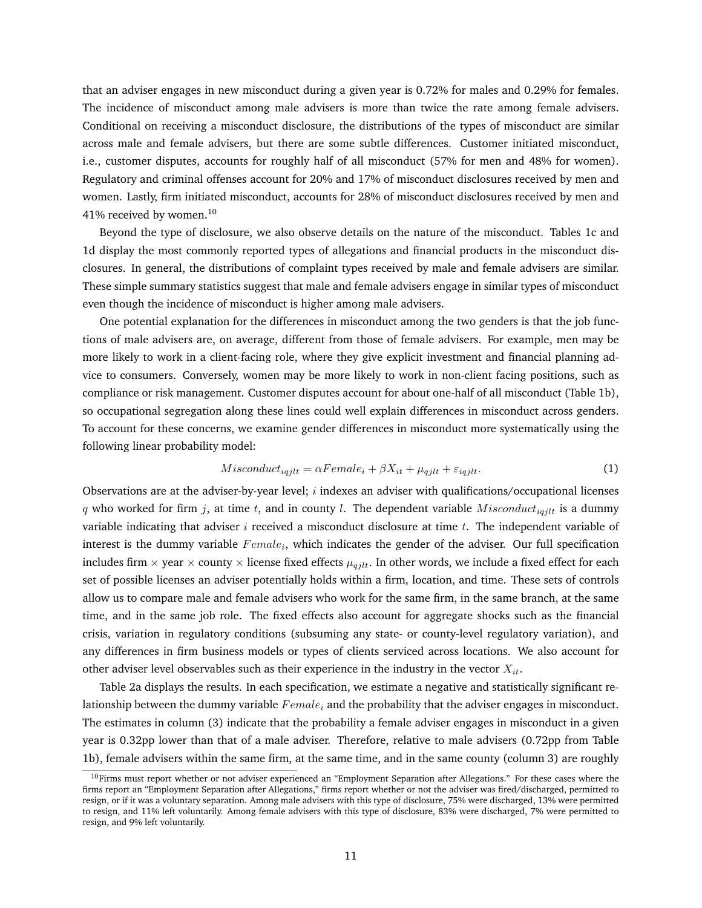that an adviser engages in new misconduct during a given year is 0.72% for males and 0.29% for females. The incidence of misconduct among male advisers is more than twice the rate among female advisers. Conditional on receiving a misconduct disclosure, the distributions of the types of misconduct are similar across male and female advisers, but there are some subtle differences. Customer initiated misconduct, i.e., customer disputes, accounts for roughly half of all misconduct (57% for men and 48% for women). Regulatory and criminal offenses account for 20% and 17% of misconduct disclosures received by men and women. Lastly, firm initiated misconduct, accounts for 28% of misconduct disclosures received by men and 41% received by women.<sup>10</sup>

Beyond the type of disclosure, we also observe details on the nature of the misconduct. Tables 1c and 1d display the most commonly reported types of allegations and financial products in the misconduct disclosures. In general, the distributions of complaint types received by male and female advisers are similar. These simple summary statistics suggest that male and female advisers engage in similar types of misconduct even though the incidence of misconduct is higher among male advisers.

One potential explanation for the differences in misconduct among the two genders is that the job functions of male advisers are, on average, different from those of female advisers. For example, men may be more likely to work in a client-facing role, where they give explicit investment and financial planning advice to consumers. Conversely, women may be more likely to work in non-client facing positions, such as compliance or risk management. Customer disputes account for about one-half of all misconduct (Table 1b), so occupational segregation along these lines could well explain differences in misconduct across genders. To account for these concerns, we examine gender differences in misconduct more systematically using the following linear probability model:

$$
Misconduct_{iqjlt} = \alpha Female_i + \beta X_{it} + \mu_{qjlt} + \varepsilon_{iqjlt}.
$$
\n(1)

Observations are at the adviser-by-year level;  $i$  indexes an adviser with qualifications/occupational licenses q who worked for firm j, at time t, and in county l. The dependent variable  $M is conduct_{\text{iq}}$  is a dummy variable indicating that adviser  $i$  received a misconduct disclosure at time  $t$ . The independent variable of interest is the dummy variable  $Female_i$ , which indicates the gender of the adviser. Our full specification includes firm  $\times$  year  $\times$  county  $\times$  license fixed effects  $\mu_{qilt}$ . In other words, we include a fixed effect for each set of possible licenses an adviser potentially holds within a firm, location, and time. These sets of controls allow us to compare male and female advisers who work for the same firm, in the same branch, at the same time, and in the same job role. The fixed effects also account for aggregate shocks such as the financial crisis, variation in regulatory conditions (subsuming any state- or county-level regulatory variation), and any differences in firm business models or types of clients serviced across locations. We also account for other adviser level observables such as their experience in the industry in the vector  $X_{it}$ .

Table 2a displays the results. In each specification, we estimate a negative and statistically significant relationship between the dummy variable  $Female_i$  and the probability that the adviser engages in misconduct. The estimates in column (3) indicate that the probability a female adviser engages in misconduct in a given year is 0.32pp lower than that of a male adviser. Therefore, relative to male advisers (0.72pp from Table 1b), female advisers within the same firm, at the same time, and in the same county (column 3) are roughly

 $10$ Firms must report whether or not adviser experienced an "Employment Separation after Allegations." For these cases where the firms report an "Employment Separation after Allegations," firms report whether or not the adviser was fired/discharged, permitted to resign, or if it was a voluntary separation. Among male advisers with this type of disclosure, 75% were discharged, 13% were permitted to resign, and 11% left voluntarily. Among female advisers with this type of disclosure, 83% were discharged, 7% were permitted to resign, and 9% left voluntarily.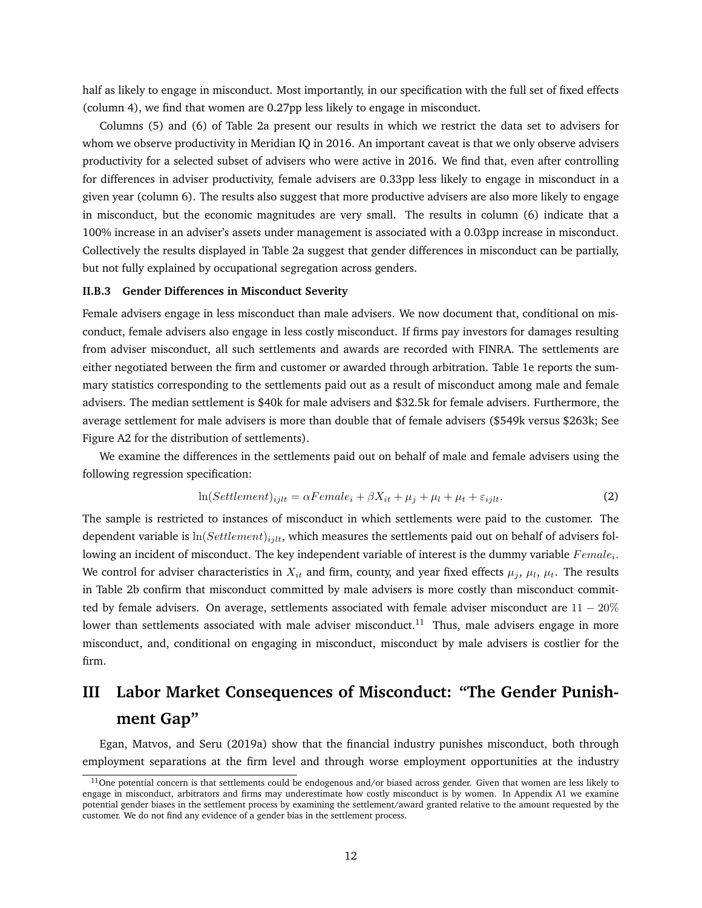half as likely to engage in misconduct. Most importantly, in our specification with the full set of fixed effects (column 4), we find that women are 0.27pp less likely to engage in misconduct.

Columns (5) and (6) of Table 2a present our results in which we restrict the data set to advisers for whom we observe productivity in Meridian IQ in 2016. An important caveat is that we only observe advisers productivity for a selected subset of advisers who were active in 2016. We find that, even after controlling for differences in adviser productivity, female advisers are 0.33pp less likely to engage in misconduct in a given year (column 6). The results also suggest that more productive advisers are also more likely to engage in misconduct, but the economic magnitudes are very small. The results in column (6) indicate that a 100% increase in an adviser's assets under management is associated with a 0.03pp increase in misconduct. Collectively the results displayed in Table 2a suggest that gender differences in misconduct can be partially, but not fully explained by occupational segregation across genders.

## **II.B.3 Gender Differences in Misconduct Severity**

Female advisers engage in less misconduct than male advisers. We now document that, conditional on misconduct, female advisers also engage in less costly misconduct. If firms pay investors for damages resulting from adviser misconduct, all such settlements and awards are recorded with FINRA. The settlements are either negotiated between the firm and customer or awarded through arbitration. Table 1e reports the summary statistics corresponding to the settlements paid out as a result of misconduct among male and female advisers. The median settlement is \$40k for male advisers and \$32.5k for female advisers. Furthermore, the average settlement for male advisers is more than double that of female advisers (\$549k versus \$263k; See Figure A2 for the distribution of settlements).

We examine the differences in the settlements paid out on behalf of male and female advisers using the following regression specification:

$$
\ln(Setlement)_{ijlt} = \alpha Female_i + \beta X_{it} + \mu_j + \mu_l + \mu_t + \varepsilon_{ijlt}.
$$
\n(2)

The sample is restricted to instances of misconduct in which settlements were paid to the customer. The dependent variable is  $ln(Settlement)_{iilt}$ , which measures the settlements paid out on behalf of advisers following an incident of misconduct. The key independent variable of interest is the dummy variable  $Female_i.$ We control for adviser characteristics in  $X_{it}$  and firm, county, and year fixed effects  $\mu_j$ ,  $\mu_l$ ,  $\mu_t$ . The results in Table 2b confirm that misconduct committed by male advisers is more costly than misconduct committed by female advisers. On average, settlements associated with female adviser misconduct are  $11 - 20\%$ lower than settlements associated with male adviser misconduct.<sup>11</sup> Thus, male advisers engage in more misconduct, and, conditional on engaging in misconduct, misconduct by male advisers is costlier for the firm.

# **III Labor Market Consequences of Misconduct: "The Gender Punishment Gap"**

Egan, Matvos, and Seru (2019a) show that the financial industry punishes misconduct, both through employment separations at the firm level and through worse employment opportunities at the industry

<sup>&</sup>lt;sup>11</sup>One potential concern is that settlements could be endogenous and/or biased across gender. Given that women are less likely to engage in misconduct, arbitrators and firms may underestimate how costly misconduct is by women. In Appendix A1 we examine potential gender biases in the settlement process by examining the settlement/award granted relative to the amount requested by the customer. We do not find any evidence of a gender bias in the settlement process.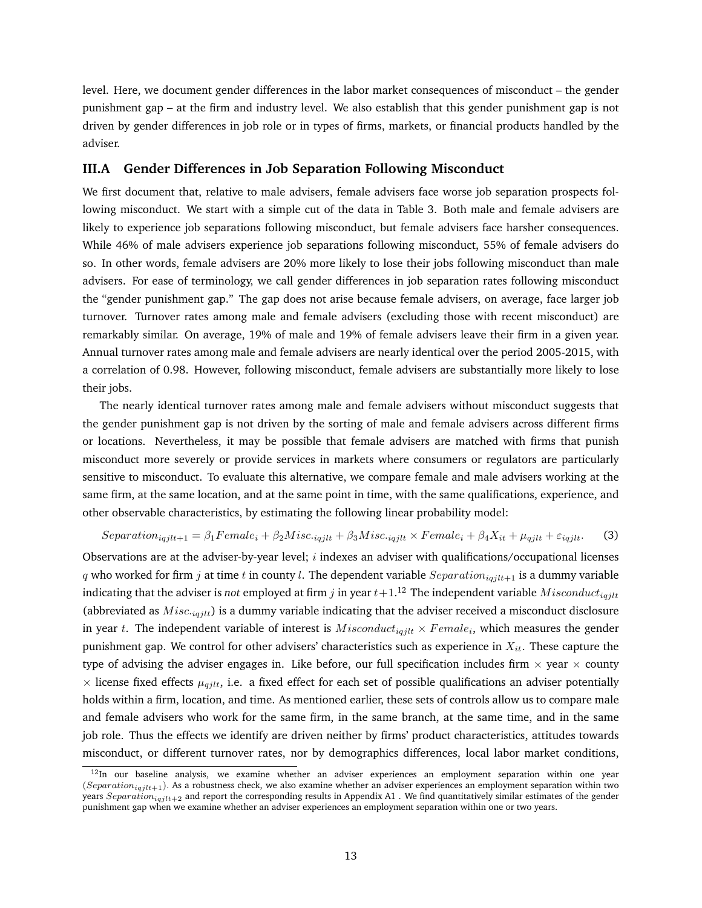level. Here, we document gender differences in the labor market consequences of misconduct – the gender punishment gap – at the firm and industry level. We also establish that this gender punishment gap is not driven by gender differences in job role or in types of firms, markets, or financial products handled by the adviser.

# **III.A Gender Differences in Job Separation Following Misconduct**

We first document that, relative to male advisers, female advisers face worse job separation prospects following misconduct. We start with a simple cut of the data in Table 3. Both male and female advisers are likely to experience job separations following misconduct, but female advisers face harsher consequences. While 46% of male advisers experience job separations following misconduct, 55% of female advisers do so. In other words, female advisers are 20% more likely to lose their jobs following misconduct than male advisers. For ease of terminology, we call gender differences in job separation rates following misconduct the "gender punishment gap." The gap does not arise because female advisers, on average, face larger job turnover. Turnover rates among male and female advisers (excluding those with recent misconduct) are remarkably similar. On average, 19% of male and 19% of female advisers leave their firm in a given year. Annual turnover rates among male and female advisers are nearly identical over the period 2005-2015, with a correlation of 0.98. However, following misconduct, female advisers are substantially more likely to lose their jobs.

The nearly identical turnover rates among male and female advisers without misconduct suggests that the gender punishment gap is not driven by the sorting of male and female advisers across different firms or locations. Nevertheless, it may be possible that female advisers are matched with firms that punish misconduct more severely or provide services in markets where consumers or regulators are particularly sensitive to misconduct. To evaluate this alternative, we compare female and male advisers working at the same firm, at the same location, and at the same point in time, with the same qualifications, experience, and other observable characteristics, by estimating the following linear probability model:

$$
Separation_{iqjlt+1} = \beta_1 Female_i + \beta_2 Misc_{iqjlt} + \beta_3 Misc_{iqjlt} \times Female_i + \beta_4 X_{it} + \mu_{qjlt} + \varepsilon_{iqjlt}. \tag{3}
$$

Observations are at the adviser-by-year level;  $i$  indexes an adviser with qualifications/occupational licenses q who worked for firm j at time t in county l. The dependent variable  $Separation_{iailt+1}$  is a dummy variable indicating that the adviser is *not* employed at firm  $j$  in year  $t\!+\!1.^{12}$  The independent variable  $M is conduct_{iqjlt}$ (abbreviated as  $Misc_{\text{.}iqjlt}$ ) is a dummy variable indicating that the adviser received a misconduct disclosure in year t. The independent variable of interest is  $M is conduct_{iqjlt} \times Female_i$ , which measures the gender punishment gap. We control for other advisers' characteristics such as experience in  $X_{it}$ . These capture the type of advising the adviser engages in. Like before, our full specification includes firm  $\times$  year  $\times$  county  $\times$  license fixed effects  $\mu_{qilt}$ , i.e. a fixed effect for each set of possible qualifications an adviser potentially holds within a firm, location, and time. As mentioned earlier, these sets of controls allow us to compare male and female advisers who work for the same firm, in the same branch, at the same time, and in the same job role. Thus the effects we identify are driven neither by firms' product characteristics, attitudes towards misconduct, or different turnover rates, nor by demographics differences, local labor market conditions,

<sup>&</sup>lt;sup>12</sup>In our baseline analysis, we examine whether an adviser experiences an employment separation within one year (Separation<sub>iqilt+1</sub>). As a robustness check, we also examine whether an adviser experiences an employment separation within two years  $Separation_{iqjlt+2}$  and report the corresponding results in Appendix A1 . We find quantitatively similar estimates of the gender punishment gap when we examine whether an adviser experiences an employment separation within one or two years.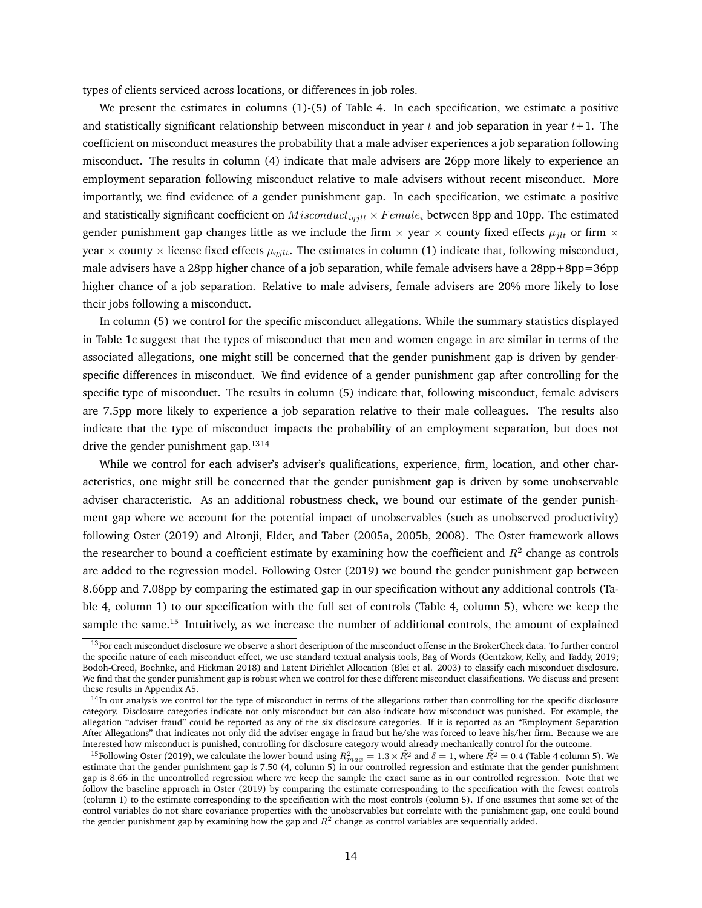types of clients serviced across locations, or differences in job roles.

We present the estimates in columns (1)-(5) of Table 4. In each specification, we estimate a positive and statistically significant relationship between misconduct in year t and job separation in year  $t+1$ . The coefficient on misconduct measures the probability that a male adviser experiences a job separation following misconduct. The results in column (4) indicate that male advisers are 26pp more likely to experience an employment separation following misconduct relative to male advisers without recent misconduct. More importantly, we find evidence of a gender punishment gap. In each specification, we estimate a positive and statistically significant coefficient on  $M is conduct_{iailt} \times Female_i$  between 8pp and 10pp. The estimated gender punishment gap changes little as we include the firm  $\times$  year  $\times$  county fixed effects  $\mu_{jlt}$  or firm  $\times$ year  $\times$  county  $\times$  license fixed effects  $\mu_{qilt}$ . The estimates in column (1) indicate that, following misconduct, male advisers have a 28pp higher chance of a job separation, while female advisers have a 28pp+8pp=36pp higher chance of a job separation. Relative to male advisers, female advisers are 20% more likely to lose their jobs following a misconduct.

In column (5) we control for the specific misconduct allegations. While the summary statistics displayed in Table 1c suggest that the types of misconduct that men and women engage in are similar in terms of the associated allegations, one might still be concerned that the gender punishment gap is driven by genderspecific differences in misconduct. We find evidence of a gender punishment gap after controlling for the specific type of misconduct. The results in column (5) indicate that, following misconduct, female advisers are 7.5pp more likely to experience a job separation relative to their male colleagues. The results also indicate that the type of misconduct impacts the probability of an employment separation, but does not drive the gender punishment gap.<sup>1314</sup>

While we control for each adviser's adviser's qualifications, experience, firm, location, and other characteristics, one might still be concerned that the gender punishment gap is driven by some unobservable adviser characteristic. As an additional robustness check, we bound our estimate of the gender punishment gap where we account for the potential impact of unobservables (such as unobserved productivity) following Oster (2019) and Altonji, Elder, and Taber (2005a, 2005b, 2008). The Oster framework allows the researcher to bound a coefficient estimate by examining how the coefficient and  $R^2$  change as controls are added to the regression model. Following Oster (2019) we bound the gender punishment gap between 8.66pp and 7.08pp by comparing the estimated gap in our specification without any additional controls (Table 4, column 1) to our specification with the full set of controls (Table 4, column 5), where we keep the sample the same.<sup>15</sup> Intuitively, as we increase the number of additional controls, the amount of explained

<sup>&</sup>lt;sup>13</sup>For each misconduct disclosure we observe a short description of the misconduct offense in the BrokerCheck data. To further control the specific nature of each misconduct effect, we use standard textual analysis tools, Bag of Words (Gentzkow, Kelly, and Taddy, 2019; Bodoh-Creed, Boehnke, and Hickman 2018) and Latent Dirichlet Allocation (Blei et al. 2003) to classify each misconduct disclosure. We find that the gender punishment gap is robust when we control for these different misconduct classifications. We discuss and present these results in Appendix A5.

 $14$ In our analysis we control for the type of misconduct in terms of the allegations rather than controlling for the specific disclosure category. Disclosure categories indicate not only misconduct but can also indicate how misconduct was punished. For example, the allegation "adviser fraud" could be reported as any of the six disclosure categories. If it is reported as an "Employment Separation After Allegations" that indicates not only did the adviser engage in fraud but he/she was forced to leave his/her firm. Because we are interested how misconduct is punished, controlling for disclosure category would already mechanically control for the outcome.

<sup>&</sup>lt;sup>15</sup>Following Oster (2019), we calculate the lower bound using  $R_{max}^2 = 1.3 \times \overline{R}^2$  and  $\delta = 1$ , where  $\overline{R}^2 = 0.4$  (Table 4 column 5). We estimate that the gender punishment gap is 7.50 (4, column 5) in our control gap is 8.66 in the uncontrolled regression where we keep the sample the exact same as in our controlled regression. Note that we follow the baseline approach in Oster (2019) by comparing the estimate corresponding to the specification with the fewest controls (column 1) to the estimate corresponding to the specification with the most controls (column 5). If one assumes that some set of the control variables do not share covariance properties with the unobservables but correlate with the punishment gap, one could bound the gender punishment gap by examining how the gap and  $R<sup>2</sup>$  change as control variables are sequentially added.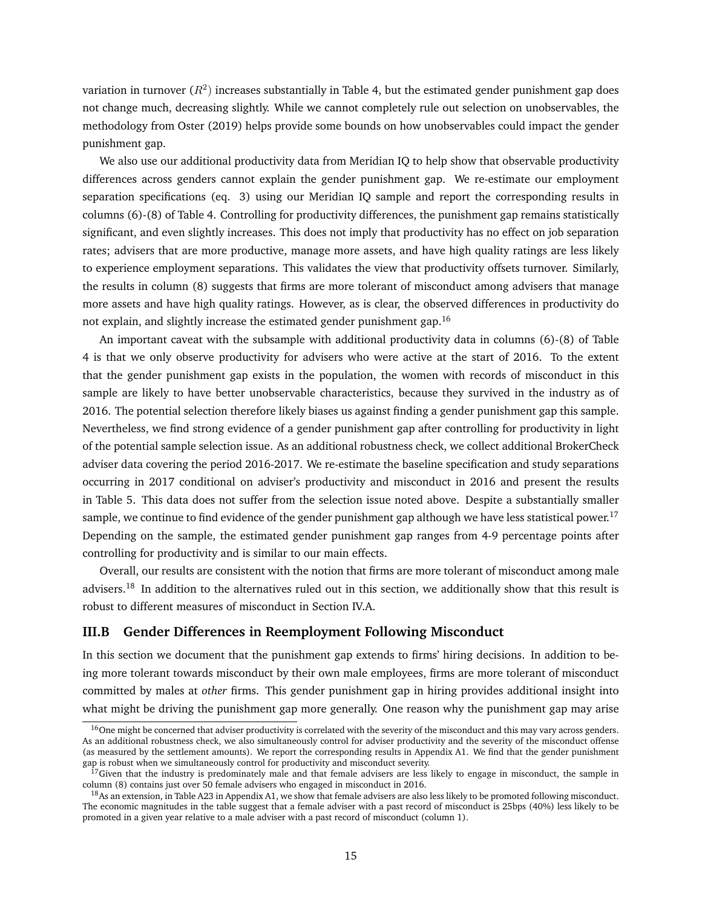variation in turnover  $(R^2)$  increases substantially in Table 4, but the estimated gender punishment gap does not change much, decreasing slightly. While we cannot completely rule out selection on unobservables, the methodology from Oster (2019) helps provide some bounds on how unobservables could impact the gender punishment gap.

We also use our additional productivity data from Meridian IQ to help show that observable productivity differences across genders cannot explain the gender punishment gap. We re-estimate our employment separation specifications (eq. 3) using our Meridian IQ sample and report the corresponding results in columns (6)-(8) of Table 4. Controlling for productivity differences, the punishment gap remains statistically significant, and even slightly increases. This does not imply that productivity has no effect on job separation rates; advisers that are more productive, manage more assets, and have high quality ratings are less likely to experience employment separations. This validates the view that productivity offsets turnover. Similarly, the results in column (8) suggests that firms are more tolerant of misconduct among advisers that manage more assets and have high quality ratings. However, as is clear, the observed differences in productivity do not explain, and slightly increase the estimated gender punishment gap.<sup>16</sup>

An important caveat with the subsample with additional productivity data in columns (6)-(8) of Table 4 is that we only observe productivity for advisers who were active at the start of 2016. To the extent that the gender punishment gap exists in the population, the women with records of misconduct in this sample are likely to have better unobservable characteristics, because they survived in the industry as of 2016. The potential selection therefore likely biases us against finding a gender punishment gap this sample. Nevertheless, we find strong evidence of a gender punishment gap after controlling for productivity in light of the potential sample selection issue. As an additional robustness check, we collect additional BrokerCheck adviser data covering the period 2016-2017. We re-estimate the baseline specification and study separations occurring in 2017 conditional on adviser's productivity and misconduct in 2016 and present the results in Table 5. This data does not suffer from the selection issue noted above. Despite a substantially smaller sample, we continue to find evidence of the gender punishment gap although we have less statistical power.<sup>17</sup> Depending on the sample, the estimated gender punishment gap ranges from 4-9 percentage points after controlling for productivity and is similar to our main effects.

Overall, our results are consistent with the notion that firms are more tolerant of misconduct among male advisers.<sup>18</sup> In addition to the alternatives ruled out in this section, we additionally show that this result is robust to different measures of misconduct in Section IV.A.

## **III.B Gender Differences in Reemployment Following Misconduct**

In this section we document that the punishment gap extends to firms' hiring decisions. In addition to being more tolerant towards misconduct by their own male employees, firms are more tolerant of misconduct committed by males at *other* firms. This gender punishment gap in hiring provides additional insight into what might be driving the punishment gap more generally. One reason why the punishment gap may arise

 $16$ One might be concerned that adviser productivity is correlated with the severity of the misconduct and this may vary across genders. As an additional robustness check, we also simultaneously control for adviser productivity and the severity of the misconduct offense (as measured by the settlement amounts). We report the corresponding results in Appendix A1. We find that the gender punishment gap is robust when we simultaneously control for productivity and misconduct severity.

<sup>&</sup>lt;sup>17</sup>Given that the industry is predominately male and that female advisers are less likely to engage in misconduct, the sample in column (8) contains just over 50 female advisers who engaged in misconduct in 2016.

<sup>&</sup>lt;sup>18</sup>As an extension, in Table A23 in Appendix A1, we show that female advisers are also less likely to be promoted following misconduct. The economic magnitudes in the table suggest that a female adviser with a past record of misconduct is 25bps (40%) less likely to be promoted in a given year relative to a male adviser with a past record of misconduct (column 1).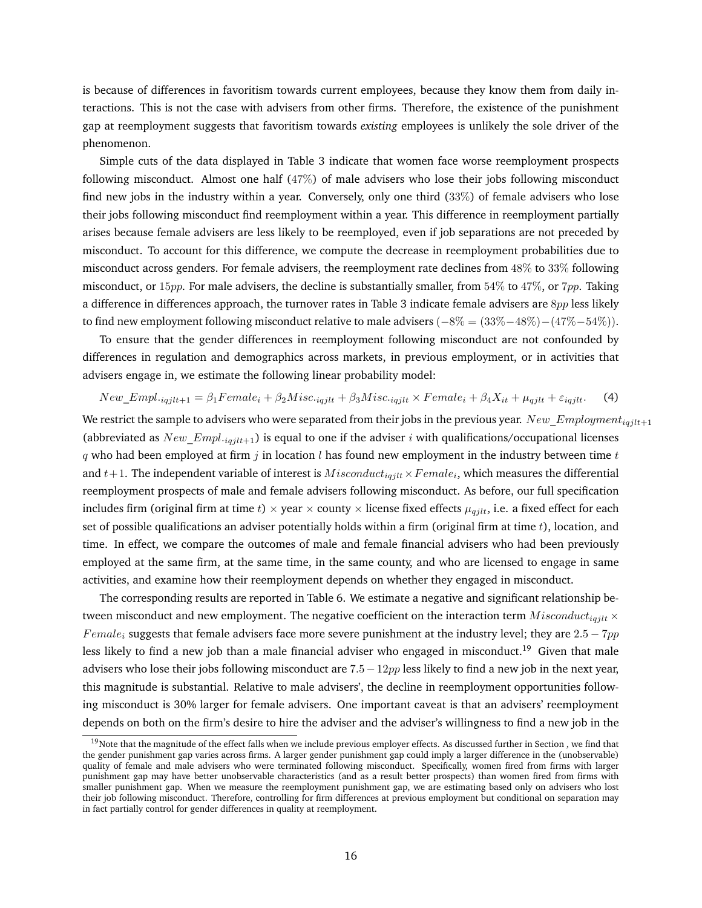is because of differences in favoritism towards current employees, because they know them from daily interactions. This is not the case with advisers from other firms. Therefore, the existence of the punishment gap at reemployment suggests that favoritism towards *existing* employees is unlikely the sole driver of the phenomenon.

Simple cuts of the data displayed in Table 3 indicate that women face worse reemployment prospects following misconduct. Almost one half (47%) of male advisers who lose their jobs following misconduct find new jobs in the industry within a year. Conversely, only one third (33%) of female advisers who lose their jobs following misconduct find reemployment within a year. This difference in reemployment partially arises because female advisers are less likely to be reemployed, even if job separations are not preceded by misconduct. To account for this difference, we compute the decrease in reemployment probabilities due to misconduct across genders. For female advisers, the reemployment rate declines from 48% to 33% following misconduct, or 15pp. For male advisers, the decline is substantially smaller, from 54% to 47%, or 7pp. Taking a difference in differences approach, the turnover rates in Table 3 indicate female advisers are 8pp less likely to find new employment following misconduct relative to male advisers  $(-8\% = (33\% - 48\%) - (47\% - 54\%)$ ).

To ensure that the gender differences in reemployment following misconduct are not confounded by differences in regulation and demographics across markets, in previous employment, or in activities that advisers engage in, we estimate the following linear probability model:

$$
New\_Empl._{iqjlt+1} = \beta_1 Female_i + \beta_2 Misc._{iqjlt} + \beta_3 Misc._{iqjlt} \times Female_i + \beta_4 X_{it} + \mu_{qjlt} + \varepsilon_{iqjlt}. \tag{4}
$$

We restrict the sample to advisers who were separated from their jobs in the previous year. New\_Employment<sub>iqilt+1</sub> (abbreviated as  $New\_Empl_{\text{.}iqjlt+1}$ ) is equal to one if the adviser i with qualifications/occupational licenses q who had been employed at firm j in location l has found new employment in the industry between time  $t$ and  $t+1$ . The independent variable of interest is  $M is conduct_{iqjlt} \times Female_i$ , which measures the differential reemployment prospects of male and female advisers following misconduct. As before, our full specification includes firm (original firm at time  $t$ )  $\times$  year  $\times$  county  $\times$  license fixed effects  $\mu_{qilt}$ , i.e. a fixed effect for each set of possible qualifications an adviser potentially holds within a firm (original firm at time  $t$ ), location, and time. In effect, we compare the outcomes of male and female financial advisers who had been previously employed at the same firm, at the same time, in the same county, and who are licensed to engage in same activities, and examine how their reemployment depends on whether they engaged in misconduct.

The corresponding results are reported in Table 6. We estimate a negative and significant relationship between misconduct and new employment. The negative coefficient on the interaction term  $M is conduct_{\text{right}} \times$  $Female_i$  suggests that female advisers face more severe punishment at the industry level; they are 2.5 – 7pp less likely to find a new job than a male financial adviser who engaged in misconduct.<sup>19</sup> Given that male advisers who lose their jobs following misconduct are  $7.5-12pp$  less likely to find a new job in the next year, this magnitude is substantial. Relative to male advisers', the decline in reemployment opportunities following misconduct is 30% larger for female advisers. One important caveat is that an advisers' reemployment depends on both on the firm's desire to hire the adviser and the adviser's willingness to find a new job in the

<sup>&</sup>lt;sup>19</sup>Note that the magnitude of the effect falls when we include previous employer effects. As discussed further in Section, we find that the gender punishment gap varies across firms. A larger gender punishment gap could imply a larger difference in the (unobservable) quality of female and male advisers who were terminated following misconduct. Specifically, women fired from firms with larger punishment gap may have better unobservable characteristics (and as a result better prospects) than women fired from firms with smaller punishment gap. When we measure the reemployment punishment gap, we are estimating based only on advisers who lost their job following misconduct. Therefore, controlling for firm differences at previous employment but conditional on separation may in fact partially control for gender differences in quality at reemployment.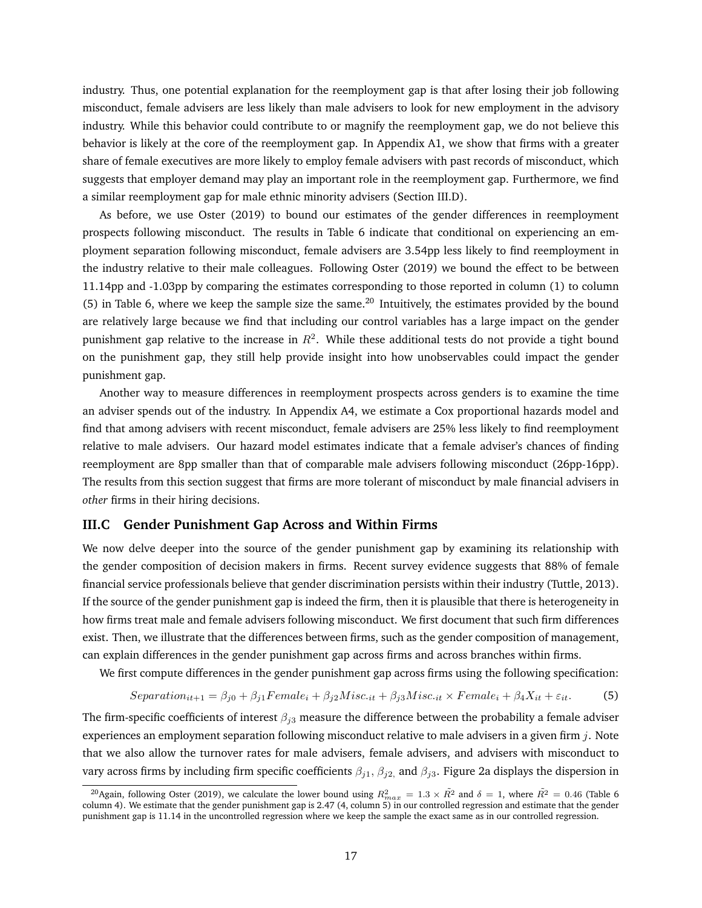industry. Thus, one potential explanation for the reemployment gap is that after losing their job following misconduct, female advisers are less likely than male advisers to look for new employment in the advisory industry. While this behavior could contribute to or magnify the reemployment gap, we do not believe this behavior is likely at the core of the reemployment gap. In Appendix A1, we show that firms with a greater share of female executives are more likely to employ female advisers with past records of misconduct, which suggests that employer demand may play an important role in the reemployment gap. Furthermore, we find a similar reemployment gap for male ethnic minority advisers (Section III.D).

As before, we use Oster (2019) to bound our estimates of the gender differences in reemployment prospects following misconduct. The results in Table 6 indicate that conditional on experiencing an employment separation following misconduct, female advisers are 3.54pp less likely to find reemployment in the industry relative to their male colleagues. Following Oster (2019) we bound the effect to be between 11.14pp and -1.03pp by comparing the estimates corresponding to those reported in column (1) to column (5) in Table 6, where we keep the sample size the same.<sup>20</sup> Intuitively, the estimates provided by the bound are relatively large because we find that including our control variables has a large impact on the gender punishment gap relative to the increase in  $R^2$ . While these additional tests do not provide a tight bound on the punishment gap, they still help provide insight into how unobservables could impact the gender punishment gap.

Another way to measure differences in reemployment prospects across genders is to examine the time an adviser spends out of the industry. In Appendix A4, we estimate a Cox proportional hazards model and find that among advisers with recent misconduct, female advisers are 25% less likely to find reemployment relative to male advisers. Our hazard model estimates indicate that a female adviser's chances of finding reemployment are 8pp smaller than that of comparable male advisers following misconduct (26pp-16pp). The results from this section suggest that firms are more tolerant of misconduct by male financial advisers in *other* firms in their hiring decisions.

# **III.C Gender Punishment Gap Across and Within Firms**

We now delve deeper into the source of the gender punishment gap by examining its relationship with the gender composition of decision makers in firms. Recent survey evidence suggests that 88% of female financial service professionals believe that gender discrimination persists within their industry (Tuttle, 2013). If the source of the gender punishment gap is indeed the firm, then it is plausible that there is heterogeneity in how firms treat male and female advisers following misconduct. We first document that such firm differences exist. Then, we illustrate that the differences between firms, such as the gender composition of management, can explain differences in the gender punishment gap across firms and across branches within firms.

We first compute differences in the gender punishment gap across firms using the following specification:

$$
Separation_{it+1} = \beta_{j0} + \beta_{j1} Female_i + \beta_{j2} Misc_{it} + \beta_{j3} Misc_{it} \times Female_i + \beta_4 X_{it} + \varepsilon_{it}.
$$
 (5)

The firm-specific coefficients of interest  $\beta_{j3}$  measure the difference between the probability a female adviser experiences an employment separation following misconduct relative to male advisers in a given firm  $j$ . Note that we also allow the turnover rates for male advisers, female advisers, and advisers with misconduct to vary across firms by including firm specific coefficients  $\beta_{i1}$ ,  $\beta_{i2}$ , and  $\beta_{i3}$ . Figure 2a displays the dispersion in

<sup>&</sup>lt;sup>20</sup>Again, following Oster (2019), we calculate the lower bound using  $R_{max}^2 = 1.3 \times \tilde{R}^2$  and  $\delta = 1$ , where  $\tilde{R}^2 = 0.46$  (Table 6 column 4). We estimate that the gender punishment gap is 2.47 (4, column 5) in our punishment gap is 11.14 in the uncontrolled regression where we keep the sample the exact same as in our controlled regression.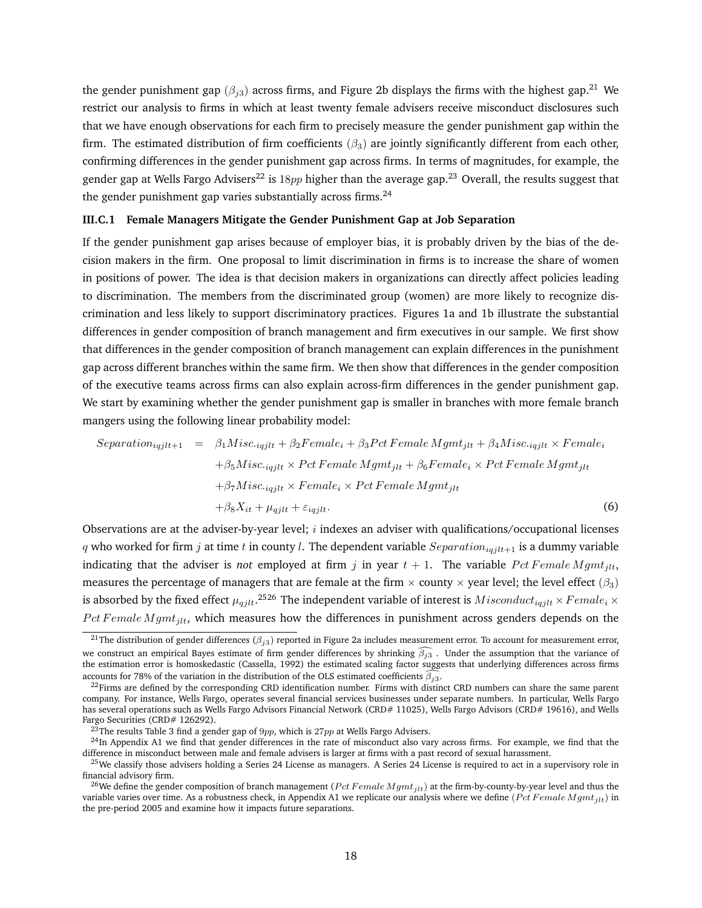the gender punishment gap  $(\beta_{i3})$  across firms, and Figure 2b displays the firms with the highest gap.<sup>21</sup> We restrict our analysis to firms in which at least twenty female advisers receive misconduct disclosures such that we have enough observations for each firm to precisely measure the gender punishment gap within the firm. The estimated distribution of firm coefficients  $(\beta_3)$  are jointly significantly different from each other, confirming differences in the gender punishment gap across firms. In terms of magnitudes, for example, the gender gap at Wells Fargo Advisers<sup>22</sup> is 18pp higher than the average gap.<sup>23</sup> Overall, the results suggest that the gender punishment gap varies substantially across firms. $24$ 

## **III.C.1 Female Managers Mitigate the Gender Punishment Gap at Job Separation**

If the gender punishment gap arises because of employer bias, it is probably driven by the bias of the decision makers in the firm. One proposal to limit discrimination in firms is to increase the share of women in positions of power. The idea is that decision makers in organizations can directly affect policies leading to discrimination. The members from the discriminated group (women) are more likely to recognize discrimination and less likely to support discriminatory practices. Figures 1a and 1b illustrate the substantial differences in gender composition of branch management and firm executives in our sample. We first show that differences in the gender composition of branch management can explain differences in the punishment gap across different branches within the same firm. We then show that differences in the gender composition of the executive teams across firms can also explain across-firm differences in the gender punishment gap. We start by examining whether the gender punishment gap is smaller in branches with more female branch mangers using the following linear probability model:

$$
Separation_{iqjlt+1} = \beta_1 Misc_{:iqjlt} + \beta_2 Female_i + \beta_3 Pct \text{ Female } Mgmt_{jlt} + \beta_4 Misc_{:iqjlt} \times Female_i
$$
  
+  $\beta_5 Misc_{:iqjlt} \times Pet \text{ Female } Mgmt_{jlt} + \beta_6 Female_i \times Pct \text{ Female } Mgmt_{jlt}$   
+  $\beta_7 Misc_{:iqjlt} \times Female_i \times Pct \text{ Female } Mgmt_{jlt}$   
+  $\beta_8 X_{it} + \mu_{qjlt} + \varepsilon_{iqjlt}$ . (6)

Observations are at the adviser-by-year level;  $i$  indexes an adviser with qualifications/occupational licenses q who worked for firm j at time t in county l. The dependent variable  $Separation_{iacitt+1}$  is a dummy variable indicating that the adviser is *not* employed at firm j in year  $t + 1$ . The variable  $Pct$  Female  $Mgmt_{ilt}$ , measures the percentage of managers that are female at the firm  $\times$  county  $\times$  year level; the level effect ( $\beta_3$ ) is absorbed by the fixed effect  $\mu_{qjlt}.$ <sup>2526</sup> The independent variable of interest is  $M is conduct_{iqjlt} \times Female_i \times$  $Pct Female Mgmt_{ilt}$ , which measures how the differences in punishment across genders depends on the

<sup>&</sup>lt;sup>21</sup>The distribution of gender differences ( $\beta_{j3}$ ) reported in Figure 2a includes measurement error. To account for measurement error, we construct an empirical Bayes estimate of firm gender differences by shrinking  $\widehat{\beta}_{i3}$ . Under the assumption that the variance of the estimation error is homoskedastic (Cassella, 1992) the estimated scaling factor suggests that underlying differences across firms accounts for 78% of the variation in the distribution of the OLS estimated coefficients  $\widehat{\beta}_{i3}$ .

 $^{22}$ Firms are defined by the corresponding CRD identification number. Firms with distinct CRD numbers can share the same parent company. For instance, Wells Fargo, operates several financial services businesses under separate numbers. In particular, Wells Fargo has several operations such as Wells Fargo Advisors Financial Network (CRD# 11025), Wells Fargo Advisors (CRD# 19616), and Wells Fargo Securities (CRD# 126292).

<sup>&</sup>lt;sup>23</sup>The results Table 3 find a gender gap of  $9pp$ , which is  $27pp$  at Wells Fargo Advisers.

<sup>&</sup>lt;sup>24</sup>In Appendix A1 we find that gender differences in the rate of misconduct also vary across firms. For example, we find that the difference in misconduct between male and female advisers is larger at firms with a past record of sexual harassment.

 $25$ We classify those advisers holding a Series 24 License as managers. A Series 24 License is required to act in a supervisory role in financial advisory firm.

<sup>&</sup>lt;sup>26</sup>We define the gender composition of branch management (Pct Female Mgmt<sub>jlt</sub>) at the firm-by-county-by-year level and thus the variable varies over time. As a robustness check, in Appendix A1 we replicate our analysis where we define ( $Pct$  Female  $M gmt_{ilt}$ ) in the pre-period 2005 and examine how it impacts future separations.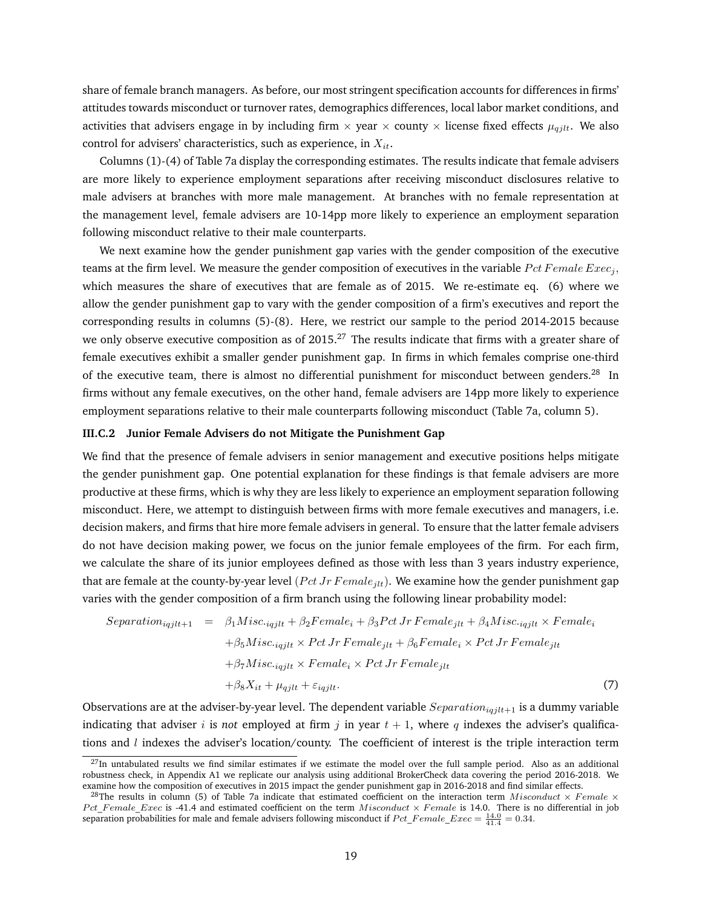share of female branch managers. As before, our most stringent specification accounts for differences in firms' attitudes towards misconduct or turnover rates, demographics differences, local labor market conditions, and activities that advisers engage in by including firm  $\times$  year  $\times$  county  $\times$  license fixed effects  $\mu_{qjlt}$ . We also control for advisers' characteristics, such as experience, in  $X_{it}$ .

Columns (1)-(4) of Table 7a display the corresponding estimates. The results indicate that female advisers are more likely to experience employment separations after receiving misconduct disclosures relative to male advisers at branches with more male management. At branches with no female representation at the management level, female advisers are 10-14pp more likely to experience an employment separation following misconduct relative to their male counterparts.

We next examine how the gender punishment gap varies with the gender composition of the executive teams at the firm level. We measure the gender composition of executives in the variable  $Pct$  Female  $Exec_i$ , which measures the share of executives that are female as of 2015. We re-estimate eq. (6) where we allow the gender punishment gap to vary with the gender composition of a firm's executives and report the corresponding results in columns (5)-(8). Here, we restrict our sample to the period 2014-2015 because we only observe executive composition as of 2015.<sup>27</sup> The results indicate that firms with a greater share of female executives exhibit a smaller gender punishment gap. In firms in which females comprise one-third of the executive team, there is almost no differential punishment for misconduct between genders.<sup>28</sup> In firms without any female executives, on the other hand, female advisers are 14pp more likely to experience employment separations relative to their male counterparts following misconduct (Table 7a, column 5).

#### **III.C.2 Junior Female Advisers do not Mitigate the Punishment Gap**

We find that the presence of female advisers in senior management and executive positions helps mitigate the gender punishment gap. One potential explanation for these findings is that female advisers are more productive at these firms, which is why they are less likely to experience an employment separation following misconduct. Here, we attempt to distinguish between firms with more female executives and managers, i.e. decision makers, and firms that hire more female advisers in general. To ensure that the latter female advisers do not have decision making power, we focus on the junior female employees of the firm. For each firm, we calculate the share of its junior employees defined as those with less than 3 years industry experience, that are female at the county-by-year level ( $Pct$  Jr  $Female_{it}$ ). We examine how the gender punishment gap varies with the gender composition of a firm branch using the following linear probability model:

$$
Separation_{iqjlt+1} = \beta_1 Misc_{iqjlt} + \beta_2 Female_i + \beta_3 Pet \, Jr \, Female_{jlt} + \beta_4 Misc_{iqjlt} \times Female_i
$$

$$
+ \beta_5 Misc_{iqjlt} \times Pet \, Jr \, Female_{jlt} + \beta_6 Female_i \times Pet \, Jr \, Female_{jlt}
$$

$$
+ \beta_7 Misc_{iqjlt} \times Female_i \times Pet \, Jr \, Female_{jlt}
$$

$$
+ \beta_8 X_{it} + \mu_{qjlt} + \varepsilon_{iqjlt}.
$$

$$
(7)
$$

Observations are at the adviser-by-year level. The dependent variable  $Separation_{iqjlt+1}$  is a dummy variable indicating that adviser i is *not* employed at firm j in year  $t + 1$ , where q indexes the adviser's qualifications and  $l$  indexes the adviser's location/county. The coefficient of interest is the triple interaction term

 $^{27}$ In untabulated results we find similar estimates if we estimate the model over the full sample period. Also as an additional robustness check, in Appendix A1 we replicate our analysis using additional BrokerCheck data covering the period 2016-2018. We examine how the composition of executives in 2015 impact the gender punishment gap in 2016-2018 and find similar effects.

<sup>&</sup>lt;sup>28</sup>The results in column (5) of Table 7a indicate that estimated coefficient on the interaction term *Misconduct*  $\times$  Female  $\times$ Pct\_F emale\_Exec is -41.4 and estimated coefficient on the term M isconduct  $\times$  F emale is 14.0. There is no differential in job separation probabilities for male and female advisers following misconduct if  $Pct\_Female\_Exec = \frac{14.0}{41.4} = 0.34$ .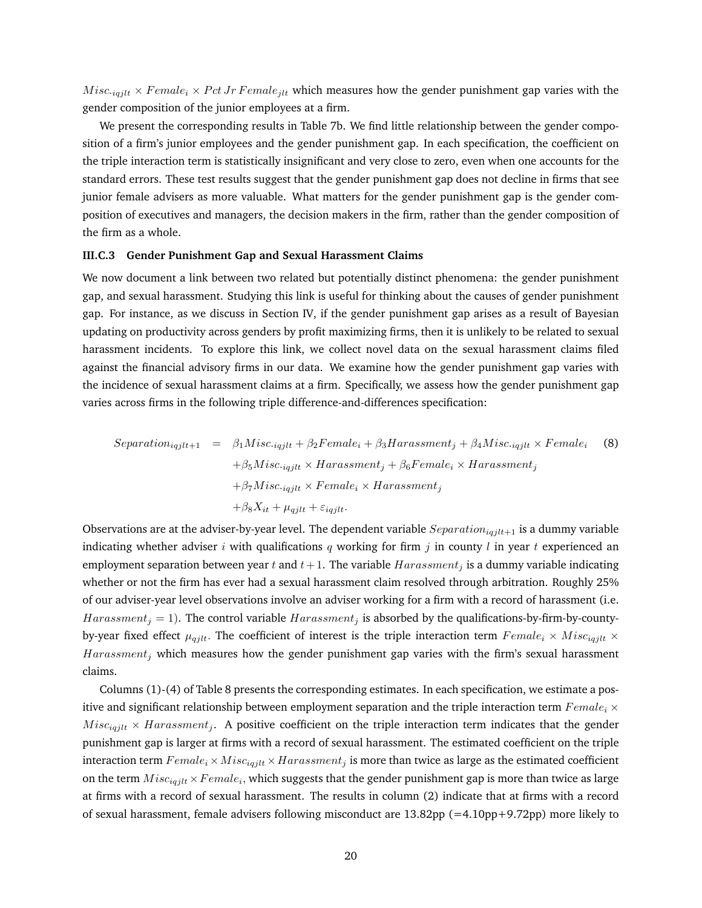$Misc_{iogit} \times Female_i \times PetJr Female_{it}$  which measures how the gender punishment gap varies with the gender composition of the junior employees at a firm.

We present the corresponding results in Table 7b. We find little relationship between the gender composition of a firm's junior employees and the gender punishment gap. In each specification, the coefficient on the triple interaction term is statistically insignificant and very close to zero, even when one accounts for the standard errors. These test results suggest that the gender punishment gap does not decline in firms that see junior female advisers as more valuable. What matters for the gender punishment gap is the gender composition of executives and managers, the decision makers in the firm, rather than the gender composition of the firm as a whole.

#### **III.C.3 Gender Punishment Gap and Sexual Harassment Claims**

We now document a link between two related but potentially distinct phenomena: the gender punishment gap, and sexual harassment. Studying this link is useful for thinking about the causes of gender punishment gap. For instance, as we discuss in Section IV, if the gender punishment gap arises as a result of Bayesian updating on productivity across genders by profit maximizing firms, then it is unlikely to be related to sexual harassment incidents. To explore this link, we collect novel data on the sexual harassment claims filed against the financial advisory firms in our data. We examine how the gender punishment gap varies with the incidence of sexual harassment claims at a firm. Specifically, we assess how the gender punishment gap varies across firms in the following triple difference-and-differences specification:

$$
Separation_{iqjlt+1} = \beta_1 Misc_{iqjlt} + \beta_2 Female_i + \beta_3 Harassment_j + \beta_4 Misc_{iqjlt} \times Female_i
$$
\n
$$
+ \beta_5 Misc_{iqjlt} \times Harassment_j + \beta_6 Female_i \times Harassment_j
$$
\n
$$
+ \beta_7 Misc_{iqjlt} \times Female_i \times Harassment_j
$$
\n
$$
+ \beta_8 X_{it} + \mu_{qjlt} + \varepsilon_{iqjlt}.
$$
\n(8)

Observations are at the adviser-by-year level. The dependent variable  $Separation_{iqjlt+1}$  is a dummy variable indicating whether adviser i with qualifications q working for firm j in county l in year t experienced an employment separation between year t and  $t+1$ . The variable  $Harasment<sub>i</sub>$  is a dummy variable indicating whether or not the firm has ever had a sexual harassment claim resolved through arbitration. Roughly 25% of our adviser-year level observations involve an adviser working for a firm with a record of harassment (i.e. Harassment<sub>i</sub> = 1). The control variable Harassment<sub>i</sub> is absorbed by the qualifications-by-firm-by-countyby-year fixed effect  $\mu_{qjlt}$ . The coefficient of interest is the triple interaction term  $Female_i \times Misc_{iqjlt} \times$  $Harassment_j$  which measures how the gender punishment gap varies with the firm's sexual harassment claims.

Columns (1)-(4) of Table 8 presents the corresponding estimates. In each specification, we estimate a positive and significant relationship between employment separation and the triple interaction term  $Female_i \times$  $Misc<sub>igit</sub> \times Harassment<sub>i</sub>$ . A positive coefficient on the triple interaction term indicates that the gender punishment gap is larger at firms with a record of sexual harassment. The estimated coefficient on the triple interaction term  $Female_i \times Misc_{iqjlt} \times Harassment_j$  is more than twice as large as the estimated coefficient on the term  $Misc_{iqjlt}\times Female_i,$  which suggests that the gender punishment gap is more than twice as large at firms with a record of sexual harassment. The results in column (2) indicate that at firms with a record of sexual harassment, female advisers following misconduct are 13.82pp (=4.10pp+9.72pp) more likely to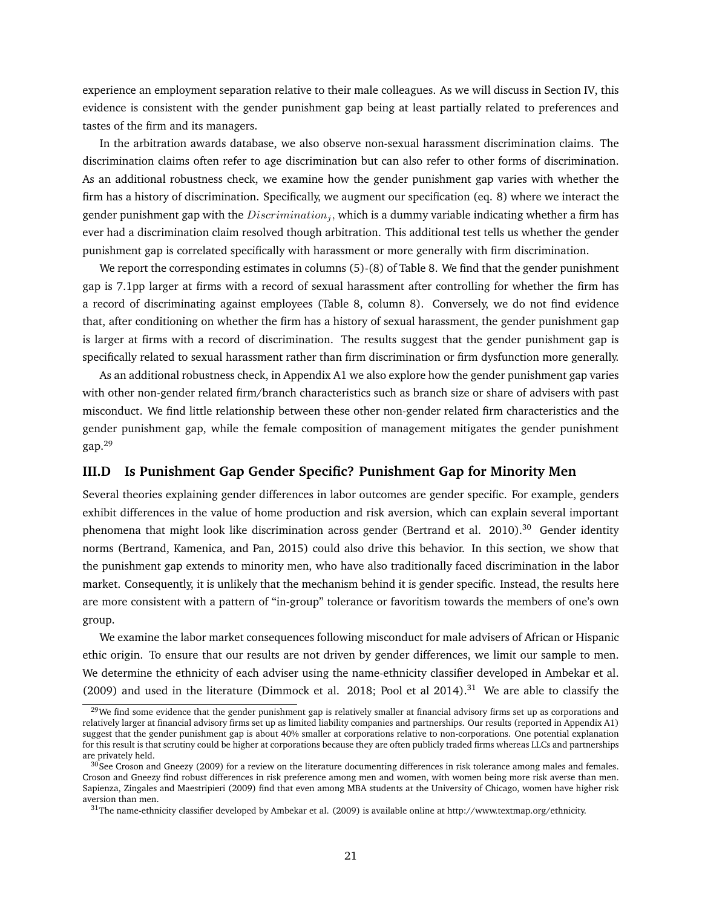experience an employment separation relative to their male colleagues. As we will discuss in Section IV, this evidence is consistent with the gender punishment gap being at least partially related to preferences and tastes of the firm and its managers.

In the arbitration awards database, we also observe non-sexual harassment discrimination claims. The discrimination claims often refer to age discrimination but can also refer to other forms of discrimination. As an additional robustness check, we examine how the gender punishment gap varies with whether the firm has a history of discrimination. Specifically, we augment our specification (eq. 8) where we interact the gender punishment gap with the  $Discription_i$ , which is a dummy variable indicating whether a firm has ever had a discrimination claim resolved though arbitration. This additional test tells us whether the gender punishment gap is correlated specifically with harassment or more generally with firm discrimination.

We report the corresponding estimates in columns (5)-(8) of Table 8. We find that the gender punishment gap is 7.1pp larger at firms with a record of sexual harassment after controlling for whether the firm has a record of discriminating against employees (Table 8, column 8). Conversely, we do not find evidence that, after conditioning on whether the firm has a history of sexual harassment, the gender punishment gap is larger at firms with a record of discrimination. The results suggest that the gender punishment gap is specifically related to sexual harassment rather than firm discrimination or firm dysfunction more generally.

As an additional robustness check, in Appendix A1 we also explore how the gender punishment gap varies with other non-gender related firm/branch characteristics such as branch size or share of advisers with past misconduct. We find little relationship between these other non-gender related firm characteristics and the gender punishment gap, while the female composition of management mitigates the gender punishment gap.<sup>29</sup>

# **III.D Is Punishment Gap Gender Specific? Punishment Gap for Minority Men**

Several theories explaining gender differences in labor outcomes are gender specific. For example, genders exhibit differences in the value of home production and risk aversion, which can explain several important phenomena that might look like discrimination across gender (Bertrand et al. 2010).<sup>30</sup> Gender identity norms (Bertrand, Kamenica, and Pan, 2015) could also drive this behavior. In this section, we show that the punishment gap extends to minority men, who have also traditionally faced discrimination in the labor market. Consequently, it is unlikely that the mechanism behind it is gender specific. Instead, the results here are more consistent with a pattern of "in-group" tolerance or favoritism towards the members of one's own group.

We examine the labor market consequences following misconduct for male advisers of African or Hispanic ethic origin. To ensure that our results are not driven by gender differences, we limit our sample to men. We determine the ethnicity of each adviser using the name-ethnicity classifier developed in Ambekar et al. (2009) and used in the literature (Dimmock et al. 2018; Pool et al  $2014$ ).<sup>31</sup> We are able to classify the

 $^{29}$ We find some evidence that the gender punishment gap is relatively smaller at financial advisory firms set up as corporations and relatively larger at financial advisory firms set up as limited liability companies and partnerships. Our results (reported in Appendix A1) suggest that the gender punishment gap is about 40% smaller at corporations relative to non-corporations. One potential explanation for this result is that scrutiny could be higher at corporations because they are often publicly traded firms whereas LLCs and partnerships are privately held.

 $30$ See Croson and Gneezy (2009) for a review on the literature documenting differences in risk tolerance among males and females. Croson and Gneezy find robust differences in risk preference among men and women, with women being more risk averse than men. Sapienza, Zingales and Maestripieri (2009) find that even among MBA students at the University of Chicago, women have higher risk aversion than men.

 $31$ The name-ethnicity classifier developed by Ambekar et al. (2009) is available online at http://www.textmap.org/ethnicity.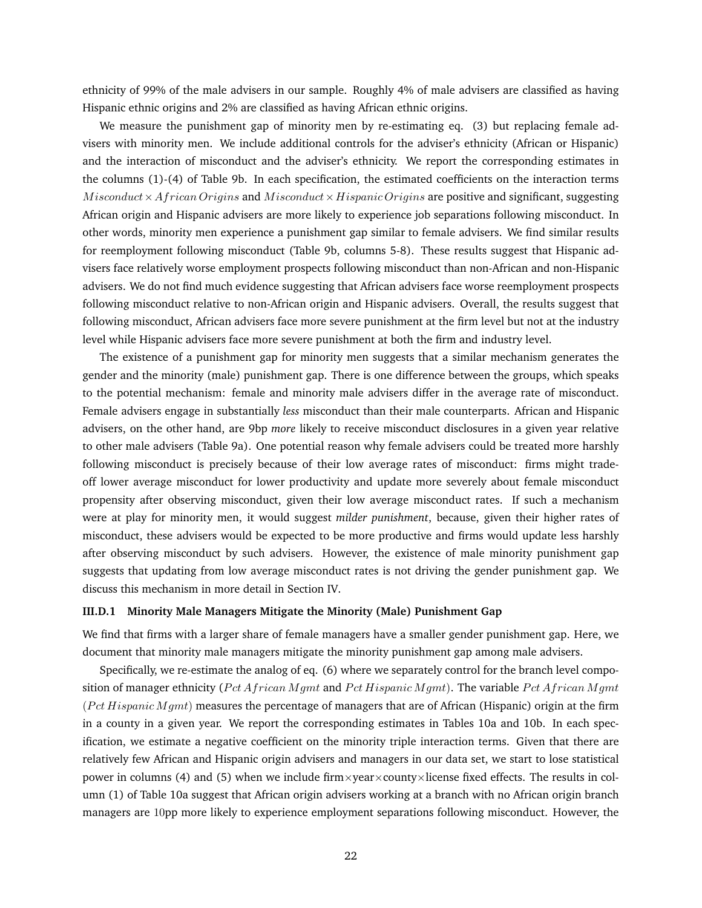ethnicity of 99% of the male advisers in our sample. Roughly 4% of male advisers are classified as having Hispanic ethnic origins and 2% are classified as having African ethnic origins.

We measure the punishment gap of minority men by re-estimating eq. (3) but replacing female advisers with minority men. We include additional controls for the adviser's ethnicity (African or Hispanic) and the interaction of misconduct and the adviser's ethnicity. We report the corresponding estimates in the columns (1)-(4) of Table 9b. In each specification, the estimated coefficients on the interaction terms  $M is conduct \times African\,Oriqins$  and  $M is conduct \times Hispanic\,Oriqins$  are positive and significant, suggesting African origin and Hispanic advisers are more likely to experience job separations following misconduct. In other words, minority men experience a punishment gap similar to female advisers. We find similar results for reemployment following misconduct (Table 9b, columns 5-8). These results suggest that Hispanic advisers face relatively worse employment prospects following misconduct than non-African and non-Hispanic advisers. We do not find much evidence suggesting that African advisers face worse reemployment prospects following misconduct relative to non-African origin and Hispanic advisers. Overall, the results suggest that following misconduct, African advisers face more severe punishment at the firm level but not at the industry level while Hispanic advisers face more severe punishment at both the firm and industry level.

The existence of a punishment gap for minority men suggests that a similar mechanism generates the gender and the minority (male) punishment gap. There is one difference between the groups, which speaks to the potential mechanism: female and minority male advisers differ in the average rate of misconduct. Female advisers engage in substantially *less* misconduct than their male counterparts. African and Hispanic advisers, on the other hand, are 9bp *more* likely to receive misconduct disclosures in a given year relative to other male advisers (Table 9a). One potential reason why female advisers could be treated more harshly following misconduct is precisely because of their low average rates of misconduct: firms might tradeoff lower average misconduct for lower productivity and update more severely about female misconduct propensity after observing misconduct, given their low average misconduct rates. If such a mechanism were at play for minority men, it would suggest *milder punishment*, because, given their higher rates of misconduct, these advisers would be expected to be more productive and firms would update less harshly after observing misconduct by such advisers. However, the existence of male minority punishment gap suggests that updating from low average misconduct rates is not driving the gender punishment gap. We discuss this mechanism in more detail in Section IV.

## **III.D.1 Minority Male Managers Mitigate the Minority (Male) Punishment Gap**

We find that firms with a larger share of female managers have a smaller gender punishment gap. Here, we document that minority male managers mitigate the minority punishment gap among male advisers.

Specifically, we re-estimate the analog of eq. (6) where we separately control for the branch level composition of manager ethnicity (Pct African Mgmt and Pct Hispanic Mgmt). The variable Pct African Mgmt (Pct Hispanic Mgmt) measures the percentage of managers that are of African (Hispanic) origin at the firm in a county in a given year. We report the corresponding estimates in Tables 10a and 10b. In each specification, we estimate a negative coefficient on the minority triple interaction terms. Given that there are relatively few African and Hispanic origin advisers and managers in our data set, we start to lose statistical power in columns (4) and (5) when we include firm×year×county×license fixed effects. The results in column (1) of Table 10a suggest that African origin advisers working at a branch with no African origin branch managers are 10pp more likely to experience employment separations following misconduct. However, the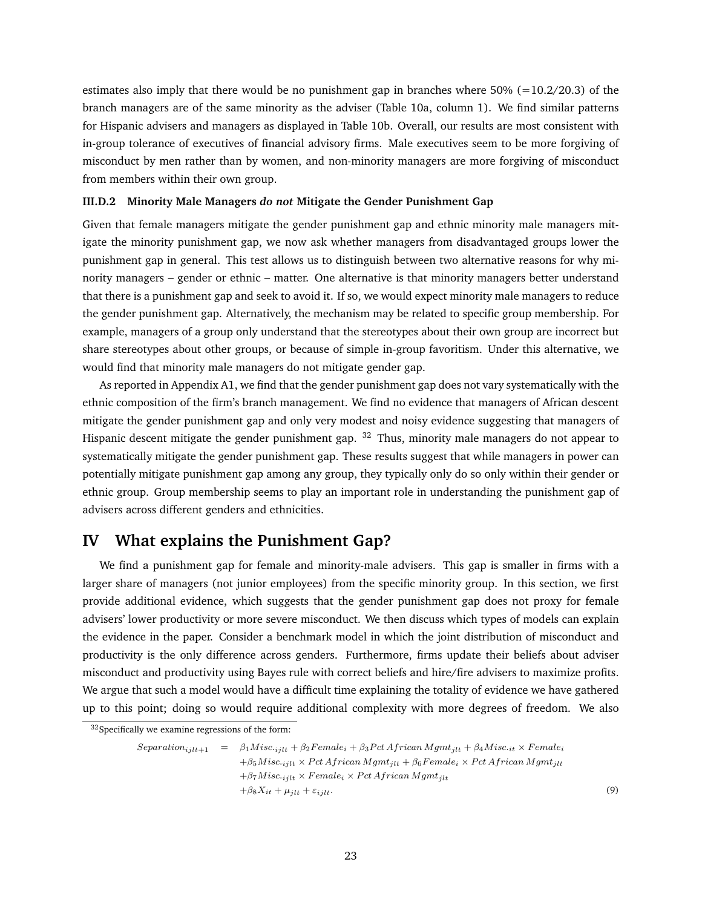estimates also imply that there would be no punishment gap in branches where  $50\%$  (=10.2/20.3) of the branch managers are of the same minority as the adviser (Table 10a, column 1). We find similar patterns for Hispanic advisers and managers as displayed in Table 10b. Overall, our results are most consistent with in-group tolerance of executives of financial advisory firms. Male executives seem to be more forgiving of misconduct by men rather than by women, and non-minority managers are more forgiving of misconduct from members within their own group.

## **III.D.2 Minority Male Managers** *do not* **Mitigate the Gender Punishment Gap**

Given that female managers mitigate the gender punishment gap and ethnic minority male managers mitigate the minority punishment gap, we now ask whether managers from disadvantaged groups lower the punishment gap in general. This test allows us to distinguish between two alternative reasons for why minority managers – gender or ethnic – matter. One alternative is that minority managers better understand that there is a punishment gap and seek to avoid it. If so, we would expect minority male managers to reduce the gender punishment gap. Alternatively, the mechanism may be related to specific group membership. For example, managers of a group only understand that the stereotypes about their own group are incorrect but share stereotypes about other groups, or because of simple in-group favoritism. Under this alternative, we would find that minority male managers do not mitigate gender gap.

As reported in Appendix A1, we find that the gender punishment gap does not vary systematically with the ethnic composition of the firm's branch management. We find no evidence that managers of African descent mitigate the gender punishment gap and only very modest and noisy evidence suggesting that managers of Hispanic descent mitigate the gender punishment gap.  $32$  Thus, minority male managers do not appear to systematically mitigate the gender punishment gap. These results suggest that while managers in power can potentially mitigate punishment gap among any group, they typically only do so only within their gender or ethnic group. Group membership seems to play an important role in understanding the punishment gap of advisers across different genders and ethnicities.

# **IV What explains the Punishment Gap?**

We find a punishment gap for female and minority-male advisers. This gap is smaller in firms with a larger share of managers (not junior employees) from the specific minority group. In this section, we first provide additional evidence, which suggests that the gender punishment gap does not proxy for female advisers' lower productivity or more severe misconduct. We then discuss which types of models can explain the evidence in the paper. Consider a benchmark model in which the joint distribution of misconduct and productivity is the only difference across genders. Furthermore, firms update their beliefs about adviser misconduct and productivity using Bayes rule with correct beliefs and hire/fire advisers to maximize profits. We argue that such a model would have a difficult time explaining the totality of evidence we have gathered up to this point; doing so would require additional complexity with more degrees of freedom. We also

<sup>32</sup>Specifically we examine regressions of the form:

 $Separation_{i_1i_1t+1} = \beta_1Misc_{i_1i_1t} + \beta_2Female_i + \beta_3Pct African Mgmt_{i_1t} + \beta_4Misc_{i_1t} \times Female_i$  $+ \beta_5 M isc_{i}$ ilt × Pct African Mgmt<sub>ilt</sub> +  $\beta_6$ Female<sub>i</sub> × Pct African Mgmt<sub>ilt</sub>  $+\beta_7 M isc_{i,jlt} \times Female_i \times Pet$  African Mgmt<sub>ilt</sub>  $+\beta_8X_{it} + \mu_{jlt} + \varepsilon_{ijlt}.$  (9)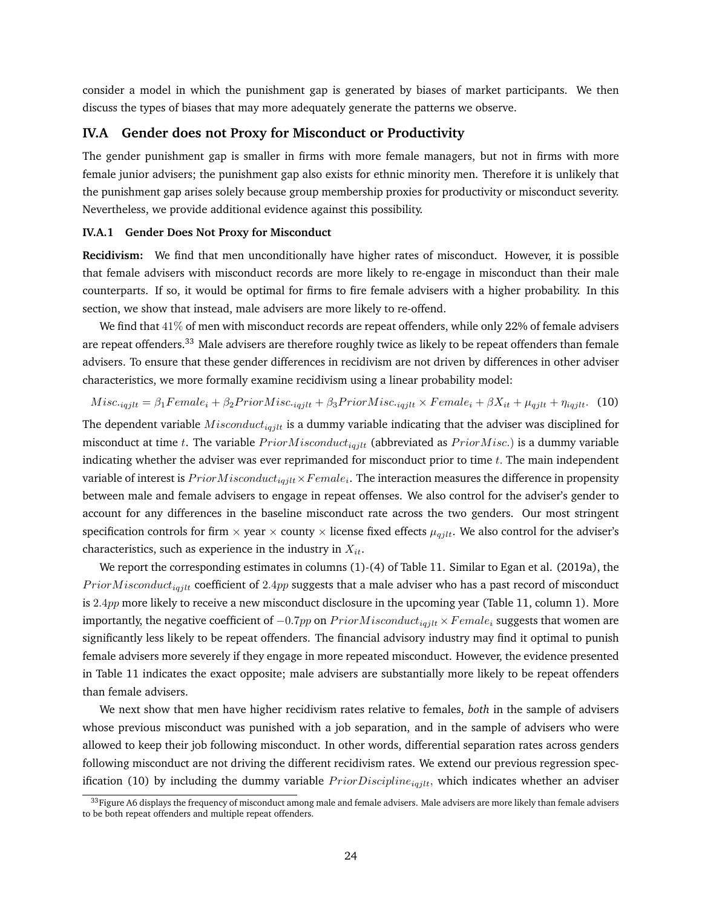consider a model in which the punishment gap is generated by biases of market participants. We then discuss the types of biases that may more adequately generate the patterns we observe.

# **IV.A Gender does not Proxy for Misconduct or Productivity**

The gender punishment gap is smaller in firms with more female managers, but not in firms with more female junior advisers; the punishment gap also exists for ethnic minority men. Therefore it is unlikely that the punishment gap arises solely because group membership proxies for productivity or misconduct severity. Nevertheless, we provide additional evidence against this possibility.

## **IV.A.1 Gender Does Not Proxy for Misconduct**

**Recidivism:** We find that men unconditionally have higher rates of misconduct. However, it is possible that female advisers with misconduct records are more likely to re-engage in misconduct than their male counterparts. If so, it would be optimal for firms to fire female advisers with a higher probability. In this section, we show that instead, male advisers are more likely to re-offend.

We find that  $41\%$  of men with misconduct records are repeat offenders, while only 22% of female advisers are repeat offenders.<sup>33</sup> Male advisers are therefore roughly twice as likely to be repeat offenders than female advisers. To ensure that these gender differences in recidivism are not driven by differences in other adviser characteristics, we more formally examine recidivism using a linear probability model:

$$
Misc_{\text{.}qjlt} = \beta_1 Female_i + \beta_2 PriorMisc_{\text{.}qjlt} + \beta_3 PriorMisc_{\text{.}qjlt} \times Female_i + \beta X_{it} + \mu_{qjlt} + \eta_{\text{.}qjlt}
$$
 (10)

The dependent variable  $M is conduct_{iqjlt}$  is a dummy variable indicating that the adviser was disciplined for misconduct at time t. The variable  $Prior Misconduct_{iqilt}$  (abbreviated as  $Prior Misc$ ) is a dummy variable indicating whether the adviser was ever reprimanded for misconduct prior to time  $t$ . The main independent variable of interest is  $Prior Misconduct_{iqjlt} \times Female_i$  . The interaction measures the difference in propensity between male and female advisers to engage in repeat offenses. We also control for the adviser's gender to account for any differences in the baseline misconduct rate across the two genders. Our most stringent specification controls for firm  $\times$  year  $\times$  county  $\times$  license fixed effects  $\mu_{qjlt}$ . We also control for the adviser's characteristics, such as experience in the industry in  $X_{it}$ .

We report the corresponding estimates in columns (1)-(4) of Table 11. Similar to Egan et al. (2019a), the  $Prior Misconducting it$  coefficient of 2.4pp suggests that a male adviser who has a past record of misconduct is 2.4pp more likely to receive a new misconduct disclosure in the upcoming year (Table 11, column 1). More importantly, the negative coefficient of  $-0.7pp$  on  $Prior Misconduct_{igit} \times Female_i$  suggests that women are significantly less likely to be repeat offenders. The financial advisory industry may find it optimal to punish female advisers more severely if they engage in more repeated misconduct. However, the evidence presented in Table 11 indicates the exact opposite; male advisers are substantially more likely to be repeat offenders than female advisers.

We next show that men have higher recidivism rates relative to females, *both* in the sample of advisers whose previous misconduct was punished with a job separation, and in the sample of advisers who were allowed to keep their job following misconduct. In other words, differential separation rates across genders following misconduct are not driving the different recidivism rates. We extend our previous regression specification (10) by including the dummy variable  $PriorDiscriptive_{iqjlt}$ , which indicates whether an adviser

<sup>&</sup>lt;sup>33</sup>Figure A6 displays the frequency of misconduct among male and female advisers. Male advisers are more likely than female advisers to be both repeat offenders and multiple repeat offenders.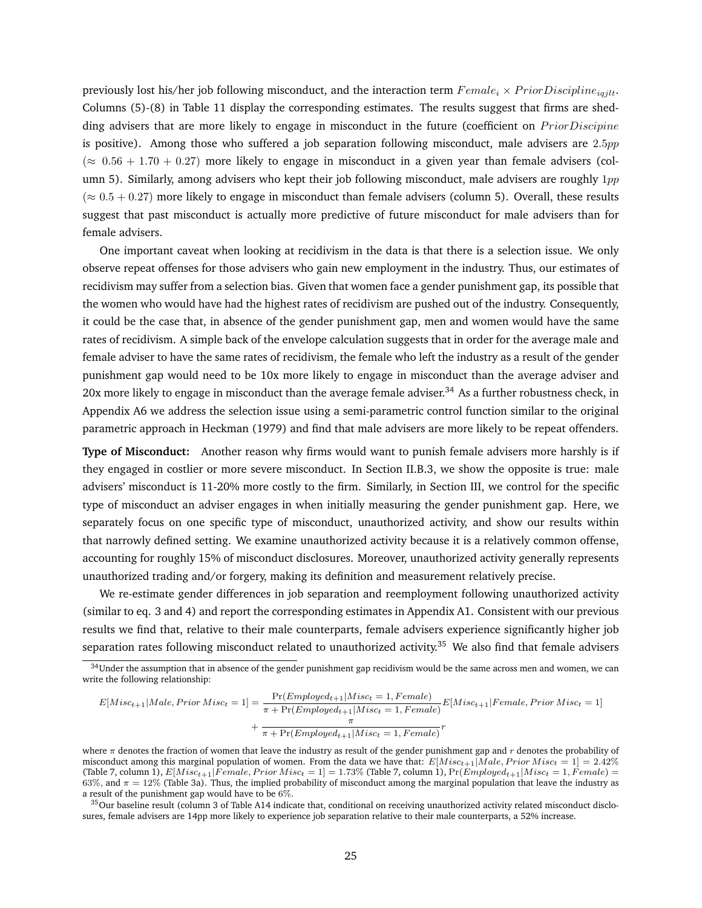previously lost his/her job following misconduct, and the interaction term  $Female_i \times PriorDiscipline_{iailt}$ . Columns (5)-(8) in Table 11 display the corresponding estimates. The results suggest that firms are shedding advisers that are more likely to engage in misconduct in the future (coefficient on  $PriorDiscipine$ is positive). Among those who suffered a job separation following misconduct, male advisers are  $2.5pp$  $(\approx 0.56 + 1.70 + 0.27)$  more likely to engage in misconduct in a given year than female advisers (column 5). Similarly, among advisers who kept their job following misconduct, male advisers are roughly  $1pp$  $(\approx 0.5 + 0.27)$  more likely to engage in misconduct than female advisers (column 5). Overall, these results suggest that past misconduct is actually more predictive of future misconduct for male advisers than for female advisers.

One important caveat when looking at recidivism in the data is that there is a selection issue. We only observe repeat offenses for those advisers who gain new employment in the industry. Thus, our estimates of recidivism may suffer from a selection bias. Given that women face a gender punishment gap, its possible that the women who would have had the highest rates of recidivism are pushed out of the industry. Consequently, it could be the case that, in absence of the gender punishment gap, men and women would have the same rates of recidivism. A simple back of the envelope calculation suggests that in order for the average male and female adviser to have the same rates of recidivism, the female who left the industry as a result of the gender punishment gap would need to be 10x more likely to engage in misconduct than the average adviser and 20x more likely to engage in misconduct than the average female adviser.<sup>34</sup> As a further robustness check, in Appendix A6 we address the selection issue using a semi-parametric control function similar to the original parametric approach in Heckman (1979) and find that male advisers are more likely to be repeat offenders.

**Type of Misconduct:** Another reason why firms would want to punish female advisers more harshly is if they engaged in costlier or more severe misconduct. In Section II.B.3, we show the opposite is true: male advisers' misconduct is 11-20% more costly to the firm. Similarly, in Section III, we control for the specific type of misconduct an adviser engages in when initially measuring the gender punishment gap. Here, we separately focus on one specific type of misconduct, unauthorized activity, and show our results within that narrowly defined setting. We examine unauthorized activity because it is a relatively common offense, accounting for roughly 15% of misconduct disclosures. Moreover, unauthorized activity generally represents unauthorized trading and/or forgery, making its definition and measurement relatively precise.

We re-estimate gender differences in job separation and reemployment following unauthorized activity (similar to eq. 3 and 4) and report the corresponding estimates in Appendix A1. Consistent with our previous results we find that, relative to their male counterparts, female advisers experience significantly higher job separation rates following misconduct related to unauthorized activity.<sup>35</sup> We also find that female advisers

 $34$ Under the assumption that in absence of the gender punishment gap recidivism would be the same across men and women, we can write the following relationship:

$$
E[Misc_{t+1}|Male, Prior\,Misc_t = 1] = \frac{\Pr(Employee_{t+1}|Misc_t = 1, Female)}{\pi + \Pr(Employee_{t+1}|Misc_t = 1, Female)} E[Misc_{t+1}|Female, Prior\,Misc_t = 1] + \frac{\pi}{\pi + \Pr(Employee_{t+1}|Misc_t = 1, Female)}r
$$

 $35$ Our baseline result (column 3 of Table A14 indicate that, conditional on receiving unauthorized activity related misconduct disclosures, female advisers are 14pp more likely to experience job separation relative to their male counterparts, a 52% increase.

where  $\pi$  denotes the fraction of women that leave the industry as result of the gender punishment gap and  $r$  denotes the probability of misconduct among this marginal population of women. From the data we have that:  $E[Misc_{t+1}|Male, Prior~Misc_t = 1] = 2.42\%$ (Table 7, column 1),  $E[Misc_{t+1}|Female, Prior\,Misc_t = 1] = 1.73\%$  (Table 7, column 1),  $Pr(Employd_{t+1}|Misc_t = 1, Female) =$ 63%, and  $\pi = 12\%$  (Table 3a). Thus, the implied probability of misconduct among the marginal population that leave the industry as a result of the punishment gap would have to be  $6\%$ .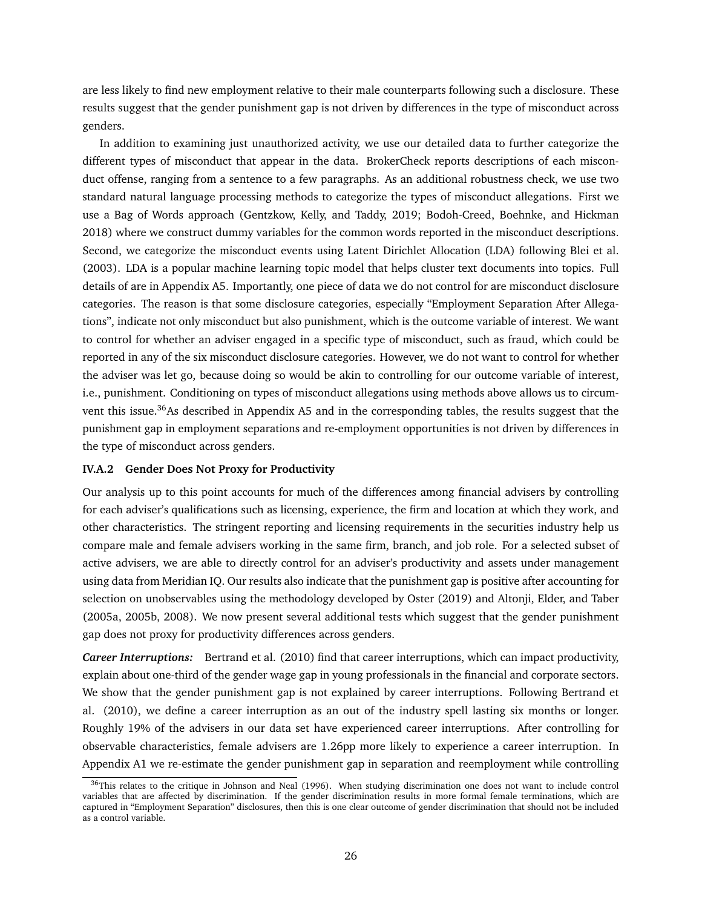are less likely to find new employment relative to their male counterparts following such a disclosure. These results suggest that the gender punishment gap is not driven by differences in the type of misconduct across genders.

In addition to examining just unauthorized activity, we use our detailed data to further categorize the different types of misconduct that appear in the data. BrokerCheck reports descriptions of each misconduct offense, ranging from a sentence to a few paragraphs. As an additional robustness check, we use two standard natural language processing methods to categorize the types of misconduct allegations. First we use a Bag of Words approach (Gentzkow, Kelly, and Taddy, 2019; Bodoh-Creed, Boehnke, and Hickman 2018) where we construct dummy variables for the common words reported in the misconduct descriptions. Second, we categorize the misconduct events using Latent Dirichlet Allocation (LDA) following Blei et al. (2003). LDA is a popular machine learning topic model that helps cluster text documents into topics. Full details of are in Appendix A5. Importantly, one piece of data we do not control for are misconduct disclosure categories. The reason is that some disclosure categories, especially "Employment Separation After Allegations", indicate not only misconduct but also punishment, which is the outcome variable of interest. We want to control for whether an adviser engaged in a specific type of misconduct, such as fraud, which could be reported in any of the six misconduct disclosure categories. However, we do not want to control for whether the adviser was let go, because doing so would be akin to controlling for our outcome variable of interest, i.e., punishment. Conditioning on types of misconduct allegations using methods above allows us to circumvent this issue.<sup>36</sup>As described in Appendix A5 and in the corresponding tables, the results suggest that the punishment gap in employment separations and re-employment opportunities is not driven by differences in the type of misconduct across genders.

#### **IV.A.2 Gender Does Not Proxy for Productivity**

Our analysis up to this point accounts for much of the differences among financial advisers by controlling for each adviser's qualifications such as licensing, experience, the firm and location at which they work, and other characteristics. The stringent reporting and licensing requirements in the securities industry help us compare male and female advisers working in the same firm, branch, and job role. For a selected subset of active advisers, we are able to directly control for an adviser's productivity and assets under management using data from Meridian IQ. Our results also indicate that the punishment gap is positive after accounting for selection on unobservables using the methodology developed by Oster (2019) and Altonji, Elder, and Taber (2005a, 2005b, 2008). We now present several additional tests which suggest that the gender punishment gap does not proxy for productivity differences across genders.

*Career Interruptions:* Bertrand et al. (2010) find that career interruptions, which can impact productivity, explain about one-third of the gender wage gap in young professionals in the financial and corporate sectors. We show that the gender punishment gap is not explained by career interruptions. Following Bertrand et al. (2010), we define a career interruption as an out of the industry spell lasting six months or longer. Roughly 19% of the advisers in our data set have experienced career interruptions. After controlling for observable characteristics, female advisers are 1.26pp more likely to experience a career interruption. In Appendix A1 we re-estimate the gender punishment gap in separation and reemployment while controlling

 $36$ This relates to the critique in Johnson and Neal (1996). When studying discrimination one does not want to include control variables that are affected by discrimination. If the gender discrimination results in more formal female terminations, which are captured in "Employment Separation" disclosures, then this is one clear outcome of gender discrimination that should not be included as a control variable.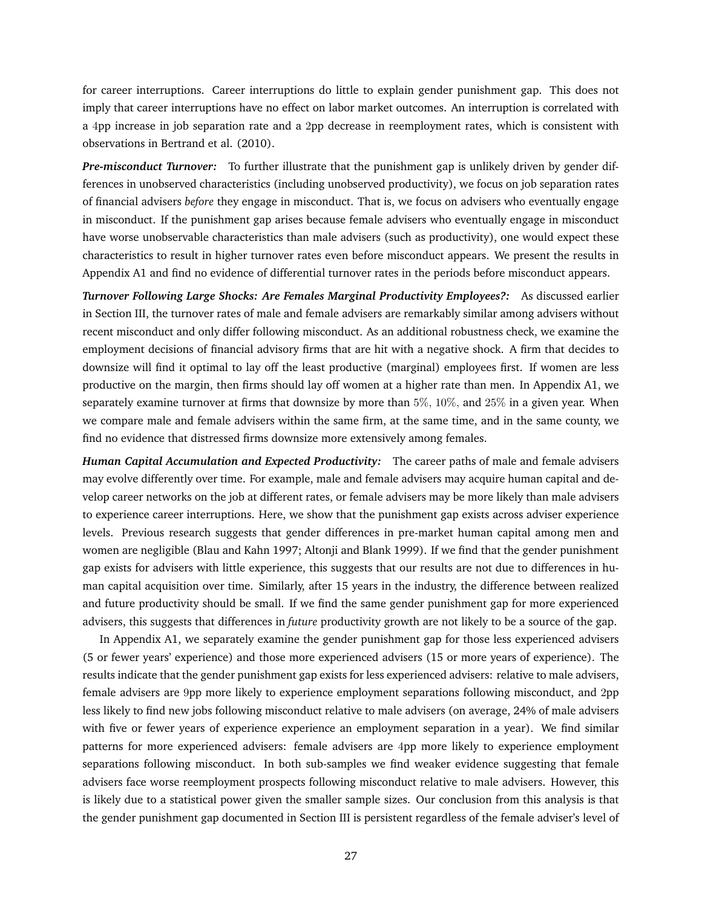for career interruptions. Career interruptions do little to explain gender punishment gap. This does not imply that career interruptions have no effect on labor market outcomes. An interruption is correlated with a 4pp increase in job separation rate and a 2pp decrease in reemployment rates, which is consistent with observations in Bertrand et al. (2010).

*Pre-misconduct Turnover:* To further illustrate that the punishment gap is unlikely driven by gender differences in unobserved characteristics (including unobserved productivity), we focus on job separation rates of financial advisers *before* they engage in misconduct. That is, we focus on advisers who eventually engage in misconduct. If the punishment gap arises because female advisers who eventually engage in misconduct have worse unobservable characteristics than male advisers (such as productivity), one would expect these characteristics to result in higher turnover rates even before misconduct appears. We present the results in Appendix A1 and find no evidence of differential turnover rates in the periods before misconduct appears.

*Turnover Following Large Shocks: Are Females Marginal Productivity Employees?:* As discussed earlier in Section III, the turnover rates of male and female advisers are remarkably similar among advisers without recent misconduct and only differ following misconduct. As an additional robustness check, we examine the employment decisions of financial advisory firms that are hit with a negative shock. A firm that decides to downsize will find it optimal to lay off the least productive (marginal) employees first. If women are less productive on the margin, then firms should lay off women at a higher rate than men. In Appendix A1, we separately examine turnover at firms that downsize by more than 5%, 10%, and 25% in a given year. When we compare male and female advisers within the same firm, at the same time, and in the same county, we find no evidence that distressed firms downsize more extensively among females.

*Human Capital Accumulation and Expected Productivity:* The career paths of male and female advisers may evolve differently over time. For example, male and female advisers may acquire human capital and develop career networks on the job at different rates, or female advisers may be more likely than male advisers to experience career interruptions. Here, we show that the punishment gap exists across adviser experience levels. Previous research suggests that gender differences in pre-market human capital among men and women are negligible (Blau and Kahn 1997; Altonji and Blank 1999). If we find that the gender punishment gap exists for advisers with little experience, this suggests that our results are not due to differences in human capital acquisition over time. Similarly, after 15 years in the industry, the difference between realized and future productivity should be small. If we find the same gender punishment gap for more experienced advisers, this suggests that differences in *future* productivity growth are not likely to be a source of the gap.

In Appendix A1, we separately examine the gender punishment gap for those less experienced advisers (5 or fewer years' experience) and those more experienced advisers (15 or more years of experience). The results indicate that the gender punishment gap exists for less experienced advisers: relative to male advisers, female advisers are 9pp more likely to experience employment separations following misconduct, and 2pp less likely to find new jobs following misconduct relative to male advisers (on average, 24% of male advisers with five or fewer years of experience experience an employment separation in a year). We find similar patterns for more experienced advisers: female advisers are 4pp more likely to experience employment separations following misconduct. In both sub-samples we find weaker evidence suggesting that female advisers face worse reemployment prospects following misconduct relative to male advisers. However, this is likely due to a statistical power given the smaller sample sizes. Our conclusion from this analysis is that the gender punishment gap documented in Section III is persistent regardless of the female adviser's level of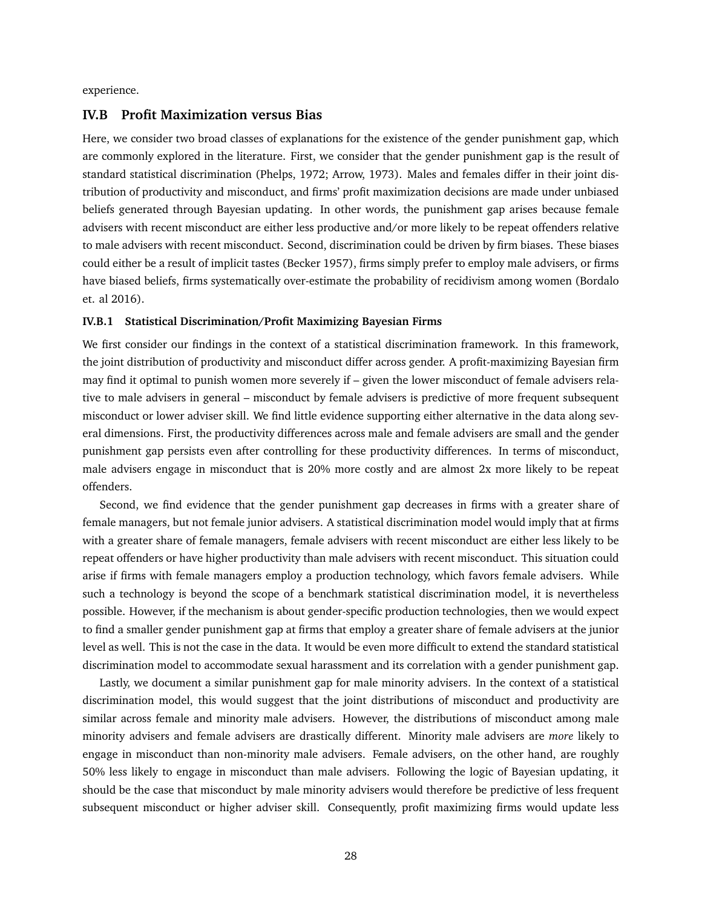experience.

# **IV.B Profit Maximization versus Bias**

Here, we consider two broad classes of explanations for the existence of the gender punishment gap, which are commonly explored in the literature. First, we consider that the gender punishment gap is the result of standard statistical discrimination (Phelps, 1972; Arrow, 1973). Males and females differ in their joint distribution of productivity and misconduct, and firms' profit maximization decisions are made under unbiased beliefs generated through Bayesian updating. In other words, the punishment gap arises because female advisers with recent misconduct are either less productive and/or more likely to be repeat offenders relative to male advisers with recent misconduct. Second, discrimination could be driven by firm biases. These biases could either be a result of implicit tastes (Becker 1957), firms simply prefer to employ male advisers, or firms have biased beliefs, firms systematically over-estimate the probability of recidivism among women (Bordalo et. al 2016).

#### **IV.B.1 Statistical Discrimination/Profit Maximizing Bayesian Firms**

We first consider our findings in the context of a statistical discrimination framework. In this framework, the joint distribution of productivity and misconduct differ across gender. A profit-maximizing Bayesian firm may find it optimal to punish women more severely if – given the lower misconduct of female advisers relative to male advisers in general – misconduct by female advisers is predictive of more frequent subsequent misconduct or lower adviser skill. We find little evidence supporting either alternative in the data along several dimensions. First, the productivity differences across male and female advisers are small and the gender punishment gap persists even after controlling for these productivity differences. In terms of misconduct, male advisers engage in misconduct that is 20% more costly and are almost 2x more likely to be repeat offenders.

Second, we find evidence that the gender punishment gap decreases in firms with a greater share of female managers, but not female junior advisers. A statistical discrimination model would imply that at firms with a greater share of female managers, female advisers with recent misconduct are either less likely to be repeat offenders or have higher productivity than male advisers with recent misconduct. This situation could arise if firms with female managers employ a production technology, which favors female advisers. While such a technology is beyond the scope of a benchmark statistical discrimination model, it is nevertheless possible. However, if the mechanism is about gender-specific production technologies, then we would expect to find a smaller gender punishment gap at firms that employ a greater share of female advisers at the junior level as well. This is not the case in the data. It would be even more difficult to extend the standard statistical discrimination model to accommodate sexual harassment and its correlation with a gender punishment gap.

Lastly, we document a similar punishment gap for male minority advisers. In the context of a statistical discrimination model, this would suggest that the joint distributions of misconduct and productivity are similar across female and minority male advisers. However, the distributions of misconduct among male minority advisers and female advisers are drastically different. Minority male advisers are *more* likely to engage in misconduct than non-minority male advisers. Female advisers, on the other hand, are roughly 50% less likely to engage in misconduct than male advisers. Following the logic of Bayesian updating, it should be the case that misconduct by male minority advisers would therefore be predictive of less frequent subsequent misconduct or higher adviser skill. Consequently, profit maximizing firms would update less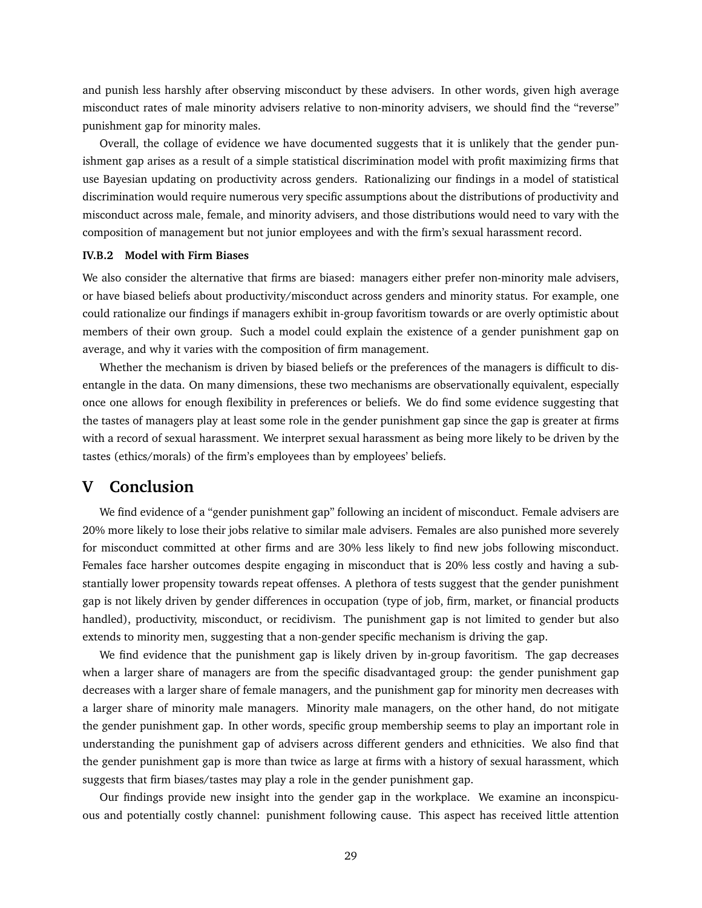and punish less harshly after observing misconduct by these advisers. In other words, given high average misconduct rates of male minority advisers relative to non-minority advisers, we should find the "reverse" punishment gap for minority males.

Overall, the collage of evidence we have documented suggests that it is unlikely that the gender punishment gap arises as a result of a simple statistical discrimination model with profit maximizing firms that use Bayesian updating on productivity across genders. Rationalizing our findings in a model of statistical discrimination would require numerous very specific assumptions about the distributions of productivity and misconduct across male, female, and minority advisers, and those distributions would need to vary with the composition of management but not junior employees and with the firm's sexual harassment record.

#### **IV.B.2 Model with Firm Biases**

We also consider the alternative that firms are biased: managers either prefer non-minority male advisers, or have biased beliefs about productivity/misconduct across genders and minority status. For example, one could rationalize our findings if managers exhibit in-group favoritism towards or are overly optimistic about members of their own group. Such a model could explain the existence of a gender punishment gap on average, and why it varies with the composition of firm management.

Whether the mechanism is driven by biased beliefs or the preferences of the managers is difficult to disentangle in the data. On many dimensions, these two mechanisms are observationally equivalent, especially once one allows for enough flexibility in preferences or beliefs. We do find some evidence suggesting that the tastes of managers play at least some role in the gender punishment gap since the gap is greater at firms with a record of sexual harassment. We interpret sexual harassment as being more likely to be driven by the tastes (ethics/morals) of the firm's employees than by employees' beliefs.

# **V Conclusion**

We find evidence of a "gender punishment gap" following an incident of misconduct. Female advisers are 20% more likely to lose their jobs relative to similar male advisers. Females are also punished more severely for misconduct committed at other firms and are 30% less likely to find new jobs following misconduct. Females face harsher outcomes despite engaging in misconduct that is 20% less costly and having a substantially lower propensity towards repeat offenses. A plethora of tests suggest that the gender punishment gap is not likely driven by gender differences in occupation (type of job, firm, market, or financial products handled), productivity, misconduct, or recidivism. The punishment gap is not limited to gender but also extends to minority men, suggesting that a non-gender specific mechanism is driving the gap.

We find evidence that the punishment gap is likely driven by in-group favoritism. The gap decreases when a larger share of managers are from the specific disadvantaged group: the gender punishment gap decreases with a larger share of female managers, and the punishment gap for minority men decreases with a larger share of minority male managers. Minority male managers, on the other hand, do not mitigate the gender punishment gap. In other words, specific group membership seems to play an important role in understanding the punishment gap of advisers across different genders and ethnicities. We also find that the gender punishment gap is more than twice as large at firms with a history of sexual harassment, which suggests that firm biases/tastes may play a role in the gender punishment gap.

Our findings provide new insight into the gender gap in the workplace. We examine an inconspicuous and potentially costly channel: punishment following cause. This aspect has received little attention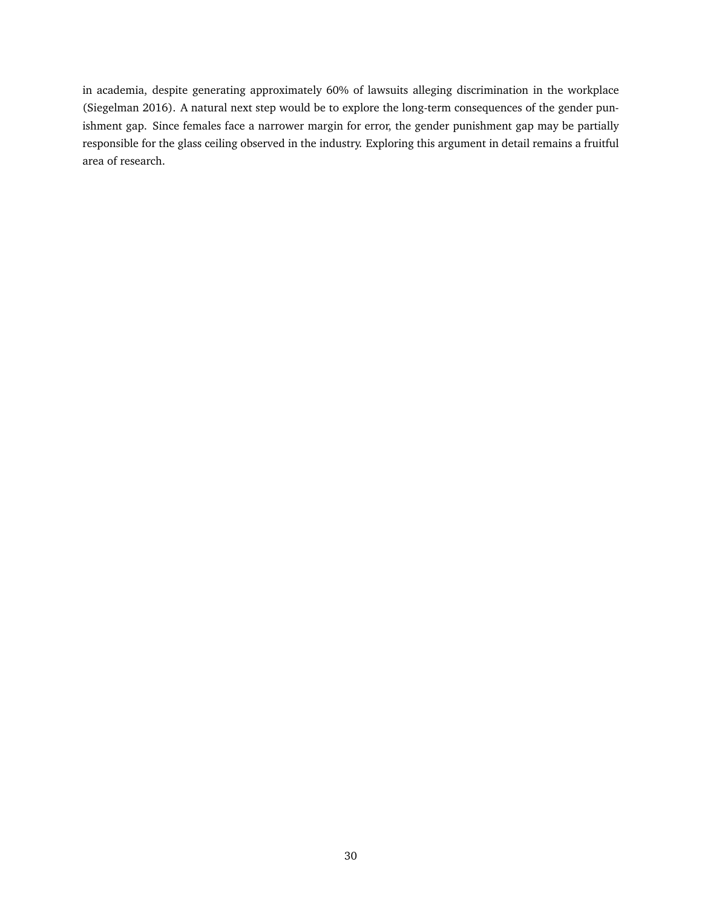in academia, despite generating approximately 60% of lawsuits alleging discrimination in the workplace (Siegelman 2016). A natural next step would be to explore the long-term consequences of the gender punishment gap. Since females face a narrower margin for error, the gender punishment gap may be partially responsible for the glass ceiling observed in the industry. Exploring this argument in detail remains a fruitful area of research.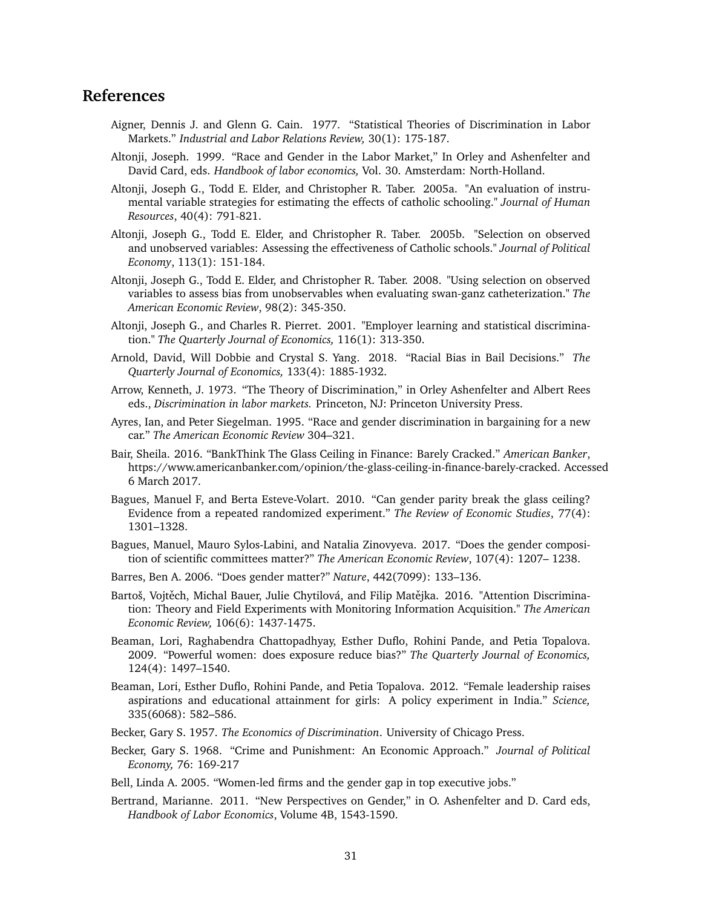# **References**

- Aigner, Dennis J. and Glenn G. Cain. 1977. "Statistical Theories of Discrimination in Labor Markets." *Industrial and Labor Relations Review,* 30(1): 175-187.
- Altonji, Joseph. 1999. "Race and Gender in the Labor Market," In Orley and Ashenfelter and David Card, eds. *Handbook of labor economics,* Vol. 30. Amsterdam: North-Holland.
- Altonji, Joseph G., Todd E. Elder, and Christopher R. Taber. 2005a. "An evaluation of instrumental variable strategies for estimating the effects of catholic schooling." *Journal of Human Resources*, 40(4): 791-821.
- Altonji, Joseph G., Todd E. Elder, and Christopher R. Taber. 2005b. "Selection on observed and unobserved variables: Assessing the effectiveness of Catholic schools." *Journal of Political Economy*, 113(1): 151-184.
- Altonji, Joseph G., Todd E. Elder, and Christopher R. Taber. 2008. "Using selection on observed variables to assess bias from unobservables when evaluating swan-ganz catheterization." *The American Economic Review*, 98(2): 345-350.
- Altonji, Joseph G., and Charles R. Pierret. 2001. "Employer learning and statistical discrimination." *The Quarterly Journal of Economics,* 116(1): 313-350.
- Arnold, David, Will Dobbie and Crystal S. Yang. 2018. "Racial Bias in Bail Decisions." *The Quarterly Journal of Economics,* 133(4): 1885-1932.
- Arrow, Kenneth, J. 1973. "The Theory of Discrimination," in Orley Ashenfelter and Albert Rees eds., *Discrimination in labor markets.* Princeton, NJ: Princeton University Press.
- Ayres, Ian, and Peter Siegelman. 1995. "Race and gender discrimination in bargaining for a new car." *The American Economic Review* 304–321.
- Bair, Sheila. 2016. "BankThink The Glass Ceiling in Finance: Barely Cracked." *American Banker*, https://www.americanbanker.com/opinion/the-glass-ceiling-in-finance-barely-cracked. Accessed 6 March 2017.
- Bagues, Manuel F, and Berta Esteve-Volart. 2010. "Can gender parity break the glass ceiling? Evidence from a repeated randomized experiment." *The Review of Economic Studies*, 77(4): 1301–1328.
- Bagues, Manuel, Mauro Sylos-Labini, and Natalia Zinovyeva. 2017. "Does the gender composition of scientific committees matter?" *The American Economic Review*, 107(4): 1207– 1238.
- Barres, Ben A. 2006. "Does gender matter?" *Nature*, 442(7099): 133–136.
- Bartoš, Vojtěch, Michal Bauer, Julie Chytilová, and Filip Matějka. 2016. "Attention Discrimination: Theory and Field Experiments with Monitoring Information Acquisition." *The American Economic Review,* 106(6): 1437-1475.
- Beaman, Lori, Raghabendra Chattopadhyay, Esther Duflo, Rohini Pande, and Petia Topalova. 2009. "Powerful women: does exposure reduce bias?" *The Quarterly Journal of Economics,* 124(4): 1497–1540.
- Beaman, Lori, Esther Duflo, Rohini Pande, and Petia Topalova. 2012. "Female leadership raises aspirations and educational attainment for girls: A policy experiment in India." *Science,* 335(6068): 582–586.
- Becker, Gary S. 1957. *The Economics of Discrimination*. University of Chicago Press.
- Becker, Gary S. 1968. "Crime and Punishment: An Economic Approach." *Journal of Political Economy,* 76: 169-217
- Bell, Linda A. 2005. "Women-led firms and the gender gap in top executive jobs."
- Bertrand, Marianne. 2011. "New Perspectives on Gender," in O. Ashenfelter and D. Card eds, *Handbook of Labor Economics*, Volume 4B, 1543-1590.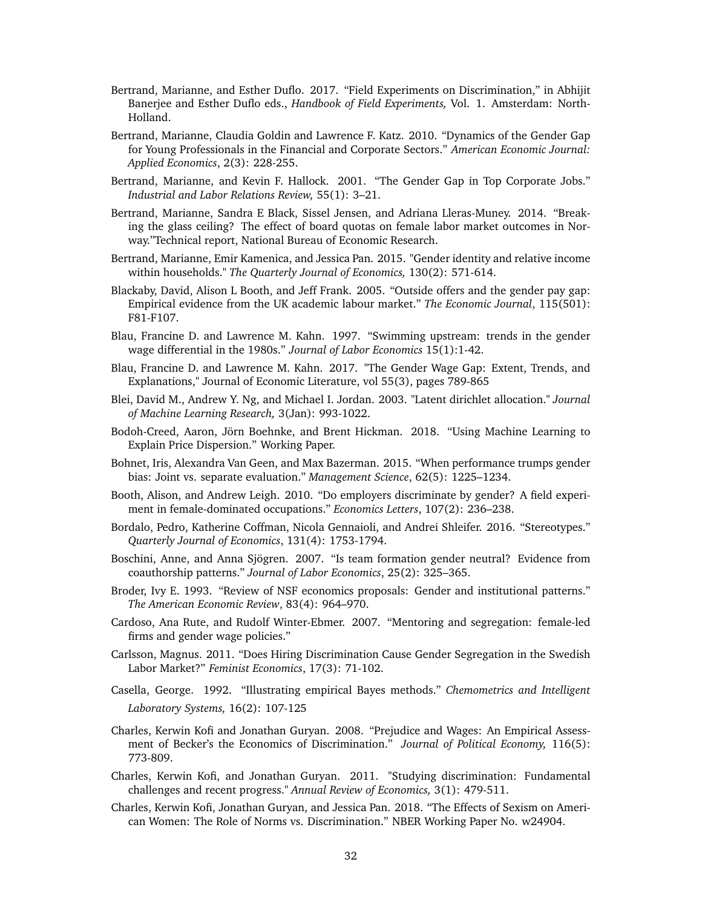- Bertrand, Marianne, and Esther Duflo. 2017. "Field Experiments on Discrimination," in Abhijit Banerjee and Esther Duflo eds., *Handbook of Field Experiments,* Vol. 1. Amsterdam: North-Holland.
- Bertrand, Marianne, Claudia Goldin and Lawrence F. Katz. 2010. "Dynamics of the Gender Gap for Young Professionals in the Financial and Corporate Sectors." *American Economic Journal: Applied Economics*, 2(3): 228-255.
- Bertrand, Marianne, and Kevin F. Hallock. 2001. "The Gender Gap in Top Corporate Jobs." *Industrial and Labor Relations Review,* 55(1): 3–21.
- Bertrand, Marianne, Sandra E Black, Sissel Jensen, and Adriana Lleras-Muney. 2014. "Breaking the glass ceiling? The effect of board quotas on female labor market outcomes in Norway."Technical report, National Bureau of Economic Research.
- Bertrand, Marianne, Emir Kamenica, and Jessica Pan. 2015. "Gender identity and relative income within households." *The Quarterly Journal of Economics,* 130(2): 571-614.
- Blackaby, David, Alison L Booth, and Jeff Frank. 2005. "Outside offers and the gender pay gap: Empirical evidence from the UK academic labour market." *The Economic Journal*, 115(501): F81-F107.
- Blau, Francine D. and Lawrence M. Kahn. 1997. "Swimming upstream: trends in the gender wage differential in the 1980s." *Journal of Labor Economics* 15(1):1-42.
- Blau, Francine D. and Lawrence M. Kahn. 2017. "The Gender Wage Gap: Extent, Trends, and Explanations," Journal of Economic Literature, vol 55(3), pages 789-865
- Blei, David M., Andrew Y. Ng, and Michael I. Jordan. 2003. "Latent dirichlet allocation." *Journal of Machine Learning Research,* 3(Jan): 993-1022.
- Bodoh-Creed, Aaron, Jörn Boehnke, and Brent Hickman. 2018. "Using Machine Learning to Explain Price Dispersion." Working Paper.
- Bohnet, Iris, Alexandra Van Geen, and Max Bazerman. 2015. "When performance trumps gender bias: Joint vs. separate evaluation." *Management Science*, 62(5): 1225–1234.
- Booth, Alison, and Andrew Leigh. 2010. "Do employers discriminate by gender? A field experiment in female-dominated occupations." *Economics Letters*, 107(2): 236–238.
- Bordalo, Pedro, Katherine Coffman, Nicola Gennaioli, and Andrei Shleifer. 2016. "Stereotypes." *Quarterly Journal of Economics*, 131(4): 1753-1794.
- Boschini, Anne, and Anna Sjögren. 2007. "Is team formation gender neutral? Evidence from coauthorship patterns." *Journal of Labor Economics*, 25(2): 325–365.
- Broder, Ivy E. 1993. "Review of NSF economics proposals: Gender and institutional patterns." *The American Economic Review*, 83(4): 964–970.
- Cardoso, Ana Rute, and Rudolf Winter-Ebmer. 2007. "Mentoring and segregation: female-led firms and gender wage policies."
- Carlsson, Magnus. 2011. "Does Hiring Discrimination Cause Gender Segregation in the Swedish Labor Market?" *Feminist Economics*, 17(3): 71-102.
- Casella, George. 1992. "Illustrating empirical Bayes methods." *Chemometrics and Intelligent Laboratory Systems,* 16(2): 107-125
- Charles, Kerwin Kofi and Jonathan Guryan. 2008. "Prejudice and Wages: An Empirical Assessment of Becker's the Economics of Discrimination." *Journal of Political Economy,* 116(5): 773-809.
- Charles, Kerwin Kofi, and Jonathan Guryan. 2011. "Studying discrimination: Fundamental challenges and recent progress." *Annual Review of Economics,* 3(1): 479-511.
- Charles, Kerwin Kofi, Jonathan Guryan, and Jessica Pan. 2018. "The Effects of Sexism on American Women: The Role of Norms vs. Discrimination." NBER Working Paper No. w24904.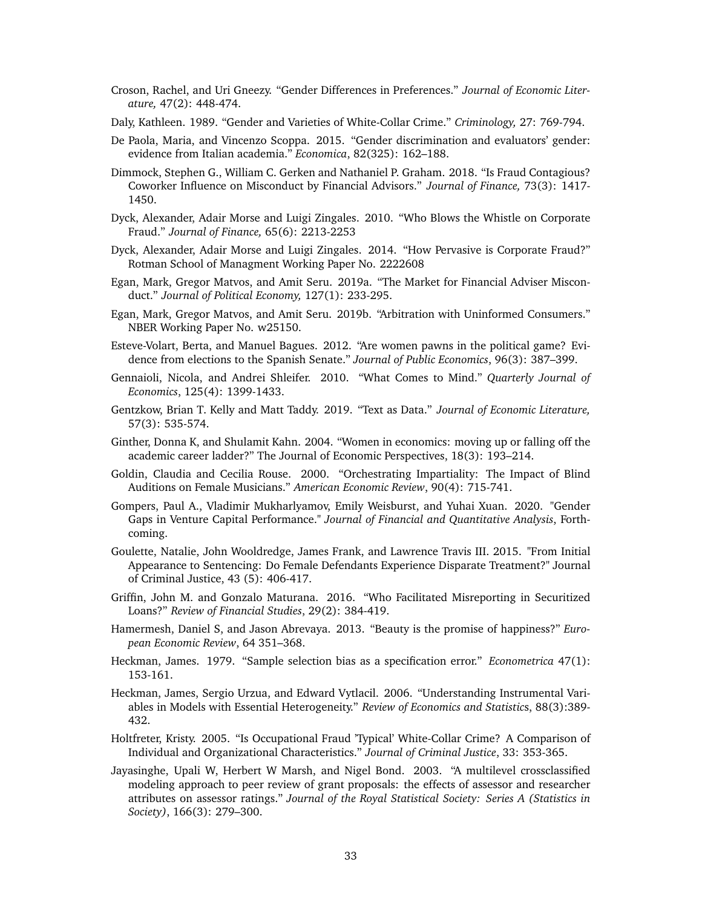- Croson, Rachel, and Uri Gneezy. "Gender Differences in Preferences." *Journal of Economic Literature,* 47(2): 448-474.
- Daly, Kathleen. 1989. "Gender and Varieties of White-Collar Crime." *Criminology,* 27: 769-794.
- De Paola, Maria, and Vincenzo Scoppa. 2015. "Gender discrimination and evaluators' gender: evidence from Italian academia." *Economica*, 82(325): 162–188.
- Dimmock, Stephen G., William C. Gerken and Nathaniel P. Graham. 2018. "Is Fraud Contagious? Coworker Influence on Misconduct by Financial Advisors." *Journal of Finance,* 73(3): 1417- 1450.
- Dyck, Alexander, Adair Morse and Luigi Zingales. 2010. "Who Blows the Whistle on Corporate Fraud." *Journal of Finance,* 65(6): 2213-2253
- Dyck, Alexander, Adair Morse and Luigi Zingales. 2014. "How Pervasive is Corporate Fraud?" Rotman School of Managment Working Paper No. 2222608
- Egan, Mark, Gregor Matvos, and Amit Seru. 2019a. "The Market for Financial Adviser Misconduct." *Journal of Political Economy,* 127(1): 233-295.
- Egan, Mark, Gregor Matvos, and Amit Seru. 2019b. "Arbitration with Uninformed Consumers." NBER Working Paper No. w25150.
- Esteve-Volart, Berta, and Manuel Bagues. 2012. "Are women pawns in the political game? Evidence from elections to the Spanish Senate." *Journal of Public Economics*, 96(3): 387–399.
- Gennaioli, Nicola, and Andrei Shleifer. 2010. "What Comes to Mind." *Quarterly Journal of Economics*, 125(4): 1399-1433.
- Gentzkow, Brian T. Kelly and Matt Taddy. 2019. "Text as Data." *Journal of Economic Literature,* 57(3): 535-574.
- Ginther, Donna K, and Shulamit Kahn. 2004. "Women in economics: moving up or falling off the academic career ladder?" The Journal of Economic Perspectives, 18(3): 193–214.
- Goldin, Claudia and Cecilia Rouse. 2000. "Orchestrating Impartiality: The Impact of Blind Auditions on Female Musicians." *American Economic Review*, 90(4): 715-741.
- Gompers, Paul A., Vladimir Mukharlyamov, Emily Weisburst, and Yuhai Xuan. 2020. "Gender Gaps in Venture Capital Performance." *Journal of Financial and Quantitative Analysis*, Forthcoming.
- Goulette, Natalie, John Wooldredge, James Frank, and Lawrence Travis III. 2015. "From Initial Appearance to Sentencing: Do Female Defendants Experience Disparate Treatment?" Journal of Criminal Justice, 43 (5): 406-417.
- Griffin, John M. and Gonzalo Maturana. 2016. "Who Facilitated Misreporting in Securitized Loans?" *Review of Financial Studies*, 29(2): 384-419.
- Hamermesh, Daniel S, and Jason Abrevaya. 2013. "Beauty is the promise of happiness?" *European Economic Review*, 64 351–368.
- Heckman, James. 1979. "Sample selection bias as a specification error." *Econometrica* 47(1): 153-161.
- Heckman, James, Sergio Urzua, and Edward Vytlacil. 2006. "Understanding Instrumental Variables in Models with Essential Heterogeneity." *Review of Economics and Statistic*s, 88(3):389- 432.
- Holtfreter, Kristy. 2005. "Is Occupational Fraud 'Typical' White-Collar Crime? A Comparison of Individual and Organizational Characteristics." *Journal of Criminal Justice*, 33: 353-365.
- Jayasinghe, Upali W, Herbert W Marsh, and Nigel Bond. 2003. "A multilevel crossclassified modeling approach to peer review of grant proposals: the effects of assessor and researcher attributes on assessor ratings." *Journal of the Royal Statistical Society: Series A (Statistics in Society)*, 166(3): 279–300.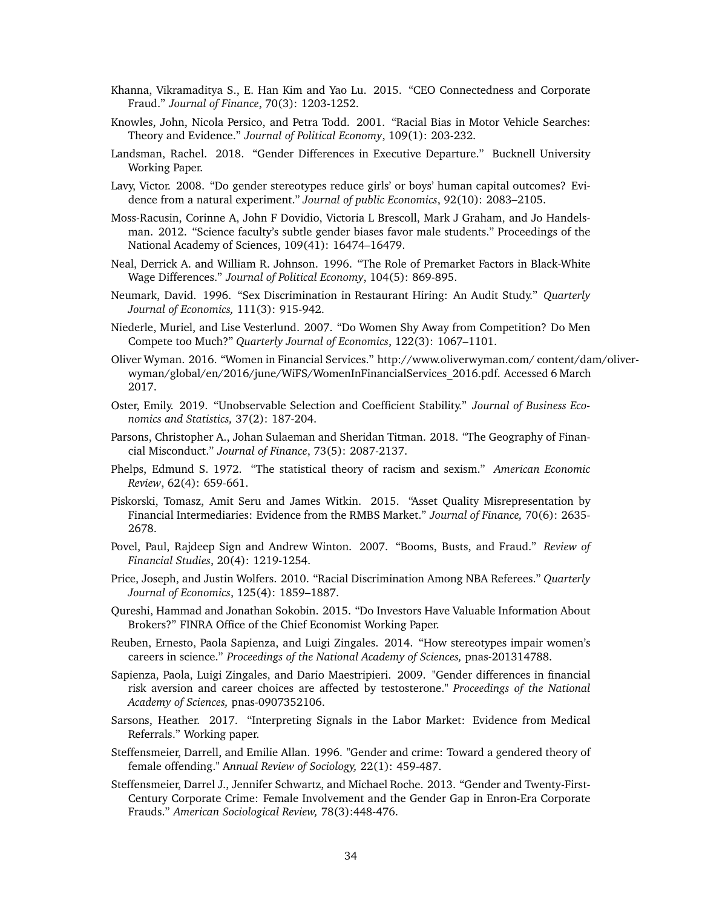- Khanna, Vikramaditya S., E. Han Kim and Yao Lu. 2015. "CEO Connectedness and Corporate Fraud." *Journal of Finance*, 70(3): 1203-1252.
- Knowles, John, Nicola Persico, and Petra Todd. 2001. "Racial Bias in Motor Vehicle Searches: Theory and Evidence." *Journal of Political Economy*, 109(1): 203-232.
- Landsman, Rachel. 2018. "Gender Differences in Executive Departure." Bucknell University Working Paper.
- Lavy, Victor. 2008. "Do gender stereotypes reduce girls' or boys' human capital outcomes? Evidence from a natural experiment." *Journal of public Economics*, 92(10): 2083–2105.
- Moss-Racusin, Corinne A, John F Dovidio, Victoria L Brescoll, Mark J Graham, and Jo Handelsman. 2012. "Science faculty's subtle gender biases favor male students." Proceedings of the National Academy of Sciences, 109(41): 16474–16479.
- Neal, Derrick A. and William R. Johnson. 1996. "The Role of Premarket Factors in Black-White Wage Differences." *Journal of Political Economy*, 104(5): 869-895.
- Neumark, David. 1996. "Sex Discrimination in Restaurant Hiring: An Audit Study." *Quarterly Journal of Economics,* 111(3): 915-942.
- Niederle, Muriel, and Lise Vesterlund. 2007. "Do Women Shy Away from Competition? Do Men Compete too Much?" *Quarterly Journal of Economics*, 122(3): 1067–1101.
- Oliver Wyman. 2016. "Women in Financial Services." http://www.oliverwyman.com/ content/dam/oliverwyman/global/en/2016/june/WiFS/WomenInFinancialServices\_2016.pdf. Accessed 6 March 2017.
- Oster, Emily. 2019. "Unobservable Selection and Coefficient Stability." *Journal of Business Economics and Statistics,* 37(2): 187-204.
- Parsons, Christopher A., Johan Sulaeman and Sheridan Titman. 2018. "The Geography of Financial Misconduct." *Journal of Finance*, 73(5): 2087-2137.
- Phelps, Edmund S. 1972. "The statistical theory of racism and sexism." *American Economic Review*, 62(4): 659-661.
- Piskorski, Tomasz, Amit Seru and James Witkin. 2015. "Asset Quality Misrepresentation by Financial Intermediaries: Evidence from the RMBS Market." *Journal of Finance,* 70(6): 2635- 2678.
- Povel, Paul, Rajdeep Sign and Andrew Winton. 2007. "Booms, Busts, and Fraud." *Review of Financial Studies*, 20(4): 1219-1254.
- Price, Joseph, and Justin Wolfers. 2010. "Racial Discrimination Among NBA Referees." *Quarterly Journal of Economics*, 125(4): 1859–1887.
- Qureshi, Hammad and Jonathan Sokobin. 2015. "Do Investors Have Valuable Information About Brokers?" FINRA Office of the Chief Economist Working Paper.
- Reuben, Ernesto, Paola Sapienza, and Luigi Zingales. 2014. "How stereotypes impair women's careers in science." *Proceedings of the National Academy of Sciences,* pnas-201314788.
- Sapienza, Paola, Luigi Zingales, and Dario Maestripieri. 2009. "Gender differences in financial risk aversion and career choices are affected by testosterone." *Proceedings of the National Academy of Sciences,* pnas-0907352106.
- Sarsons, Heather. 2017. "Interpreting Signals in the Labor Market: Evidence from Medical Referrals." Working paper.
- Steffensmeier, Darrell, and Emilie Allan. 1996. "Gender and crime: Toward a gendered theory of female offending." A*nnual Review of Sociology,* 22(1): 459-487.
- Steffensmeier, Darrel J., Jennifer Schwartz, and Michael Roche. 2013. "Gender and Twenty-First-Century Corporate Crime: Female Involvement and the Gender Gap in Enron-Era Corporate Frauds." *American Sociological Review,* 78(3):448-476.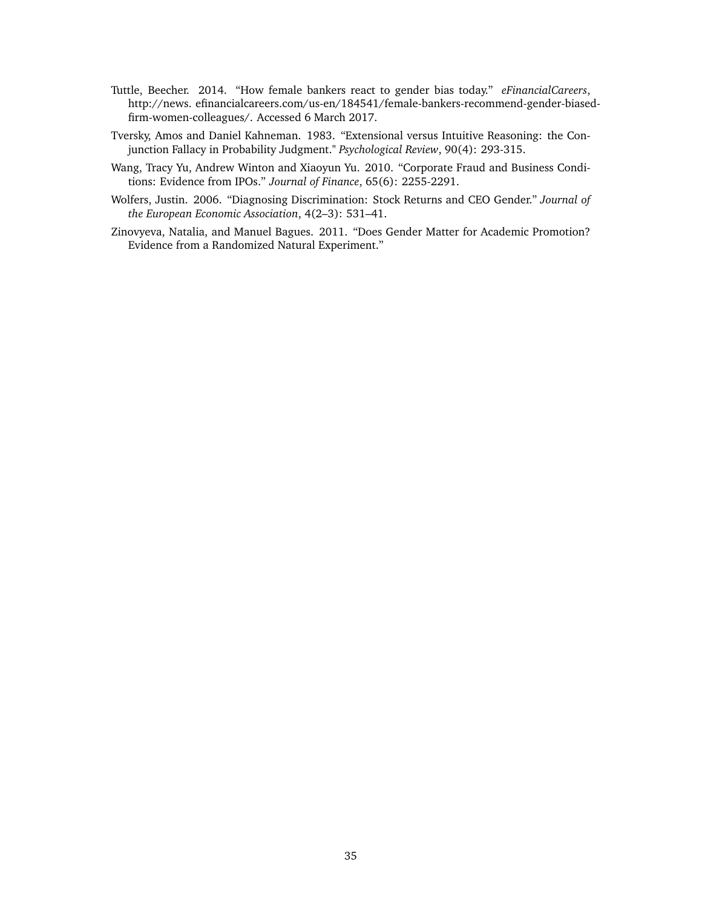- Tuttle, Beecher. 2014. "How female bankers react to gender bias today." *eFinancialCareers*, http://news. efinancialcareers.com/us-en/184541/female-bankers-recommend-gender-biasedfirm-women-colleagues/. Accessed 6 March 2017.
- Tversky, Amos and Daniel Kahneman. 1983. "Extensional versus Intuitive Reasoning: the Conjunction Fallacy in Probability Judgment." *Psychological Review*, 90(4): 293-315.
- Wang, Tracy Yu, Andrew Winton and Xiaoyun Yu. 2010. "Corporate Fraud and Business Conditions: Evidence from IPOs." *Journal of Finance*, 65(6): 2255-2291.
- Wolfers, Justin. 2006. "Diagnosing Discrimination: Stock Returns and CEO Gender." *Journal of the European Economic Association*, 4(2–3): 531–41.
- Zinovyeva, Natalia, and Manuel Bagues. 2011. "Does Gender Matter for Academic Promotion? Evidence from a Randomized Natural Experiment."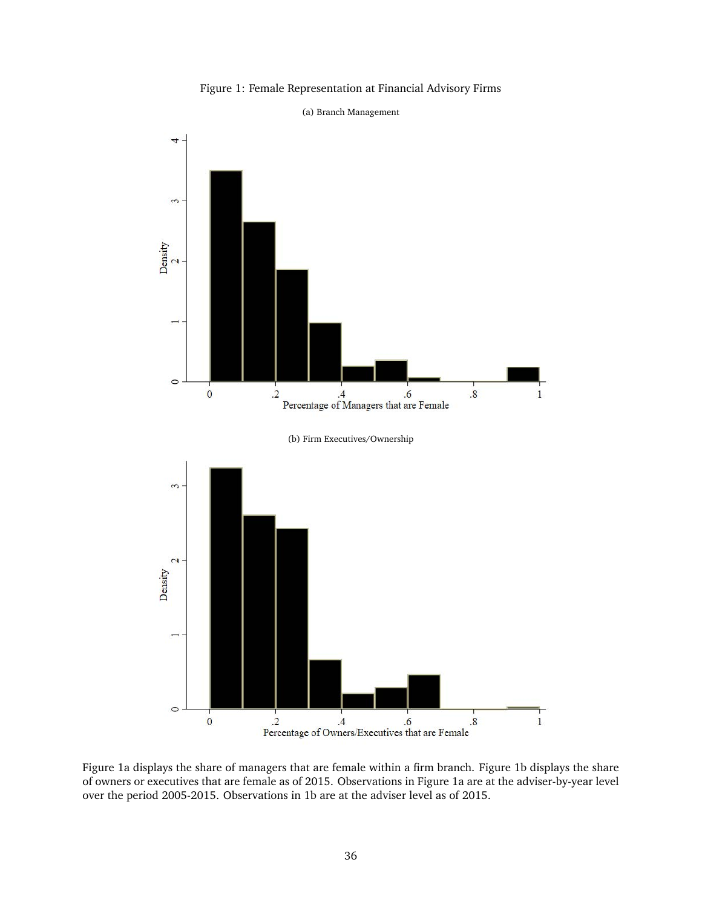



Figure 1a displays the share of managers that are female within a firm branch. Figure 1b displays the share of owners or executives that are female as of 2015. Observations in Figure 1a are at the adviser-by-year level over the period 2005-2015. Observations in 1b are at the adviser level as of 2015.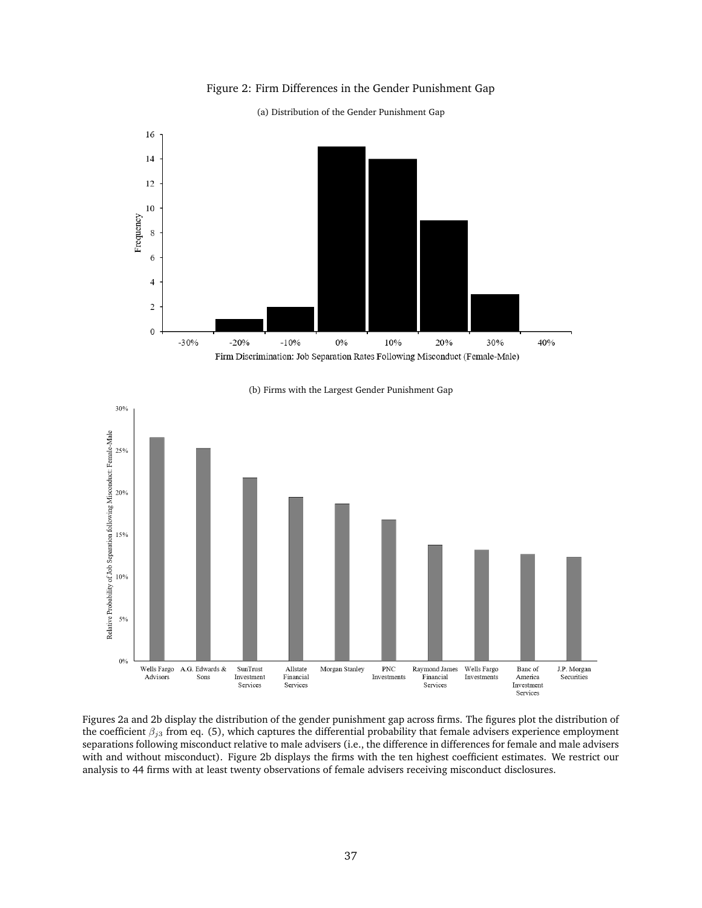



(a) Distribution of the Gender Punishment Gap



Figures 2a and 2b display the distribution of the gender punishment gap across firms. The figures plot the distribution of the coefficient  $\beta_{j3}$  from eq. (5), which captures the differential probability that female advisers experience employment separations following misconduct relative to male advisers (i.e., the difference in differences for female and male advisers with and without misconduct). Figure 2b displays the firms with the ten highest coefficient estimates. We restrict our analysis to 44 firms with at least twenty observations of female advisers receiving misconduct disclosures.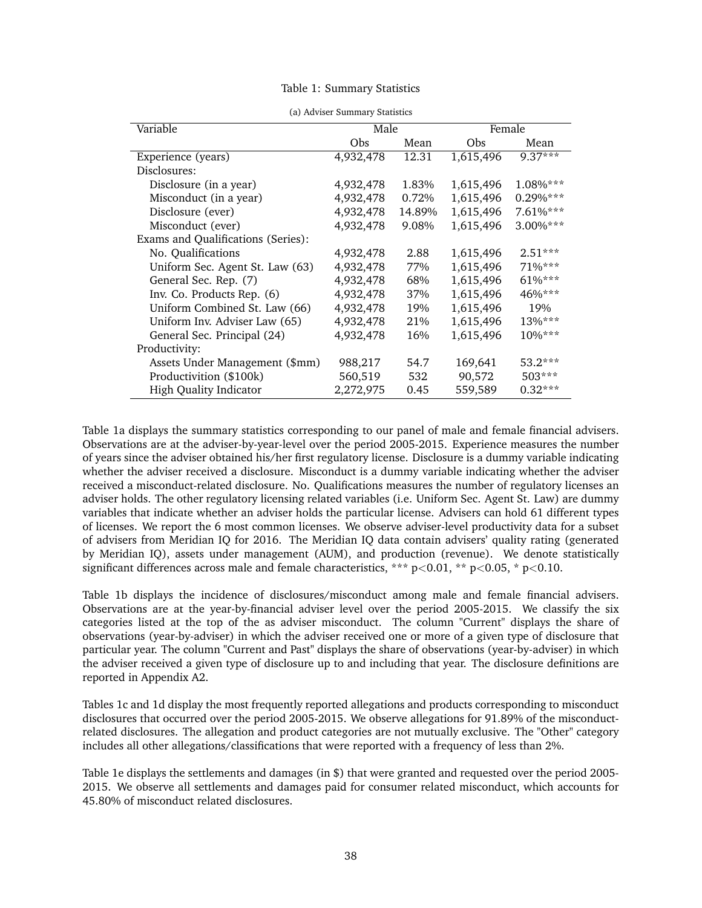| (a) Adviser Summary Statistics     |           |        |           |             |  |  |  |
|------------------------------------|-----------|--------|-----------|-------------|--|--|--|
| Variable                           | Male      |        |           | Female      |  |  |  |
|                                    | Obs       | Mean   | Obs       | Mean        |  |  |  |
| Experience (years)                 | 4,932,478 | 12.31  | 1,615,496 | $9.37***$   |  |  |  |
| Disclosures:                       |           |        |           |             |  |  |  |
| Disclosure (in a year)             | 4,932,478 | 1.83%  | 1,615,496 | 1.08%***    |  |  |  |
| Misconduct (in a year)             | 4,932,478 | 0.72%  | 1,615,496 | $0.29\%***$ |  |  |  |
| Disclosure (ever)                  | 4,932,478 | 14.89% | 1,615,496 | 7.61%***    |  |  |  |
| Misconduct (ever)                  | 4,932,478 | 9.08%  | 1,615,496 | 3.00%***    |  |  |  |
| Exams and Qualifications (Series): |           |        |           |             |  |  |  |
| No. Qualifications                 | 4,932,478 | 2.88   | 1,615,496 | $2.51***$   |  |  |  |
| Uniform Sec. Agent St. Law (63)    | 4,932,478 | 77%    | 1,615,496 | 71%***      |  |  |  |
| General Sec. Rep. (7)              | 4,932,478 | 68%    | 1,615,496 | 61%***      |  |  |  |
| Inv. Co. Products Rep. (6)         | 4,932,478 | 37%    | 1,615,496 | 46%***      |  |  |  |
| Uniform Combined St. Law (66)      | 4,932,478 | 19%    | 1,615,496 | 19%         |  |  |  |
| Uniform Inv. Adviser Law (65)      | 4,932,478 | 21%    | 1,615,496 | 13%***      |  |  |  |
| General Sec. Principal (24)        | 4,932,478 | 16%    | 1,615,496 | 10%***      |  |  |  |
| Productivity:                      |           |        |           |             |  |  |  |
| Assets Under Management (\$mm)     | 988,217   | 54.7   | 169,641   | 53.2***     |  |  |  |
| Productivition (\$100k)            | 560,519   | 532    | 90,572    | 503***      |  |  |  |
| <b>High Quality Indicator</b>      | 2,272,975 | 0.45   | 559,589   | $0.32***$   |  |  |  |

Table 1: Summary Statistics

(a) Adviser Summary Statistics

Table 1a displays the summary statistics corresponding to our panel of male and female financial advisers. Observations are at the adviser-by-year-level over the period 2005-2015. Experience measures the number of years since the adviser obtained his/her first regulatory license. Disclosure is a dummy variable indicating whether the adviser received a disclosure. Misconduct is a dummy variable indicating whether the adviser received a misconduct-related disclosure. No. Qualifications measures the number of regulatory licenses an adviser holds. The other regulatory licensing related variables (i.e. Uniform Sec. Agent St. Law) are dummy variables that indicate whether an adviser holds the particular license. Advisers can hold 61 different types of licenses. We report the 6 most common licenses. We observe adviser-level productivity data for a subset of advisers from Meridian IQ for 2016. The Meridian IQ data contain advisers' quality rating (generated by Meridian IQ), assets under management (AUM), and production (revenue). We denote statistically significant differences across male and female characteristics, \*\*\*  $p<0.01$ , \*\*  $p<0.05$ , \*  $p<0.10$ .

Table 1b displays the incidence of disclosures/misconduct among male and female financial advisers. Observations are at the year-by-financial adviser level over the period 2005-2015. We classify the six categories listed at the top of the as adviser misconduct. The column "Current" displays the share of observations (year-by-adviser) in which the adviser received one or more of a given type of disclosure that particular year. The column "Current and Past" displays the share of observations (year-by-adviser) in which the adviser received a given type of disclosure up to and including that year. The disclosure definitions are reported in Appendix A2.

Tables 1c and 1d display the most frequently reported allegations and products corresponding to misconduct disclosures that occurred over the period 2005-2015. We observe allegations for 91.89% of the misconductrelated disclosures. The allegation and product categories are not mutually exclusive. The "Other" category includes all other allegations/classifications that were reported with a frequency of less than 2%.

Table 1e displays the settlements and damages (in \$) that were granted and requested over the period 2005- 2015. We observe all settlements and damages paid for consumer related misconduct, which accounts for 45.80% of misconduct related disclosures.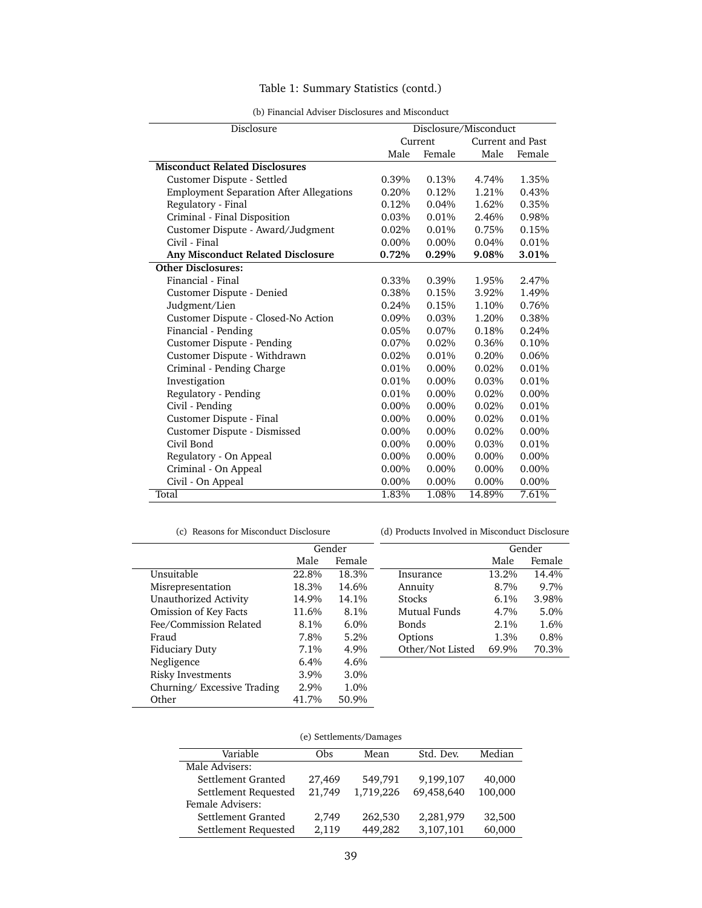## Table 1: Summary Statistics (contd.)

| Disclosure                                     |          |         | Disclosure/Misconduct |        |
|------------------------------------------------|----------|---------|-----------------------|--------|
|                                                |          | Current | Current and Past      |        |
|                                                | Male     | Female  | Male                  | Female |
| <b>Misconduct Related Disclosures</b>          |          |         |                       |        |
| Customer Dispute - Settled                     | 0.39%    | 0.13%   | 4.74%                 | 1.35%  |
| <b>Employment Separation After Allegations</b> | 0.20%    | 0.12%   | 1.21%                 | 0.43%  |
| Regulatory - Final                             | 0.12%    | 0.04%   | 1.62%                 | 0.35%  |
| Criminal - Final Disposition                   | 0.03%    | 0.01%   | 2.46%                 | 0.98%  |
| Customer Dispute - Award/Judgment              | 0.02%    | 0.01%   | 0.75%                 | 0.15%  |
| Civil - Final                                  | 0.00%    | 0.00%   | 0.04%                 | 0.01%  |
| Any Misconduct Related Disclosure              | 0.72%    | 0.29%   | 9.08%                 | 3.01%  |
| <b>Other Disclosures:</b>                      |          |         |                       |        |
| Financial - Final                              | 0.33%    | 0.39%   | 1.95%                 | 2.47%  |
| Customer Dispute - Denied                      | 0.38%    | 0.15%   | 3.92%                 | 1.49%  |
| Judgment/Lien                                  | 0.24%    | 0.15%   | 1.10%                 | 0.76%  |
| Customer Dispute - Closed-No Action            | 0.09%    | 0.03%   | 1.20%                 | 0.38%  |
| Financial - Pending                            | 0.05%    | 0.07%   | 0.18%                 | 0.24%  |
| <b>Customer Dispute - Pending</b>              | 0.07%    | 0.02%   | 0.36%                 | 0.10%  |
| Customer Dispute - Withdrawn                   | 0.02%    | 0.01%   | 0.20%                 | 0.06%  |
| Criminal - Pending Charge                      | $0.01\%$ | 0.00%   | $0.02\%$              | 0.01%  |
| Investigation                                  | 0.01%    | 0.00%   | 0.03%                 | 0.01%  |
| Regulatory - Pending                           | 0.01%    | 0.00%   | 0.02%                 | 0.00%  |
| Civil - Pending                                | 0.00%    | 0.00%   | 0.02%                 | 0.01%  |
| Customer Dispute - Final                       | 0.00%    | 0.00%   | 0.02%                 | 0.01%  |
| Customer Dispute - Dismissed                   | 0.00%    | 0.00%   | 0.02%                 | 0.00%  |
| Civil Bond                                     | 0.00%    | 0.00%   | 0.03%                 | 0.01%  |
| Regulatory - On Appeal                         | 0.00%    | 0.00%   | 0.00%                 | 0.00%  |
| Criminal - On Appeal                           | 0.00%    | 0.00%   | 0.00%                 | 0.00%  |
| Civil - On Appeal                              | 0.00%    | 0.00%   | 0.00%                 | 0.00%  |
| Total                                          | 1.83%    | 1.08%   | 14.89%                | 7.61%  |

#### (b) Financial Adviser Disclosures and Misconduct

(c) Reasons for Misconduct Disclosure

(d) Products Involved in Misconduct Disclosure

|                            | Gender |         |                  |         | Gender  |
|----------------------------|--------|---------|------------------|---------|---------|
|                            | Male   | Female  |                  | Male    | Female  |
| Unsuitable                 | 22.8%  | 18.3%   | Insurance        | 13.2%   | 14.4%   |
| Misrepresentation          | 18.3%  | 14.6%   | Annuity          | 8.7%    | 9.7%    |
| Unauthorized Activity      | 14.9%  | 14.1%   | <b>Stocks</b>    | $6.1\%$ | 3.98%   |
| Omission of Key Facts      | 11.6%  | 8.1%    | Mutual Funds     | 4.7%    | 5.0%    |
| Fee/Commission Related     | 8.1%   | $6.0\%$ | <b>Bonds</b>     | 2.1%    | 1.6%    |
| Fraud                      | 7.8%   | $5.2\%$ | Options          | 1.3%    | $0.8\%$ |
| <b>Fiduciary Duty</b>      | 7.1%   | 4.9%    | Other/Not Listed | 69.9%   | 70.3%   |
| Negligence                 | 6.4%   | 4.6%    |                  |         |         |
| <b>Risky Investments</b>   | 3.9%   | $3.0\%$ |                  |         |         |
| Churning/Excessive Trading | 2.9%   | 1.0%    |                  |         |         |
| Other                      | 41.7%  | 50.9%   |                  |         |         |

## (e) Settlements/Damages

| Variable             | Obs    | Mean      | Std. Dev.  | Median  |
|----------------------|--------|-----------|------------|---------|
| Male Advisers:       |        |           |            |         |
| Settlement Granted   | 27,469 | 549.791   | 9,199,107  | 40,000  |
| Settlement Requested | 21,749 | 1,719,226 | 69.458.640 | 100,000 |
| Female Advisers:     |        |           |            |         |
| Settlement Granted   | 2,749  | 262,530   | 2,281,979  | 32,500  |
| Settlement Requested | 2,119  | 449,282   | 3,107,101  | 60,000  |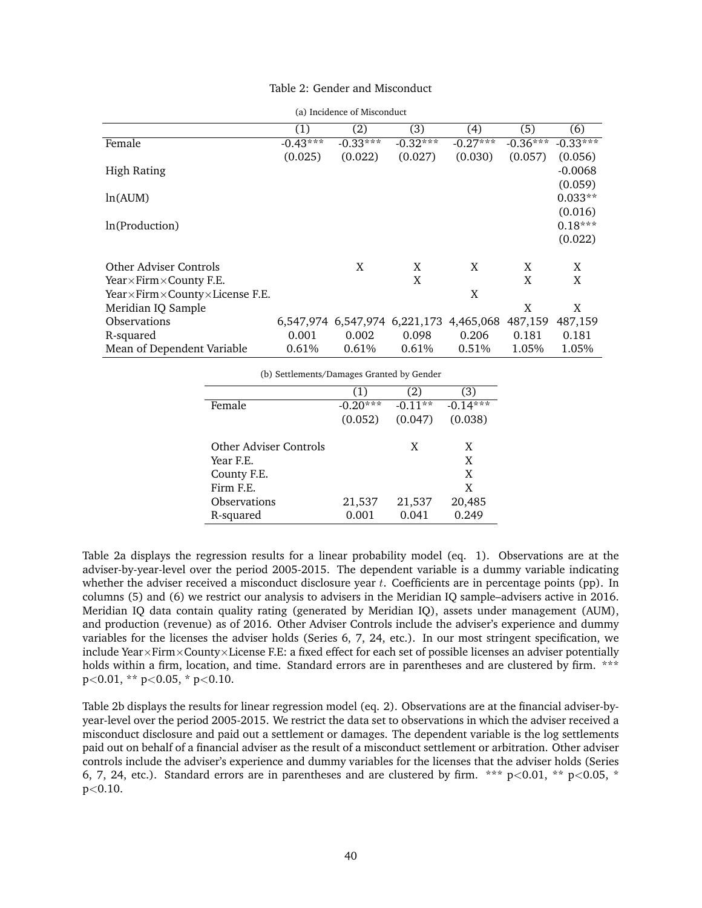### Table 2: Gender and Misconduct

|                                                     | (1)        | (2)        | (3)                           | (4)        | (5)        | (6)        |
|-----------------------------------------------------|------------|------------|-------------------------------|------------|------------|------------|
| Female                                              | $-0.43***$ | $-0.33***$ | $-0.32***$                    | $-0.27***$ | $-0.36***$ | $-0.33***$ |
|                                                     | (0.025)    | (0.022)    | (0.027)                       | (0.030)    | (0.057)    | (0.056)    |
| <b>High Rating</b>                                  |            |            |                               |            |            | $-0.0068$  |
|                                                     |            |            |                               |            |            | (0.059)    |
| ln(AUM)                                             |            |            |                               |            |            | $0.033**$  |
|                                                     |            |            |                               |            |            | (0.016)    |
| ln(Production)                                      |            |            |                               |            |            | $0.18***$  |
|                                                     |            |            |                               |            |            | (0.022)    |
|                                                     |            |            |                               |            |            |            |
| Other Adviser Controls                              |            | X          | X                             | X          | X          | X          |
| Year $\times$ Firm $\times$ County F.E.             |            |            | X                             |            | X          | X          |
| $Year \times Firm \times Count \times License$ F.E. |            |            |                               | X          |            |            |
| Meridian IQ Sample                                  |            |            |                               |            | X          | X          |
| <b>Observations</b>                                 |            |            | 6,547,974 6,547,974 6,221,173 | 4,465,068  | 487,159    | 487,159    |
| R-squared                                           | 0.001      | 0.002      | 0.098                         | 0.206      | 0.181      | 0.181      |
| Mean of Dependent Variable                          | 0.61%      | 0.61%      | 0.61%                         | 0.51%      | 1.05%      | 1.05%      |

(b) Settlements/Damages Granted by Gender

|                        | (1)        | (2)       | (3)        |
|------------------------|------------|-----------|------------|
| Female                 | $-0.20***$ | $-0.11**$ | $-0.14***$ |
|                        | (0.052)    | (0.047)   | (0.038)    |
|                        |            |           |            |
| Other Adviser Controls |            | X         | X          |
| Year F.E.              |            |           | X          |
| County F.E.            |            |           | X          |
| Firm F.E.              |            |           | X          |
| Observations           | 21,537     | 21,537    | 20,485     |
| R-squared              | 0.001      | 0.041     | 0.249      |

Table 2a displays the regression results for a linear probability model (eq. 1). Observations are at the adviser-by-year-level over the period 2005-2015. The dependent variable is a dummy variable indicating whether the adviser received a misconduct disclosure year t. Coefficients are in percentage points (pp). In columns (5) and (6) we restrict our analysis to advisers in the Meridian IQ sample–advisers active in 2016. Meridian IQ data contain quality rating (generated by Meridian IQ), assets under management (AUM), and production (revenue) as of 2016. Other Adviser Controls include the adviser's experience and dummy variables for the licenses the adviser holds (Series 6, 7, 24, etc.). In our most stringent specification, we include Year×Firm×County×License F.E: a fixed effect for each set of possible licenses an adviser potentially holds within a firm, location, and time. Standard errors are in parentheses and are clustered by firm. \*\*\* p<0.01, \*\* p<0.05, \* p<0.10.

Table 2b displays the results for linear regression model (eq. 2). Observations are at the financial adviser-byyear-level over the period 2005-2015. We restrict the data set to observations in which the adviser received a misconduct disclosure and paid out a settlement or damages. The dependent variable is the log settlements paid out on behalf of a financial adviser as the result of a misconduct settlement or arbitration. Other adviser controls include the adviser's experience and dummy variables for the licenses that the adviser holds (Series 6, 7, 24, etc.). Standard errors are in parentheses and are clustered by firm. \*\*\*  $p<0.01$ , \*\*  $p<0.05$ , \* p<0.10.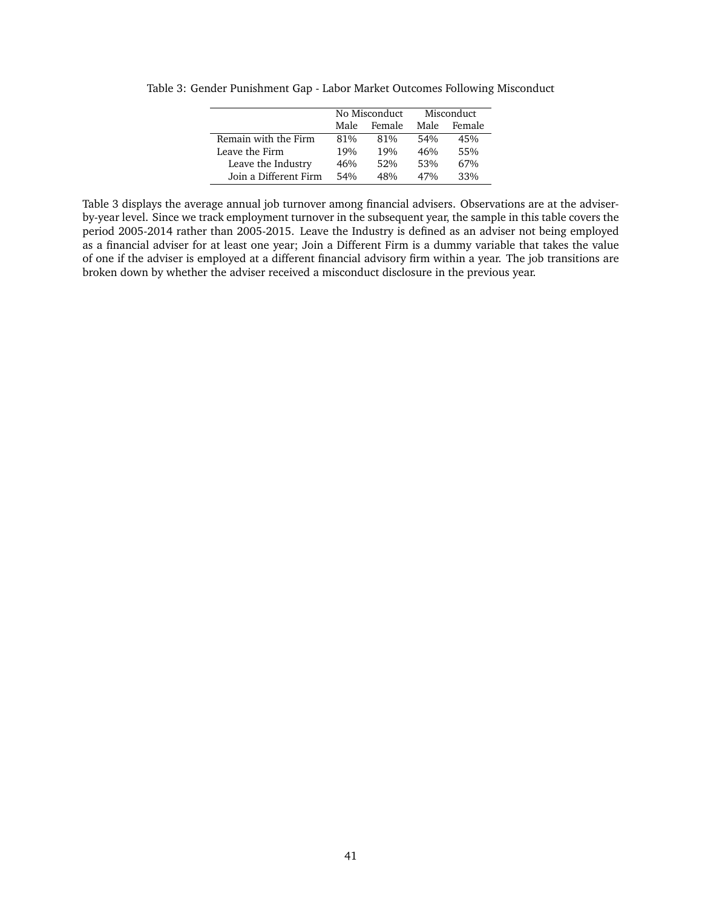|                       |                 | No Misconduct |      | Misconduct |
|-----------------------|-----------------|---------------|------|------------|
|                       | Male            | Female        | Male | Female     |
| Remain with the Firm  | $81\%$          | $81\%$        | 54%  | 45%        |
| Leave the Firm        | 19 <sub>%</sub> | 19%           | 46%  | 55%        |
| Leave the Industry    | 46%             | 52%           | 53%  | 67%        |
| Join a Different Firm | 54%             | 48%           | 47%  | 33%        |

Table 3: Gender Punishment Gap - Labor Market Outcomes Following Misconduct

Table 3 displays the average annual job turnover among financial advisers. Observations are at the adviserby-year level. Since we track employment turnover in the subsequent year, the sample in this table covers the period 2005-2014 rather than 2005-2015. Leave the Industry is defined as an adviser not being employed as a financial adviser for at least one year; Join a Different Firm is a dummy variable that takes the value of one if the adviser is employed at a different financial advisory firm within a year. The job transitions are broken down by whether the adviser received a misconduct disclosure in the previous year.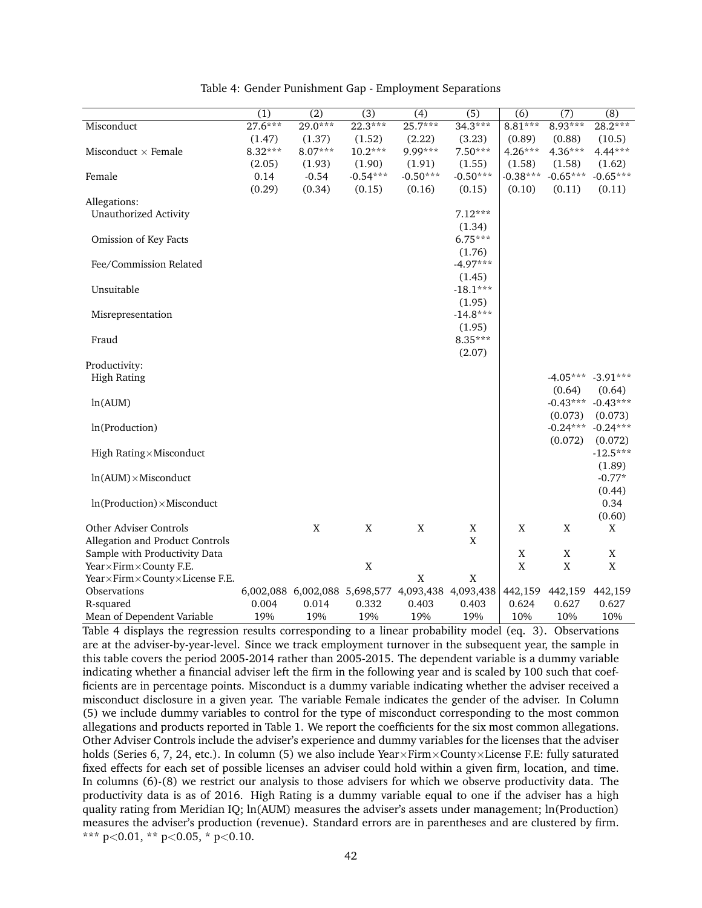|                                     | $\overline{(1)}$ | $\overline{(2)}$ | $\overline{(3)}$                        | (4)        | $\overline{(5)}$ | $\overline{(6)}$ | $\overline{(7)}$ | $\overline{(8)}$      |
|-------------------------------------|------------------|------------------|-----------------------------------------|------------|------------------|------------------|------------------|-----------------------|
| Misconduct                          | $27.6***$        | $29.0***$        | $22.3***$                               | $25.7***$  | $34.3***$        | $8.81***$        | 8.93***          | $28.2***$             |
|                                     | (1.47)           | (1.37)           | (1.52)                                  | (2.22)     | (3.23)           | (0.89)           | (0.88)           | (10.5)                |
| Misconduct $\times$ Female          | 8.32***          | 8.07***          | $10.2***$                               | 9.99***    | $7.50***$        | $4.26***$        | 4.36***          | 4.44***               |
|                                     | (2.05)           | (1.93)           | (1.90)                                  | (1.91)     | (1.55)           | (1.58)           | (1.58)           | (1.62)                |
| Female                              | 0.14             | $-0.54$          | $-0.54***$                              | $-0.50***$ | $-0.50***$       | $-0.38***$       | $-0.65***$       | $-0.65***$            |
|                                     | (0.29)           | (0.34)           | (0.15)                                  | (0.16)     | (0.15)           | (0.10)           | (0.11)           | (0.11)                |
| Allegations:                        |                  |                  |                                         |            |                  |                  |                  |                       |
| Unauthorized Activity               |                  |                  |                                         |            | $7.12***$        |                  |                  |                       |
|                                     |                  |                  |                                         |            | (1.34)           |                  |                  |                       |
| Omission of Key Facts               |                  |                  |                                         |            | $6.75***$        |                  |                  |                       |
|                                     |                  |                  |                                         |            | (1.76)           |                  |                  |                       |
| Fee/Commission Related              |                  |                  |                                         |            | $-4.97***$       |                  |                  |                       |
|                                     |                  |                  |                                         |            | (1.45)           |                  |                  |                       |
| Unsuitable                          |                  |                  |                                         |            | $-18.1***$       |                  |                  |                       |
|                                     |                  |                  |                                         |            | (1.95)           |                  |                  |                       |
| Misrepresentation                   |                  |                  |                                         |            | $-14.8***$       |                  |                  |                       |
|                                     |                  |                  |                                         |            | (1.95)           |                  |                  |                       |
| Fraud                               |                  |                  |                                         |            | 8.35***          |                  |                  |                       |
|                                     |                  |                  |                                         |            | (2.07)           |                  |                  |                       |
| Productivity:                       |                  |                  |                                         |            |                  |                  |                  |                       |
| <b>High Rating</b>                  |                  |                  |                                         |            |                  |                  |                  | $-4.05***$ $-3.91***$ |
|                                     |                  |                  |                                         |            |                  |                  | (0.64)           | (0.64)                |
| ln(AUM)                             |                  |                  |                                         |            |                  |                  |                  | $-0.43***$ $-0.43***$ |
|                                     |                  |                  |                                         |            |                  |                  | (0.073)          | (0.073)               |
| ln(Production)                      |                  |                  |                                         |            |                  |                  |                  | $-0.24***$ $-0.24***$ |
|                                     |                  |                  |                                         |            |                  |                  | (0.072)          | (0.072)               |
| High Rating×Misconduct              |                  |                  |                                         |            |                  |                  |                  | $-12.5***$            |
|                                     |                  |                  |                                         |            |                  |                  |                  | (1.89)                |
| $ln(AUM) \times Misconduct$         |                  |                  |                                         |            |                  |                  |                  | $-0.77*$              |
|                                     |                  |                  |                                         |            |                  |                  |                  | (0.44)                |
| ln(Production) × Misconduct         |                  |                  |                                         |            |                  |                  |                  | 0.34                  |
|                                     |                  | X                | X                                       | X          |                  | X                | X                | (0.60)                |
| Other Adviser Controls              |                  |                  |                                         |            | X                |                  |                  | X                     |
| Allegation and Product Controls     |                  |                  |                                         |            | $\mathbf X$      |                  |                  |                       |
| Sample with Productivity Data       |                  |                  |                                         |            |                  | $\mathbf X$      | $\mathbf X$      | $\mathbf X$           |
| Year × Firm × County F.E.           |                  |                  | $\mathbf X$                             | X          |                  | $\mathbf X$      | $\mathbf X$      | $\mathbf X$           |
| Year × Firm × County × License F.E. |                  |                  |                                         |            | X                |                  |                  |                       |
| Observations                        |                  |                  | 6,002,088 6,002,088 5,698,577 4,093,438 |            | 4,093,438        | 442,159          | 442,159          | 442,159               |
| R-squared                           | 0.004            | 0.014            | 0.332                                   | 0.403      | 0.403            | 0.624            | 0.627            | 0.627                 |
| Mean of Dependent Variable          | 19%              | 19%              | 19%                                     | 19%        | 19%              | 10%              | 10%              | 10%                   |

Table 4: Gender Punishment Gap - Employment Separations

Table 4 displays the regression results corresponding to a linear probability model (eq. 3). Observations are at the adviser-by-year-level. Since we track employment turnover in the subsequent year, the sample in this table covers the period 2005-2014 rather than 2005-2015. The dependent variable is a dummy variable indicating whether a financial adviser left the firm in the following year and is scaled by 100 such that coefficients are in percentage points. Misconduct is a dummy variable indicating whether the adviser received a misconduct disclosure in a given year. The variable Female indicates the gender of the adviser. In Column (5) we include dummy variables to control for the type of misconduct corresponding to the most common allegations and products reported in Table 1. We report the coefficients for the six most common allegations. Other Adviser Controls include the adviser's experience and dummy variables for the licenses that the adviser holds (Series 6, 7, 24, etc.). In column (5) we also include Year×Firm×County×License F.E: fully saturated fixed effects for each set of possible licenses an adviser could hold within a given firm, location, and time. In columns (6)-(8) we restrict our analysis to those advisers for which we observe productivity data. The productivity data is as of 2016. High Rating is a dummy variable equal to one if the adviser has a high quality rating from Meridian IQ; ln(AUM) measures the adviser's assets under management; ln(Production) measures the adviser's production (revenue). Standard errors are in parentheses and are clustered by firm. \*\*\* p<0.01, \*\* p<0.05, \* p<0.10.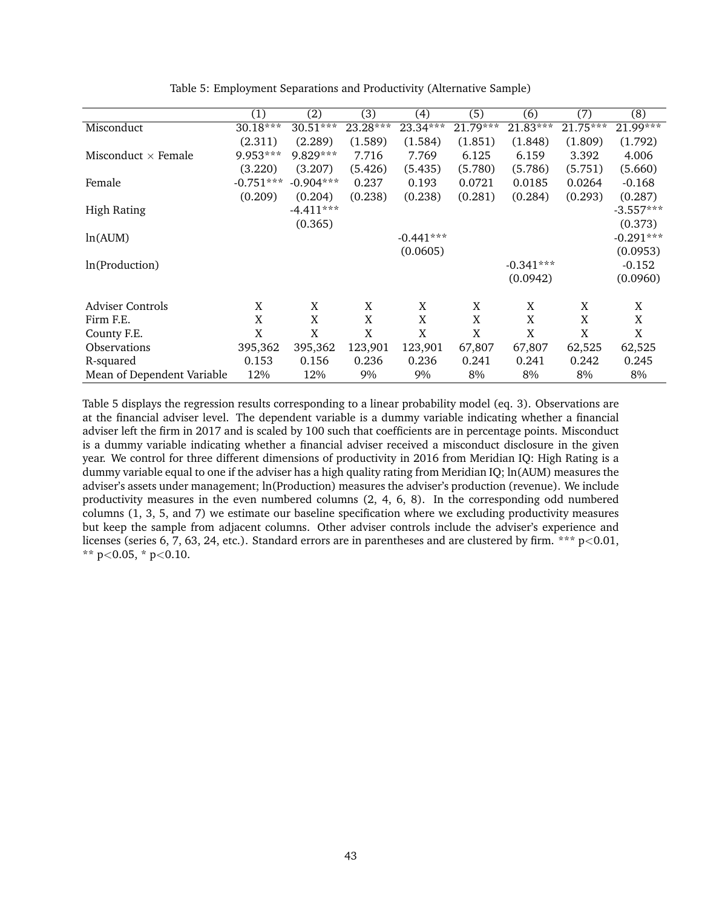|                            | (1)         | (2)         | (3)      | (4)         | (5)        | (6)         | (7)        | (8)         |
|----------------------------|-------------|-------------|----------|-------------|------------|-------------|------------|-------------|
| Misconduct                 | $30.18***$  | 30.51***    | 23.28*** | 23.34***    | $21.79***$ | 21.83***    | $21.75***$ | $21.99***$  |
|                            | (2.311)     | (2.289)     | (1.589)  | (1.584)     | (1.851)    | (1.848)     | (1.809)    | (1.792)     |
| Misconduct $\times$ Female | 9.953***    | 9.829***    | 7.716    | 7.769       | 6.125      | 6.159       | 3.392      | 4.006       |
|                            | (3.220)     | (3.207)     | (5.426)  | (5.435)     | (5.780)    | (5.786)     | (5.751)    | (5.660)     |
| Female                     | $-0.751***$ | $-0.904***$ | 0.237    | 0.193       | 0.0721     | 0.0185      | 0.0264     | $-0.168$    |
|                            | (0.209)     | (0.204)     | (0.238)  | (0.238)     | (0.281)    | (0.284)     | (0.293)    | (0.287)     |
| <b>High Rating</b>         |             | $-4.411***$ |          |             |            |             |            | $-3.557***$ |
|                            |             | (0.365)     |          |             |            |             |            | (0.373)     |
| ln(AUM)                    |             |             |          | $-0.441***$ |            |             |            | $-0.291***$ |
|                            |             |             |          | (0.0605)    |            |             |            | (0.0953)    |
| ln(Production)             |             |             |          |             |            | $-0.341***$ |            | $-0.152$    |
|                            |             |             |          |             |            | (0.0942)    |            | (0.0960)    |
| <b>Adviser Controls</b>    | X           | X           | X        | X           | X          | X           | X          | X           |
| Firm F.E.                  | X           | X           | X        | X           | X          | X           | X          | X           |
| County F.E.                | X           | X           | X        | X           | X          | X           | X          | X           |
| Observations               | 395,362     | 395,362     | 123,901  | 123,901     | 67,807     | 67,807      | 62,525     | 62,525      |
| R-squared                  | 0.153       | 0.156       | 0.236    | 0.236       | 0.241      | 0.241       | 0.242      | 0.245       |
| Mean of Dependent Variable | 12%         | 12%         | 9%       | 9%          | 8%         | 8%          | 8%         | 8%          |

Table 5: Employment Separations and Productivity (Alternative Sample)

Table 5 displays the regression results corresponding to a linear probability model (eq. 3). Observations are at the financial adviser level. The dependent variable is a dummy variable indicating whether a financial adviser left the firm in 2017 and is scaled by 100 such that coefficients are in percentage points. Misconduct is a dummy variable indicating whether a financial adviser received a misconduct disclosure in the given year. We control for three different dimensions of productivity in 2016 from Meridian IQ: High Rating is a dummy variable equal to one if the adviser has a high quality rating from Meridian IQ; ln(AUM) measures the adviser's assets under management; ln(Production) measures the adviser's production (revenue). We include productivity measures in the even numbered columns (2, 4, 6, 8). In the corresponding odd numbered columns (1, 3, 5, and 7) we estimate our baseline specification where we excluding productivity measures but keep the sample from adjacent columns. Other adviser controls include the adviser's experience and licenses (series 6, 7, 63, 24, etc.). Standard errors are in parentheses and are clustered by firm. \*\*\* p<0.01, \*\*  $p<0.05$ , \*  $p<0.10$ .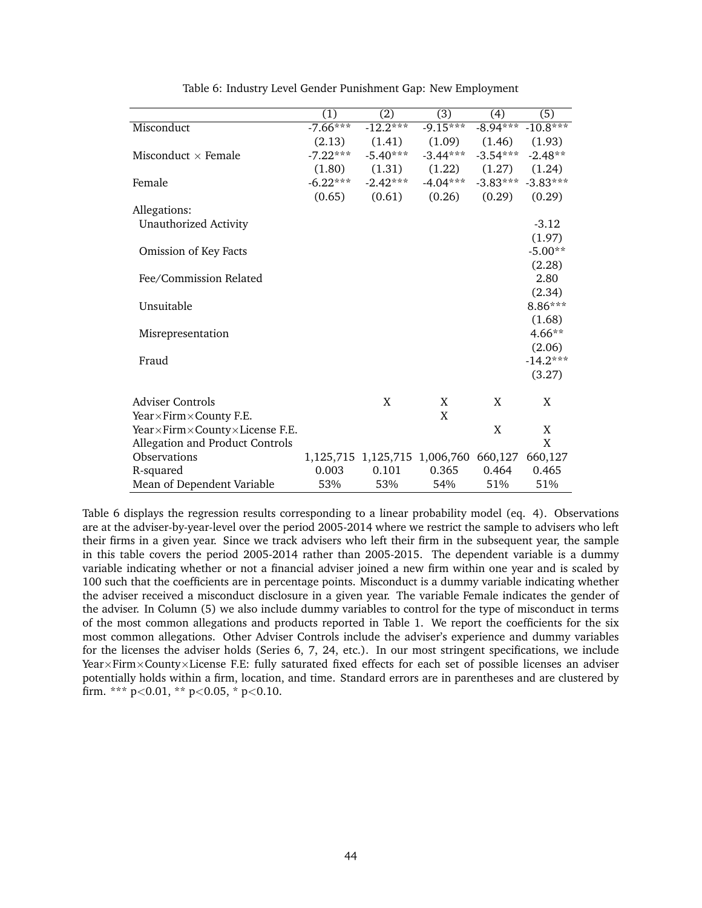|                                 | (1)        | (2)                                          | $\overline{(3)}$                 | (4)        | (5)        |
|---------------------------------|------------|----------------------------------------------|----------------------------------|------------|------------|
| Misconduct                      | $-7.66***$ | $-12.2***$                                   | $-9.15***$                       | $-8.94***$ | $-10.8***$ |
|                                 | (2.13)     | (1.41)                                       | (1.09)                           | (1.46)     | (1.93)     |
| Misconduct $\times$ Female      | $-7.22***$ | $-5.40***$                                   | $-3.44***$ $-3.54***$            |            | $-2.48**$  |
|                                 | (1.80)     |                                              | $(1.31)$ $(1.22)$ $(1.27)$       |            | (1.24)     |
| Female                          | $-6.22***$ | $-2.42***$                                   | $-4.04***$ $-3.83***$ $-3.83***$ |            |            |
|                                 |            | $(0.65)$ $(0.61)$ $(0.26)$ $(0.29)$          |                                  |            | (0.29)     |
| Allegations:                    |            |                                              |                                  |            |            |
| Unauthorized Activity           |            |                                              |                                  |            | $-3.12$    |
|                                 |            |                                              |                                  |            | (1.97)     |
| Omission of Key Facts           |            |                                              |                                  |            | $-5.00**$  |
|                                 |            |                                              |                                  |            | (2.28)     |
| Fee/Commission Related          |            |                                              |                                  |            | 2.80       |
|                                 |            |                                              |                                  |            | (2.34)     |
| Unsuitable                      |            |                                              |                                  |            | $8.86***$  |
|                                 |            |                                              |                                  |            | (1.68)     |
| Misrepresentation               |            |                                              |                                  |            | $4.66**$   |
|                                 |            |                                              |                                  |            | (2.06)     |
| Fraud                           |            |                                              |                                  |            | $-14.2***$ |
|                                 |            |                                              |                                  |            | (3.27)     |
| <b>Adviser Controls</b>         |            | X                                            | X                                | X          | X          |
|                                 |            |                                              | X                                |            |            |
| Year×Firm×County F.E.           |            |                                              |                                  | X          | X          |
| Year×Firm×County×License F.E.   |            |                                              |                                  |            | X          |
| Allegation and Product Controls |            |                                              |                                  |            |            |
| Observations                    |            | 1, 125, 715 1, 125, 715 1, 006, 760 660, 127 |                                  |            | 660,127    |
| R-squared                       | 0.003      | 0.101                                        | 0.365                            | 0.464      | 0.465      |
| Mean of Dependent Variable      | 53%        | 53%                                          | 54%                              | 51%        | 51%        |

Table 6: Industry Level Gender Punishment Gap: New Employment

Table 6 displays the regression results corresponding to a linear probability model (eq. 4). Observations are at the adviser-by-year-level over the period 2005-2014 where we restrict the sample to advisers who left their firms in a given year. Since we track advisers who left their firm in the subsequent year, the sample in this table covers the period 2005-2014 rather than 2005-2015. The dependent variable is a dummy variable indicating whether or not a financial adviser joined a new firm within one year and is scaled by 100 such that the coefficients are in percentage points. Misconduct is a dummy variable indicating whether the adviser received a misconduct disclosure in a given year. The variable Female indicates the gender of the adviser. In Column (5) we also include dummy variables to control for the type of misconduct in terms of the most common allegations and products reported in Table 1. We report the coefficients for the six most common allegations. Other Adviser Controls include the adviser's experience and dummy variables for the licenses the adviser holds (Series 6, 7, 24, etc.). In our most stringent specifications, we include Year×Firm×County×License F.E: fully saturated fixed effects for each set of possible licenses an adviser potentially holds within a firm, location, and time. Standard errors are in parentheses and are clustered by firm. \*\*\*  $p<0.01$ , \*\*  $p<0.05$ , \*  $p<0.10$ .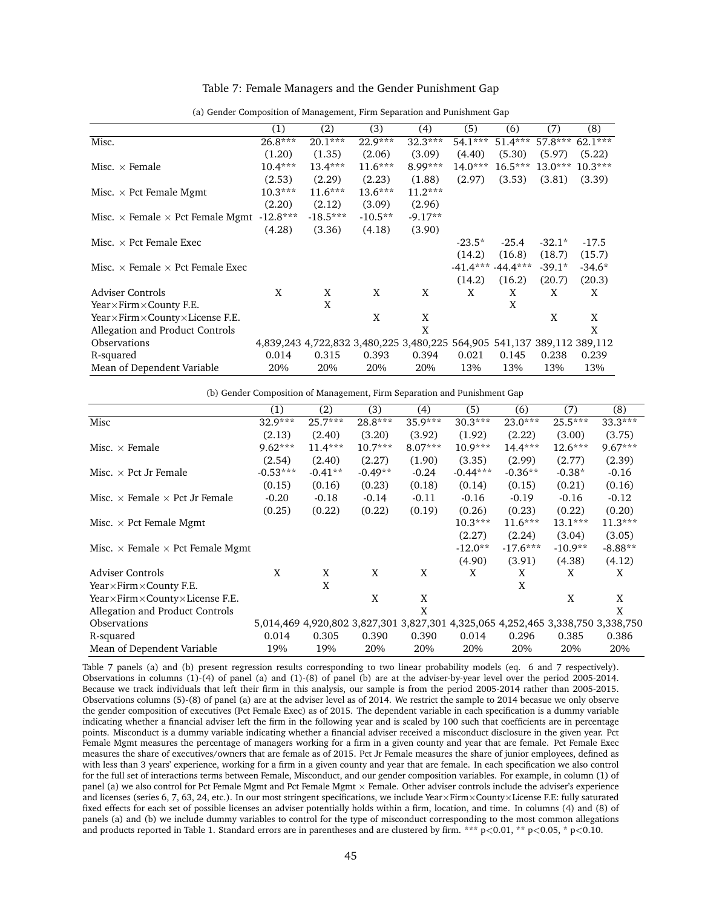| Table 7: Female Managers and the Gender Punishment Gap |  |  |  |
|--------------------------------------------------------|--|--|--|
|--------------------------------------------------------|--|--|--|

|                                                | (1)        | (2)                                                                     | (3)       | (4)       | (5)       | (6)                   | (7)       | (8)       |
|------------------------------------------------|------------|-------------------------------------------------------------------------|-----------|-----------|-----------|-----------------------|-----------|-----------|
| Misc.                                          | $26.8***$  | $20.1***$                                                               | $22.9***$ | $32.3***$ | $54.1***$ | $51.4***$             | $57.8***$ | $62.1***$ |
|                                                | (1.20)     | (1.35)                                                                  | (2.06)    | (3.09)    | (4.40)    | (5.30)                | (5.97)    | (5.22)    |
| Misc. $\times$ Female                          | $10.4***$  | $13.4***$                                                               | $11.6***$ | 8.99***   | $14.0***$ | $16.5***$             | $13.0***$ | $10.3***$ |
|                                                | (2.53)     | (2.29)                                                                  | (2.23)    | (1.88)    | (2.97)    | (3.53)                | (3.81)    | (3.39)    |
| Misc. $\times$ Pct Female Mgmt                 | $10.3***$  | $11.6***$                                                               | $13.6***$ | $11.2***$ |           |                       |           |           |
|                                                | (2.20)     | (2.12)                                                                  | (3.09)    | (2.96)    |           |                       |           |           |
| Misc. $\times$ Female $\times$ Pct Female Mgmt | $-12.8***$ | $-18.5***$                                                              | $-10.5**$ | $-9.17**$ |           |                       |           |           |
|                                                | (4.28)     | (3.36)                                                                  | (4.18)    | (3.90)    |           |                       |           |           |
| Misc. $\times$ Pct Female Exec                 |            |                                                                         |           |           | $-23.5*$  | $-25.4$               | $-32.1*$  | $-17.5$   |
|                                                |            |                                                                         |           |           | (14.2)    | (16.8)                | (18.7)    | (15.7)    |
| Misc. $\times$ Female $\times$ Pct Female Exec |            |                                                                         |           |           |           | $-41.4***$ $-44.4***$ | $-39.1*$  | $-34.6*$  |
|                                                |            |                                                                         |           |           | (14.2)    | (16.2)                | (20.7)    | (20.3)    |
| <b>Adviser Controls</b>                        | X          | X                                                                       | X         | X         | X         | X                     | X         | X         |
| Year $\times$ Firm $\times$ County F.E.        |            | X                                                                       |           |           |           | X                     |           |           |
| Year×Firm×County×License F.E.                  |            |                                                                         | X         | X         |           |                       | X         | X         |
| Allegation and Product Controls                |            |                                                                         |           | X         |           |                       |           | X         |
| <b>Observations</b>                            |            | 4,839,243 4,722,832 3,480,225 3,480,225 564,905 541,137 389,112 389,112 |           |           |           |                       |           |           |
| R-squared                                      | 0.014      | 0.315                                                                   | 0.393     | 0.394     | 0.021     | 0.145                 | 0.238     | 0.239     |
| Mean of Dependent Variable                     | 20%        | 20%                                                                     | 20%       | 20%       | 13%       | 13%                   | 13%       | 13%       |

(a) Gender Composition of Management, Firm Separation and Punishment Gap

(b) Gender Composition of Management, Firm Separation and Punishment Gap

|                                                          | (1)        | (2)       | (3)       | (4)       | (5)        | (6)        | (7)       | (8)                                                                             |
|----------------------------------------------------------|------------|-----------|-----------|-----------|------------|------------|-----------|---------------------------------------------------------------------------------|
| Misc                                                     | $32.9***$  | $25.7***$ | 28.8***   | $35.9***$ | $30.3***$  | $23.0***$  | $25.5***$ | $33.3***$                                                                       |
|                                                          | (2.13)     | (2.40)    | (3.20)    | (3.92)    | (1.92)     | (2.22)     | (3.00)    | (3.75)                                                                          |
| Misc. $\times$ Female                                    | $9.62***$  | $11.4***$ | $10.7***$ | $8.07***$ | $10.9***$  | 14.4***    | $12.6***$ | $9.67***$                                                                       |
|                                                          | (2.54)     | (2.40)    | (2.27)    | (1.90)    | (3.35)     | (2.99)     | (2.77)    | (2.39)                                                                          |
| Misc. $\times$ Pct Jr Female                             | $-0.53***$ | $-0.41**$ | $-0.49**$ | $-0.24$   | $-0.44***$ | $-0.36**$  | $-0.38*$  | $-0.16$                                                                         |
|                                                          | (0.15)     | (0.16)    | (0.23)    | (0.18)    | (0.14)     | (0.15)     | (0.21)    | (0.16)                                                                          |
| Misc. $\times$ Female $\times$ Pct Jr Female             | $-0.20$    | $-0.18$   | $-0.14$   | $-0.11$   | $-0.16$    | $-0.19$    | $-0.16$   | $-0.12$                                                                         |
|                                                          | (0.25)     | (0.22)    | (0.22)    | (0.19)    | (0.26)     | (0.23)     | (0.22)    | (0.20)                                                                          |
| Misc. $\times$ Pct Female Mgmt                           |            |           |           |           | $10.3***$  | $11.6***$  | $13.1***$ | $11.3***$                                                                       |
|                                                          |            |           |           |           | (2.27)     | (2.24)     | (3.04)    | (3.05)                                                                          |
| Misc. $\times$ Female $\times$ Pct Female Mgmt           |            |           |           |           | $-12.0**$  | $-17.6***$ | $-10.9**$ | $-8.88**$                                                                       |
|                                                          |            |           |           |           | (4.90)     | (3.91)     | (4.38)    | (4.12)                                                                          |
| <b>Adviser Controls</b>                                  | X          | X         | X         | X         | X          | X          | X         | X                                                                               |
| Year $\times$ Firm $\times$ County F.E.                  |            | X         |           |           |            | X          |           |                                                                                 |
| Year $\times$ Firm $\times$ County $\times$ License F.E. |            |           | X         | X         |            |            | X         | X                                                                               |
| Allegation and Product Controls                          |            |           |           | X         |            |            |           | X                                                                               |
| <b>Observations</b>                                      |            |           |           |           |            |            |           | 5,014,469 4,920,802 3,827,301 3,827,301 4,325,065 4,252,465 3,338,750 3,338,750 |
| R-squared                                                | 0.014      | 0.305     | 0.390     | 0.390     | 0.014      | 0.296      | 0.385     | 0.386                                                                           |
| Mean of Dependent Variable                               | 19%        | 19%       | 20%       | 20%       | 20%        | 20%        | 20%       | 20%                                                                             |

Table 7 panels (a) and (b) present regression results corresponding to two linear probability models (eq. 6 and 7 respectively). Observations in columns (1)-(4) of panel (a) and (1)-(8) of panel (b) are at the adviser-by-year level over the period 2005-2014. Because we track individuals that left their firm in this analysis, our sample is from the period 2005-2014 rather than 2005-2015. Observations columns (5)-(8) of panel (a) are at the adviser level as of 2014. We restrict the sample to 2014 becasue we only observe the gender composition of executives (Pct Female Exec) as of 2015. The dependent variable in each specification is a dummy variable indicating whether a financial adviser left the firm in the following year and is scaled by 100 such that coefficients are in percentage points. Misconduct is a dummy variable indicating whether a financial adviser received a misconduct disclosure in the given year. Pct Female Mgmt measures the percentage of managers working for a firm in a given county and year that are female. Pct Female Exec measures the share of executives/owners that are female as of 2015. Pct Jr Female measures the share of junior employees, defined as with less than 3 years' experience, working for a firm in a given county and year that are female. In each specification we also control for the full set of interactions terms between Female, Misconduct, and our gender composition variables. For example, in column (1) of panel (a) we also control for Pct Female Mgmt and Pct Female Mgmt  $\times$  Female. Other adviser controls include the adviser's experience and licenses (series 6, 7, 63, 24, etc.). In our most stringent specifications, we include Year×Firm×County×License F.E: fully saturated fixed effects for each set of possible licenses an adviser potentially holds within a firm, location, and time. In columns (4) and (8) of panels (a) and (b) we include dummy variables to control for the type of misconduct corresponding to the most common allegations and products reported in Table 1. Standard errors are in parentheses and are clustered by firm. \*\*\*  $p<0.01$ , \*\*  $p<0.05$ , \*  $p<0.10$ .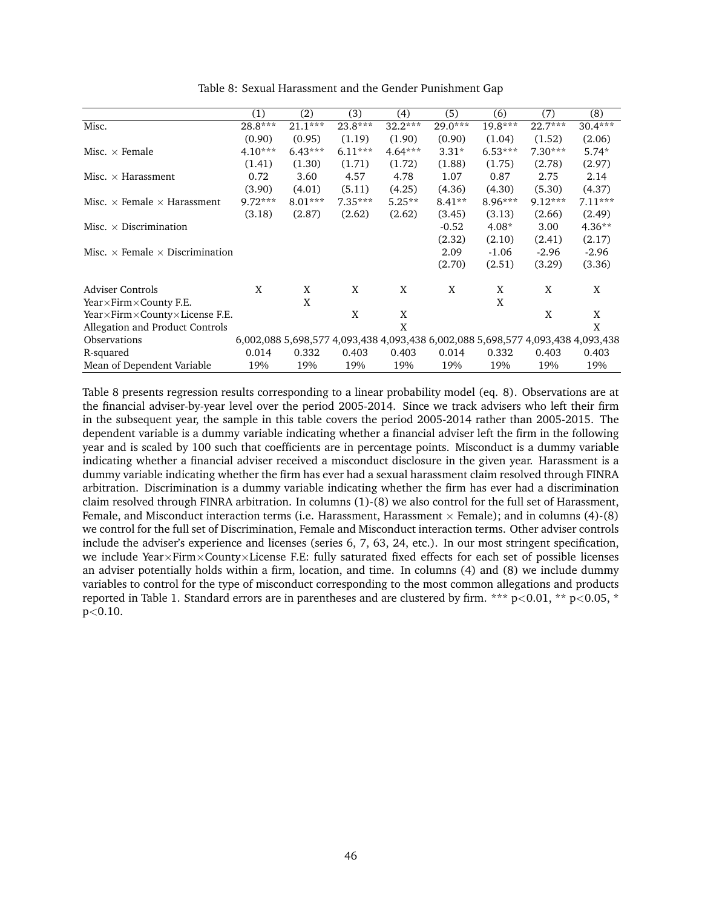|                                               | (1)       | (2)       | (3)       | (4)       | (5)       | (6)       | (7)                                                                             | (8)       |
|-----------------------------------------------|-----------|-----------|-----------|-----------|-----------|-----------|---------------------------------------------------------------------------------|-----------|
| Misc.                                         | 28.8***   | $21.1***$ | $23.8***$ | $32.2***$ | $29.0***$ | $19.8***$ | $22.7***$                                                                       | $30.4***$ |
|                                               | (0.90)    | (0.95)    | (1.19)    | (1.90)    | (0.90)    | (1.04)    | (1.52)                                                                          | (2.06)    |
| Misc. $\times$ Female                         | $4.10***$ | $6.43***$ | $6.11***$ | $4.64***$ | $3.31*$   | $6.53***$ | $7.30***$                                                                       | $5.74*$   |
|                                               | (1.41)    | (1.30)    | (1.71)    | (1.72)    | (1.88)    | (1.75)    | (2.78)                                                                          | (2.97)    |
| Misc. $\times$ Harassment                     | 0.72      | 3.60      | 4.57      | 4.78      | 1.07      | 0.87      | 2.75                                                                            | 2.14      |
|                                               | (3.90)    | (4.01)    | (5.11)    | (4.25)    | (4.36)    | (4.30)    | (5.30)                                                                          | (4.37)    |
| Misc. $\times$ Female $\times$ Harassment     | $9.72***$ | $8.01***$ | $7.35***$ | $5.25**$  | $8.41**$  | $8.96***$ | $9.12***$                                                                       | $7.11***$ |
|                                               | (3.18)    | (2.87)    | (2.62)    | (2.62)    | (3.45)    | (3.13)    | (2.66)                                                                          | (2.49)    |
| Misc. $\times$ Discrimination                 |           |           |           |           | $-0.52$   | $4.08*$   | 3.00                                                                            | $4.36**$  |
|                                               |           |           |           |           | (2.32)    | (2.10)    | (2.41)                                                                          | (2.17)    |
| Misc. $\times$ Female $\times$ Discrimination |           |           |           |           | 2.09      | $-1.06$   | $-2.96$                                                                         | $-2.96$   |
|                                               |           |           |           |           | (2.70)    | (2.51)    | (3.29)                                                                          | (3.36)    |
| <b>Adviser Controls</b>                       | X         | X         | X         | X         | X         | X         | X                                                                               | X         |
| Year $\times$ Firm $\times$ County F.E.       |           | X         |           |           |           | X         |                                                                                 |           |
| Year×Firm×County×License F.E.                 |           |           | X         | X         |           |           | X                                                                               | X         |
| Allegation and Product Controls               |           |           |           | X         |           |           |                                                                                 | X         |
| <b>Observations</b>                           |           |           |           |           |           |           | 6,002,088 5,698,577 4,093,438 4,093,438 6,002,088 5,698,577 4,093,438 4,093,438 |           |
| R-squared                                     | 0.014     | 0.332     | 0.403     | 0.403     | 0.014     | 0.332     | 0.403                                                                           | 0.403     |
| Mean of Dependent Variable                    | 19%       | 19%       | 19%       | 19%       | 19%       | 19%       | 19%                                                                             | 19%       |

Table 8: Sexual Harassment and the Gender Punishment Gap

Table 8 presents regression results corresponding to a linear probability model (eq. 8). Observations are at the financial adviser-by-year level over the period 2005-2014. Since we track advisers who left their firm in the subsequent year, the sample in this table covers the period 2005-2014 rather than 2005-2015. The dependent variable is a dummy variable indicating whether a financial adviser left the firm in the following year and is scaled by 100 such that coefficients are in percentage points. Misconduct is a dummy variable indicating whether a financial adviser received a misconduct disclosure in the given year. Harassment is a dummy variable indicating whether the firm has ever had a sexual harassment claim resolved through FINRA arbitration. Discrimination is a dummy variable indicating whether the firm has ever had a discrimination claim resolved through FINRA arbitration. In columns (1)-(8) we also control for the full set of Harassment, Female, and Misconduct interaction terms (i.e. Harassment, Harassment  $\times$  Female); and in columns (4)-(8) we control for the full set of Discrimination, Female and Misconduct interaction terms. Other adviser controls include the adviser's experience and licenses (series 6, 7, 63, 24, etc.). In our most stringent specification, we include Year×Firm×County×License F.E: fully saturated fixed effects for each set of possible licenses an adviser potentially holds within a firm, location, and time. In columns (4) and (8) we include dummy variables to control for the type of misconduct corresponding to the most common allegations and products reported in Table 1. Standard errors are in parentheses and are clustered by firm. \*\*\*  $p < 0.01$ , \*\*  $p < 0.05$ , \* p<0.10.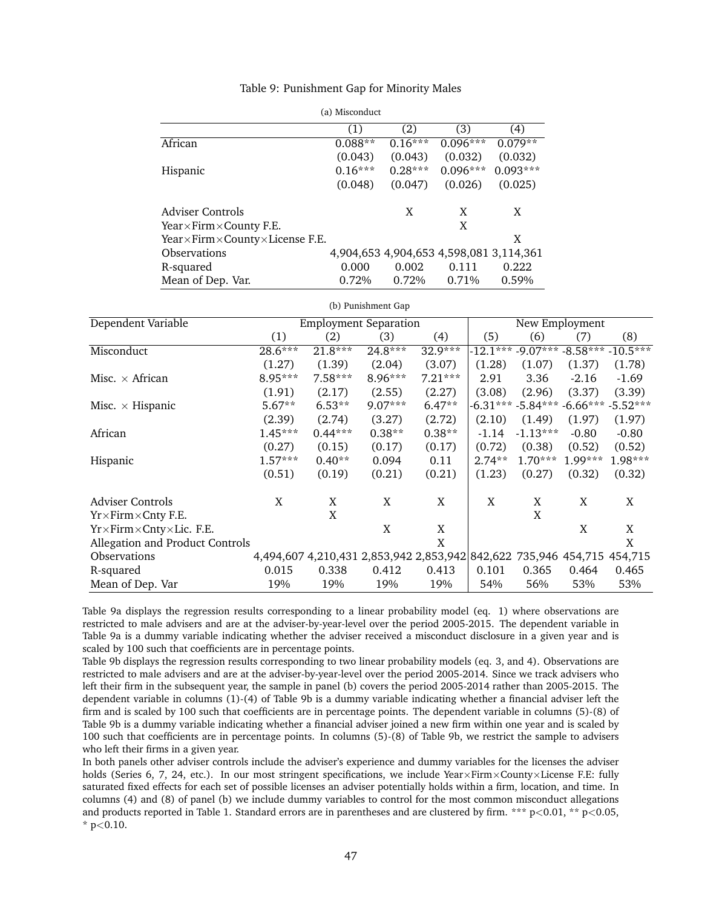|                                         | (1)       | (2)                                     | (3)        | (4)        |
|-----------------------------------------|-----------|-----------------------------------------|------------|------------|
| African                                 | $0.088**$ | $0.16***$                               | $0.096***$ | $0.079**$  |
|                                         | (0.043)   | (0.043)                                 | (0.032)    | (0.032)    |
| Hispanic                                | $0.16***$ | $0.28***$                               | $0.096***$ | $0.093***$ |
|                                         | (0.048)   | (0.047)                                 | (0.026)    | (0.025)    |
| Adviser Controls                        |           | X                                       | X          | X          |
| Year $\times$ Firm $\times$ County F.E. |           |                                         | X          |            |
| Year × Firm × County × License F.E.     |           |                                         |            | X          |
| <b>Observations</b>                     |           | 4,904,653 4,904,653 4,598,081 3,114,361 |            |            |
| R-squared                               | 0.000     | 0.002                                   | 0.111      | 0.222      |
| Mean of Dep. Var.                       | 0.72%     | 0.72%                                   | 0.71%      | 0.59%      |

Table 9: Punishment Gap for Minority Males (a) Misconduct

| (b) Punishment Gap              |           |           |                                                                         |           |          |                                             |                |           |  |
|---------------------------------|-----------|-----------|-------------------------------------------------------------------------|-----------|----------|---------------------------------------------|----------------|-----------|--|
| Dependent Variable              |           |           | <b>Employment Separation</b>                                            |           |          |                                             | New Employment |           |  |
|                                 | (1)       | (2)       | (3)                                                                     | (4)       | (5)      | (6)                                         | (7)            | (8)       |  |
| Misconduct                      | $28.6***$ | $21.8***$ | $24.8***$                                                               | $32.9***$ |          | $-12.1***$ $-9.07***$ $-8.58***$ $-10.5***$ |                |           |  |
|                                 | (1.27)    | (1.39)    | (2.04)                                                                  | (3.07)    | (1.28)   | (1.07)                                      | (1.37)         | (1.78)    |  |
| Misc. $\times$ African          | 8.95***   | $7.58***$ | 8.96***                                                                 | $7.21***$ | 2.91     | 3.36                                        | $-2.16$        | $-1.69$   |  |
|                                 | (1.91)    | (2.17)    | (2.55)                                                                  | (2.27)    | (3.08)   | (2.96)                                      | (3.37)         | (3.39)    |  |
| Misc. $\times$ Hispanic         | $5.67**$  | $6.53**$  | $9.07***$                                                               | $6.47**$  |          | -6.31*** -5.84*** -6.66*** -5.52***         |                |           |  |
|                                 | (2.39)    | (2.74)    | (3.27)                                                                  | (2.72)    | (2.10)   | (1.49)                                      | (1.97)         | (1.97)    |  |
| African                         | $1.45***$ | $0.44***$ | $0.38**$                                                                | $0.38**$  | $-1.14$  | $-1.13***$                                  | $-0.80$        | $-0.80$   |  |
|                                 | (0.27)    | (0.15)    | (0.17)                                                                  | (0.17)    | (0.72)   | (0.38)                                      | (0.52)         | (0.52)    |  |
| Hispanic                        | $1.57***$ | $0.40**$  | 0.094                                                                   | 0.11      | $2.74**$ | $1.70***$                                   | $1.99***$      | $1.98***$ |  |
|                                 | (0.51)    | (0.19)    | (0.21)                                                                  | (0.21)    | (1.23)   | (0.27)                                      | (0.32)         | (0.32)    |  |
| <b>Adviser Controls</b>         | X         | X         | X                                                                       | X         | X        | X                                           | X              | X         |  |
| Yr×Firm×Cnty F.E.               |           | X         |                                                                         |           |          | X                                           |                |           |  |
| Yr×Firm×Cnty×Lic. F.E.          |           |           | X                                                                       | X         |          |                                             | X              | X         |  |
| Allegation and Product Controls |           |           |                                                                         | X         |          |                                             |                | X         |  |
| Observations                    |           |           | 4,494,607 4,210,431 2,853,942 2,853,942 842,622 735,946 454,715 454,715 |           |          |                                             |                |           |  |
| R-squared                       | 0.015     | 0.338     | 0.412                                                                   | 0.413     | 0.101    | 0.365                                       | 0.464          | 0.465     |  |
| Mean of Dep. Var                | 19%       | 19%       | 19%                                                                     | 19%       | 54%      | 56%                                         | 53%            | 53%       |  |

Table 9a displays the regression results corresponding to a linear probability model (eq. 1) where observations are restricted to male advisers and are at the adviser-by-year-level over the period 2005-2015. The dependent variable in Table 9a is a dummy variable indicating whether the adviser received a misconduct disclosure in a given year and is scaled by 100 such that coefficients are in percentage points.

Table 9b displays the regression results corresponding to two linear probability models (eq. 3, and 4). Observations are restricted to male advisers and are at the adviser-by-year-level over the period 2005-2014. Since we track advisers who left their firm in the subsequent year, the sample in panel (b) covers the period 2005-2014 rather than 2005-2015. The dependent variable in columns (1)-(4) of Table 9b is a dummy variable indicating whether a financial adviser left the firm and is scaled by 100 such that coefficients are in percentage points. The dependent variable in columns (5)-(8) of Table 9b is a dummy variable indicating whether a financial adviser joined a new firm within one year and is scaled by 100 such that coefficients are in percentage points. In columns (5)-(8) of Table 9b, we restrict the sample to advisers who left their firms in a given year.

In both panels other adviser controls include the adviser's experience and dummy variables for the licenses the adviser holds (Series 6, 7, 24, etc.). In our most stringent specifications, we include Year×Firm×County×License F.E: fully saturated fixed effects for each set of possible licenses an adviser potentially holds within a firm, location, and time. In columns (4) and (8) of panel (b) we include dummy variables to control for the most common misconduct allegations and products reported in Table 1. Standard errors are in parentheses and are clustered by firm. \*\*\*  $p<0.01$ , \*\*  $p<0.05$ ,  $*$  p<0.10.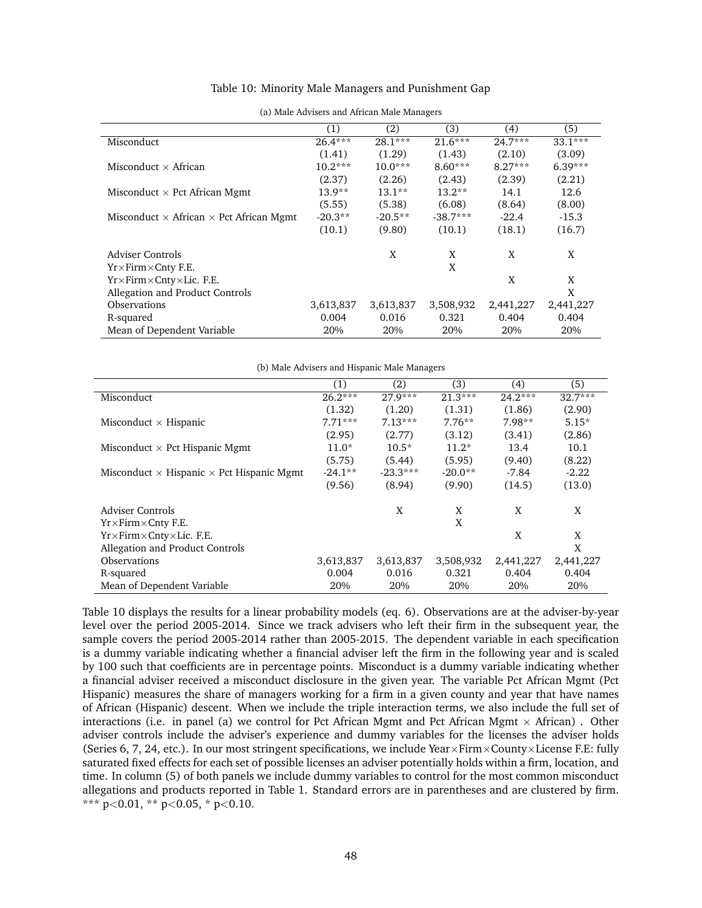|                                                       | (1)       | (2)       | (3)        | (4)       | (5)       |
|-------------------------------------------------------|-----------|-----------|------------|-----------|-----------|
| Misconduct                                            | $26.4***$ | $28.1***$ | $21.6***$  | $24.7***$ | $33.1***$ |
|                                                       | (1.41)    | (1.29)    | (1.43)     | (2.10)    | (3.09)    |
| Misconduct $\times$ African                           | $10.2***$ | $10.0***$ | $8.60***$  | $8.27***$ | $6.39***$ |
|                                                       | (2.37)    | (2.26)    | (2.43)     | (2.39)    | (2.21)    |
| Misconduct $\times$ Pct African Mgmt                  | 13.9**    | $13.1**$  | $13.2**$   | 14.1      | 12.6      |
|                                                       | (5.55)    | (5.38)    | (6.08)     | (8.64)    | (8.00)    |
| Misconduct $\times$ African $\times$ Pct African Mgmt | $-20.3**$ | $-20.5**$ | $-38.7***$ | $-22.4$   | $-15.3$   |
|                                                       | (10.1)    | (9.80)    | (10.1)     | (18.1)    | (16.7)    |
| Adviser Controls                                      |           | X         | X          | X         | X         |
| $Yr \times$ Firm $\times$ Cnty F.E.                   |           |           | X          |           |           |
| $Yr \times$ Firm $\times$ Cnty $\times$ Lic. F.E.     |           |           |            | X         | X         |
| Allegation and Product Controls                       |           |           |            |           | X         |
| Observations                                          | 3,613,837 | 3,613,837 | 3,508,932  | 2,441,227 | 2,441,227 |
| R-squared                                             | 0.004     | 0.016     | 0.321      | 0.404     | 0.404     |
| Mean of Dependent Variable                            | 20%       | 20%       | 20%        | 20%       | 20%       |

# Table 10: Minority Male Managers and Punishment Gap (a) Male Advisers and African Male Managers

|  |  |  | (b) Male Advisers and Hispanic Male Managers |
|--|--|--|----------------------------------------------|

|                                                         | (1)       | (2)        | (3)       | (4)       | (5)       |
|---------------------------------------------------------|-----------|------------|-----------|-----------|-----------|
| Misconduct                                              | $26.2***$ | $27.9***$  | $21.3***$ | $24.2***$ | $32.7***$ |
|                                                         | (1.32)    | (1.20)     | (1.31)    | (1.86)    | (2.90)    |
| Misconduct $\times$ Hispanic                            | $7.71***$ | $7.13***$  | $7.76**$  | $7.98**$  | $5.15*$   |
|                                                         | (2.95)    | (2.77)     | (3.12)    | (3.41)    | (2.86)    |
| Misconduct $\times$ Pct Hispanic Mgmt                   | $11.0*$   | $10.5*$    | $11.2*$   | 13.4      | 10.1      |
|                                                         | (5.75)    | (5.44)     | (5.95)    | (9.40)    | (8.22)    |
| Misconduct $\times$ Hispanic $\times$ Pct Hispanic Mgmt | $-24.1**$ | $-23.3***$ | $-20.0**$ | $-7.84$   | $-2.22$   |
|                                                         | (9.56)    | (8.94)     | (9.90)    | (14.5)    | (13.0)    |
| Adviser Controls                                        |           | X          | X         | X         | X         |
| $Yr \times$ Firm $\times$ Cnty F.E.                     |           |            | X         |           |           |
| Yr×Firm×Cnty×Lic. F.E.                                  |           |            |           | X         | X         |
| Allegation and Product Controls                         |           |            |           |           | X         |
| <b>Observations</b>                                     | 3,613,837 | 3,613,837  | 3,508,932 | 2,441,227 | 2,441,227 |
| R-squared                                               | 0.004     | 0.016      | 0.321     | 0.404     | 0.404     |
| Mean of Dependent Variable                              | 20%       | 20%        | 20%       | 20%       | 20%       |

Table 10 displays the results for a linear probability models (eq. 6). Observations are at the adviser-by-year level over the period 2005-2014. Since we track advisers who left their firm in the subsequent year, the sample covers the period 2005-2014 rather than 2005-2015. The dependent variable in each specification is a dummy variable indicating whether a financial adviser left the firm in the following year and is scaled by 100 such that coefficients are in percentage points. Misconduct is a dummy variable indicating whether a financial adviser received a misconduct disclosure in the given year. The variable Pct African Mgmt (Pct Hispanic) measures the share of managers working for a firm in a given county and year that have names of African (Hispanic) descent. When we include the triple interaction terms, we also include the full set of interactions (i.e. in panel (a) we control for Pct African Mgmt and Pct African Mgmt  $\times$  African). Other adviser controls include the adviser's experience and dummy variables for the licenses the adviser holds (Series 6, 7, 24, etc.). In our most stringent specifications, we include Year×Firm×County×License F.E: fully saturated fixed effects for each set of possible licenses an adviser potentially holds within a firm, location, and time. In column (5) of both panels we include dummy variables to control for the most common misconduct allegations and products reported in Table 1. Standard errors are in parentheses and are clustered by firm. \*\*\*  $p<0.01$ , \*\*  $p<0.05$ , \*  $p<0.10$ .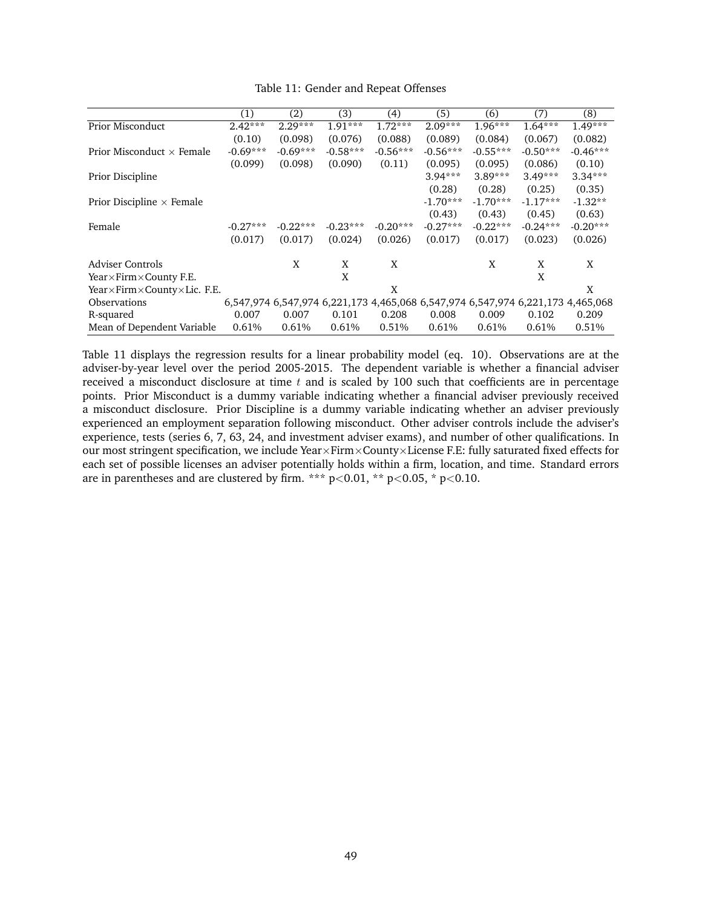Table 11: Gender and Repeat Offenses

|                                                       | (1)        | (2)        | (3)        | (4)        | (5)        | (6)        | (7)        | (8)                                                                             |
|-------------------------------------------------------|------------|------------|------------|------------|------------|------------|------------|---------------------------------------------------------------------------------|
| Prior Misconduct                                      | $2.42***$  | $2.29***$  | $1.91***$  | $1.72***$  | $2.09***$  | $1.96***$  | $1.64***$  | $1.49***$                                                                       |
|                                                       | (0.10)     | (0.098)    | (0.076)    | (0.088)    | (0.089)    | (0.084)    | (0.067)    | (0.082)                                                                         |
| Prior Misconduct $\times$ Female                      | $-0.69***$ | $-0.69***$ | $-0.58***$ | $-0.56***$ | $-0.56***$ | $-0.55***$ | $-0.50***$ | $-0.46***$                                                                      |
|                                                       | (0.099)    | (0.098)    | (0.090)    | (0.11)     | (0.095)    | (0.095)    | (0.086)    | (0.10)                                                                          |
| Prior Discipline                                      |            |            |            |            | $3.94***$  | $3.89***$  | $3.49***$  | $3.34***$                                                                       |
|                                                       |            |            |            |            | (0.28)     | (0.28)     | (0.25)     | (0.35)                                                                          |
| Prior Discipline $\times$ Female                      |            |            |            |            | $-1.70***$ | $-1.70***$ | $-1.17***$ | $-1.32**$                                                                       |
|                                                       |            |            |            |            | (0.43)     | (0.43)     | (0.45)     | (0.63)                                                                          |
| Female                                                | $-0.27***$ | $-0.22***$ | $-0.23***$ | $-0.20***$ | $-0.27***$ | $-0.22***$ | $-0.24***$ | $-0.20***$                                                                      |
|                                                       | (0.017)    | (0.017)    | (0.024)    | (0.026)    | (0.017)    | (0.017)    | (0.023)    | (0.026)                                                                         |
|                                                       |            | X          | X          | X          |            | X          | X          | X                                                                               |
| <b>Adviser Controls</b>                               |            |            |            |            |            |            |            |                                                                                 |
| Year×Firm×County F.E.                                 |            |            | X          |            |            |            | X          |                                                                                 |
| Year $\times$ Firm $\times$ County $\times$ Lic. F.E. |            |            |            | X          |            |            |            | X                                                                               |
| <b>Observations</b>                                   |            |            |            |            |            |            |            | 6,547,974 6,547,974 6,221,173 4,465,068 6,547,974 6,547,974 6,221,173 4,465,068 |
| R-squared                                             | 0.007      | 0.007      | 0.101      | 0.208      | 0.008      | 0.009      | 0.102      | 0.209                                                                           |
| Mean of Dependent Variable                            | 0.61%      | 0.61%      | 0.61%      | 0.51%      | 0.61%      | 0.61%      | 0.61%      | 0.51%                                                                           |

Table 11 displays the regression results for a linear probability model (eq. 10). Observations are at the adviser-by-year level over the period 2005-2015. The dependent variable is whether a financial adviser received a misconduct disclosure at time  $t$  and is scaled by 100 such that coefficients are in percentage points. Prior Misconduct is a dummy variable indicating whether a financial adviser previously received a misconduct disclosure. Prior Discipline is a dummy variable indicating whether an adviser previously experienced an employment separation following misconduct. Other adviser controls include the adviser's experience, tests (series 6, 7, 63, 24, and investment adviser exams), and number of other qualifications. In our most stringent specification, we include Year×Firm×County×License F.E: fully saturated fixed effects for each set of possible licenses an adviser potentially holds within a firm, location, and time. Standard errors are in parentheses and are clustered by firm. \*\*\*  $p<0.01$ , \*\*  $p<0.05$ , \*  $p<0.10$ .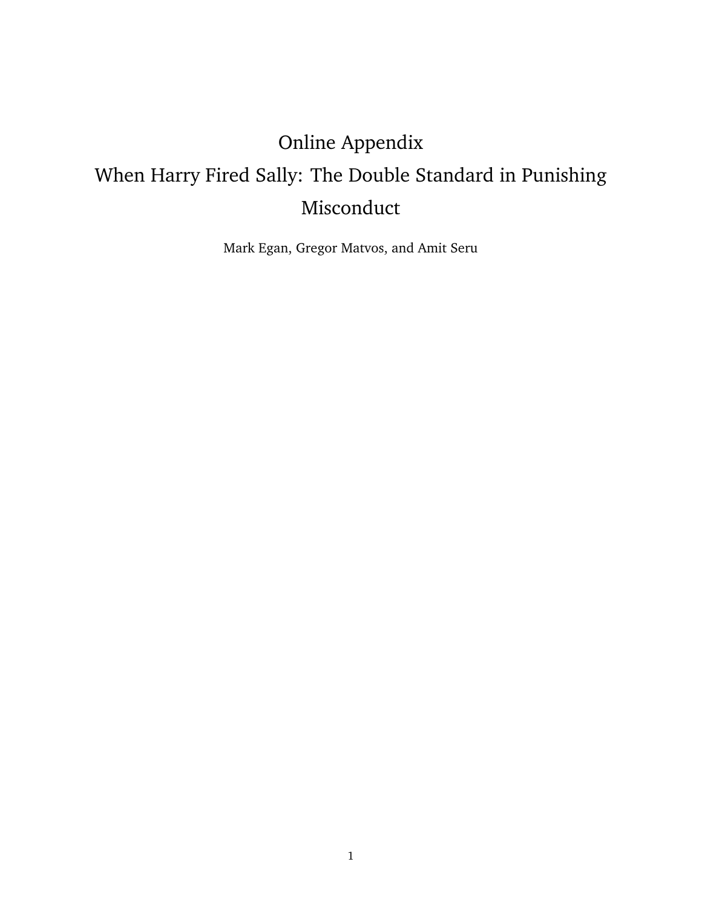# Online Appendix When Harry Fired Sally: The Double Standard in Punishing Misconduct

Mark Egan, Gregor Matvos, and Amit Seru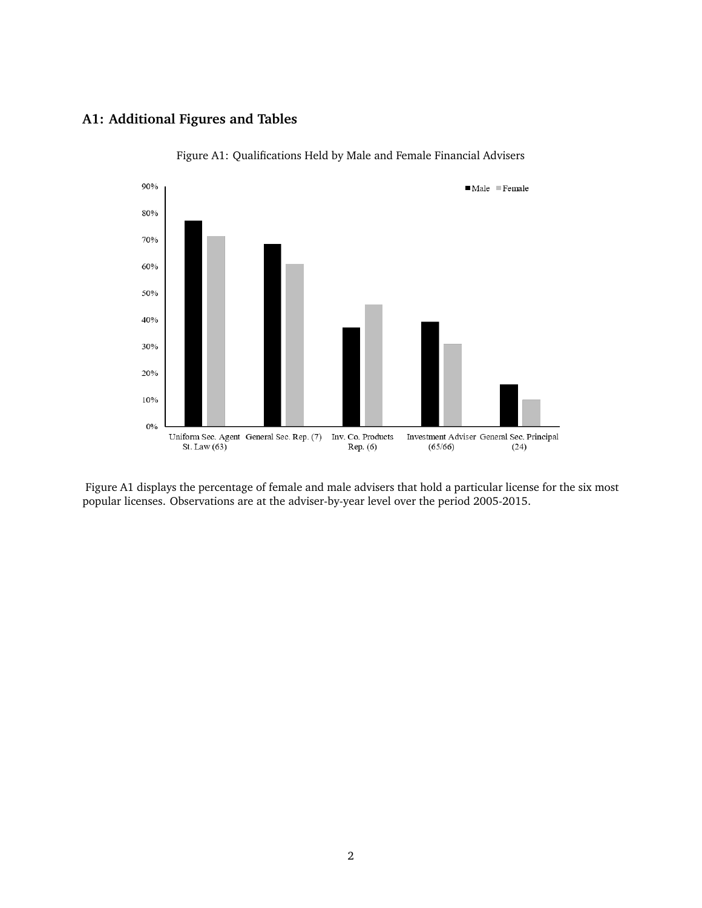# **A1: Additional Figures and Tables**



Figure A1: Qualifications Held by Male and Female Financial Advisers

Figure A1 displays the percentage of female and male advisers that hold a particular license for the six most popular licenses. Observations are at the adviser-by-year level over the period 2005-2015.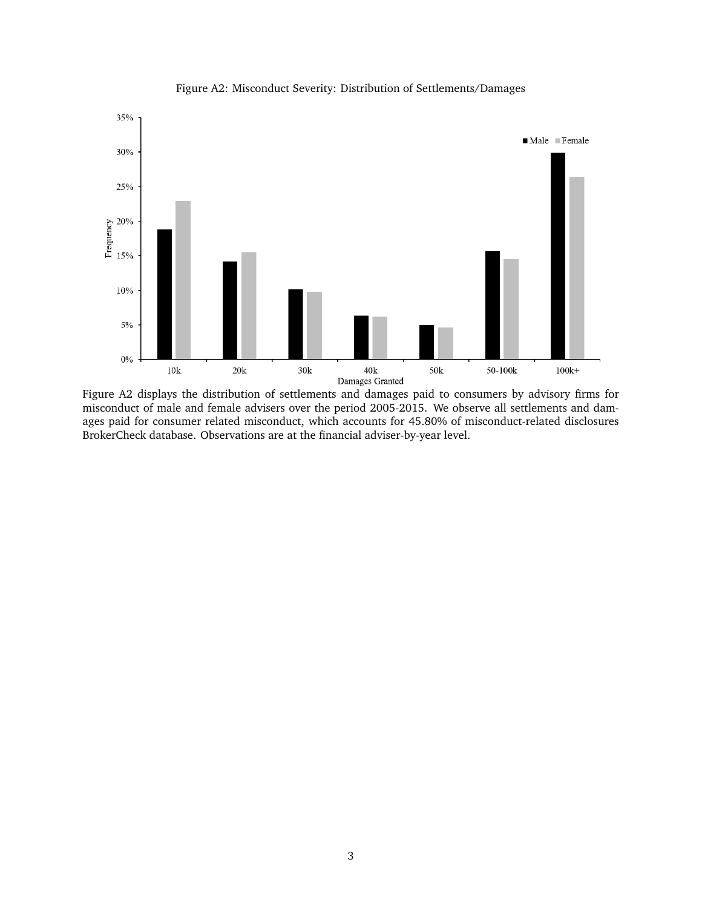

Figure A2: Misconduct Severity: Distribution of Settlements/Damages

Figure A2 displays the distribution of settlements and damages paid to consumers by advisory firms for misconduct of male and female advisers over the period 2005-2015. We observe all settlements and damages paid for consumer related misconduct, which accounts for 45.80% of misconduct-related disclosures BrokerCheck database. Observations are at the financial adviser-by-year level.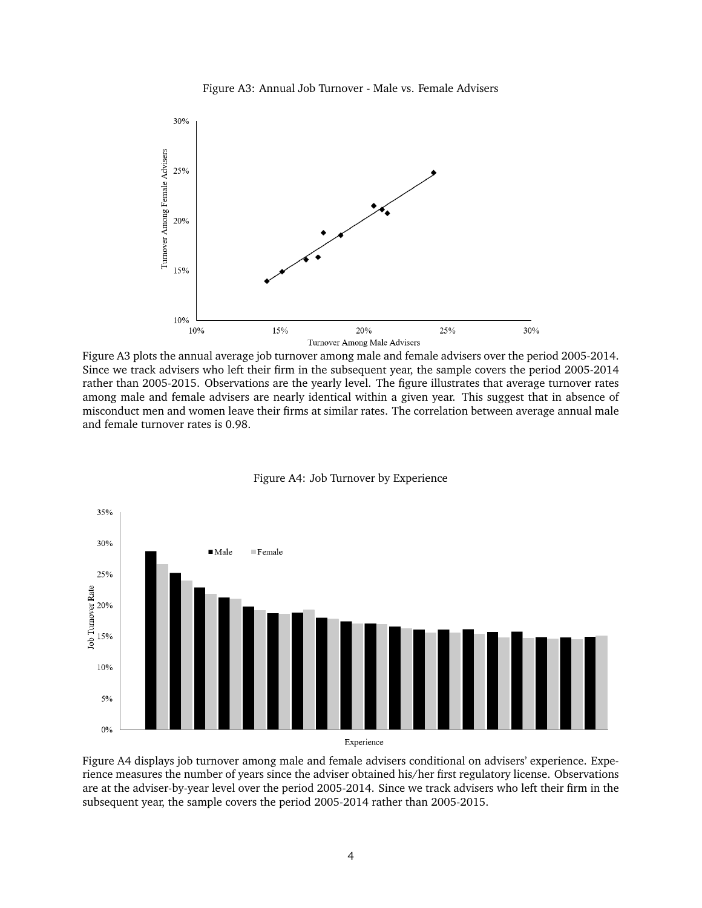



Figure A3 plots the annual average job turnover among male and female advisers over the period 2005-2014. Since we track advisers who left their firm in the subsequent year, the sample covers the period 2005-2014 rather than 2005-2015. Observations are the yearly level. The figure illustrates that average turnover rates among male and female advisers are nearly identical within a given year. This suggest that in absence of misconduct men and women leave their firms at similar rates. The correlation between average annual male and female turnover rates is 0.98.



Figure A4: Job Turnover by Experience

Figure A4 displays job turnover among male and female advisers conditional on advisers' experience. Experience measures the number of years since the adviser obtained his/her first regulatory license. Observations are at the adviser-by-year level over the period 2005-2014. Since we track advisers who left their firm in the subsequent year, the sample covers the period 2005-2014 rather than 2005-2015.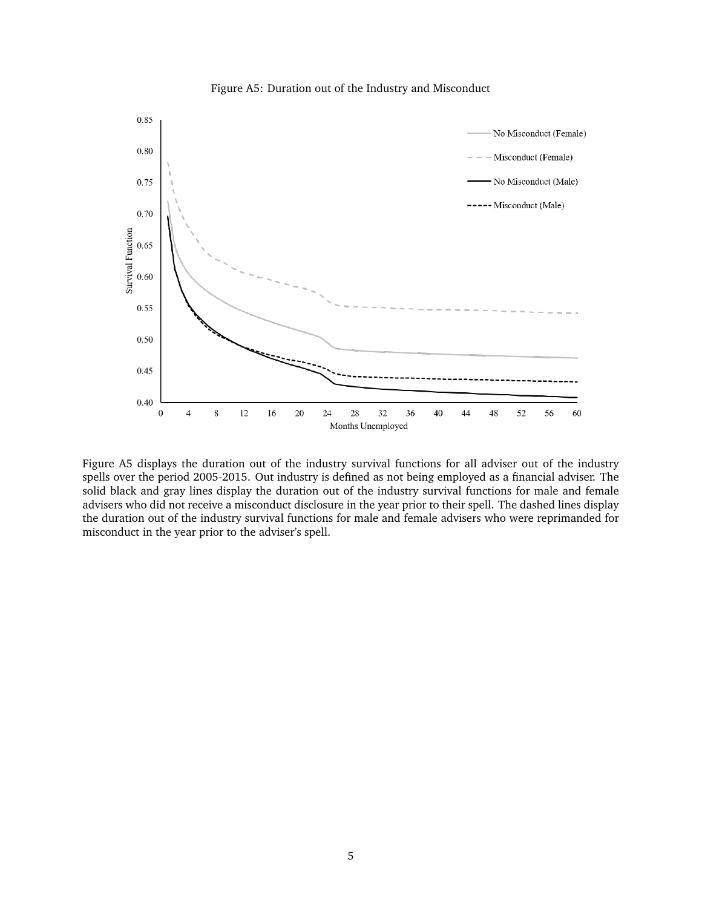



Figure A5 displays the duration out of the industry survival functions for all adviser out of the industry spells over the period 2005-2015. Out industry is defined as not being employed as a financial adviser. The solid black and gray lines display the duration out of the industry survival functions for male and female advisers who did not receive a misconduct disclosure in the year prior to their spell. The dashed lines display the duration out of the industry survival functions for male and female advisers who were reprimanded for misconduct in the year prior to the adviser's spell.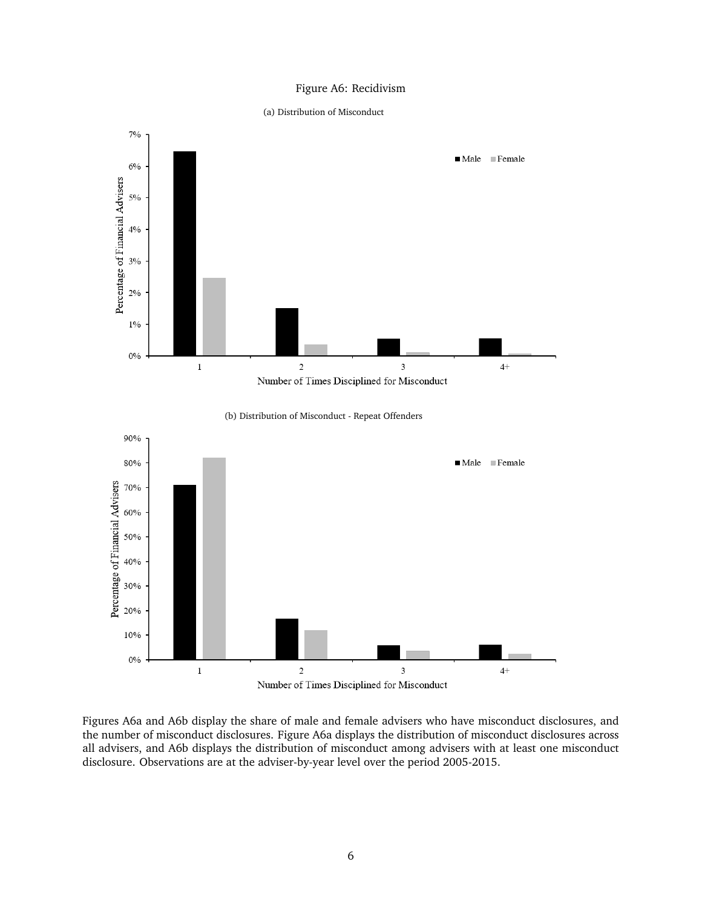### Figure A6: Recidivism





Figures A6a and A6b display the share of male and female advisers who have misconduct disclosures, and the number of misconduct disclosures. Figure A6a displays the distribution of misconduct disclosures across all advisers, and A6b displays the distribution of misconduct among advisers with at least one misconduct disclosure. Observations are at the adviser-by-year level over the period 2005-2015.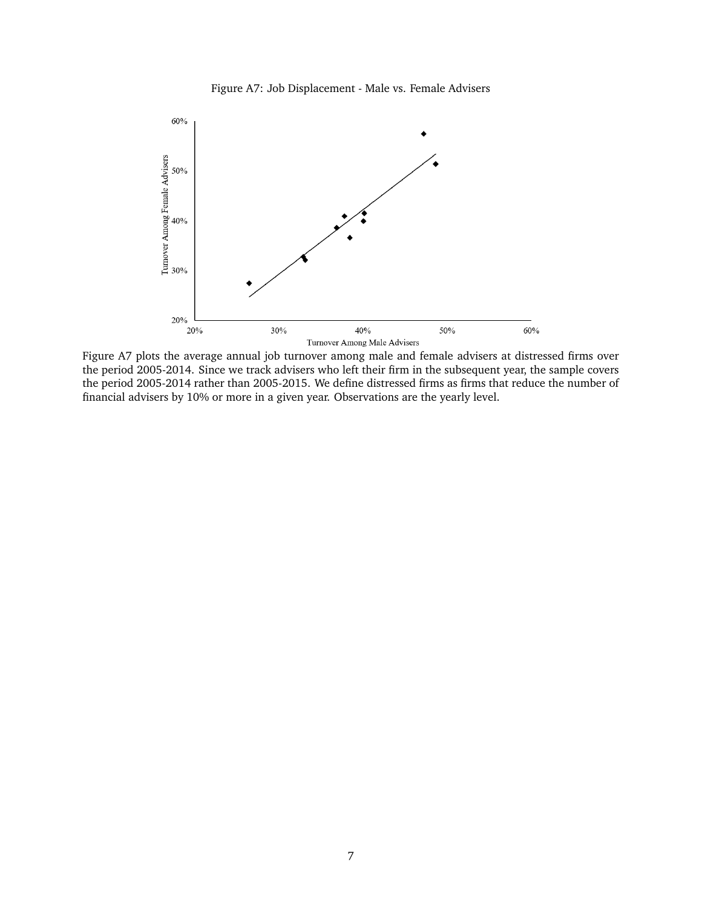Figure A7: Job Displacement - Male vs. Female Advisers



Figure A7 plots the average annual job turnover among male and female advisers at distressed firms over the period 2005-2014. Since we track advisers who left their firm in the subsequent year, the sample covers the period 2005-2014 rather than 2005-2015. We define distressed firms as firms that reduce the number of financial advisers by 10% or more in a given year. Observations are the yearly level.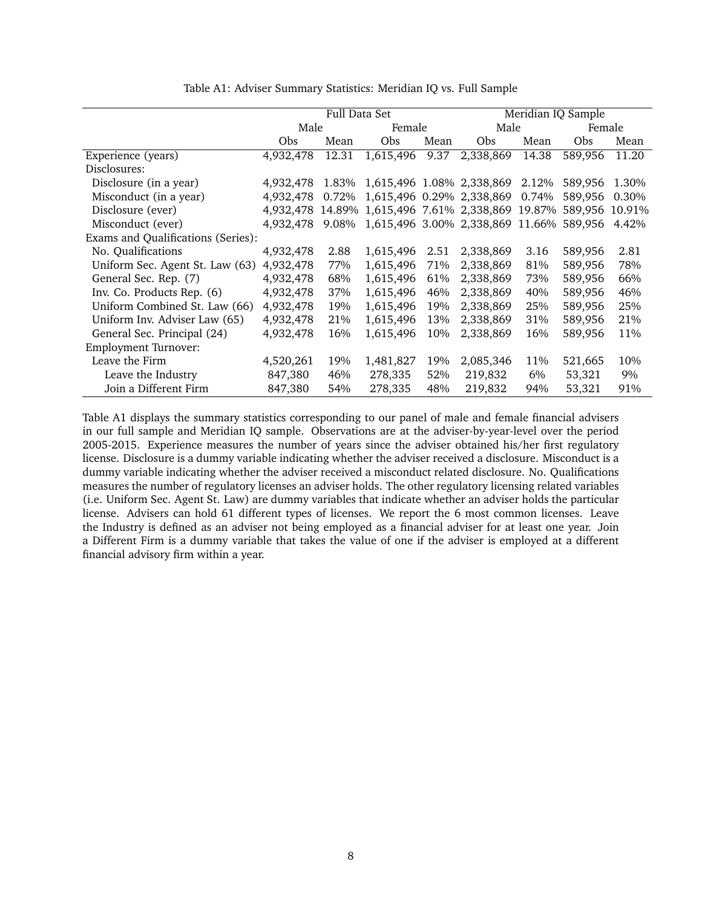|                                    | Full Data Set |       |            |      | Meridian IQ Sample                                |       |         |        |
|------------------------------------|---------------|-------|------------|------|---------------------------------------------------|-------|---------|--------|
|                                    | Male          |       | Female     |      | Male                                              |       | Female  |        |
|                                    | Obs.          | Mean  | <b>Obs</b> | Mean | Obs                                               | Mean  | Obs     | Mean   |
| Experience (years)                 | 4,932,478     | 12.31 | 1,615,496  | 9.37 | 2,338,869                                         | 14.38 | 589,956 | 11.20  |
| Disclosures:                       |               |       |            |      |                                                   |       |         |        |
| Disclosure (in a year)             | 4,932,478     | 1.83% |            |      | 1,615,496 1.08% 2,338,869                         | 2.12% | 589,956 | 1.30%  |
| Misconduct (in a year)             | 4,932,478     | 0.72% |            |      | 1,615,496 0.29% 2,338,869                         | 0.74% | 589,956 | 0.30%  |
| Disclosure (ever)                  |               |       |            |      | 4,932,478 14.89% 1,615,496 7.61% 2,338,869 19.87% |       | 589.956 | 10.91% |
| Misconduct (ever)                  | 4,932,478     | 9.08% |            |      | 1,615,496 3.00% 2,338,869 11.66% 589,956          |       |         | 4.42%  |
| Exams and Qualifications (Series): |               |       |            |      |                                                   |       |         |        |
| No. Qualifications                 | 4,932,478     | 2.88  | 1,615,496  | 2.51 | 2,338,869                                         | 3.16  | 589,956 | 2.81   |
| Uniform Sec. Agent St. Law (63)    | 4,932,478     | 77%   | 1,615,496  | 71%  | 2,338,869                                         | 81%   | 589,956 | 78%    |
| General Sec. Rep. (7)              | 4,932,478     | 68%   | 1,615,496  | 61%  | 2,338,869                                         | 73%   | 589,956 | 66%    |
| Inv. Co. Products Rep. (6)         | 4,932,478     | 37%   | 1,615,496  | 46%  | 2,338,869                                         | 40%   | 589,956 | 46%    |
| Uniform Combined St. Law (66)      | 4,932,478     | 19%   | 1,615,496  | 19%  | 2,338,869                                         | 25%   | 589,956 | 25%    |
| Uniform Inv. Adviser Law (65)      | 4,932,478     | 21%   | 1,615,496  | 13%  | 2,338,869                                         | 31%   | 589,956 | 21%    |
| General Sec. Principal (24)        | 4,932,478     | 16%   | 1,615,496  | 10%  | 2,338,869                                         | 16%   | 589,956 | 11%    |
| <b>Employment Turnover:</b>        |               |       |            |      |                                                   |       |         |        |
| Leave the Firm                     | 4,520,261     | 19%   | 1,481,827  | 19%  | 2,085,346                                         | 11%   | 521,665 | 10%    |
| Leave the Industry                 | 847,380       | 46%   | 278,335    | 52%  | 219,832                                           | 6%    | 53,321  | 9%     |
| Join a Different Firm              | 847,380       | 54%   | 278,335    | 48%  | 219,832                                           | 94%   | 53,321  | 91%    |

Table A1: Adviser Summary Statistics: Meridian IQ vs. Full Sample

Table A1 displays the summary statistics corresponding to our panel of male and female financial advisers in our full sample and Meridian IQ sample. Observations are at the adviser-by-year-level over the period 2005-2015. Experience measures the number of years since the adviser obtained his/her first regulatory license. Disclosure is a dummy variable indicating whether the adviser received a disclosure. Misconduct is a dummy variable indicating whether the adviser received a misconduct related disclosure. No. Qualifications measures the number of regulatory licenses an adviser holds. The other regulatory licensing related variables (i.e. Uniform Sec. Agent St. Law) are dummy variables that indicate whether an adviser holds the particular license. Advisers can hold 61 different types of licenses. We report the 6 most common licenses. Leave the Industry is defined as an adviser not being employed as a financial adviser for at least one year. Join a Different Firm is a dummy variable that takes the value of one if the adviser is employed at a different financial advisory firm within a year.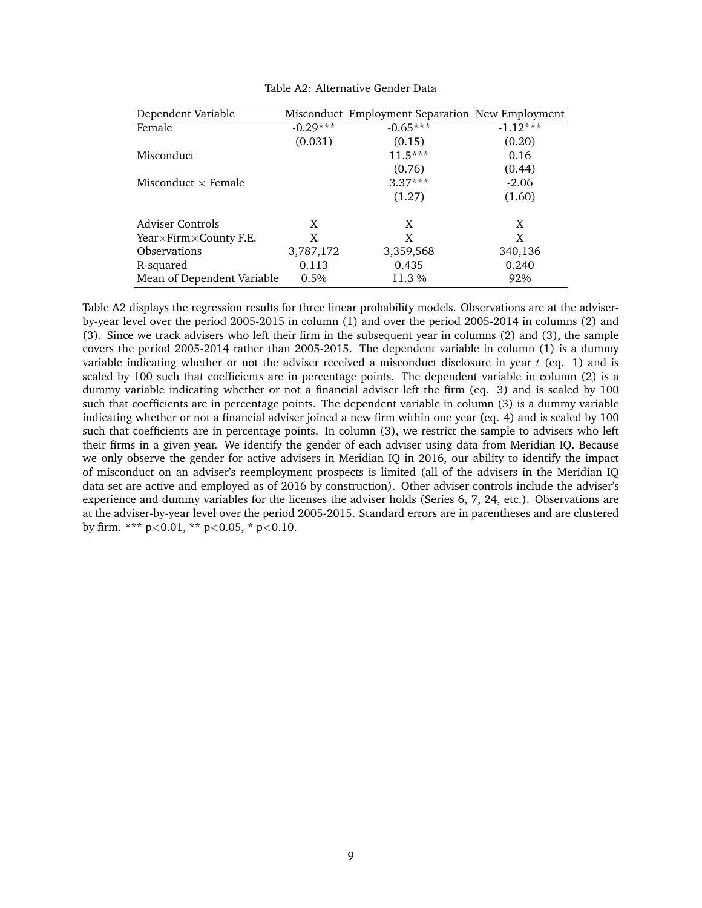| Dependent Variable                      |            | Misconduct Employment Separation New Employment |            |
|-----------------------------------------|------------|-------------------------------------------------|------------|
| Female                                  | $-0.29***$ | $-0.65***$                                      | $-1.12***$ |
|                                         | (0.031)    | (0.15)                                          | (0.20)     |
| Misconduct                              |            | $11.5***$                                       | 0.16       |
|                                         |            | (0.76)                                          | (0.44)     |
| Misconduct $\times$ Female              |            | $3.37***$                                       | $-2.06$    |
|                                         |            | (1.27)                                          | (1.60)     |
| Adviser Controls                        | X          | X                                               | X          |
| Year $\times$ Firm $\times$ County F.E. | X          | X                                               | X          |
| <b>Observations</b>                     | 3,787,172  | 3,359,568                                       | 340,136    |
| R-squared                               | 0.113      | 0.435                                           | 0.240      |
| Mean of Dependent Variable              | 0.5%       | 11.3 %                                          | 92%        |

Table A2: Alternative Gender Data

Table A2 displays the regression results for three linear probability models. Observations are at the adviserby-year level over the period 2005-2015 in column (1) and over the period 2005-2014 in columns (2) and (3). Since we track advisers who left their firm in the subsequent year in columns (2) and (3), the sample covers the period 2005-2014 rather than 2005-2015. The dependent variable in column (1) is a dummy variable indicating whether or not the adviser received a misconduct disclosure in year  $t$  (eq. 1) and is scaled by 100 such that coefficients are in percentage points. The dependent variable in column (2) is a dummy variable indicating whether or not a financial adviser left the firm (eq. 3) and is scaled by 100 such that coefficients are in percentage points. The dependent variable in column (3) is a dummy variable indicating whether or not a financial adviser joined a new firm within one year (eq. 4) and is scaled by 100 such that coefficients are in percentage points. In column (3), we restrict the sample to advisers who left their firms in a given year. We identify the gender of each adviser using data from Meridian IQ. Because we only observe the gender for active advisers in Meridian IQ in 2016, our ability to identify the impact of misconduct on an adviser's reemployment prospects is limited (all of the advisers in the Meridian IQ data set are active and employed as of 2016 by construction). Other adviser controls include the adviser's experience and dummy variables for the licenses the adviser holds (Series 6, 7, 24, etc.). Observations are at the adviser-by-year level over the period 2005-2015. Standard errors are in parentheses and are clustered by firm. \*\*\* p<0.01, \*\* p<0.05, \* p<0.10.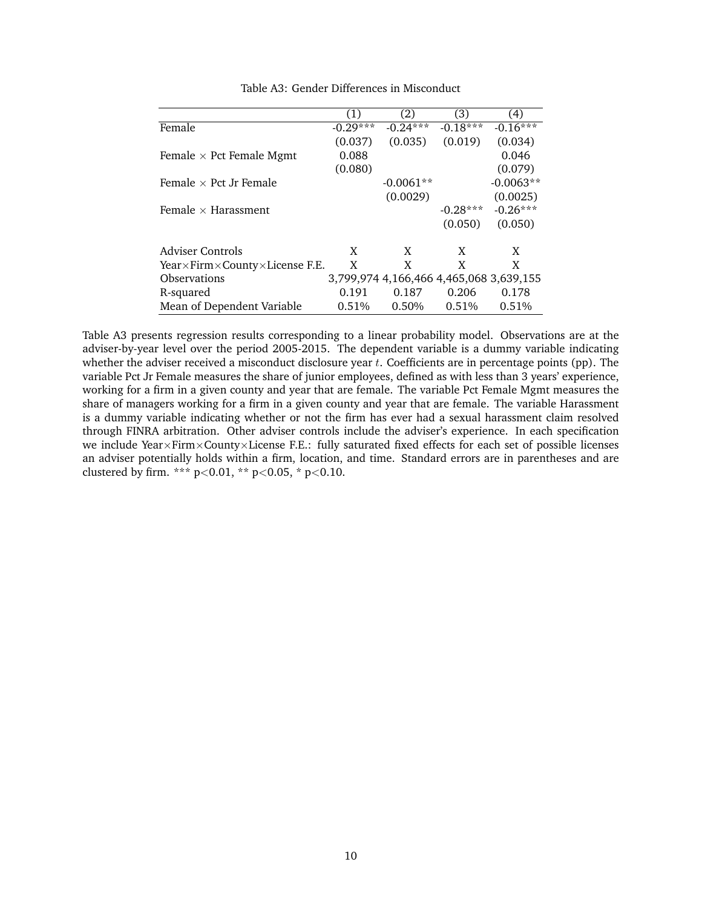|                                                     | (1)        | (2)                                     | (3)        | (4)         |
|-----------------------------------------------------|------------|-----------------------------------------|------------|-------------|
| Female                                              | $-0.29***$ | $-0.24***$                              | $-0.18***$ | $-0.16***$  |
|                                                     | (0.037)    | (0.035)                                 | (0.019)    | (0.034)     |
| Female $\times$ Pct Female Mgmt                     | 0.088      |                                         |            | 0.046       |
|                                                     | (0.080)    |                                         |            | (0.079)     |
| Female $\times$ Pct Jr Female                       |            | $-0.0061**$                             |            | $-0.0063**$ |
|                                                     |            | (0.0029)                                |            | (0.0025)    |
| Female $\times$ Harassment                          |            |                                         | $-0.28***$ | $-0.26***$  |
|                                                     |            |                                         | (0.050)    | (0.050)     |
| Adviser Controls                                    | X          | X                                       | X          | X           |
| $Year \times Firm \times Count \times License$ F.E. | X          | X                                       | X          | X           |
| Observations                                        |            | 3,799,974 4,166,466 4,465,068 3,639,155 |            |             |
| R-squared                                           | 0.191      | 0.187                                   | 0.206      | 0.178       |
| Mean of Dependent Variable                          | 0.51%      | 0.50%                                   | 0.51%      | 0.51%       |

Table A3: Gender Differences in Misconduct

Table A3 presents regression results corresponding to a linear probability model. Observations are at the adviser-by-year level over the period 2005-2015. The dependent variable is a dummy variable indicating whether the adviser received a misconduct disclosure year  $t$ . Coefficients are in percentage points (pp). The variable Pct Jr Female measures the share of junior employees, defined as with less than 3 years' experience, working for a firm in a given county and year that are female. The variable Pct Female Mgmt measures the share of managers working for a firm in a given county and year that are female. The variable Harassment is a dummy variable indicating whether or not the firm has ever had a sexual harassment claim resolved through FINRA arbitration. Other adviser controls include the adviser's experience. In each specification we include Year×Firm×County×License F.E.: fully saturated fixed effects for each set of possible licenses an adviser potentially holds within a firm, location, and time. Standard errors are in parentheses and are clustered by firm. \*\*\*  $p<0.01$ , \*\*  $p<0.05$ , \*  $p<0.10$ .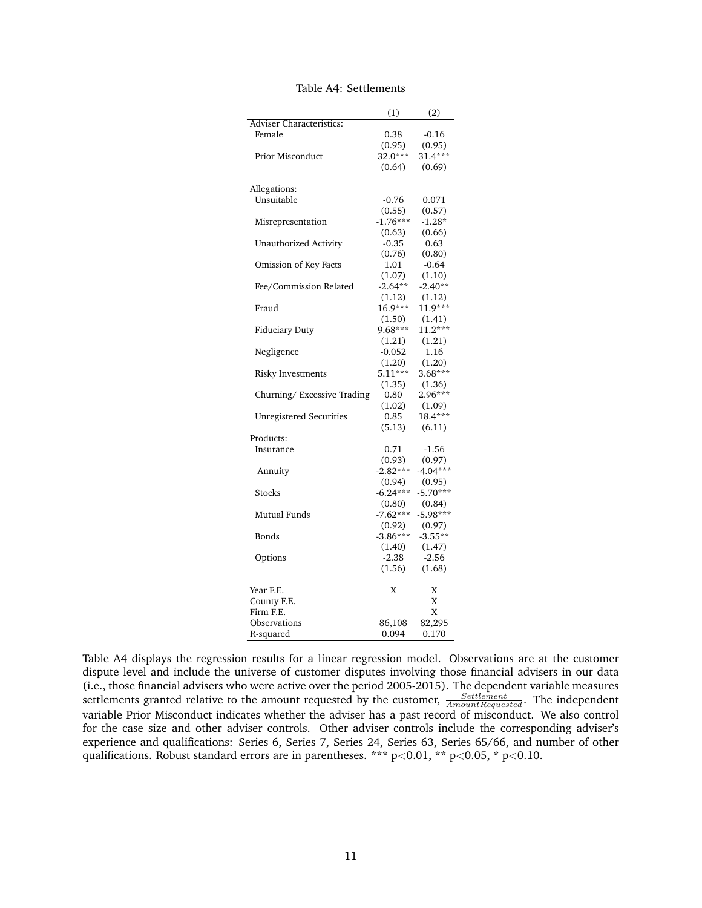|                                 | $\overline{(1)}$ | $\overline{(2)}$    |
|---------------------------------|------------------|---------------------|
| <b>Adviser Characteristics:</b> |                  |                     |
| Female                          | 0.38             | $-0.16$             |
|                                 | (0.95)           | (0.95)              |
| Prior Misconduct                | $32.0***$        | $31.4***$           |
|                                 | (0.64)           | (0.69)              |
|                                 |                  |                     |
| Allegations:                    |                  |                     |
| Unsuitable                      | $-0.76$          | 0.071               |
|                                 | (0.55)           | (0.57)              |
| Misrepresentation               | $-1.76***$       | $-1.28*$            |
|                                 | (0.63)           | (0.66)              |
| Unauthorized Activity           | $-0.35$          | 0.63                |
|                                 | (0.76)           | (0.80)              |
| Omission of Key Facts           | 1.01             | $-0.64$             |
|                                 | (1.07)           | (1.10)              |
| Fee/Commission Related          | $-2.64**$        | $-2.40**$           |
|                                 | (1.12)           | (1.12)              |
| Fraud                           | $16.9***$        | $11.9***$           |
|                                 | (1.50)           | (1.41)              |
| <b>Fiduciary Duty</b>           | $9.68***$        | $11.2***$           |
|                                 | (1.21)           | (1.21)              |
| Negligence                      | $-0.052$         | 1.16                |
|                                 | (1.20)           | (1.20)              |
| Risky Investments               | $5.11***$        | $3.68***$           |
|                                 | (1.35)           | (1.36)<br>$2.96***$ |
| Churning/ Excessive Trading     | 0.80             |                     |
|                                 | (1.02)<br>0.85   | (1.09)<br>$18.4***$ |
| Unregistered Securities         | (5.13)           | (6.11)              |
| Products:                       |                  |                     |
| Insurance                       | 0.71             | $-1.56$             |
|                                 | (0.93)           | (0.97)              |
| Annuity                         | $-2.82***$       | $-4.04***$          |
|                                 | (0.94)           | (0.95)              |
| Stocks                          | $-6.24***$       | $-5.70***$          |
|                                 | (0.80)           | (0.84)              |
| Mutual Funds                    | $-7.62***$       | $-5.98***$          |
|                                 | (0.92)           | (0.97)              |
| Bonds                           | $-3.86***$       | $-3.55**$           |
|                                 | (1.40)           | (1.47)              |
| Options                         | -2.38            | $-2.56$             |
|                                 | (1.56)           | (1.68)              |
| Year F.E.                       | X                | X                   |
| County F.E.                     |                  | X                   |
| Firm F.E.                       |                  | X                   |
| Observations                    | 86,108           | 82,295              |
| R-squared                       | 0.094            | 0.170               |

Table A4: Settlements

Table A4 displays the regression results for a linear regression model. Observations are at the customer dispute level and include the universe of customer disputes involving those financial advisers in our data (i.e., those financial advisers who were active over the period 2005-2015). The dependent variable measures settlements granted relative to the amount requested by the customer,  $\frac{Set the ment}{Amount Required, and}$ . The independent variable Prior Misconduct indicates whether the adviser has a past record of misconduct. We also control for the case size and other adviser controls. Other adviser controls include the corresponding adviser's experience and qualifications: Series 6, Series 7, Series 24, Series 63, Series 65/66, and number of other qualifications. Robust standard errors are in parentheses. \*\*\*  $p<0.01$ , \*\*  $p<0.05$ , \*  $p<0.10$ .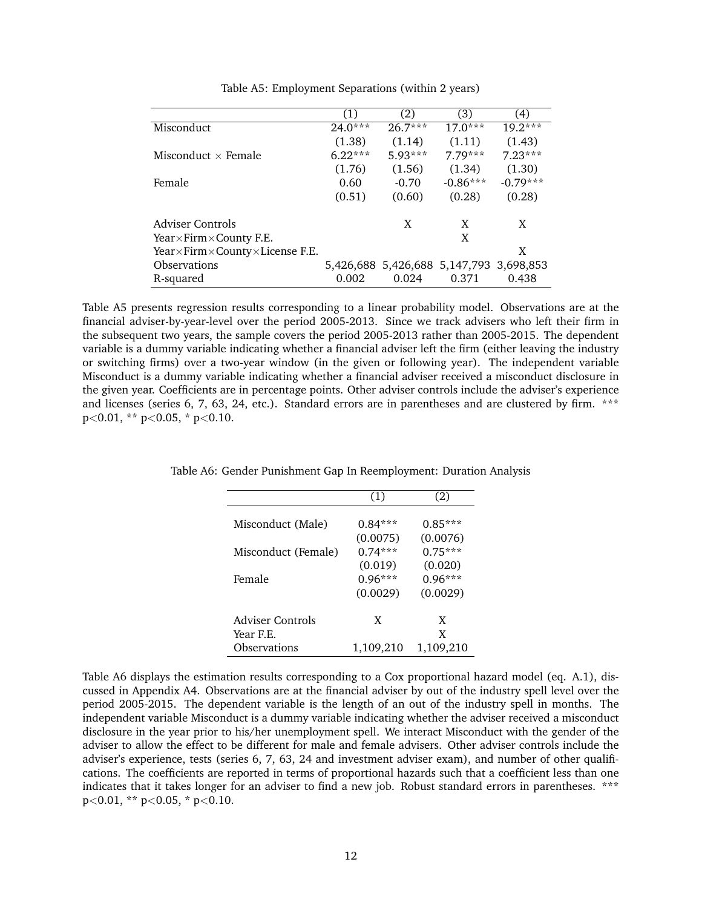| (1)       | (2)       | (3)        | (4)                                     |
|-----------|-----------|------------|-----------------------------------------|
| $24.0***$ | $26.7***$ | $17.0***$  | $19.2***$                               |
| (1.38)    | (1.14)    | (1.11)     | (1.43)                                  |
| $6.22***$ | $5.93***$ | $7.79***$  | $7.23***$                               |
| (1.76)    | (1.56)    | (1.34)     | (1.30)                                  |
| 0.60      | $-0.70$   | $-0.86***$ | $-0.79***$                              |
| (0.51)    | (0.60)    | (0.28)     | (0.28)                                  |
|           | X         | X          | X                                       |
|           |           | X          |                                         |
|           |           |            | X                                       |
|           |           |            |                                         |
| 0.002     | 0.024     | 0.371      | 0.438                                   |
|           |           |            | 5,426,688 5,426,688 5,147,793 3,698,853 |

Table A5: Employment Separations (within 2 years)

Table A5 presents regression results corresponding to a linear probability model. Observations are at the financial adviser-by-year-level over the period 2005-2013. Since we track advisers who left their firm in the subsequent two years, the sample covers the period 2005-2013 rather than 2005-2015. The dependent variable is a dummy variable indicating whether a financial adviser left the firm (either leaving the industry or switching firms) over a two-year window (in the given or following year). The independent variable Misconduct is a dummy variable indicating whether a financial adviser received a misconduct disclosure in the given year. Coefficients are in percentage points. Other adviser controls include the adviser's experience and licenses (series 6, 7, 63, 24, etc.). Standard errors are in parentheses and are clustered by firm. \*\*\* p<0.01, \*\* p<0.05, \* p<0.10.

|                     | (1)       | $\mathbf{2}$ |
|---------------------|-----------|--------------|
|                     |           |              |
| Misconduct (Male)   | $0.84***$ | $0.85***$    |
|                     | (0.0075)  | (0.0076)     |
| Misconduct (Female) | $0.74***$ | $0.75***$    |
|                     | (0.019)   | (0.020)      |
| Female              | $0.96***$ | $0.96***$    |
|                     | (0.0029)  | (0.0029)     |
| Adviser Controls    | X         | X            |
| Year F.E.           |           | X            |
|                     |           |              |
| Observations        | 1,109,210 | 1,109,210    |

Table A6: Gender Punishment Gap In Reemployment: Duration Analysis

Table A6 displays the estimation results corresponding to a Cox proportional hazard model (eq. A.1), discussed in Appendix A4. Observations are at the financial adviser by out of the industry spell level over the period 2005-2015. The dependent variable is the length of an out of the industry spell in months. The independent variable Misconduct is a dummy variable indicating whether the adviser received a misconduct disclosure in the year prior to his/her unemployment spell. We interact Misconduct with the gender of the adviser to allow the effect to be different for male and female advisers. Other adviser controls include the adviser's experience, tests (series 6, 7, 63, 24 and investment adviser exam), and number of other qualifications. The coefficients are reported in terms of proportional hazards such that a coefficient less than one indicates that it takes longer for an adviser to find a new job. Robust standard errors in parentheses. \*\*\*  $p<0.01$ , \*\*  $p<0.05$ , \*  $p<0.10$ .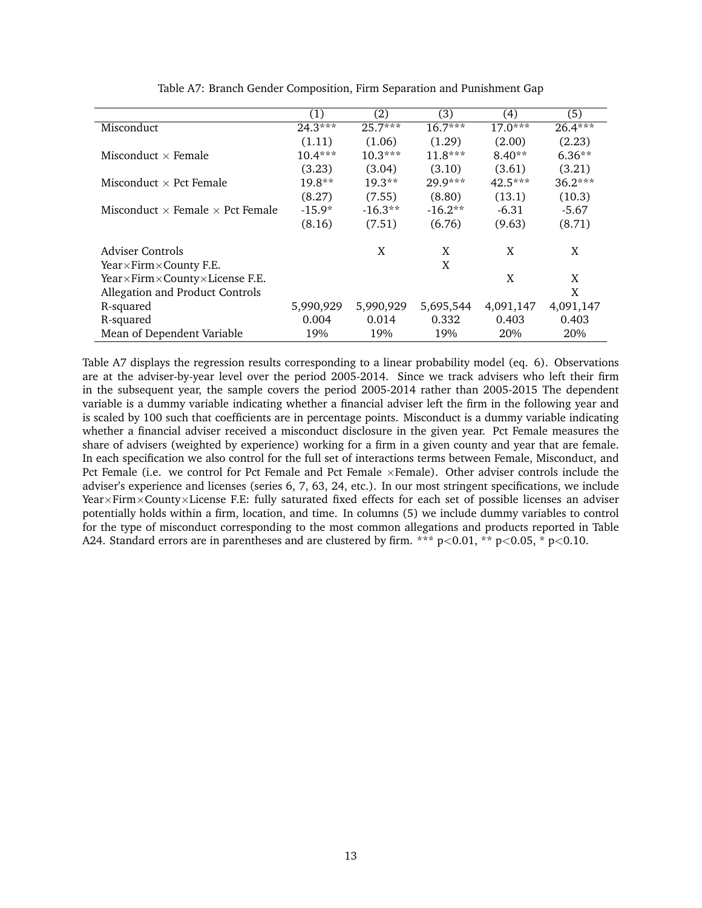|                                                | (1)       | (2)       | (3)       | (4)       | (5)       |
|------------------------------------------------|-----------|-----------|-----------|-----------|-----------|
| Misconduct                                     | $24.3***$ | $25.7***$ | $16.7***$ | $17.0***$ | $26.4***$ |
|                                                | (1.11)    | (1.06)    | (1.29)    | (2.00)    | (2.23)    |
| Misconduct $\times$ Female                     | $10.4***$ | $10.3***$ | $11.8***$ | $8.40**$  | $6.36**$  |
|                                                | (3.23)    | (3.04)    | (3.10)    | (3.61)    | (3.21)    |
| Misconduct $\times$ Pct Female                 | $19.8**$  | $19.3**$  | $29.9***$ | $42.5***$ | $36.2***$ |
|                                                | (8.27)    | (7.55)    | (8.80)    | (13.1)    | (10.3)    |
| Misconduct $\times$ Female $\times$ Pct Female | $-15.9*$  | $-16.3**$ | $-16.2**$ | $-6.31$   | $-5.67$   |
|                                                | (8.16)    | (7.51)    | (6.76)    | (9.63)    | (8.71)    |
| Adviser Controls                               |           | X         | X         | X         | X         |
| Year $\times$ Firm $\times$ County F.E.        |           |           | X         |           |           |
| Year × Firm × County × License F.E.            |           |           |           | X         | X         |
| Allegation and Product Controls                |           |           |           |           | X         |
| R-squared                                      | 5,990,929 | 5,990,929 | 5,695,544 | 4,091,147 | 4,091,147 |
| R-squared                                      | 0.004     | 0.014     | 0.332     | 0.403     | 0.403     |
| Mean of Dependent Variable                     | 19%       | 19%       | 19%       | 20%       | 20%       |

Table A7: Branch Gender Composition, Firm Separation and Punishment Gap

Table A7 displays the regression results corresponding to a linear probability model (eq. 6). Observations are at the adviser-by-year level over the period 2005-2014. Since we track advisers who left their firm in the subsequent year, the sample covers the period 2005-2014 rather than 2005-2015 The dependent variable is a dummy variable indicating whether a financial adviser left the firm in the following year and is scaled by 100 such that coefficients are in percentage points. Misconduct is a dummy variable indicating whether a financial adviser received a misconduct disclosure in the given year. Pct Female measures the share of advisers (weighted by experience) working for a firm in a given county and year that are female. In each specification we also control for the full set of interactions terms between Female, Misconduct, and Pct Female (i.e. we control for Pct Female and Pct Female ×Female). Other adviser controls include the adviser's experience and licenses (series 6, 7, 63, 24, etc.). In our most stringent specifications, we include Year×Firm×County×License F.E: fully saturated fixed effects for each set of possible licenses an adviser potentially holds within a firm, location, and time. In columns (5) we include dummy variables to control for the type of misconduct corresponding to the most common allegations and products reported in Table A24. Standard errors are in parentheses and are clustered by firm. \*\*\*  $p<0.01$ , \*\*  $p<0.05$ , \*  $p<0.10$ .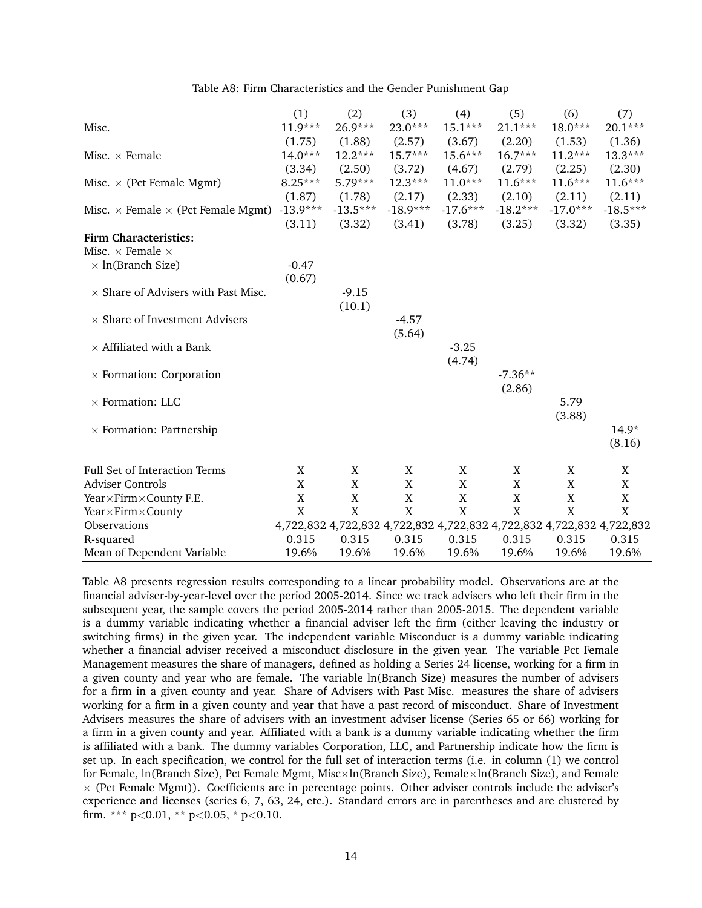|                                                  | $\overline{(1)}$ | $\overline{(2)}$ | $\overline{(3)}$ | $\overline{(4)}$                                                      | $\overline{(5)}$ | $\overline{(6)}$ | $\overline{(7)}$ |
|--------------------------------------------------|------------------|------------------|------------------|-----------------------------------------------------------------------|------------------|------------------|------------------|
| Misc.                                            | $11.9***$        | $26.9***$        | $23.0***$        | $15.1***$                                                             | $21.1***$        | $18.0***$        | $20.1***$        |
|                                                  | (1.75)           | (1.88)           | (2.57)           | (3.67)                                                                | (2.20)           | (1.53)           | (1.36)           |
| Misc. $\times$ Female                            | $14.0***$        | $12.2***$        | $15.7***$        | 15.6***                                                               | $16.7***$        | $11.2***$        | 13.3***          |
|                                                  | (3.34)           | (2.50)           | (3.72)           | (4.67)                                                                | (2.79)           | (2.25)           | (2.30)           |
| Misc. $\times$ (Pct Female Mgmt)                 | $8.25***$        | $5.79***$        | $12.3***$        | $11.0***$                                                             | $11.6***$        | $11.6***$        | $11.6***$        |
|                                                  | (1.87)           | (1.78)           | (2.17)           | (2.33)                                                                | (2.10)           | (2.11)           | (2.11)           |
| Misc. $\times$ Female $\times$ (Pct Female Mgmt) | $-13.9***$       | $-13.5***$       | $-18.9***$       | $-17.6***$                                                            | $-18.2***$       | $-17.0***$       | $-18.5***$       |
|                                                  | (3.11)           | (3.32)           | (3.41)           | (3.78)                                                                | (3.25)           | (3.32)           | (3.35)           |
| <b>Firm Characteristics:</b>                     |                  |                  |                  |                                                                       |                  |                  |                  |
| Misc. $\times$ Female $\times$                   |                  |                  |                  |                                                                       |                  |                  |                  |
| $\times$ ln(Branch Size)                         | $-0.47$          |                  |                  |                                                                       |                  |                  |                  |
|                                                  | (0.67)           |                  |                  |                                                                       |                  |                  |                  |
| $\times$ Share of Advisers with Past Misc.       |                  | $-9.15$          |                  |                                                                       |                  |                  |                  |
|                                                  |                  | (10.1)           |                  |                                                                       |                  |                  |                  |
| $\times$ Share of Investment Advisers            |                  |                  | $-4.57$          |                                                                       |                  |                  |                  |
|                                                  |                  |                  | (5.64)           |                                                                       |                  |                  |                  |
| $\times$ Affiliated with a Bank                  |                  |                  |                  | $-3.25$                                                               |                  |                  |                  |
|                                                  |                  |                  |                  | (4.74)                                                                |                  |                  |                  |
| $\times$ Formation: Corporation                  |                  |                  |                  |                                                                       | $-7.36**$        |                  |                  |
|                                                  |                  |                  |                  |                                                                       | (2.86)           |                  |                  |
| $\times$ Formation: LLC                          |                  |                  |                  |                                                                       |                  | 5.79             |                  |
|                                                  |                  |                  |                  |                                                                       |                  | (3.88)           |                  |
| $\times$ Formation: Partnership                  |                  |                  |                  |                                                                       |                  |                  | $14.9*$          |
|                                                  |                  |                  |                  |                                                                       |                  |                  | (8.16)           |
| Full Set of Interaction Terms                    | X                | X                | X                | X                                                                     | X                | X                | X                |
| <b>Adviser Controls</b>                          | X                | $\mathbf X$      | X                | $\mathbf X$                                                           | X                | X                | X                |
| Year×Firm×County F.E.                            | X                | $\mathbf X$      | X                | $\mathbf X$                                                           | $\mathbf X$      | $\mathbf X$      | X                |
| Year×Firm×County                                 | X                | $\mathbf X$      | $\mathbf X$      | $\mathbf X$                                                           | $\mathbf X$      | $\mathbf X$      | X                |
| Observations                                     |                  |                  |                  | 4,722,832 4,722,832 4,722,832 4,722,832 4,722,832 4,722,832 4,722,832 |                  |                  |                  |
| R-squared                                        | 0.315            | 0.315            | 0.315            | 0.315                                                                 | 0.315            | 0.315            | 0.315            |
| Mean of Dependent Variable                       | 19.6%            | 19.6%            | 19.6%            | 19.6%                                                                 | 19.6%            | 19.6%            | 19.6%            |

Table A8: Firm Characteristics and the Gender Punishment Gap

Table A8 presents regression results corresponding to a linear probability model. Observations are at the financial adviser-by-year-level over the period 2005-2014. Since we track advisers who left their firm in the subsequent year, the sample covers the period 2005-2014 rather than 2005-2015. The dependent variable is a dummy variable indicating whether a financial adviser left the firm (either leaving the industry or switching firms) in the given year. The independent variable Misconduct is a dummy variable indicating whether a financial adviser received a misconduct disclosure in the given year. The variable Pct Female Management measures the share of managers, defined as holding a Series 24 license, working for a firm in a given county and year who are female. The variable ln(Branch Size) measures the number of advisers for a firm in a given county and year. Share of Advisers with Past Misc. measures the share of advisers working for a firm in a given county and year that have a past record of misconduct. Share of Investment Advisers measures the share of advisers with an investment adviser license (Series 65 or 66) working for a firm in a given county and year. Affiliated with a bank is a dummy variable indicating whether the firm is affiliated with a bank. The dummy variables Corporation, LLC, and Partnership indicate how the firm is set up. In each specification, we control for the full set of interaction terms (i.e. in column (1) we control for Female, ln(Branch Size), Pct Female Mgmt, Misc×ln(Branch Size), Female×ln(Branch Size), and Female  $\times$  (Pct Female Mgmt)). Coefficients are in percentage points. Other adviser controls include the adviser's experience and licenses (series 6, 7, 63, 24, etc.). Standard errors are in parentheses and are clustered by firm. \*\*\*  $p<0.01$ , \*\*  $p<0.05$ , \*  $p<0.10$ .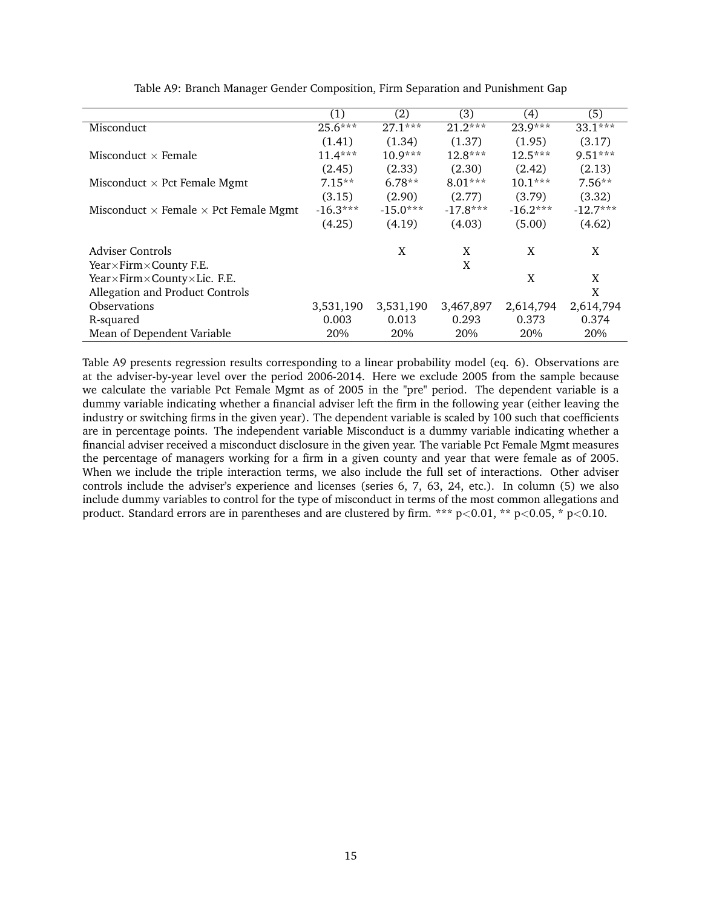|                                                     | (1)        | (2)        | (3)        | (4)        | (5)        |
|-----------------------------------------------------|------------|------------|------------|------------|------------|
| Misconduct                                          | $25.6***$  | $27.1***$  | $21.2***$  | $23.9***$  | $33.1***$  |
|                                                     | (1.41)     | (1.34)     | (1.37)     | (1.95)     | (3.17)     |
| Misconduct $\times$ Female                          | $11.4***$  | $10.9***$  | $12.8***$  | $12.5***$  | $9.51***$  |
|                                                     | (2.45)     | (2.33)     | (2.30)     | (2.42)     | (2.13)     |
| Misconduct $\times$ Pct Female Mgmt                 | $7.15**$   | $6.78**$   | $8.01***$  | $10.1***$  | $7.56**$   |
|                                                     | (3.15)     | (2.90)     | (2.77)     | (3.79)     | (3.32)     |
| Misconduct $\times$ Female $\times$ Pct Female Mgmt | $-16.3***$ | $-15.0***$ | $-17.8***$ | $-16.2***$ | $-12.7***$ |
|                                                     | (4.25)     | (4.19)     | (4.03)     | (5.00)     | (4.62)     |
| <b>Adviser Controls</b>                             |            | X          | X          | X          | X          |
| Year×Firm×County F.E.                               |            |            | X          |            |            |
| Year×Firm×County×Lic. F.E.                          |            |            |            | X          | X          |
| Allegation and Product Controls                     |            |            |            |            | X          |
| <b>Observations</b>                                 | 3,531,190  | 3,531,190  | 3,467,897  | 2,614,794  | 2,614,794  |
| R-squared                                           | 0.003      | 0.013      | 0.293      | 0.373      | 0.374      |
| Mean of Dependent Variable                          | 20%        | 20%        | 20%        | 20%        | 20%        |

Table A9 presents regression results corresponding to a linear probability model (eq. 6). Observations are at the adviser-by-year level over the period 2006-2014. Here we exclude 2005 from the sample because we calculate the variable Pct Female Mgmt as of 2005 in the "pre" period. The dependent variable is a dummy variable indicating whether a financial adviser left the firm in the following year (either leaving the industry or switching firms in the given year). The dependent variable is scaled by 100 such that coefficients are in percentage points. The independent variable Misconduct is a dummy variable indicating whether a financial adviser received a misconduct disclosure in the given year. The variable Pct Female Mgmt measures the percentage of managers working for a firm in a given county and year that were female as of 2005. When we include the triple interaction terms, we also include the full set of interactions. Other adviser controls include the adviser's experience and licenses (series 6, 7, 63, 24, etc.). In column (5) we also include dummy variables to control for the type of misconduct in terms of the most common allegations and product. Standard errors are in parentheses and are clustered by firm. \*\*\* p<0.01, \*\* p<0.05, \* p<0.10.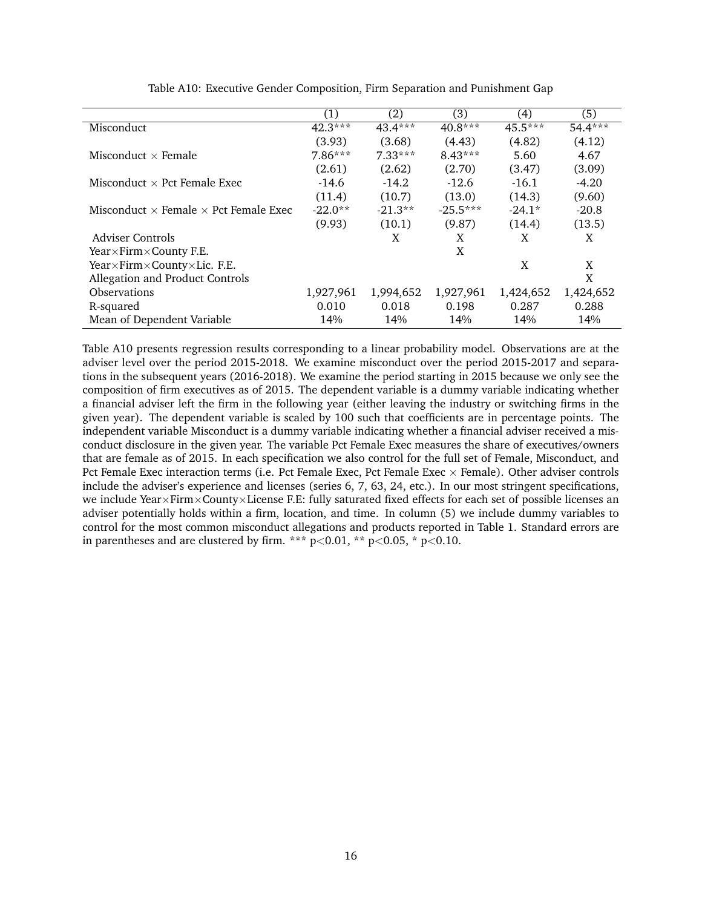|                                                     | (1)       | (2)       | (3)        | (4)       | (5)       |
|-----------------------------------------------------|-----------|-----------|------------|-----------|-----------|
| Misconduct                                          | $42.3***$ | 43.4***   | $40.8***$  | $45.5***$ | $54.4***$ |
|                                                     | (3.93)    | (3.68)    | (4.43)     | (4.82)    | (4.12)    |
| Misconduct $\times$ Female                          | $7.86***$ | $7.33***$ | $8.43***$  | 5.60      | 4.67      |
|                                                     | (2.61)    | (2.62)    | (2.70)     | (3.47)    | (3.09)    |
| Misconduct $\times$ Pct Female Exec                 | $-14.6$   | $-14.2$   | $-12.6$    | $-16.1$   | $-4.20$   |
|                                                     | (11.4)    | (10.7)    | (13.0)     | (14.3)    | (9.60)    |
| Misconduct $\times$ Female $\times$ Pct Female Exec | $-22.0**$ | $-21.3**$ | $-25.5***$ | $-24.1*$  | $-20.8$   |
|                                                     | (9.93)    | (10.1)    | (9.87)     | (14.4)    | (13.5)    |
| <b>Adviser Controls</b>                             |           | X         | X          | X         | X         |
| Year $\times$ Firm $\times$ County F.E.             |           |           | X          |           |           |
| Year×Firm×County×Lic. F.E.                          |           |           |            | X         | X         |
| Allegation and Product Controls                     |           |           |            |           | X         |
| <b>Observations</b>                                 | 1,927,961 | 1,994,652 | 1,927,961  | 1,424,652 | 1,424,652 |
| R-squared                                           | 0.010     | 0.018     | 0.198      | 0.287     | 0.288     |
| Mean of Dependent Variable                          | 14%       | 14%       | 14%        | 14%       | 14%       |

Table A10: Executive Gender Composition, Firm Separation and Punishment Gap

Table A10 presents regression results corresponding to a linear probability model. Observations are at the adviser level over the period 2015-2018. We examine misconduct over the period 2015-2017 and separations in the subsequent years (2016-2018). We examine the period starting in 2015 because we only see the composition of firm executives as of 2015. The dependent variable is a dummy variable indicating whether a financial adviser left the firm in the following year (either leaving the industry or switching firms in the given year). The dependent variable is scaled by 100 such that coefficients are in percentage points. The independent variable Misconduct is a dummy variable indicating whether a financial adviser received a misconduct disclosure in the given year. The variable Pct Female Exec measures the share of executives/owners that are female as of 2015. In each specification we also control for the full set of Female, Misconduct, and Pct Female Exec interaction terms (i.e. Pct Female Exec, Pct Female Exec × Female). Other adviser controls include the adviser's experience and licenses (series 6, 7, 63, 24, etc.). In our most stringent specifications, we include Year×Firm×County×License F.E: fully saturated fixed effects for each set of possible licenses an adviser potentially holds within a firm, location, and time. In column (5) we include dummy variables to control for the most common misconduct allegations and products reported in Table 1. Standard errors are in parentheses and are clustered by firm. \*\*\*  $p<0.01$ , \*\*  $p<0.05$ , \*  $p<0.10$ .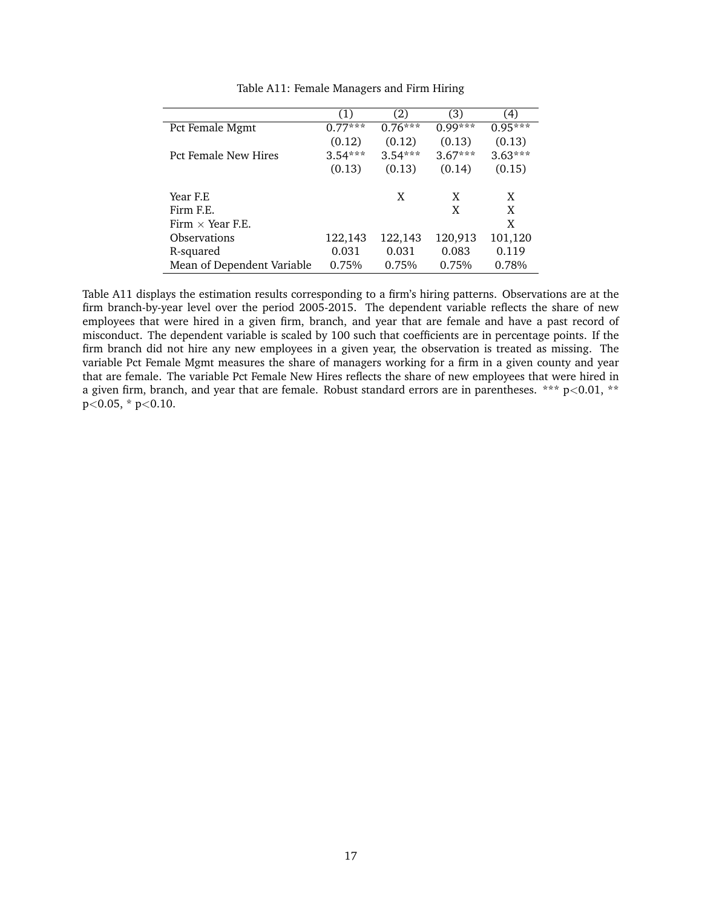| (1)       | (2)       | (3)       | (4)       |
|-----------|-----------|-----------|-----------|
| $0.77***$ | $0.76***$ | $0.99***$ | $0.95***$ |
| (0.12)    | (0.12)    | (0.13)    | (0.13)    |
| $3.54***$ | $3.54***$ | $3.67***$ | $3.63***$ |
| (0.13)    | (0.13)    | (0.14)    | (0.15)    |
|           |           |           |           |
|           | X         | X         | X         |
|           |           | X         | X         |
|           |           |           | X         |
| 122,143   | 122,143   | 120,913   | 101,120   |
| 0.031     | 0.031     | 0.083     | 0.119     |
| 0.75%     | 0.75%     | 0.75%     | 0.78%     |
|           |           |           |           |

Table A11: Female Managers and Firm Hiring

Table A11 displays the estimation results corresponding to a firm's hiring patterns. Observations are at the firm branch-by-year level over the period 2005-2015. The dependent variable reflects the share of new employees that were hired in a given firm, branch, and year that are female and have a past record of misconduct. The dependent variable is scaled by 100 such that coefficients are in percentage points. If the firm branch did not hire any new employees in a given year, the observation is treated as missing. The variable Pct Female Mgmt measures the share of managers working for a firm in a given county and year that are female. The variable Pct Female New Hires reflects the share of new employees that were hired in a given firm, branch, and year that are female. Robust standard errors are in parentheses. \*\*\*  $p<0.01$ , \*\* p<0.05, \* p<0.10.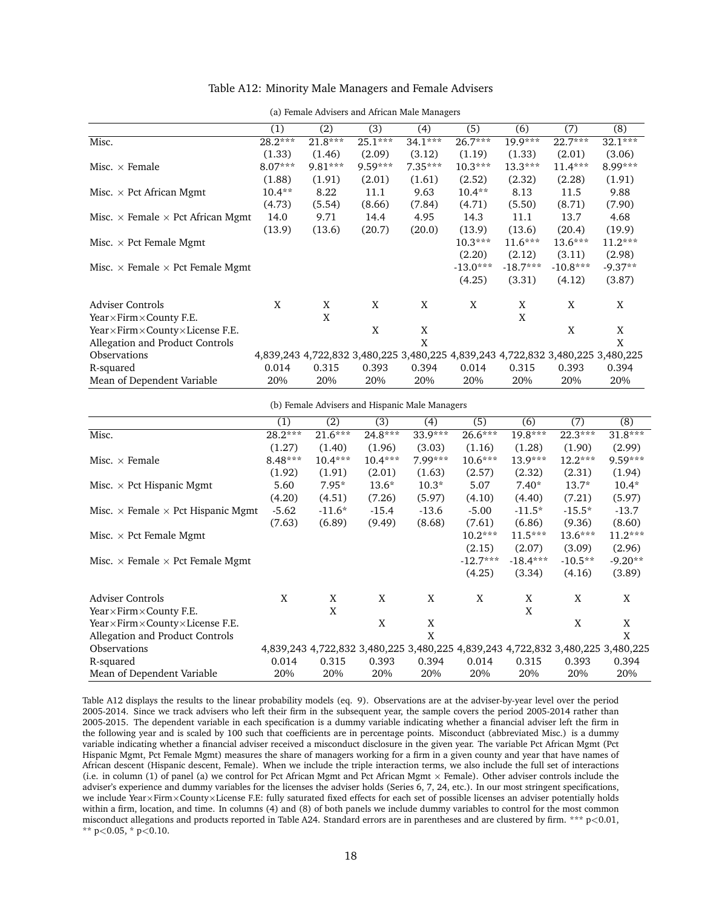|                                                 | (1)       | (2)       | (3)       | (4)       | (5)                                                                             | (6)        | (7)        | (8)       |
|-------------------------------------------------|-----------|-----------|-----------|-----------|---------------------------------------------------------------------------------|------------|------------|-----------|
| Misc.                                           | $28.2***$ | $21.8***$ | $25.1***$ | $34.1***$ | $26.7***$                                                                       | $19.9***$  | $22.7***$  | $32.1***$ |
|                                                 | (1.33)    | (1.46)    | (2.09)    | (3.12)    | (1.19)                                                                          | (1.33)     | (2.01)     | (3.06)    |
| Misc. $\times$ Female                           | $8.07***$ | $9.81***$ | $9.59***$ | $7.35***$ | $10.3***$                                                                       | $13.3***$  | $11.4***$  | 8.99***   |
|                                                 | (1.88)    | (1.91)    | (2.01)    | (1.61)    | (2.52)                                                                          | (2.32)     | (2.28)     | (1.91)    |
| Misc. $\times$ Pct African Mgmt                 | $10.4**$  | 8.22      | 11.1      | 9.63      | $10.4**$                                                                        | 8.13       | 11.5       | 9.88      |
|                                                 | (4.73)    | (5.54)    | (8.66)    | (7.84)    | (4.71)                                                                          | (5.50)     | (8.71)     | (7.90)    |
| Misc. $\times$ Female $\times$ Pct African Mgmt | 14.0      | 9.71      | 14.4      | 4.95      | 14.3                                                                            | 11.1       | 13.7       | 4.68      |
|                                                 | (13.9)    | (13.6)    | (20.7)    | (20.0)    | (13.9)                                                                          | (13.6)     | (20.4)     | (19.9)    |
| Misc. $\times$ Pct Female Mgmt                  |           |           |           |           | $10.3***$                                                                       | $11.6***$  | $13.6***$  | $11.2***$ |
|                                                 |           |           |           |           | (2.20)                                                                          | (2.12)     | (3.11)     | (2.98)    |
| Misc. $\times$ Female $\times$ Pct Female Mgmt  |           |           |           |           | $-13.0***$                                                                      | $-18.7***$ | $-10.8***$ | $-9.37**$ |
|                                                 |           |           |           |           | (4.25)                                                                          | (3.31)     | (4.12)     | (3.87)    |
| <b>Adviser Controls</b>                         | X         | X         | X         | X         | X                                                                               | X          | X          | X         |
| Year $\times$ Firm $\times$ County F.E.         |           | X         |           |           |                                                                                 | X          |            |           |
| Year×Firm×County×License F.E.                   |           |           | X         | X         |                                                                                 |            | X          | X         |
| Allegation and Product Controls                 |           |           |           | X         |                                                                                 |            |            | X         |
| Observations                                    |           |           |           |           | 4,839,243 4,722,832 3,480,225 3,480,225 4,839,243 4,722,832 3,480,225 3,480,225 |            |            |           |
| R-squared                                       | 0.014     | 0.315     | 0.393     | 0.394     | 0.014                                                                           | 0.315      | 0.393      | 0.394     |
| Mean of Dependent Variable                      | 20%       | 20%       | 20%       | 20%       | 20%                                                                             | 20%        | 20%        | 20%       |

### Table A12: Minority Male Managers and Female Advisers

(a) Female Advisers and African Male Managers

(b) Female Advisers and Hispanic Male Managers

|                                                     | (1)       | (2)       | (3)       | (4)                                                                             | (5)        | (6)        | (7)       | (8)       |
|-----------------------------------------------------|-----------|-----------|-----------|---------------------------------------------------------------------------------|------------|------------|-----------|-----------|
| Misc.                                               | $28.2***$ | $21.6***$ | $24.8***$ | $33.9***$                                                                       | $26.6***$  | $19.8***$  | $22.3***$ | $31.8***$ |
|                                                     | (1.27)    | (1.40)    | (1.96)    | (3.03)                                                                          | (1.16)     | (1.28)     | (1.90)    | (2.99)    |
| Misc. $\times$ Female                               | 8.48***   | $10.4***$ | $10.4***$ | $7.99***$                                                                       | $10.6***$  | $13.9***$  | $12.2***$ | 9.59***   |
|                                                     | (1.92)    | (1.91)    | (2.01)    | (1.63)                                                                          | (2.57)     | (2.32)     | (2.31)    | (1.94)    |
| Misc. $\times$ Pct Hispanic Mgmt                    | 5.60      | $7.95*$   | $13.6*$   | $10.3*$                                                                         | 5.07       | $7.40*$    | $13.7*$   | $10.4*$   |
|                                                     | (4.20)    | (4.51)    | (7.26)    | (5.97)                                                                          | (4.10)     | (4.40)     | (7.21)    | (5.97)    |
| Misc. $\times$ Female $\times$ Pct Hispanic Mgmt    | $-5.62$   | $-11.6*$  | $-15.4$   | $-13.6$                                                                         | $-5.00$    | $-11.5*$   | $-15.5*$  | $-13.7$   |
|                                                     | (7.63)    | (6.89)    | (9.49)    | (8.68)                                                                          | (7.61)     | (6.86)     | (9.36)    | (8.60)    |
| Misc. $\times$ Pct Female Mgmt                      |           |           |           |                                                                                 | $10.2***$  | $11.5***$  | $13.6***$ | $11.2***$ |
|                                                     |           |           |           |                                                                                 | (2.15)     | (2.07)     | (3.09)    | (2.96)    |
| Misc. $\times$ Female $\times$ Pct Female Mgmt      |           |           |           |                                                                                 | $-12.7***$ | $-18.4***$ | $-10.5**$ | $-9.20**$ |
|                                                     |           |           |           |                                                                                 | (4.25)     | (3.34)     | (4.16)    | (3.89)    |
| <b>Adviser Controls</b>                             | X         | X         | X         | X                                                                               | X          | X          | X         | X         |
| Year $\times$ Firm $\times$ County F.E.             |           | X         |           |                                                                                 |            | X          |           |           |
| $Year \times Firm \times Count \times License$ F.E. |           |           | X         | X                                                                               |            |            | X         | X         |
| Allegation and Product Controls                     |           |           |           | X                                                                               |            |            |           | X         |
| <b>Observations</b>                                 |           |           |           | 4,839,243 4,722,832 3,480,225 3,480,225 4,839,243 4,722,832 3,480,225 3,480,225 |            |            |           |           |
| R-squared                                           | 0.014     | 0.315     | 0.393     | 0.394                                                                           | 0.014      | 0.315      | 0.393     | 0.394     |
| Mean of Dependent Variable                          | 20%       | 20%       | 20%       | 20%                                                                             | 20%        | 20%        | 20%       | 20%       |

Table A12 displays the results to the linear probability models (eq. 9). Observations are at the adviser-by-year level over the period 2005-2014. Since we track advisers who left their firm in the subsequent year, the sample covers the period 2005-2014 rather than 2005-2015. The dependent variable in each specification is a dummy variable indicating whether a financial adviser left the firm in the following year and is scaled by 100 such that coefficients are in percentage points. Misconduct (abbreviated Misc.) is a dummy variable indicating whether a financial adviser received a misconduct disclosure in the given year. The variable Pct African Mgmt (Pct Hispanic Mgmt, Pct Female Mgmt) measures the share of managers working for a firm in a given county and year that have names of African descent (Hispanic descent, Female). When we include the triple interaction terms, we also include the full set of interactions (i.e. in column (1) of panel (a) we control for Pct African Mgmt and Pct African Mgmt × Female). Other adviser controls include the adviser's experience and dummy variables for the licenses the adviser holds (Series 6, 7, 24, etc.). In our most stringent specifications, we include Year×Firm×County×License F.E: fully saturated fixed effects for each set of possible licenses an adviser potentially holds within a firm, location, and time. In columns (4) and (8) of both panels we include dummy variables to control for the most common misconduct allegations and products reported in Table A24. Standard errors are in parentheses and are clustered by firm. \*\*\* p<0.01, \*\*  $p<0.05$ , \*  $p<0.10$ .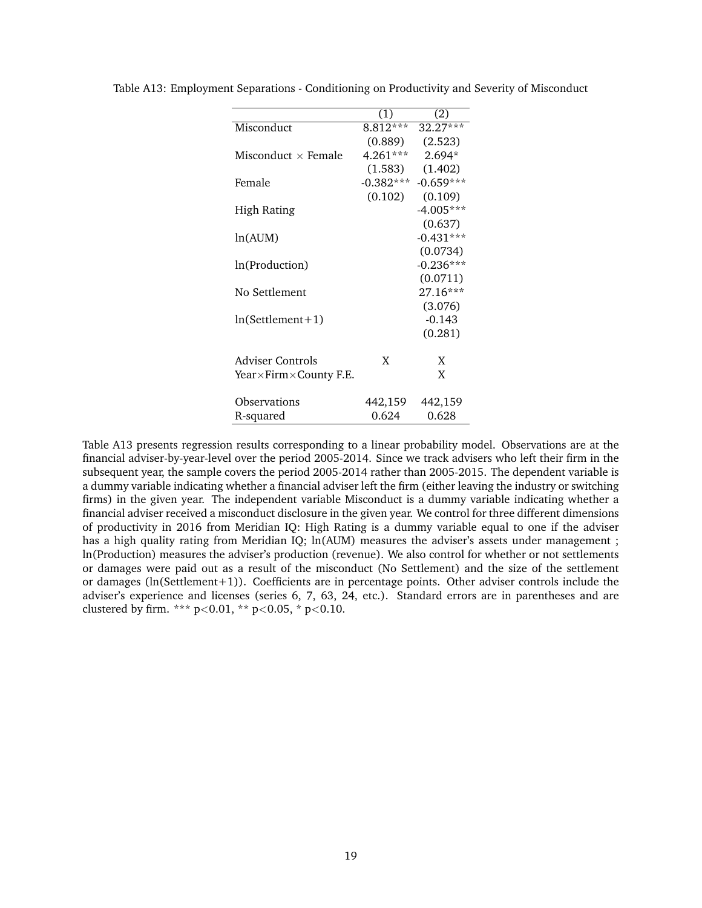|                            | (1)         | (2)                 |
|----------------------------|-------------|---------------------|
| Misconduct                 | $8.812***$  | $32.27***$          |
|                            | (0.889)     | (2.523)             |
| Misconduct $\times$ Female | 4.261***    | $2.694*$            |
|                            |             | $(1.583)$ $(1.402)$ |
| Female                     | $-0.382***$ | $-0.659***$         |
|                            | (0.102)     | (0.109)             |
| <b>High Rating</b>         |             | $-4.005***$         |
|                            |             | (0.637)             |
| ln(AUM)                    |             | $-0.431***$         |
|                            |             | (0.0734)            |
| ln(Production)             |             | $-0.236***$         |
|                            |             | (0.0711)            |
| No Settlement              |             | 27.16***            |
|                            |             | (3.076)             |
| $ln(Settlement+1)$         |             | $-0.143$            |
|                            |             | (0.281)             |
|                            |             |                     |
| Adviser Controls           | X           | X                   |
| Year×Firm×County F.E.      |             | X                   |
|                            |             |                     |
| Observations               | 442,159     | 442,159             |
| R-squared                  | 0.624       | 0.628               |

Table A13: Employment Separations - Conditioning on Productivity and Severity of Misconduct

Table A13 presents regression results corresponding to a linear probability model. Observations are at the financial adviser-by-year-level over the period 2005-2014. Since we track advisers who left their firm in the subsequent year, the sample covers the period 2005-2014 rather than 2005-2015. The dependent variable is a dummy variable indicating whether a financial adviser left the firm (either leaving the industry or switching firms) in the given year. The independent variable Misconduct is a dummy variable indicating whether a financial adviser received a misconduct disclosure in the given year. We control for three different dimensions of productivity in 2016 from Meridian IQ: High Rating is a dummy variable equal to one if the adviser has a high quality rating from Meridian IQ; ln(AUM) measures the adviser's assets under management; ln(Production) measures the adviser's production (revenue). We also control for whether or not settlements or damages were paid out as a result of the misconduct (No Settlement) and the size of the settlement or damages (ln(Settlement+1)). Coefficients are in percentage points. Other adviser controls include the adviser's experience and licenses (series 6, 7, 63, 24, etc.). Standard errors are in parentheses and are clustered by firm. \*\*\*  $p<0.01$ , \*\*  $p<0.05$ , \*  $p<0.10$ .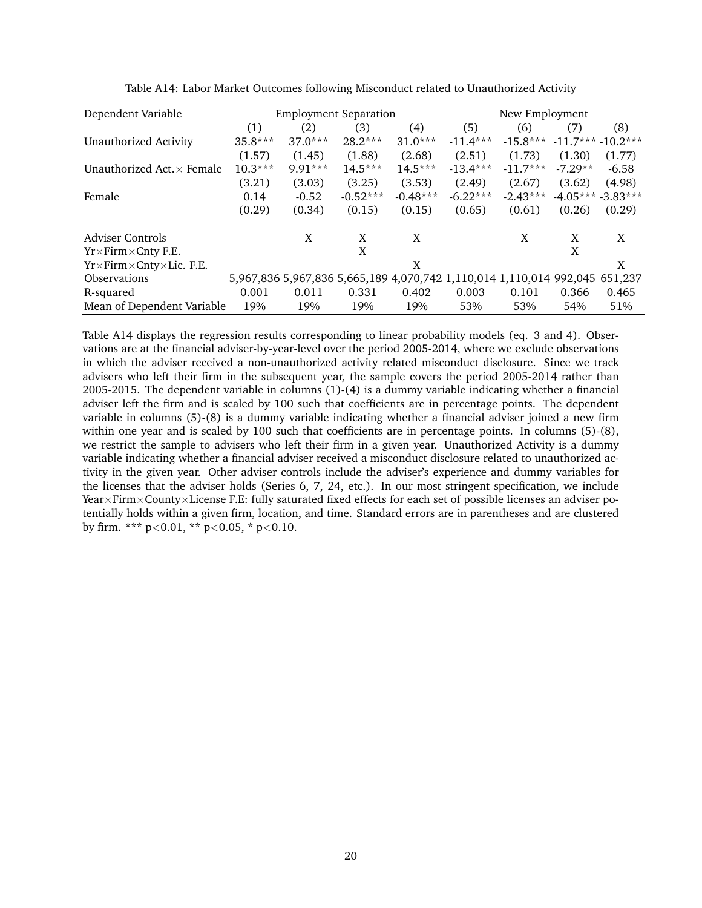| Dependent Variable                  | <b>Employment Separation</b> |           |                                                                             |            | New Employment |            |                    |         |
|-------------------------------------|------------------------------|-----------|-----------------------------------------------------------------------------|------------|----------------|------------|--------------------|---------|
|                                     | (1)                          | (2)       | (3)                                                                         | (4)        | (5)            | (6)        | (7)                | (8)     |
| <b>Unauthorized Activity</b>        | $35.8***$                    | $37.0***$ | $28.2***$                                                                   | $31.0***$  | $-11.4***$     | $-15.8***$ | $-11.7***-10.2***$ |         |
|                                     | (1.57)                       | (1.45)    | (1.88)                                                                      | (2.68)     | (2.51)         | (1.73)     | (1.30)             | (1.77)  |
| Unauthorized Act. $\times$ Female   | $10.3***$                    | $9.91***$ | 14.5***                                                                     | $14.5***$  | $-13.4***$     | $-11.7***$ | $-7.29**$          | $-6.58$ |
|                                     | (3.21)                       | (3.03)    | (3.25)                                                                      | (3.53)     | (2.49)         | (2.67)     | (3.62)             | (4.98)  |
| Female                              | 0.14                         | $-0.52$   | $-0.52***$                                                                  | $-0.48***$ | $-6.22***$     | $-2.43***$ | $-4.05***-3.83***$ |         |
|                                     | (0.29)                       | (0.34)    | (0.15)                                                                      | (0.15)     | (0.65)         | (0.61)     | (0.26)             | (0.29)  |
| <b>Adviser Controls</b>             |                              | X         | X                                                                           | X          |                | X          | X                  | X       |
| $Yr \times$ Firm $\times$ Cnty F.E. |                              |           | X                                                                           |            |                |            | X                  |         |
| Yr×Firm×Cnty×Lic. F.E.              |                              |           |                                                                             | X          |                |            |                    | X       |
| Observations                        |                              |           | 5,967,836 5,967,836 5,665,189 4,070,742 1,110,014 1,110,014 992,045 651,237 |            |                |            |                    |         |
| R-squared                           | 0.001                        | 0.011     | 0.331                                                                       | 0.402      | 0.003          | 0.101      | 0.366              | 0.465   |
| Mean of Dependent Variable          | 19%                          | 19%       | 19%                                                                         | 19%        | 53%            | 53%        | 54%                | 51%     |

Table A14: Labor Market Outcomes following Misconduct related to Unauthorized Activity

Table A14 displays the regression results corresponding to linear probability models (eq. 3 and 4). Observations are at the financial adviser-by-year-level over the period 2005-2014, where we exclude observations in which the adviser received a non-unauthorized activity related misconduct disclosure. Since we track advisers who left their firm in the subsequent year, the sample covers the period 2005-2014 rather than 2005-2015. The dependent variable in columns (1)-(4) is a dummy variable indicating whether a financial adviser left the firm and is scaled by 100 such that coefficients are in percentage points. The dependent variable in columns (5)-(8) is a dummy variable indicating whether a financial adviser joined a new firm within one year and is scaled by 100 such that coefficients are in percentage points. In columns (5)-(8), we restrict the sample to advisers who left their firm in a given year. Unauthorized Activity is a dummy variable indicating whether a financial adviser received a misconduct disclosure related to unauthorized activity in the given year. Other adviser controls include the adviser's experience and dummy variables for the licenses that the adviser holds (Series 6, 7, 24, etc.). In our most stringent specification, we include Year×Firm×County×License F.E: fully saturated fixed effects for each set of possible licenses an adviser potentially holds within a given firm, location, and time. Standard errors are in parentheses and are clustered by firm. \*\*\* p<0.01, \*\* p<0.05, \* p<0.10.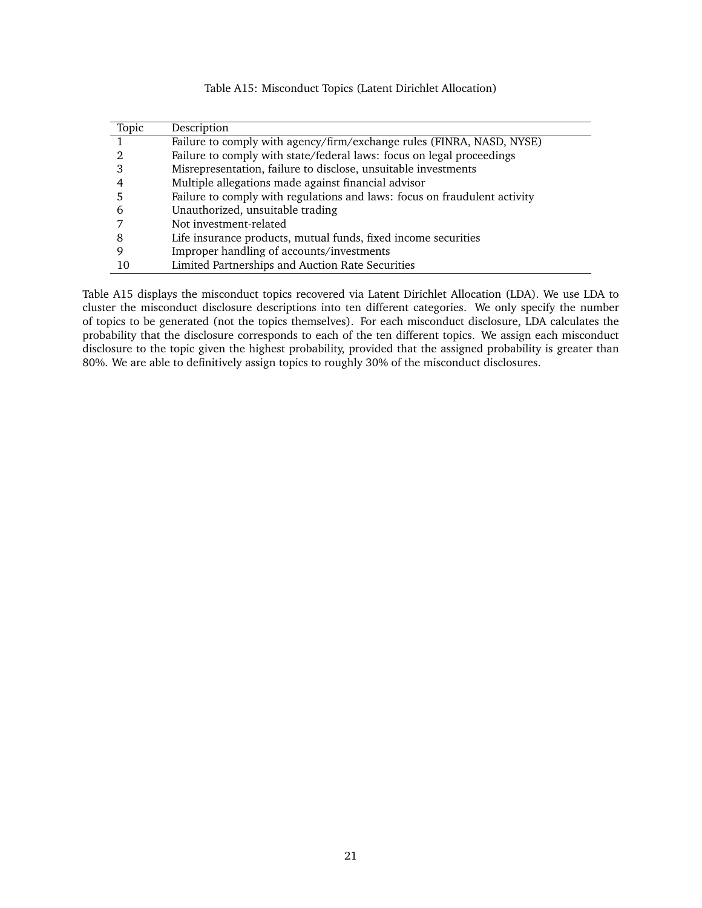| Topic | Description                                                               |
|-------|---------------------------------------------------------------------------|
|       | Failure to comply with agency/firm/exchange rules (FINRA, NASD, NYSE)     |
|       | Failure to comply with state/federal laws: focus on legal proceedings     |
|       | Misrepresentation, failure to disclose, unsuitable investments            |
|       | Multiple allegations made against financial advisor                       |
|       | Failure to comply with regulations and laws: focus on fraudulent activity |
|       | Unauthorized, unsuitable trading                                          |
|       | Not investment-related                                                    |
|       | Life insurance products, mutual funds, fixed income securities            |
|       | Improper handling of accounts/investments                                 |
|       | Limited Partnerships and Auction Rate Securities                          |

## Table A15: Misconduct Topics (Latent Dirichlet Allocation)

Table A15 displays the misconduct topics recovered via Latent Dirichlet Allocation (LDA). We use LDA to cluster the misconduct disclosure descriptions into ten different categories. We only specify the number of topics to be generated (not the topics themselves). For each misconduct disclosure, LDA calculates the probability that the disclosure corresponds to each of the ten different topics. We assign each misconduct disclosure to the topic given the highest probability, provided that the assigned probability is greater than 80%. We are able to definitively assign topics to roughly 30% of the misconduct disclosures.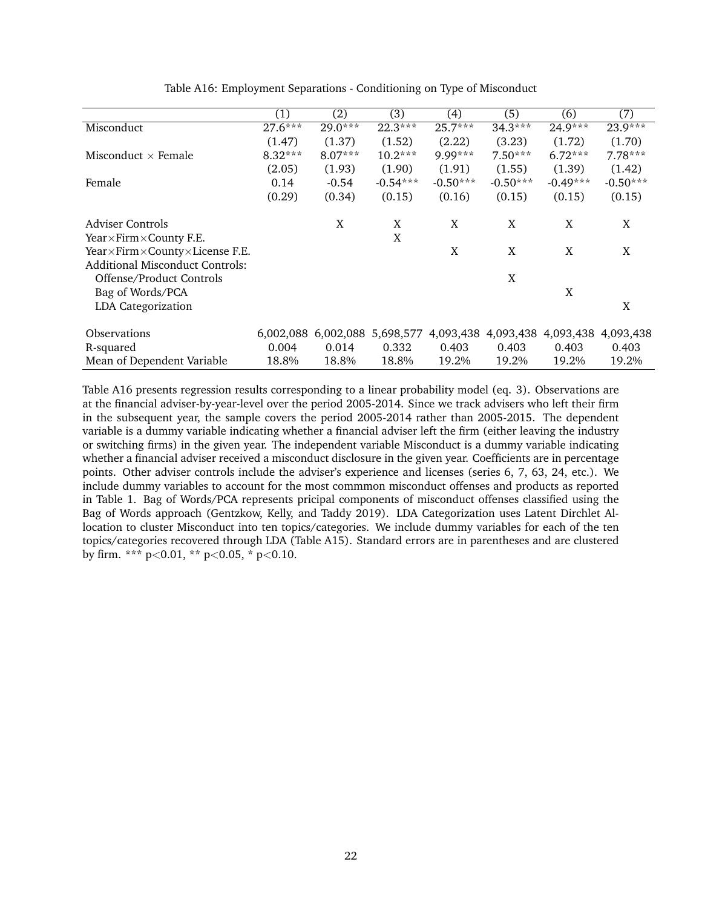|                                         | (1)       | (2)       | (3)                                     | (4)        | (5)        | (6)        | (7)        |
|-----------------------------------------|-----------|-----------|-----------------------------------------|------------|------------|------------|------------|
| Misconduct                              | $27.6***$ | $29.0***$ | $22.3***$                               | $25.7***$  | $34.3***$  | $24.9***$  | $23.9***$  |
|                                         | (1.47)    | (1.37)    | (1.52)                                  | (2.22)     | (3.23)     | (1.72)     | (1.70)     |
| Misconduct $\times$ Female              | 8.32***   | $8.07***$ | $10.2***$                               | $9.99***$  | $7.50***$  | $6.72***$  | $7.78***$  |
|                                         | (2.05)    | (1.93)    | (1.90)                                  | (1.91)     | (1.55)     | (1.39)     | (1.42)     |
| Female                                  | 0.14      | $-0.54$   | $-0.54***$                              | $-0.50***$ | $-0.50***$ | $-0.49***$ | $-0.50***$ |
|                                         | (0.29)    | (0.34)    | (0.15)                                  | (0.16)     | (0.15)     | (0.15)     | (0.15)     |
| Adviser Controls                        |           | X         | X                                       | X          | X          | X          | X          |
| Year $\times$ Firm $\times$ County F.E. |           |           | X                                       |            |            |            |            |
| Year×Firm×County×License F.E.           |           |           |                                         | X          | X          | X          | X          |
| Additional Misconduct Controls:         |           |           |                                         |            |            |            |            |
| Offense/Product Controls                |           |           |                                         |            | X          |            |            |
| Bag of Words/PCA                        |           |           |                                         |            |            | X          |            |
| <b>LDA</b> Categorization               |           |           |                                         |            |            |            | X          |
| <b>Observations</b>                     |           |           | 6,002,088 6,002,088 5,698,577 4,093,438 |            | 4,093,438  | 4,093,438  | 4,093,438  |
| R-squared                               | 0.004     | 0.014     | 0.332                                   | 0.403      | 0.403      | 0.403      | 0.403      |
| Mean of Dependent Variable              | 18.8%     | 18.8%     | 18.8%                                   | 19.2%      | 19.2%      | 19.2%      | 19.2%      |

Table A16: Employment Separations - Conditioning on Type of Misconduct

Table A16 presents regression results corresponding to a linear probability model (eq. 3). Observations are at the financial adviser-by-year-level over the period 2005-2014. Since we track advisers who left their firm in the subsequent year, the sample covers the period 2005-2014 rather than 2005-2015. The dependent variable is a dummy variable indicating whether a financial adviser left the firm (either leaving the industry or switching firms) in the given year. The independent variable Misconduct is a dummy variable indicating whether a financial adviser received a misconduct disclosure in the given year. Coefficients are in percentage points. Other adviser controls include the adviser's experience and licenses (series 6, 7, 63, 24, etc.). We include dummy variables to account for the most commmon misconduct offenses and products as reported in Table 1. Bag of Words/PCA represents pricipal components of misconduct offenses classified using the Bag of Words approach (Gentzkow, Kelly, and Taddy 2019). LDA Categorization uses Latent Dirchlet Allocation to cluster Misconduct into ten topics/categories. We include dummy variables for each of the ten topics/categories recovered through LDA (Table A15). Standard errors are in parentheses and are clustered by firm. \*\*\* p<0.01, \*\* p<0.05, \* p<0.10.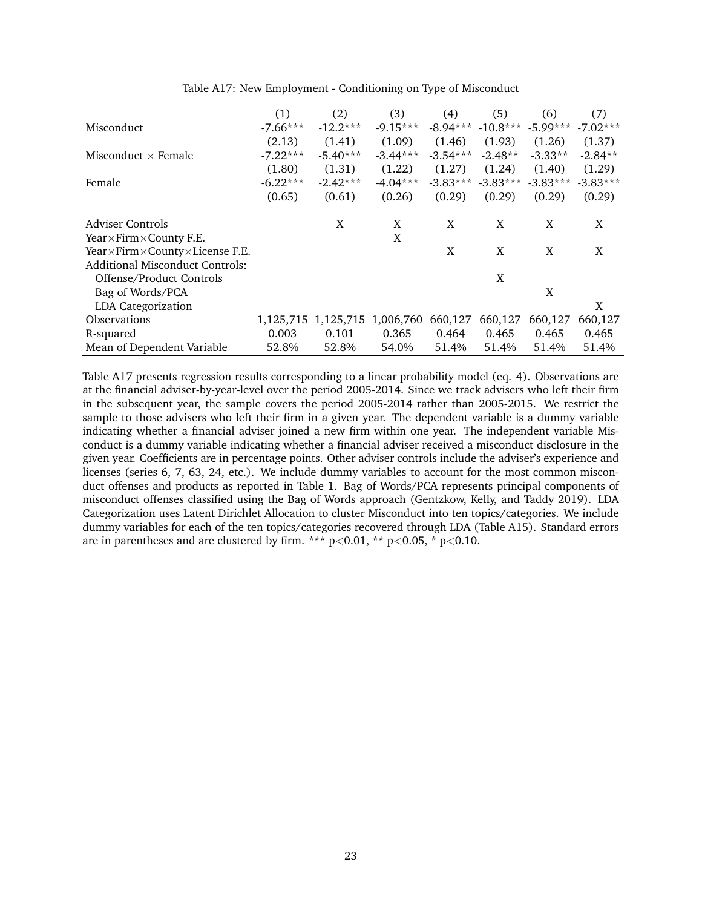|                                 | (1)        | (2)        | (3)        | (4)        | (5)        | (6)                   | (7)        |
|---------------------------------|------------|------------|------------|------------|------------|-----------------------|------------|
| Misconduct                      | $-7.66***$ | $-12.2***$ | $-9.15***$ | $-8.94***$ | $-10.8***$ | $-5.99***$            | $-7.02***$ |
|                                 | (2.13)     | (1.41)     | (1.09)     | (1.46)     | (1.93)     | (1.26)                | (1.37)     |
| Misconduct $\times$ Female      | $-7.22***$ | $-5.40***$ | $-3.44***$ | $-3.54***$ | $-2.48**$  | $-3.33**$             | $-2.84**$  |
|                                 | (1.80)     | (1.31)     | (1.22)     | (1.27)     | (1.24)     | (1.40)                | (1.29)     |
| Female                          | $-6.22***$ | $-2.42***$ | $-4.04***$ | $-3.83***$ | $-3.83***$ | $-3.83***$ $-3.83***$ |            |
|                                 | (0.65)     | (0.61)     | (0.26)     | (0.29)     | (0.29)     | (0.29)                | (0.29)     |
| <b>Adviser Controls</b>         |            | X          | X          | X          | X          | X                     | X          |
| Year×Firm×County F.E.           |            |            | X          |            |            |                       |            |
| Year×Firm×County×License F.E.   |            |            |            | X          | X          | X                     | X          |
| Additional Misconduct Controls: |            |            |            |            |            |                       |            |
| Offense/Product Controls        |            |            |            |            | X          |                       |            |
| Bag of Words/PCA                |            |            |            |            |            | X                     |            |
| LDA Categorization              |            |            |            |            |            |                       | X          |
| <b>Observations</b>             | 1,125,715  | 1,125,715  | 1,006,760  | 660,127    | 660,127    | 660,127               | 660,127    |
| R-squared                       | 0.003      | 0.101      | 0.365      | 0.464      | 0.465      | 0.465                 | 0.465      |
| Mean of Dependent Variable      | 52.8%      | 52.8%      | 54.0%      | 51.4%      | 51.4%      | 51.4%                 | 51.4%      |

Table A17: New Employment - Conditioning on Type of Misconduct

Table A17 presents regression results corresponding to a linear probability model (eq. 4). Observations are at the financial adviser-by-year-level over the period 2005-2014. Since we track advisers who left their firm in the subsequent year, the sample covers the period 2005-2014 rather than 2005-2015. We restrict the sample to those advisers who left their firm in a given year. The dependent variable is a dummy variable indicating whether a financial adviser joined a new firm within one year. The independent variable Misconduct is a dummy variable indicating whether a financial adviser received a misconduct disclosure in the given year. Coefficients are in percentage points. Other adviser controls include the adviser's experience and licenses (series 6, 7, 63, 24, etc.). We include dummy variables to account for the most common misconduct offenses and products as reported in Table 1. Bag of Words/PCA represents principal components of misconduct offenses classified using the Bag of Words approach (Gentzkow, Kelly, and Taddy 2019). LDA Categorization uses Latent Dirichlet Allocation to cluster Misconduct into ten topics/categories. We include dummy variables for each of the ten topics/categories recovered through LDA (Table A15). Standard errors are in parentheses and are clustered by firm. \*\*\*  $p<0.01$ , \*\*  $p<0.05$ , \*  $p<0.10$ .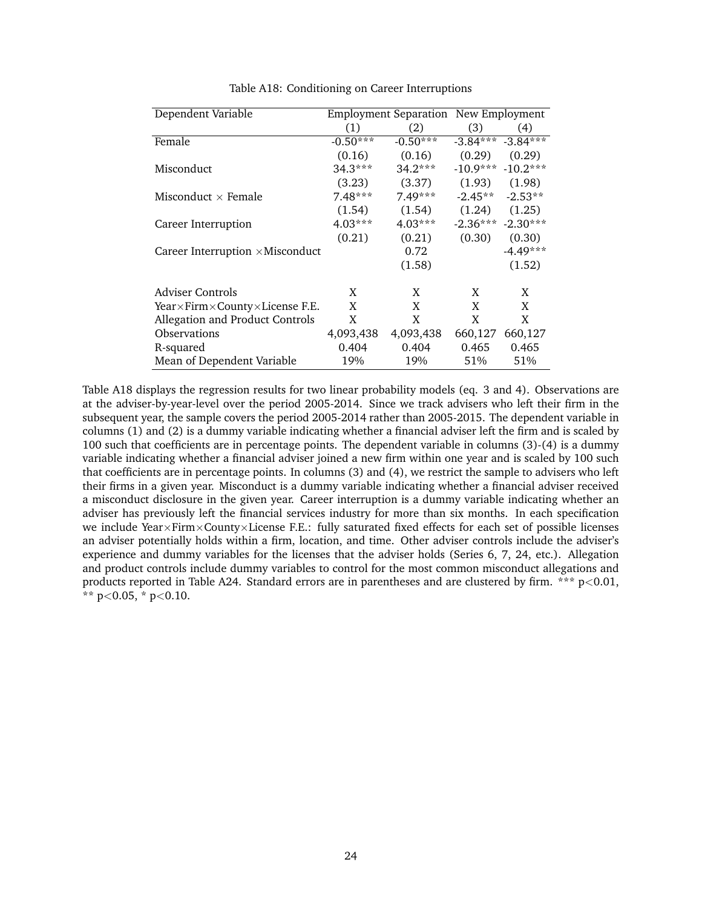| Dependent Variable                      |            | <b>Employment Separation New Employment</b> |                       |                       |
|-----------------------------------------|------------|---------------------------------------------|-----------------------|-----------------------|
|                                         | (1)        | (2)                                         | (3)                   | (4)                   |
| Female                                  | $-0.50***$ | $-0.50***$                                  |                       | $-3.84***$ $-3.84***$ |
|                                         | (0.16)     | (0.16)                                      | (0.29)                | (0.29)                |
| Misconduct                              | $34.3***$  | $34.2***$                                   | $-10.9***$ $-10.2***$ |                       |
|                                         | (3.23)     | (3.37)                                      |                       | $(1.93)$ $(1.98)$     |
| Misconduct $\times$ Female              | $7.48***$  | 7.49***                                     |                       | $-2.45**$ $-2.53**$   |
|                                         | (1.54)     | (1.54)                                      |                       | $(1.24)$ $(1.25)$     |
| <b>Career Interruption</b>              | $4.03***$  | $4.03***$                                   |                       | $-2.36***$ $-2.30***$ |
|                                         | (0.21)     | (0.21)                                      | (0.30)                | (0.30)                |
| Career Interruption $\times$ Misconduct |            | 0.72                                        |                       | $-4.49***$            |
|                                         |            | (1.58)                                      |                       | (1.52)                |
| Adviser Controls                        | X          | X                                           | X                     | X                     |
| Year×Firm×County×License F.E.           | X          | X                                           | X                     | X                     |
| Allegation and Product Controls         | Χ          | X                                           | X                     | X                     |
| <b>Observations</b>                     |            | 4,093,438 4,093,438                         | 660,127               | 660,127               |
| R-squared                               | 0.404      | 0.404                                       | 0.465                 | 0.465                 |
| Mean of Dependent Variable              | 19%        | 19%                                         | 51%                   | 51%                   |

Table A18: Conditioning on Career Interruptions

Table A18 displays the regression results for two linear probability models (eq. 3 and 4). Observations are at the adviser-by-year-level over the period 2005-2014. Since we track advisers who left their firm in the subsequent year, the sample covers the period 2005-2014 rather than 2005-2015. The dependent variable in columns (1) and (2) is a dummy variable indicating whether a financial adviser left the firm and is scaled by 100 such that coefficients are in percentage points. The dependent variable in columns (3)-(4) is a dummy variable indicating whether a financial adviser joined a new firm within one year and is scaled by 100 such that coefficients are in percentage points. In columns (3) and (4), we restrict the sample to advisers who left their firms in a given year. Misconduct is a dummy variable indicating whether a financial adviser received a misconduct disclosure in the given year. Career interruption is a dummy variable indicating whether an adviser has previously left the financial services industry for more than six months. In each specification we include Year×Firm×County×License F.E.: fully saturated fixed effects for each set of possible licenses an adviser potentially holds within a firm, location, and time. Other adviser controls include the adviser's experience and dummy variables for the licenses that the adviser holds (Series 6, 7, 24, etc.). Allegation and product controls include dummy variables to control for the most common misconduct allegations and products reported in Table A24. Standard errors are in parentheses and are clustered by firm. \*\*\* p<0.01, \*\*  $p < 0.05$ , \*  $p < 0.10$ .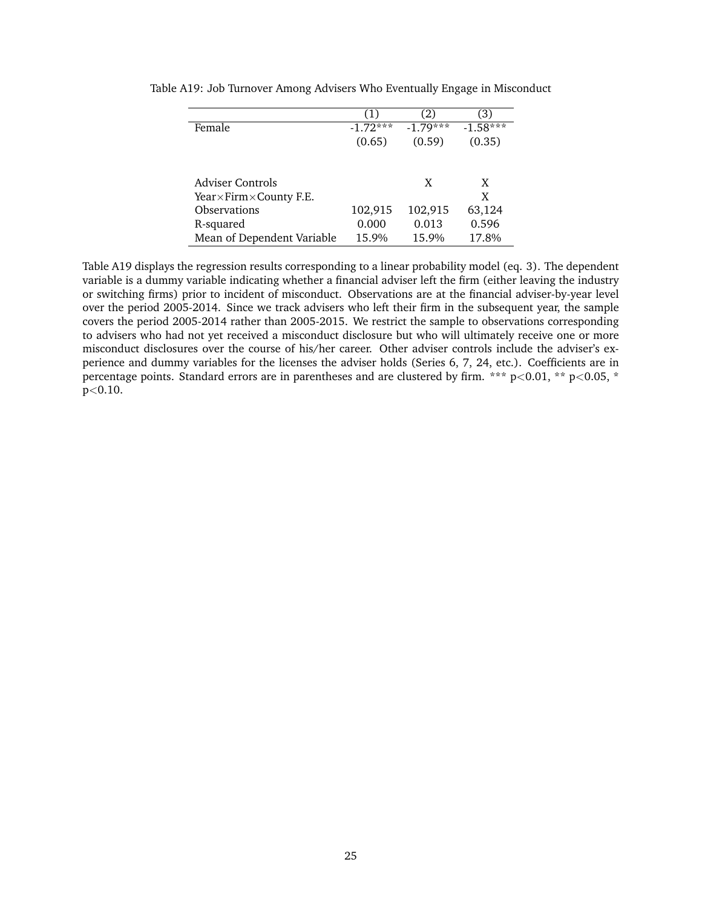|                                         | (1)        | (2)        | (3)        |
|-----------------------------------------|------------|------------|------------|
| Female                                  | $-1.72***$ | $-1.79***$ | $-1.58***$ |
|                                         | (0.65)     | (0.59)     | (0.35)     |
|                                         |            |            |            |
|                                         |            |            |            |
| <b>Adviser Controls</b>                 |            | X          | X          |
| Year $\times$ Firm $\times$ County F.E. |            |            | X          |
| Observations                            | 102,915    | 102,915    | 63,124     |
| R-squared                               | 0.000      | 0.013      | 0.596      |
| Mean of Dependent Variable              | 15.9%      | 15.9%      | 17.8%      |

Table A19: Job Turnover Among Advisers Who Eventually Engage in Misconduct

Table A19 displays the regression results corresponding to a linear probability model (eq. 3). The dependent variable is a dummy variable indicating whether a financial adviser left the firm (either leaving the industry or switching firms) prior to incident of misconduct. Observations are at the financial adviser-by-year level over the period 2005-2014. Since we track advisers who left their firm in the subsequent year, the sample covers the period 2005-2014 rather than 2005-2015. We restrict the sample to observations corresponding to advisers who had not yet received a misconduct disclosure but who will ultimately receive one or more misconduct disclosures over the course of his/her career. Other adviser controls include the adviser's experience and dummy variables for the licenses the adviser holds (Series 6, 7, 24, etc.). Coefficients are in percentage points. Standard errors are in parentheses and are clustered by firm. \*\*\* p<0.01, \*\* p<0.05, \* p<0.10.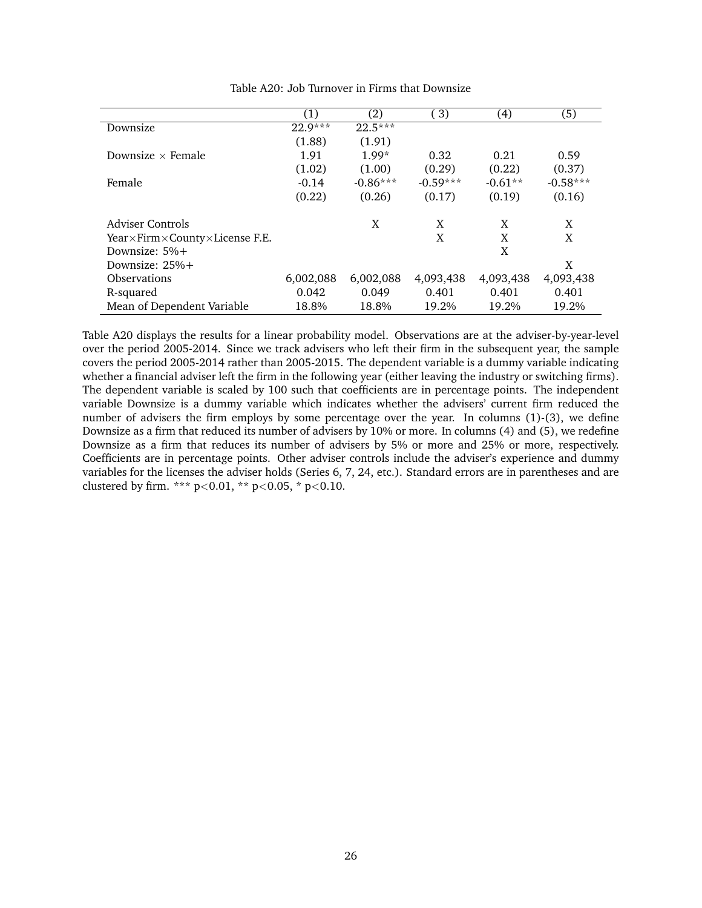|                                                     | (1)       | (2)        | 3)         | (4)       | (5)        |
|-----------------------------------------------------|-----------|------------|------------|-----------|------------|
| Downsize                                            | $22.9***$ | $22.5***$  |            |           |            |
|                                                     | (1.88)    | (1.91)     |            |           |            |
| Downsize $\times$ Female                            | 1.91      | $1.99*$    | 0.32       | 0.21      | 0.59       |
|                                                     | (1.02)    | (1.00)     | (0.29)     | (0.22)    | (0.37)     |
| Female                                              | $-0.14$   | $-0.86***$ | $-0.59***$ | $-0.61**$ | $-0.58***$ |
|                                                     | (0.22)    | (0.26)     | (0.17)     | (0.19)    | (0.16)     |
|                                                     |           |            |            |           |            |
| Adviser Controls                                    |           | X          | X          | X         | X          |
| $Year \times Firm \times Count \times License$ F.E. |           |            | X          | X         | X          |
| Downsize: 5%+                                       |           |            |            | X         |            |
| Downsize: $25% +$                                   |           |            |            |           | X          |
| <b>Observations</b>                                 | 6,002,088 | 6,002,088  | 4,093,438  | 4,093,438 | 4,093,438  |
| R-squared                                           | 0.042     | 0.049      | 0.401      | 0.401     | 0.401      |
| Mean of Dependent Variable                          | 18.8%     | 18.8%      | 19.2%      | 19.2%     | 19.2%      |

Table A20: Job Turnover in Firms that Downsize

Table A20 displays the results for a linear probability model. Observations are at the adviser-by-year-level over the period 2005-2014. Since we track advisers who left their firm in the subsequent year, the sample covers the period 2005-2014 rather than 2005-2015. The dependent variable is a dummy variable indicating whether a financial adviser left the firm in the following year (either leaving the industry or switching firms). The dependent variable is scaled by 100 such that coefficients are in percentage points. The independent variable Downsize is a dummy variable which indicates whether the advisers' current firm reduced the number of advisers the firm employs by some percentage over the year. In columns (1)-(3), we define Downsize as a firm that reduced its number of advisers by 10% or more. In columns (4) and (5), we redefine Downsize as a firm that reduces its number of advisers by 5% or more and 25% or more, respectively. Coefficients are in percentage points. Other adviser controls include the adviser's experience and dummy variables for the licenses the adviser holds (Series 6, 7, 24, etc.). Standard errors are in parentheses and are clustered by firm. \*\*\*  $p < 0.01$ , \*\*  $p < 0.05$ , \*  $p < 0.10$ .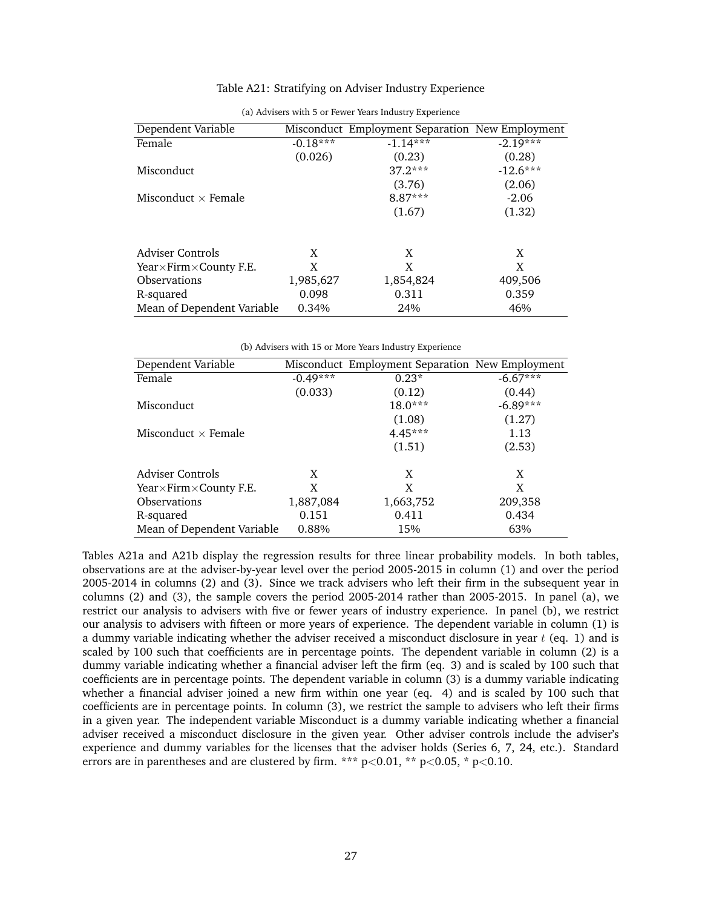### Table A21: Stratifying on Adviser Industry Experience

| $-0.18***$ | $-1.14***$ | $-2.19***$                                      |
|------------|------------|-------------------------------------------------|
| (0.026)    | (0.23)     | (0.28)                                          |
|            | $37.2***$  | $-12.6***$                                      |
|            | (3.76)     | (2.06)                                          |
|            | $8.87***$  | $-2.06$                                         |
|            | (1.67)     | (1.32)                                          |
|            |            |                                                 |
| X          | X          | X                                               |
| X          | X          | X                                               |
| 1,985,627  | 1,854,824  | 409,506                                         |
| 0.098      | 0.311      | 0.359                                           |
| 0.34%      | 24%        | 46%                                             |
|            |            | Misconduct Employment Separation New Employment |

|  |  |  | (a) Advisers with 5 or Fewer Years Industry Experience |
|--|--|--|--------------------------------------------------------|
|  |  |  |                                                        |

(b) Advisers with 15 or More Years Industry Experience

| Dependent Variable                      |            | Misconduct Employment Separation New Employment |            |
|-----------------------------------------|------------|-------------------------------------------------|------------|
| Female                                  | $-0.49***$ | $0.23*$                                         | $-6.67***$ |
|                                         | (0.033)    | (0.12)                                          | (0.44)     |
| Misconduct                              |            | $18.0***$                                       | $-6.89***$ |
|                                         |            | (1.08)                                          | (1.27)     |
| Misconduct $\times$ Female              |            | $4.45***$                                       | 1.13       |
|                                         |            | (1.51)                                          | (2.53)     |
| <b>Adviser Controls</b>                 | X          | X                                               | X          |
| Year $\times$ Firm $\times$ County F.E. | X          | X                                               | X          |
| <b>Observations</b>                     | 1,887,084  | 1,663,752                                       | 209,358    |
| R-squared                               | 0.151      | 0.411                                           | 0.434      |
| Mean of Dependent Variable              | 0.88%      | 15%                                             | 63%        |

Tables A21a and A21b display the regression results for three linear probability models. In both tables, observations are at the adviser-by-year level over the period 2005-2015 in column (1) and over the period 2005-2014 in columns (2) and (3). Since we track advisers who left their firm in the subsequent year in columns (2) and (3), the sample covers the period 2005-2014 rather than 2005-2015. In panel (a), we restrict our analysis to advisers with five or fewer years of industry experience. In panel (b), we restrict our analysis to advisers with fifteen or more years of experience. The dependent variable in column (1) is a dummy variable indicating whether the adviser received a misconduct disclosure in year  $t$  (eq. 1) and is scaled by 100 such that coefficients are in percentage points. The dependent variable in column (2) is a dummy variable indicating whether a financial adviser left the firm (eq. 3) and is scaled by 100 such that coefficients are in percentage points. The dependent variable in column (3) is a dummy variable indicating whether a financial adviser joined a new firm within one year (eq. 4) and is scaled by 100 such that coefficients are in percentage points. In column (3), we restrict the sample to advisers who left their firms in a given year. The independent variable Misconduct is a dummy variable indicating whether a financial adviser received a misconduct disclosure in the given year. Other adviser controls include the adviser's experience and dummy variables for the licenses that the adviser holds (Series 6, 7, 24, etc.). Standard errors are in parentheses and are clustered by firm. \*\*\*  $p<0.01$ , \*\*  $p<0.05$ , \*  $p<0.10$ .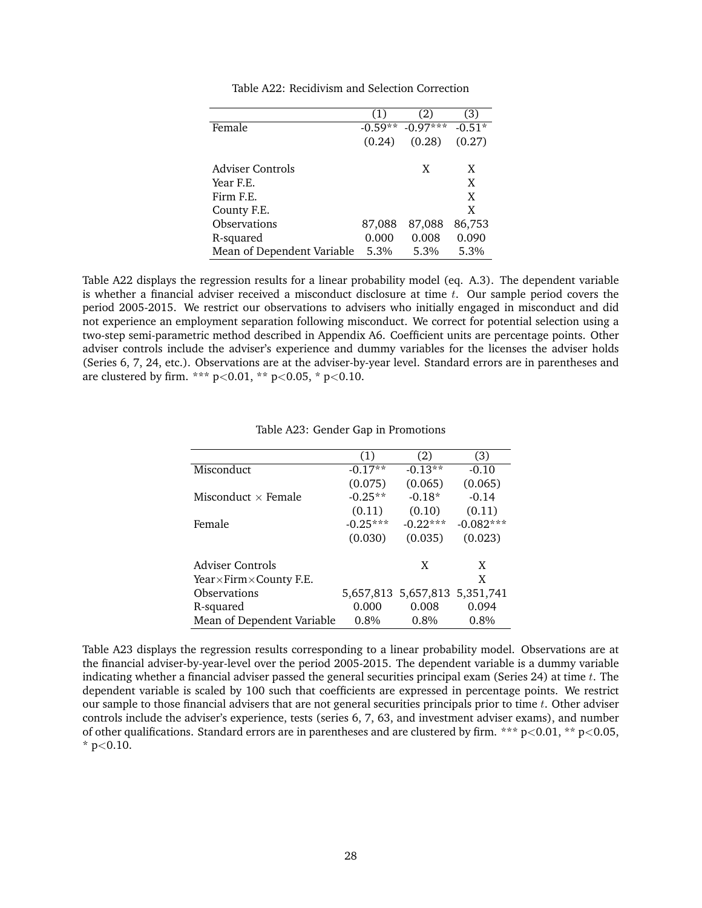|                            | (1)       | (2)        | (3)      |
|----------------------------|-----------|------------|----------|
| Female                     | $-0.59**$ | $-0.97***$ | $-0.51*$ |
|                            | (0.24)    | (0.28)     | (0.27)   |
|                            |           |            |          |
| Adviser Controls           |           | X          | X        |
| Year F.E.                  |           |            | X        |
| Firm F.E.                  |           |            | X        |
| County F.E.                |           |            | X        |
| <b>Observations</b>        | 87,088    | 87,088     | 86,753   |
| R-squared                  | 0.000     | 0.008      | 0.090    |
| Mean of Dependent Variable | 5.3%      | 5.3%       | 5.3%     |

Table A22: Recidivism and Selection Correction

Table A22 displays the regression results for a linear probability model (eq. A.3). The dependent variable is whether a financial adviser received a misconduct disclosure at time  $t$ . Our sample period covers the period 2005-2015. We restrict our observations to advisers who initially engaged in misconduct and did not experience an employment separation following misconduct. We correct for potential selection using a two-step semi-parametric method described in Appendix A6. Coefficient units are percentage points. Other adviser controls include the adviser's experience and dummy variables for the licenses the adviser holds (Series 6, 7, 24, etc.). Observations are at the adviser-by-year level. Standard errors are in parentheses and are clustered by firm. \*\*\*  $p < 0.01$ , \*\*  $p < 0.05$ , \*  $p < 0.10$ .

|                                         | (1)        | (2)                           | (3)         |
|-----------------------------------------|------------|-------------------------------|-------------|
| Misconduct                              | $-0.17**$  | $-0.13**$                     | $-0.10$     |
|                                         | (0.075)    | (0.065)                       | (0.065)     |
| Misconduct $\times$ Female              | $-0.25**$  | $-0.18*$                      | $-0.14$     |
|                                         | (0.11)     | (0.10)                        | (0.11)      |
| Female                                  | $-0.25***$ | $-0.22***$                    | $-0.082***$ |
|                                         | (0.030)    | (0.035)                       | (0.023)     |
| <b>Adviser Controls</b>                 |            | X                             | X           |
| Year $\times$ Firm $\times$ County F.E. |            |                               | X           |
| Observations                            |            | 5,657,813 5,657,813 5,351,741 |             |
| R-squared                               | 0.000      | 0.008                         | 0.094       |
| Mean of Dependent Variable              | 0.8%       | 0.8%                          | 0.8%        |

Table A23: Gender Gap in Promotions

Table A23 displays the regression results corresponding to a linear probability model. Observations are at the financial adviser-by-year-level over the period 2005-2015. The dependent variable is a dummy variable indicating whether a financial adviser passed the general securities principal exam (Series 24) at time  $t$ . The dependent variable is scaled by 100 such that coefficients are expressed in percentage points. We restrict our sample to those financial advisers that are not general securities principals prior to time  $t$ . Other adviser controls include the adviser's experience, tests (series 6, 7, 63, and investment adviser exams), and number of other qualifications. Standard errors are in parentheses and are clustered by firm. \*\*\* p<0.01, \*\* p<0.05,  $*$  p $<$ 0.10.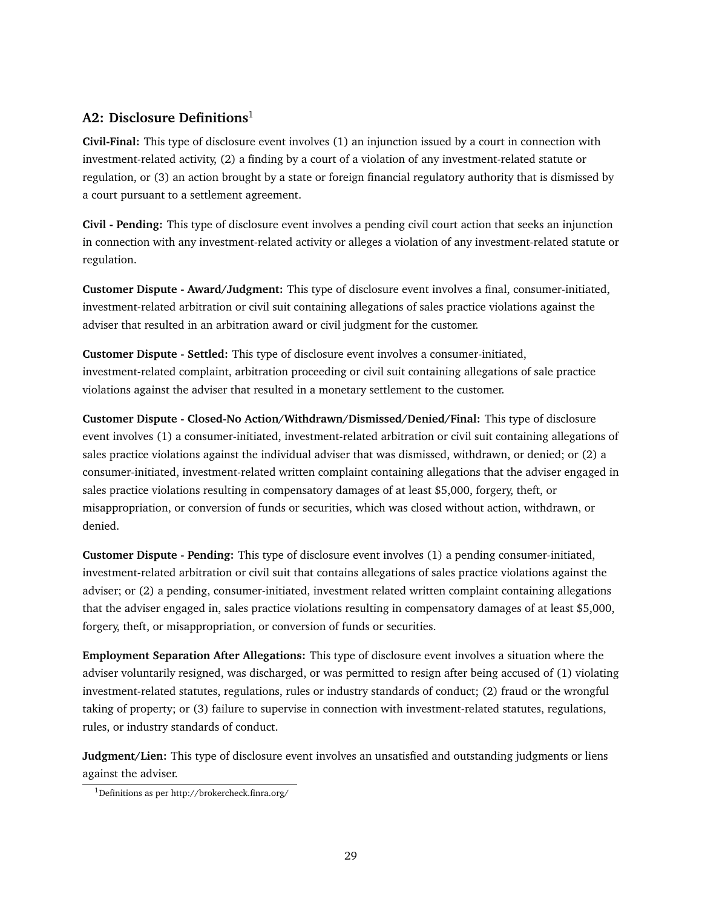# **A2: Disclosure Definitions**<sup>1</sup>

**Civil-Final:** This type of disclosure event involves (1) an injunction issued by a court in connection with investment-related activity, (2) a finding by a court of a violation of any investment-related statute or regulation, or (3) an action brought by a state or foreign financial regulatory authority that is dismissed by a court pursuant to a settlement agreement.

**Civil - Pending:** This type of disclosure event involves a pending civil court action that seeks an injunction in connection with any investment-related activity or alleges a violation of any investment-related statute or regulation.

**Customer Dispute - Award/Judgment:** This type of disclosure event involves a final, consumer-initiated, investment-related arbitration or civil suit containing allegations of sales practice violations against the adviser that resulted in an arbitration award or civil judgment for the customer.

**Customer Dispute - Settled:** This type of disclosure event involves a consumer-initiated, investment-related complaint, arbitration proceeding or civil suit containing allegations of sale practice violations against the adviser that resulted in a monetary settlement to the customer.

**Customer Dispute - Closed-No Action/Withdrawn/Dismissed/Denied/Final:** This type of disclosure event involves (1) a consumer-initiated, investment-related arbitration or civil suit containing allegations of sales practice violations against the individual adviser that was dismissed, withdrawn, or denied; or (2) a consumer-initiated, investment-related written complaint containing allegations that the adviser engaged in sales practice violations resulting in compensatory damages of at least \$5,000, forgery, theft, or misappropriation, or conversion of funds or securities, which was closed without action, withdrawn, or denied.

**Customer Dispute - Pending:** This type of disclosure event involves (1) a pending consumer-initiated, investment-related arbitration or civil suit that contains allegations of sales practice violations against the adviser; or (2) a pending, consumer-initiated, investment related written complaint containing allegations that the adviser engaged in, sales practice violations resulting in compensatory damages of at least \$5,000, forgery, theft, or misappropriation, or conversion of funds or securities.

**Employment Separation After Allegations:** This type of disclosure event involves a situation where the adviser voluntarily resigned, was discharged, or was permitted to resign after being accused of (1) violating investment-related statutes, regulations, rules or industry standards of conduct; (2) fraud or the wrongful taking of property; or (3) failure to supervise in connection with investment-related statutes, regulations, rules, or industry standards of conduct.

**Judgment/Lien:** This type of disclosure event involves an unsatisfied and outstanding judgments or liens against the adviser.

<sup>1</sup>Definitions as per http://brokercheck.finra.org/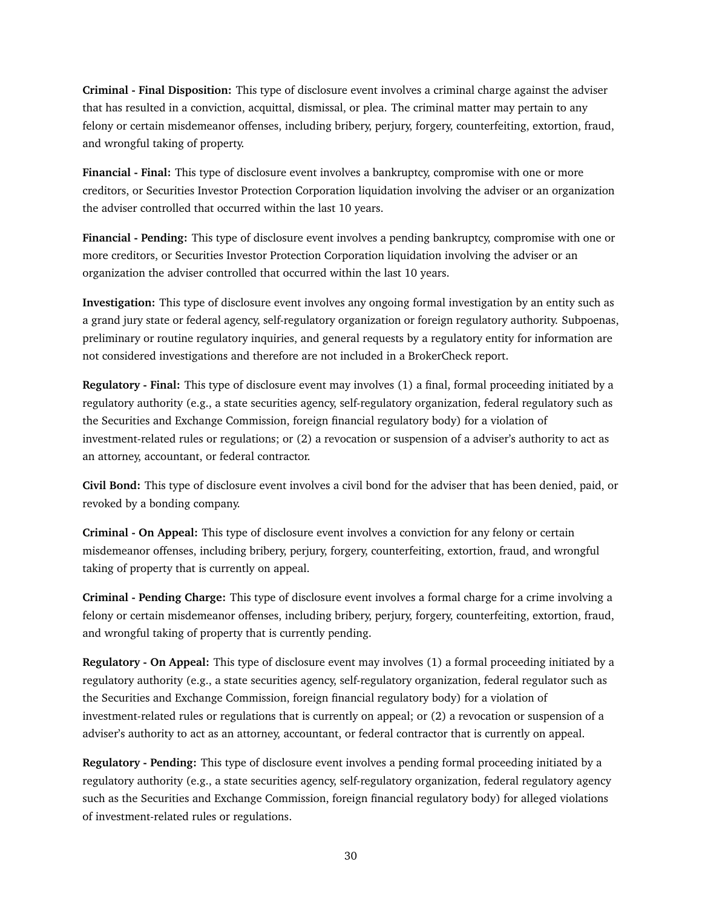**Criminal - Final Disposition:** This type of disclosure event involves a criminal charge against the adviser that has resulted in a conviction, acquittal, dismissal, or plea. The criminal matter may pertain to any felony or certain misdemeanor offenses, including bribery, perjury, forgery, counterfeiting, extortion, fraud, and wrongful taking of property.

**Financial - Final:** This type of disclosure event involves a bankruptcy, compromise with one or more creditors, or Securities Investor Protection Corporation liquidation involving the adviser or an organization the adviser controlled that occurred within the last 10 years.

**Financial - Pending:** This type of disclosure event involves a pending bankruptcy, compromise with one or more creditors, or Securities Investor Protection Corporation liquidation involving the adviser or an organization the adviser controlled that occurred within the last 10 years.

**Investigation:** This type of disclosure event involves any ongoing formal investigation by an entity such as a grand jury state or federal agency, self-regulatory organization or foreign regulatory authority. Subpoenas, preliminary or routine regulatory inquiries, and general requests by a regulatory entity for information are not considered investigations and therefore are not included in a BrokerCheck report.

**Regulatory - Final:** This type of disclosure event may involves (1) a final, formal proceeding initiated by a regulatory authority (e.g., a state securities agency, self-regulatory organization, federal regulatory such as the Securities and Exchange Commission, foreign financial regulatory body) for a violation of investment-related rules or regulations; or (2) a revocation or suspension of a adviser's authority to act as an attorney, accountant, or federal contractor.

**Civil Bond:** This type of disclosure event involves a civil bond for the adviser that has been denied, paid, or revoked by a bonding company.

**Criminal - On Appeal:** This type of disclosure event involves a conviction for any felony or certain misdemeanor offenses, including bribery, perjury, forgery, counterfeiting, extortion, fraud, and wrongful taking of property that is currently on appeal.

**Criminal - Pending Charge:** This type of disclosure event involves a formal charge for a crime involving a felony or certain misdemeanor offenses, including bribery, perjury, forgery, counterfeiting, extortion, fraud, and wrongful taking of property that is currently pending.

**Regulatory - On Appeal:** This type of disclosure event may involves (1) a formal proceeding initiated by a regulatory authority (e.g., a state securities agency, self-regulatory organization, federal regulator such as the Securities and Exchange Commission, foreign financial regulatory body) for a violation of investment-related rules or regulations that is currently on appeal; or (2) a revocation or suspension of a adviser's authority to act as an attorney, accountant, or federal contractor that is currently on appeal.

**Regulatory - Pending:** This type of disclosure event involves a pending formal proceeding initiated by a regulatory authority (e.g., a state securities agency, self-regulatory organization, federal regulatory agency such as the Securities and Exchange Commission, foreign financial regulatory body) for alleged violations of investment-related rules or regulations.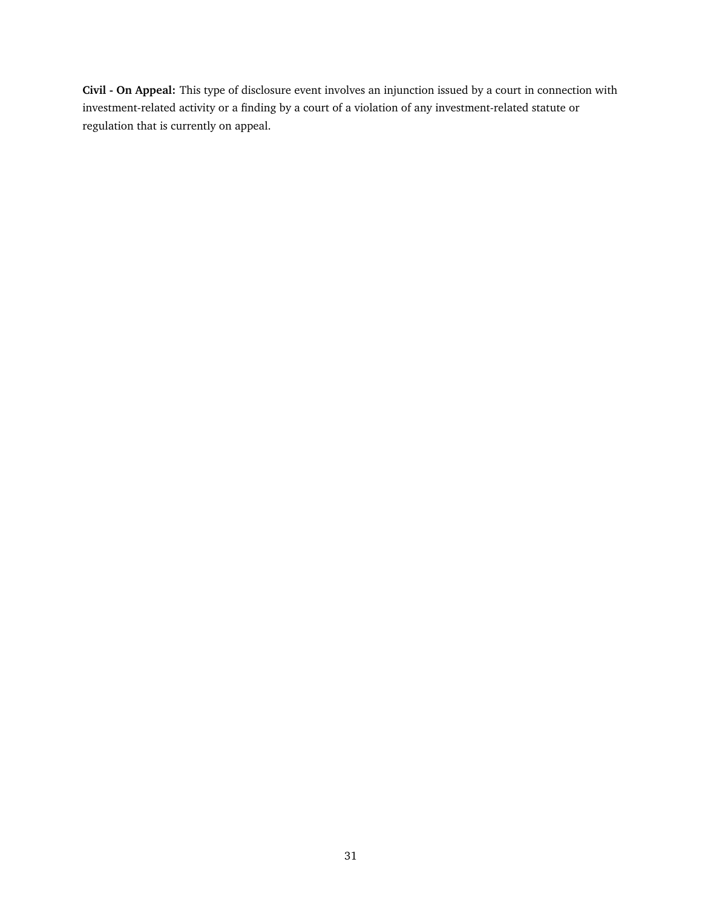**Civil - On Appeal:** This type of disclosure event involves an injunction issued by a court in connection with investment-related activity or a finding by a court of a violation of any investment-related statute or regulation that is currently on appeal.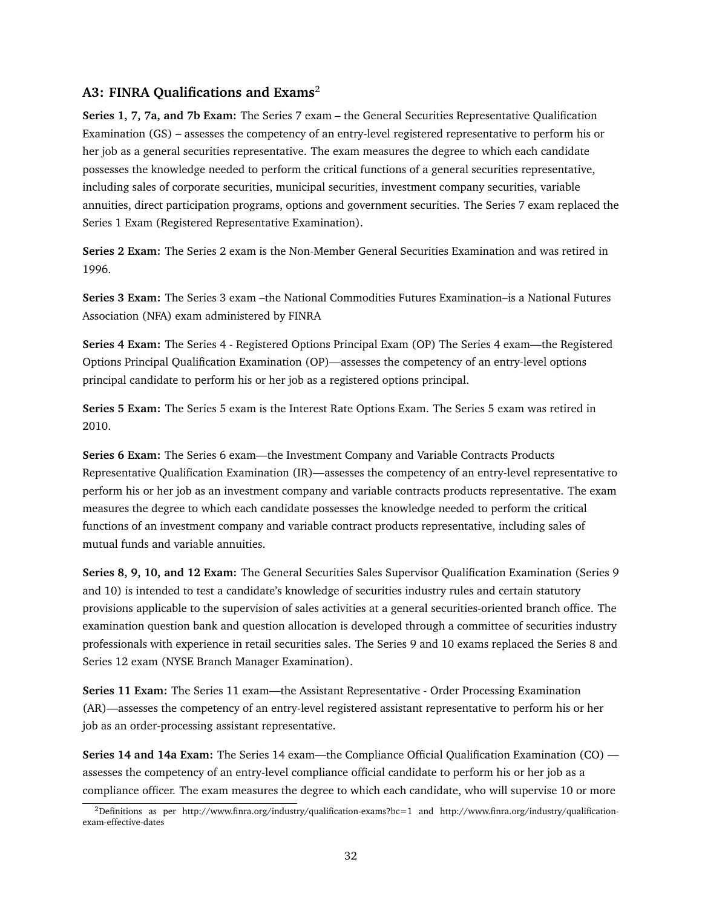## **A3: FINRA Qualifications and Exams**<sup>2</sup>

**Series 1, 7, 7a, and 7b Exam:** The Series 7 exam – the General Securities Representative Qualification Examination (GS) – assesses the competency of an entry-level registered representative to perform his or her job as a general securities representative. The exam measures the degree to which each candidate possesses the knowledge needed to perform the critical functions of a general securities representative, including sales of corporate securities, municipal securities, investment company securities, variable annuities, direct participation programs, options and government securities. The Series 7 exam replaced the Series 1 Exam (Registered Representative Examination).

**Series 2 Exam:** The Series 2 exam is the Non-Member General Securities Examination and was retired in 1996.

**Series 3 Exam:** The Series 3 exam –the National Commodities Futures Examination–is a National Futures Association (NFA) exam administered by FINRA

**Series 4 Exam:** The Series 4 - Registered Options Principal Exam (OP) The Series 4 exam—the Registered Options Principal Qualification Examination (OP)—assesses the competency of an entry-level options principal candidate to perform his or her job as a registered options principal.

**Series 5 Exam:** The Series 5 exam is the Interest Rate Options Exam. The Series 5 exam was retired in 2010.

**Series 6 Exam:** The Series 6 exam—the Investment Company and Variable Contracts Products Representative Qualification Examination (IR)—assesses the competency of an entry-level representative to perform his or her job as an investment company and variable contracts products representative. The exam measures the degree to which each candidate possesses the knowledge needed to perform the critical functions of an investment company and variable contract products representative, including sales of mutual funds and variable annuities.

**Series 8, 9, 10, and 12 Exam:** The General Securities Sales Supervisor Qualification Examination (Series 9 and 10) is intended to test a candidate's knowledge of securities industry rules and certain statutory provisions applicable to the supervision of sales activities at a general securities-oriented branch office. The examination question bank and question allocation is developed through a committee of securities industry professionals with experience in retail securities sales. The Series 9 and 10 exams replaced the Series 8 and Series 12 exam (NYSE Branch Manager Examination).

**Series 11 Exam:** The Series 11 exam—the Assistant Representative - Order Processing Examination (AR)—assesses the competency of an entry-level registered assistant representative to perform his or her job as an order-processing assistant representative.

**Series 14 and 14a Exam:** The Series 14 exam—the Compliance Official Qualification Examination (CO) assesses the competency of an entry-level compliance official candidate to perform his or her job as a compliance officer. The exam measures the degree to which each candidate, who will supervise 10 or more

<sup>&</sup>lt;sup>2</sup>Definitions as per http://www.finra.org/industry/qualification-exams?bc=1 and http://www.finra.org/industry/qualificationexam-effective-dates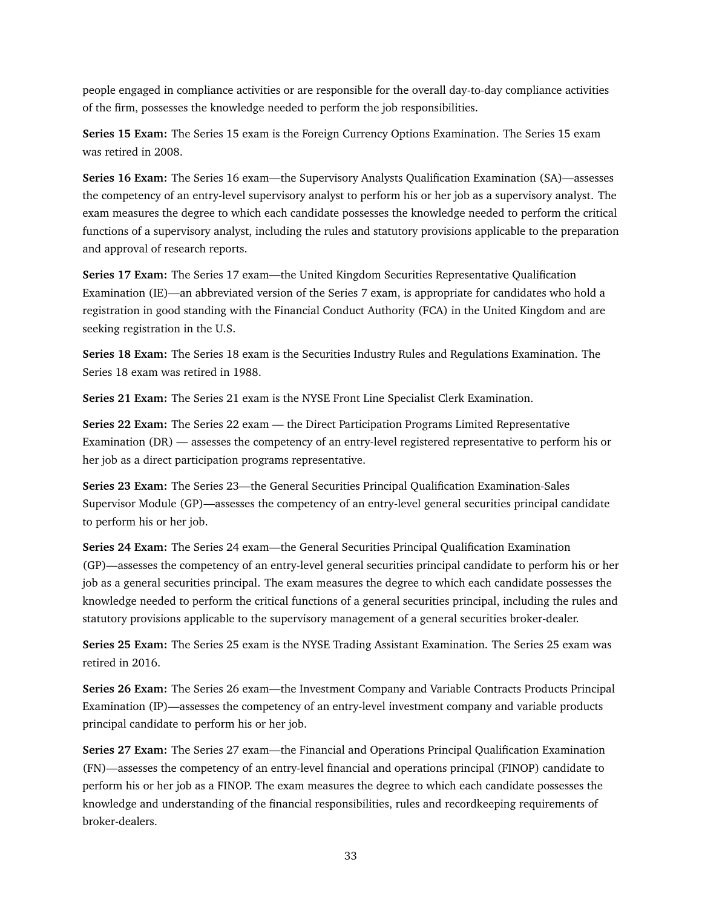people engaged in compliance activities or are responsible for the overall day-to-day compliance activities of the firm, possesses the knowledge needed to perform the job responsibilities.

**Series 15 Exam:** The Series 15 exam is the Foreign Currency Options Examination. The Series 15 exam was retired in 2008.

**Series 16 Exam:** The Series 16 exam—the Supervisory Analysts Qualification Examination (SA)—assesses the competency of an entry-level supervisory analyst to perform his or her job as a supervisory analyst. The exam measures the degree to which each candidate possesses the knowledge needed to perform the critical functions of a supervisory analyst, including the rules and statutory provisions applicable to the preparation and approval of research reports.

**Series 17 Exam:** The Series 17 exam—the United Kingdom Securities Representative Qualification Examination (IE)—an abbreviated version of the Series 7 exam, is appropriate for candidates who hold a registration in good standing with the Financial Conduct Authority (FCA) in the United Kingdom and are seeking registration in the U.S.

**Series 18 Exam:** The Series 18 exam is the Securities Industry Rules and Regulations Examination. The Series 18 exam was retired in 1988.

**Series 21 Exam:** The Series 21 exam is the NYSE Front Line Specialist Clerk Examination.

**Series 22 Exam:** The Series 22 exam — the Direct Participation Programs Limited Representative Examination (DR) — assesses the competency of an entry-level registered representative to perform his or her job as a direct participation programs representative.

**Series 23 Exam:** The Series 23—the General Securities Principal Qualification Examination-Sales Supervisor Module (GP)—assesses the competency of an entry-level general securities principal candidate to perform his or her job.

**Series 24 Exam:** The Series 24 exam—the General Securities Principal Qualification Examination (GP)—assesses the competency of an entry-level general securities principal candidate to perform his or her job as a general securities principal. The exam measures the degree to which each candidate possesses the knowledge needed to perform the critical functions of a general securities principal, including the rules and statutory provisions applicable to the supervisory management of a general securities broker-dealer.

**Series 25 Exam:** The Series 25 exam is the NYSE Trading Assistant Examination. The Series 25 exam was retired in 2016.

**Series 26 Exam:** The Series 26 exam—the Investment Company and Variable Contracts Products Principal Examination (IP)—assesses the competency of an entry-level investment company and variable products principal candidate to perform his or her job.

**Series 27 Exam:** The Series 27 exam—the Financial and Operations Principal Qualification Examination (FN)—assesses the competency of an entry-level financial and operations principal (FINOP) candidate to perform his or her job as a FINOP. The exam measures the degree to which each candidate possesses the knowledge and understanding of the financial responsibilities, rules and recordkeeping requirements of broker-dealers.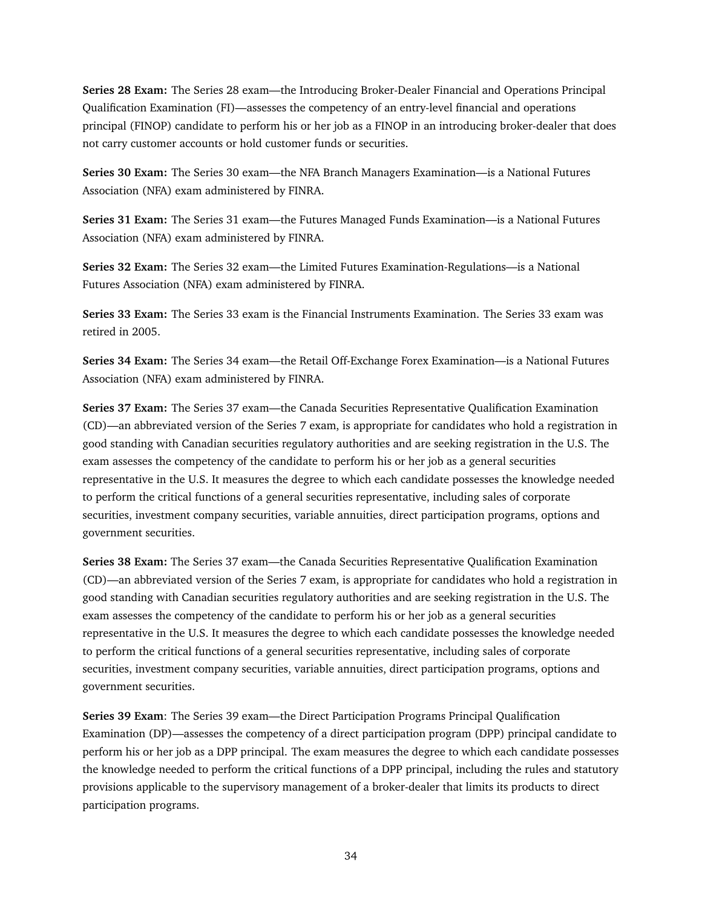**Series 28 Exam:** The Series 28 exam—the Introducing Broker-Dealer Financial and Operations Principal Qualification Examination (FI)—assesses the competency of an entry-level financial and operations principal (FINOP) candidate to perform his or her job as a FINOP in an introducing broker-dealer that does not carry customer accounts or hold customer funds or securities.

**Series 30 Exam:** The Series 30 exam—the NFA Branch Managers Examination—is a National Futures Association (NFA) exam administered by FINRA.

**Series 31 Exam:** The Series 31 exam—the Futures Managed Funds Examination—is a National Futures Association (NFA) exam administered by FINRA.

**Series 32 Exam:** The Series 32 exam—the Limited Futures Examination-Regulations—is a National Futures Association (NFA) exam administered by FINRA.

**Series 33 Exam:** The Series 33 exam is the Financial Instruments Examination. The Series 33 exam was retired in 2005.

**Series 34 Exam:** The Series 34 exam—the Retail Off-Exchange Forex Examination—is a National Futures Association (NFA) exam administered by FINRA.

**Series 37 Exam:** The Series 37 exam—the Canada Securities Representative Qualification Examination (CD)—an abbreviated version of the Series 7 exam, is appropriate for candidates who hold a registration in good standing with Canadian securities regulatory authorities and are seeking registration in the U.S. The exam assesses the competency of the candidate to perform his or her job as a general securities representative in the U.S. It measures the degree to which each candidate possesses the knowledge needed to perform the critical functions of a general securities representative, including sales of corporate securities, investment company securities, variable annuities, direct participation programs, options and government securities.

**Series 38 Exam:** The Series 37 exam—the Canada Securities Representative Qualification Examination (CD)—an abbreviated version of the Series 7 exam, is appropriate for candidates who hold a registration in good standing with Canadian securities regulatory authorities and are seeking registration in the U.S. The exam assesses the competency of the candidate to perform his or her job as a general securities representative in the U.S. It measures the degree to which each candidate possesses the knowledge needed to perform the critical functions of a general securities representative, including sales of corporate securities, investment company securities, variable annuities, direct participation programs, options and government securities.

**Series 39 Exam**: The Series 39 exam—the Direct Participation Programs Principal Qualification Examination (DP)—assesses the competency of a direct participation program (DPP) principal candidate to perform his or her job as a DPP principal. The exam measures the degree to which each candidate possesses the knowledge needed to perform the critical functions of a DPP principal, including the rules and statutory provisions applicable to the supervisory management of a broker-dealer that limits its products to direct participation programs.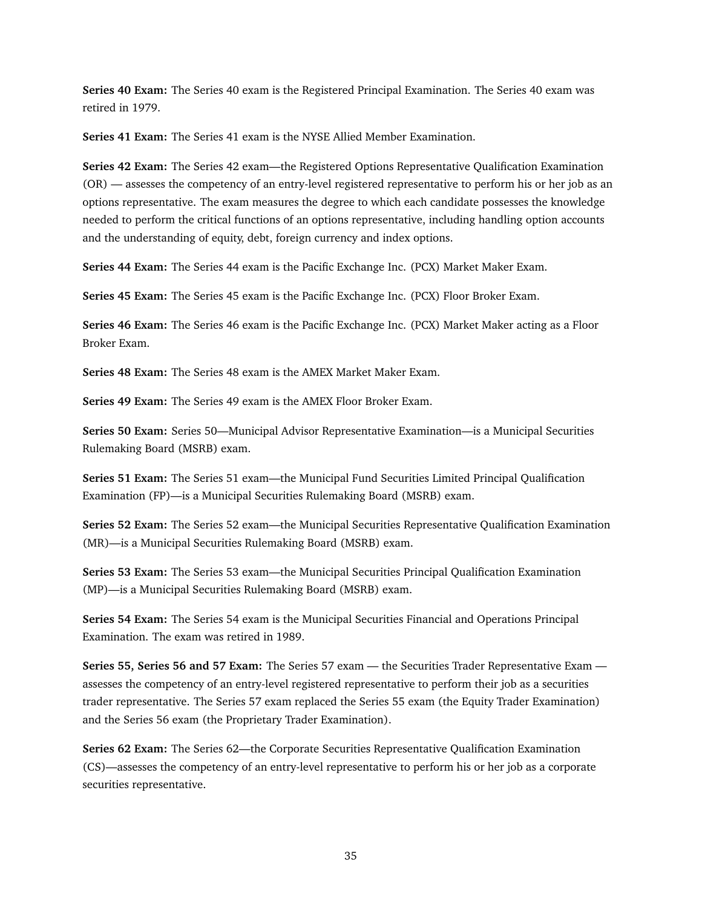**Series 40 Exam:** The Series 40 exam is the Registered Principal Examination. The Series 40 exam was retired in 1979.

**Series 41 Exam:** The Series 41 exam is the NYSE Allied Member Examination.

**Series 42 Exam:** The Series 42 exam—the Registered Options Representative Qualification Examination (OR) — assesses the competency of an entry-level registered representative to perform his or her job as an options representative. The exam measures the degree to which each candidate possesses the knowledge needed to perform the critical functions of an options representative, including handling option accounts and the understanding of equity, debt, foreign currency and index options.

**Series 44 Exam:** The Series 44 exam is the Pacific Exchange Inc. (PCX) Market Maker Exam.

**Series 45 Exam:** The Series 45 exam is the Pacific Exchange Inc. (PCX) Floor Broker Exam.

**Series 46 Exam:** The Series 46 exam is the Pacific Exchange Inc. (PCX) Market Maker acting as a Floor Broker Exam.

**Series 48 Exam:** The Series 48 exam is the AMEX Market Maker Exam.

**Series 49 Exam:** The Series 49 exam is the AMEX Floor Broker Exam.

**Series 50 Exam:** Series 50—Municipal Advisor Representative Examination—is a Municipal Securities Rulemaking Board (MSRB) exam.

**Series 51 Exam:** The Series 51 exam—the Municipal Fund Securities Limited Principal Qualification Examination (FP)—is a Municipal Securities Rulemaking Board (MSRB) exam.

**Series 52 Exam:** The Series 52 exam—the Municipal Securities Representative Qualification Examination (MR)—is a Municipal Securities Rulemaking Board (MSRB) exam.

**Series 53 Exam:** The Series 53 exam—the Municipal Securities Principal Qualification Examination (MP)—is a Municipal Securities Rulemaking Board (MSRB) exam.

**Series 54 Exam:** The Series 54 exam is the Municipal Securities Financial and Operations Principal Examination. The exam was retired in 1989.

**Series 55, Series 56 and 57 Exam:** The Series 57 exam — the Securities Trader Representative Exam assesses the competency of an entry-level registered representative to perform their job as a securities trader representative. The Series 57 exam replaced the Series 55 exam (the Equity Trader Examination) and the Series 56 exam (the Proprietary Trader Examination).

**Series 62 Exam:** The Series 62—the Corporate Securities Representative Qualification Examination (CS)—assesses the competency of an entry-level representative to perform his or her job as a corporate securities representative.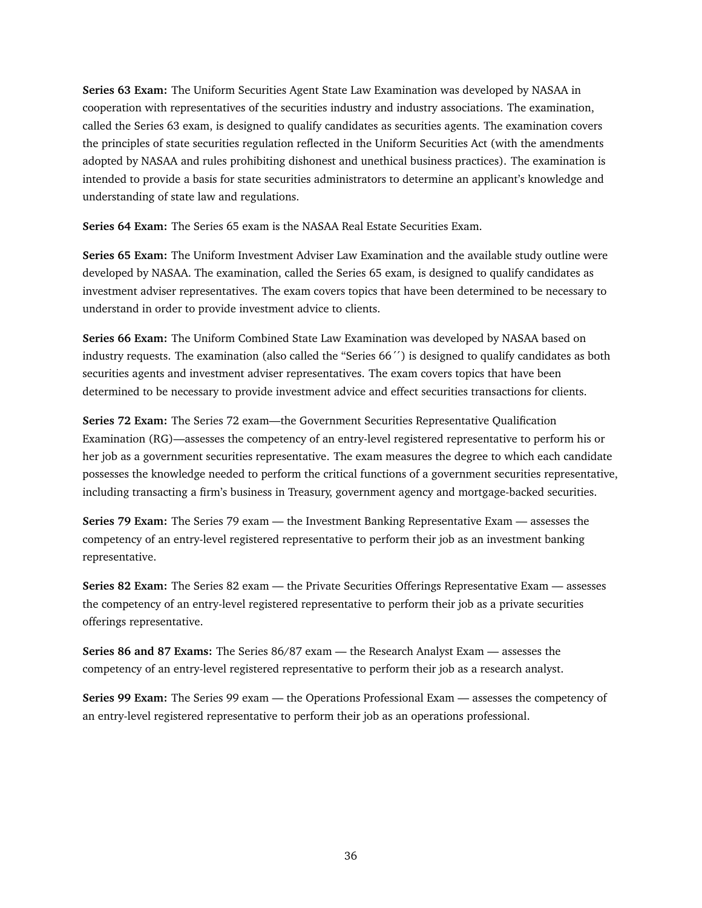**Series 63 Exam:** The Uniform Securities Agent State Law Examination was developed by NASAA in cooperation with representatives of the securities industry and industry associations. The examination, called the Series 63 exam, is designed to qualify candidates as securities agents. The examination covers the principles of state securities regulation reflected in the Uniform Securities Act (with the amendments adopted by NASAA and rules prohibiting dishonest and unethical business practices). The examination is intended to provide a basis for state securities administrators to determine an applicant's knowledge and understanding of state law and regulations.

**Series 64 Exam:** The Series 65 exam is the NASAA Real Estate Securities Exam.

**Series 65 Exam:** The Uniform Investment Adviser Law Examination and the available study outline were developed by NASAA. The examination, called the Series 65 exam, is designed to qualify candidates as investment adviser representatives. The exam covers topics that have been determined to be necessary to understand in order to provide investment advice to clients.

**Series 66 Exam:** The Uniform Combined State Law Examination was developed by NASAA based on industry requests. The examination (also called the "Series 66") is designed to qualify candidates as both securities agents and investment adviser representatives. The exam covers topics that have been determined to be necessary to provide investment advice and effect securities transactions for clients.

**Series 72 Exam:** The Series 72 exam—the Government Securities Representative Qualification Examination (RG)—assesses the competency of an entry-level registered representative to perform his or her job as a government securities representative. The exam measures the degree to which each candidate possesses the knowledge needed to perform the critical functions of a government securities representative, including transacting a firm's business in Treasury, government agency and mortgage-backed securities.

**Series 79 Exam:** The Series 79 exam — the Investment Banking Representative Exam — assesses the competency of an entry-level registered representative to perform their job as an investment banking representative.

**Series 82 Exam:** The Series 82 exam — the Private Securities Offerings Representative Exam — assesses the competency of an entry-level registered representative to perform their job as a private securities offerings representative.

**Series 86 and 87 Exams:** The Series 86/87 exam — the Research Analyst Exam — assesses the competency of an entry-level registered representative to perform their job as a research analyst.

**Series 99 Exam:** The Series 99 exam — the Operations Professional Exam — assesses the competency of an entry-level registered representative to perform their job as an operations professional.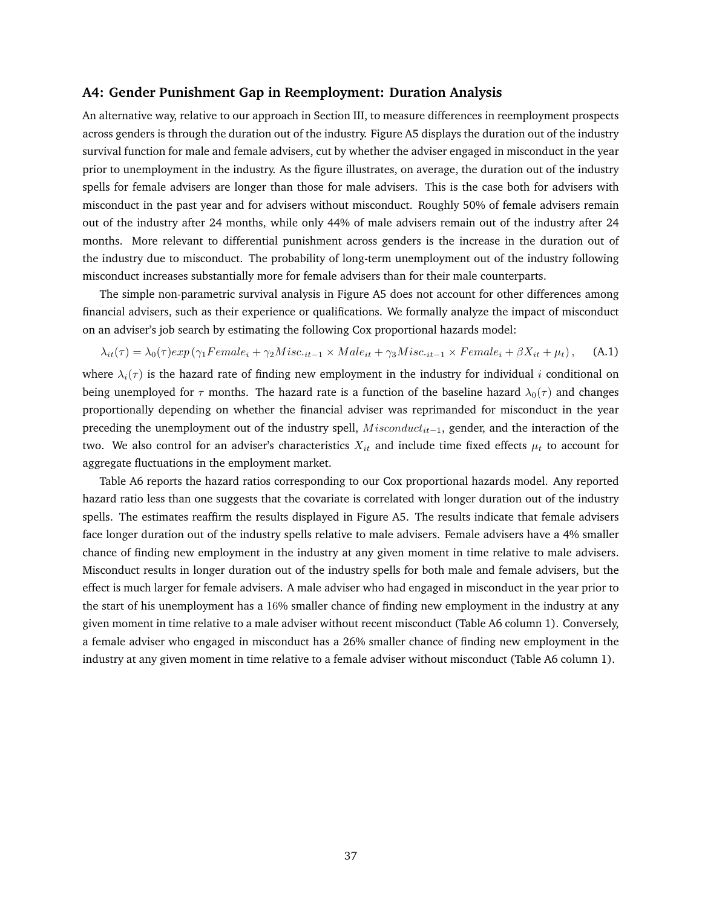#### **A4: Gender Punishment Gap in Reemployment: Duration Analysis**

An alternative way, relative to our approach in Section III, to measure differences in reemployment prospects across genders is through the duration out of the industry. Figure A5 displays the duration out of the industry survival function for male and female advisers, cut by whether the adviser engaged in misconduct in the year prior to unemployment in the industry. As the figure illustrates, on average, the duration out of the industry spells for female advisers are longer than those for male advisers. This is the case both for advisers with misconduct in the past year and for advisers without misconduct. Roughly 50% of female advisers remain out of the industry after 24 months, while only 44% of male advisers remain out of the industry after 24 months. More relevant to differential punishment across genders is the increase in the duration out of the industry due to misconduct. The probability of long-term unemployment out of the industry following misconduct increases substantially more for female advisers than for their male counterparts.

The simple non-parametric survival analysis in Figure A5 does not account for other differences among financial advisers, such as their experience or qualifications. We formally analyze the impact of misconduct on an adviser's job search by estimating the following Cox proportional hazards model:

$$
\lambda_{it}(\tau) = \lambda_0(\tau) exp(\gamma_1 Female_i + \gamma_2 Misc_{it-1} \times Male_{it} + \gamma_3 Misc_{it-1} \times Female_i + \beta X_{it} + \mu_t),
$$
 (A.1)

where  $\lambda_i(\tau)$  is the hazard rate of finding new employment in the industry for individual i conditional on being unemployed for  $\tau$  months. The hazard rate is a function of the baseline hazard  $\lambda_0(\tau)$  and changes proportionally depending on whether the financial adviser was reprimanded for misconduct in the year preceding the unemployment out of the industry spell,  $M is conduct_{it-1}$ , gender, and the interaction of the two. We also control for an adviser's characteristics  $X_{it}$  and include time fixed effects  $\mu_t$  to account for aggregate fluctuations in the employment market.

Table A6 reports the hazard ratios corresponding to our Cox proportional hazards model. Any reported hazard ratio less than one suggests that the covariate is correlated with longer duration out of the industry spells. The estimates reaffirm the results displayed in Figure A5. The results indicate that female advisers face longer duration out of the industry spells relative to male advisers. Female advisers have a 4% smaller chance of finding new employment in the industry at any given moment in time relative to male advisers. Misconduct results in longer duration out of the industry spells for both male and female advisers, but the effect is much larger for female advisers. A male adviser who had engaged in misconduct in the year prior to the start of his unemployment has a 16% smaller chance of finding new employment in the industry at any given moment in time relative to a male adviser without recent misconduct (Table A6 column 1). Conversely, a female adviser who engaged in misconduct has a 26% smaller chance of finding new employment in the industry at any given moment in time relative to a female adviser without misconduct (Table A6 column 1).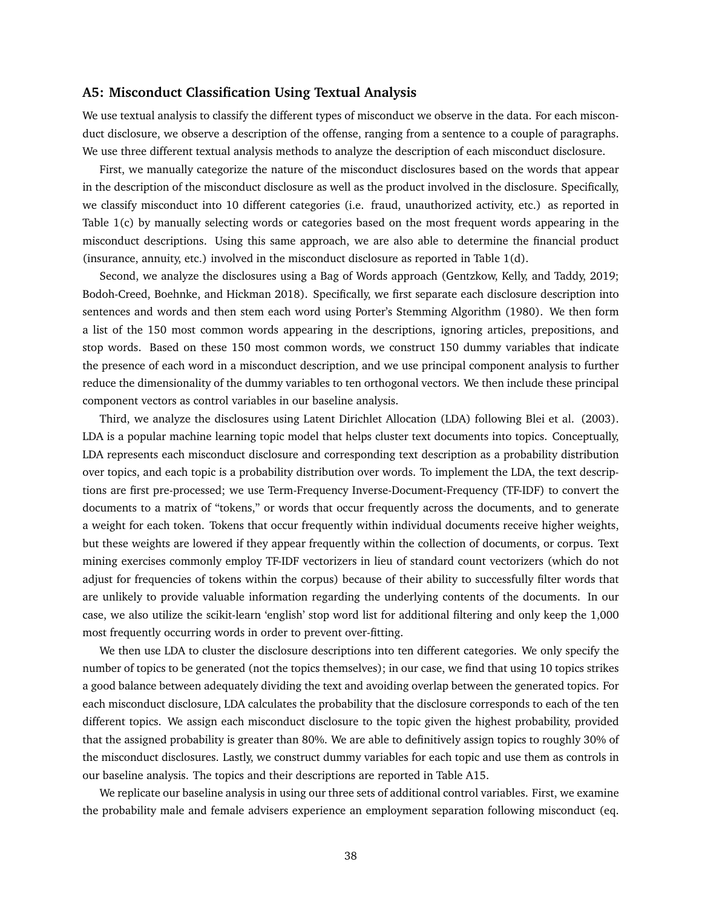#### **A5: Misconduct Classification Using Textual Analysis**

We use textual analysis to classify the different types of misconduct we observe in the data. For each misconduct disclosure, we observe a description of the offense, ranging from a sentence to a couple of paragraphs. We use three different textual analysis methods to analyze the description of each misconduct disclosure.

First, we manually categorize the nature of the misconduct disclosures based on the words that appear in the description of the misconduct disclosure as well as the product involved in the disclosure. Specifically, we classify misconduct into 10 different categories (i.e. fraud, unauthorized activity, etc.) as reported in Table 1(c) by manually selecting words or categories based on the most frequent words appearing in the misconduct descriptions. Using this same approach, we are also able to determine the financial product (insurance, annuity, etc.) involved in the misconduct disclosure as reported in Table 1(d).

Second, we analyze the disclosures using a Bag of Words approach (Gentzkow, Kelly, and Taddy, 2019; Bodoh-Creed, Boehnke, and Hickman 2018). Specifically, we first separate each disclosure description into sentences and words and then stem each word using Porter's Stemming Algorithm (1980). We then form a list of the 150 most common words appearing in the descriptions, ignoring articles, prepositions, and stop words. Based on these 150 most common words, we construct 150 dummy variables that indicate the presence of each word in a misconduct description, and we use principal component analysis to further reduce the dimensionality of the dummy variables to ten orthogonal vectors. We then include these principal component vectors as control variables in our baseline analysis.

Third, we analyze the disclosures using Latent Dirichlet Allocation (LDA) following Blei et al. (2003). LDA is a popular machine learning topic model that helps cluster text documents into topics. Conceptually, LDA represents each misconduct disclosure and corresponding text description as a probability distribution over topics, and each topic is a probability distribution over words. To implement the LDA, the text descriptions are first pre-processed; we use Term-Frequency Inverse-Document-Frequency (TF-IDF) to convert the documents to a matrix of "tokens," or words that occur frequently across the documents, and to generate a weight for each token. Tokens that occur frequently within individual documents receive higher weights, but these weights are lowered if they appear frequently within the collection of documents, or corpus. Text mining exercises commonly employ TF-IDF vectorizers in lieu of standard count vectorizers (which do not adjust for frequencies of tokens within the corpus) because of their ability to successfully filter words that are unlikely to provide valuable information regarding the underlying contents of the documents. In our case, we also utilize the scikit-learn 'english' stop word list for additional filtering and only keep the 1,000 most frequently occurring words in order to prevent over-fitting.

We then use LDA to cluster the disclosure descriptions into ten different categories. We only specify the number of topics to be generated (not the topics themselves); in our case, we find that using 10 topics strikes a good balance between adequately dividing the text and avoiding overlap between the generated topics. For each misconduct disclosure, LDA calculates the probability that the disclosure corresponds to each of the ten different topics. We assign each misconduct disclosure to the topic given the highest probability, provided that the assigned probability is greater than 80%. We are able to definitively assign topics to roughly 30% of the misconduct disclosures. Lastly, we construct dummy variables for each topic and use them as controls in our baseline analysis. The topics and their descriptions are reported in Table A15.

We replicate our baseline analysis in using our three sets of additional control variables. First, we examine the probability male and female advisers experience an employment separation following misconduct (eq.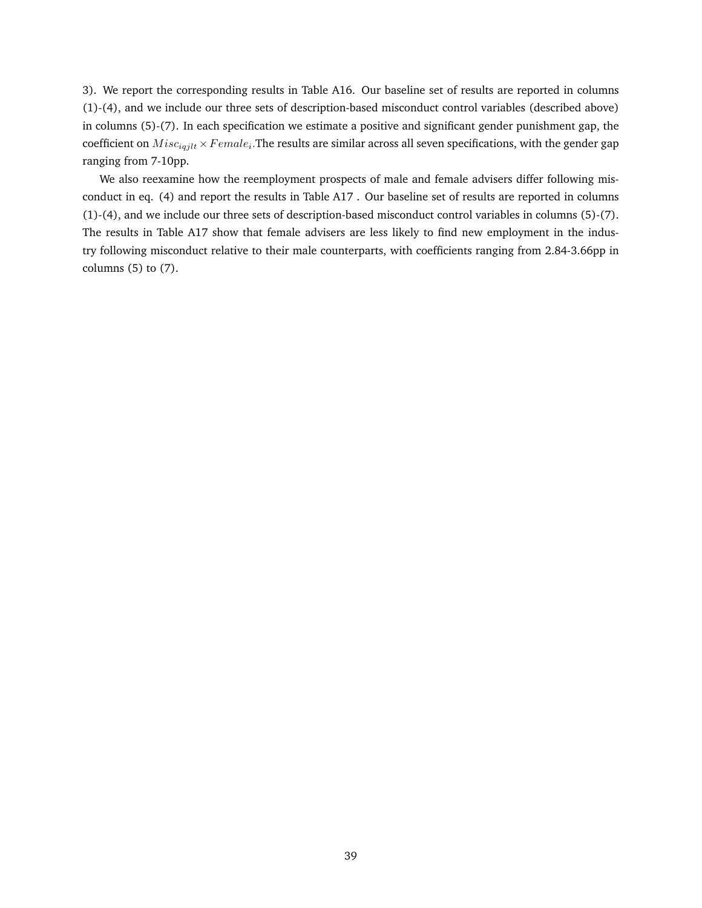3). We report the corresponding results in Table A16. Our baseline set of results are reported in columns (1)-(4), and we include our three sets of description-based misconduct control variables (described above) in columns (5)-(7). In each specification we estimate a positive and significant gender punishment gap, the coefficient on  $Misc_{iqjlt} \times Female_i$ . The results are similar across all seven specifications, with the gender gap ranging from 7-10pp.

We also reexamine how the reemployment prospects of male and female advisers differ following misconduct in eq. (4) and report the results in Table A17 . Our baseline set of results are reported in columns (1)-(4), and we include our three sets of description-based misconduct control variables in columns (5)-(7). The results in Table A17 show that female advisers are less likely to find new employment in the industry following misconduct relative to their male counterparts, with coefficients ranging from 2.84-3.66pp in columns  $(5)$  to  $(7)$ .